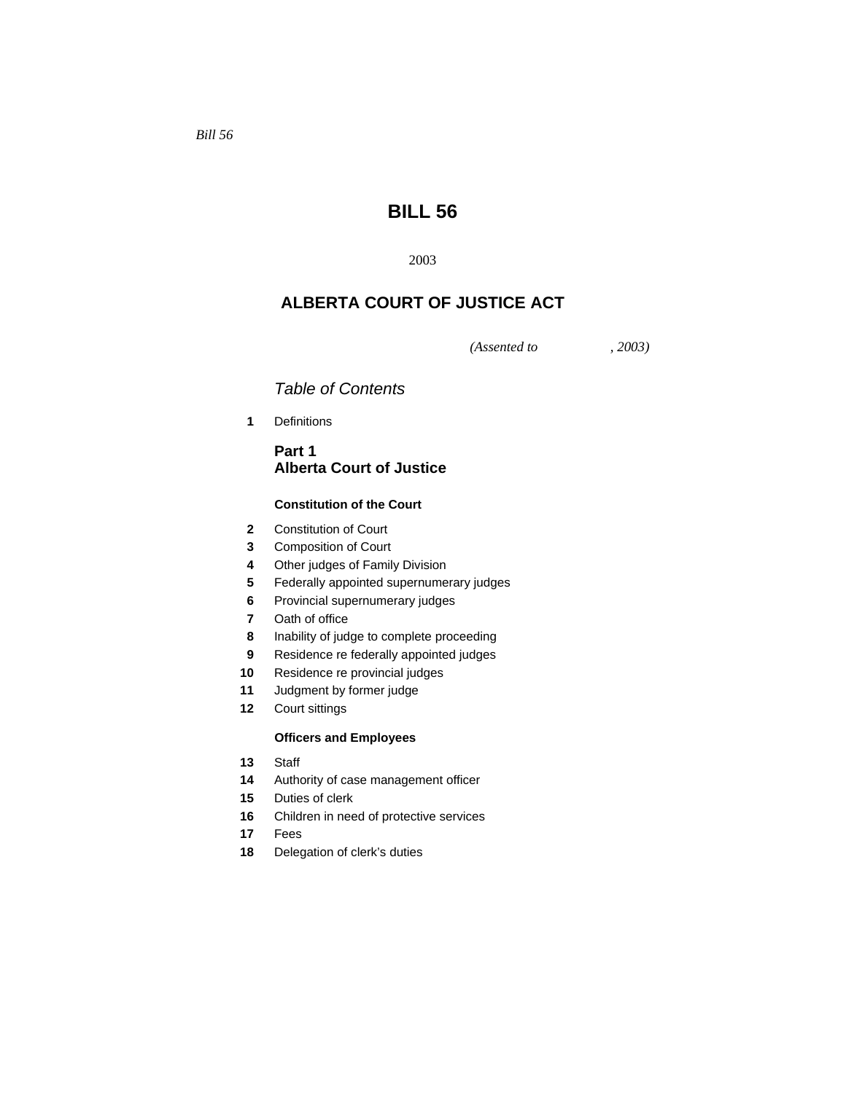# **BILL 56**

# **ALBERTA COURT OF JUSTICE ACT**

*(Assented to , 2003)* 

# *Table of Contents*

Definitions

## **Part 1 Alberta Court of Justice**

## **Constitution of the Court**

- Constitution of Court
- Composition of Court
- Other judges of Family Division
- Federally appointed supernumerary judges
- Provincial supernumerary judges
- Oath of office
- Inability of judge to complete proceeding
- Residence re federally appointed judges
- Residence re provincial judges
- Judgment by former judge
- Court sittings

## **Officers and Employees**

- Staff
- Authority of case management officer
- Duties of clerk
- Children in need of protective services
- Fees
- Delegation of clerk's duties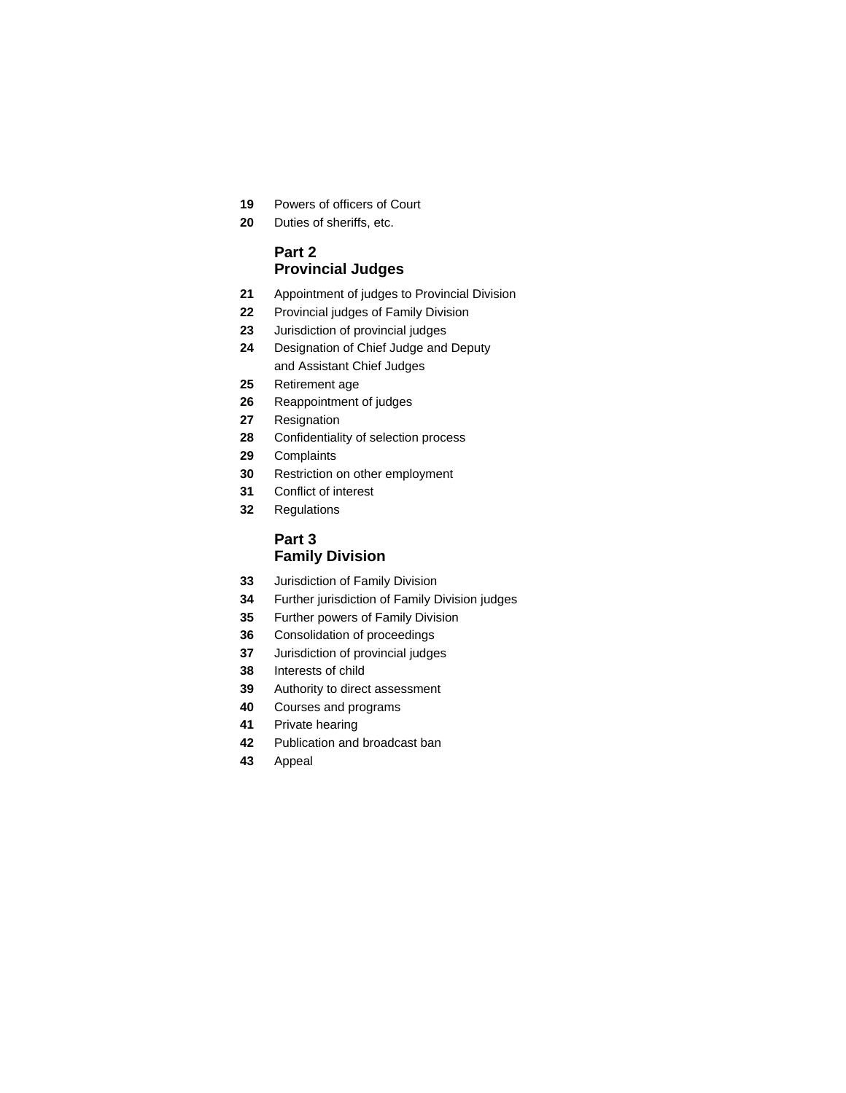- Powers of officers of Court
- Duties of sheriffs, etc.

## **Part 2 Provincial Judges**

- Appointment of judges to Provincial Division
- Provincial judges of Family Division
- Jurisdiction of provincial judges
- Designation of Chief Judge and Deputy and Assistant Chief Judges
- Retirement age
- Reappointment of judges
- Resignation
- Confidentiality of selection process
- Complaints
- Restriction on other employment
- Conflict of interest
- Regulations

## **Part 3 Family Division**

- Jurisdiction of Family Division
- Further jurisdiction of Family Division judges
- Further powers of Family Division
- Consolidation of proceedings
- Jurisdiction of provincial judges
- Interests of child
- Authority to direct assessment
- Courses and programs
- Private hearing
- Publication and broadcast ban
- Appeal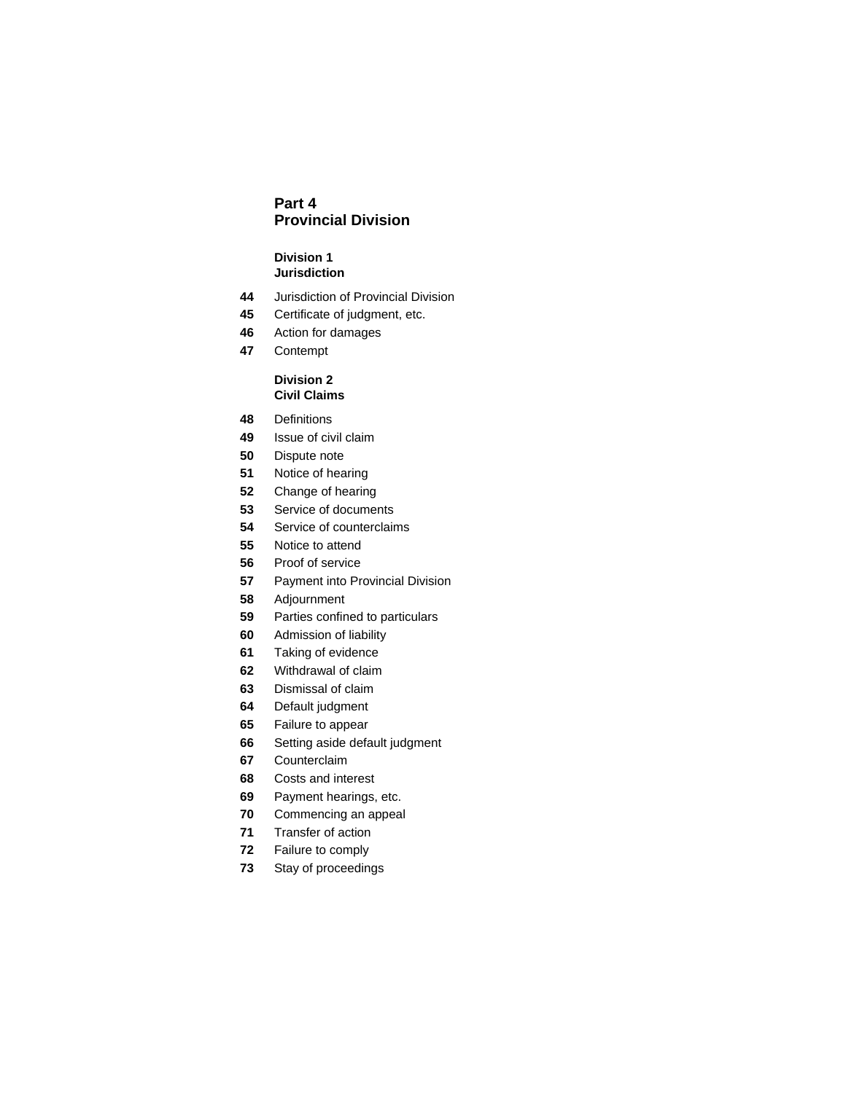## **Part 4 Provincial Division**

#### **Division 1 Jurisdiction**

- Jurisdiction of Provincial Division
- Certificate of judgment, etc.
- Action for damages
- Contempt

## **Division 2 Civil Claims**

- Definitions
- Issue of civil claim
- Dispute note
- Notice of hearing
- Change of hearing
- Service of documents
- Service of counterclaims
- Notice to attend
- Proof of service
- Payment into Provincial Division
- Adjournment
- Parties confined to particulars
- Admission of liability
- Taking of evidence
- Withdrawal of claim
- Dismissal of claim
- Default judgment
- Failure to appear
- Setting aside default judgment
- Counterclaim
- Costs and interest
- Payment hearings, etc.
- Commencing an appeal
- Transfer of action
- Failure to comply
- Stay of proceedings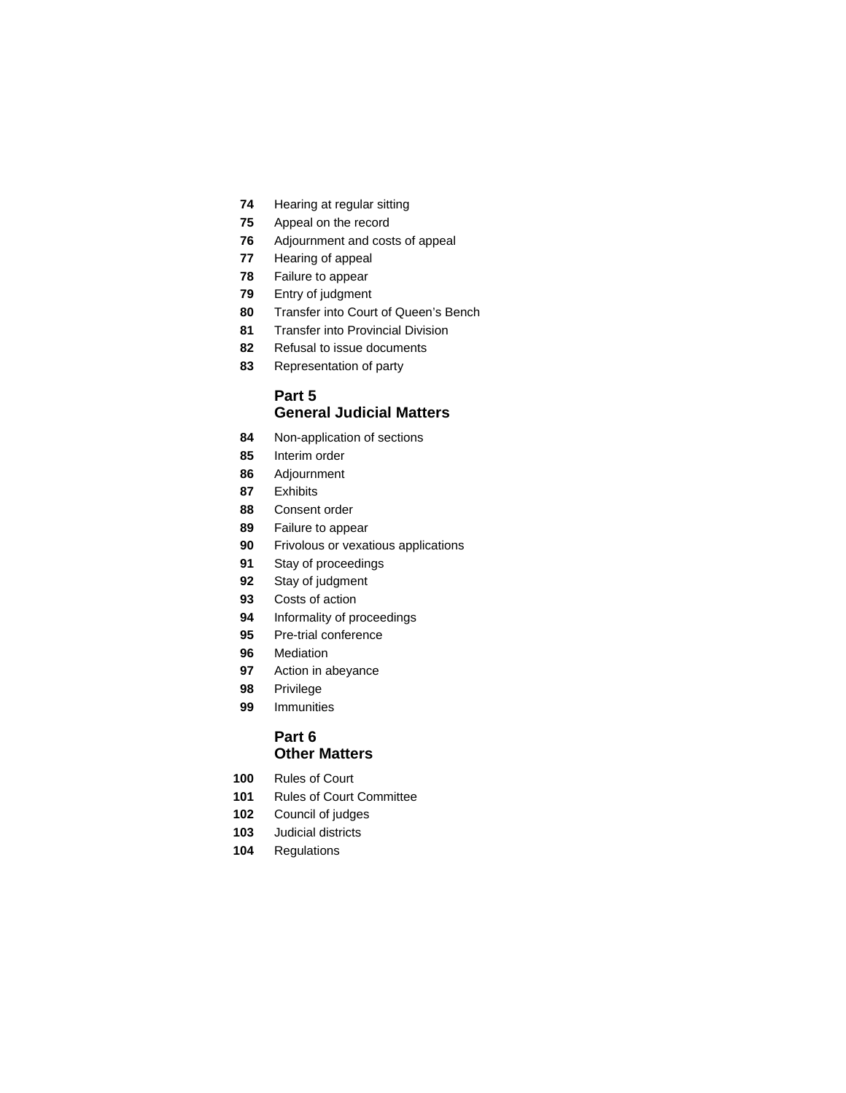- Hearing at regular sitting
- Appeal on the record
- Adjournment and costs of appeal
- Hearing of appeal
- Failure to appear
- Entry of judgment
- Transfer into Court of Queen's Bench
- Transfer into Provincial Division
- Refusal to issue documents
- Representation of party

## **Part 5 General Judicial Matters**

- Non-application of sections
- Interim order
- Adjournment
- Exhibits
- Consent order
- Failure to appear
- Frivolous or vexatious applications
- Stay of proceedings
- Stay of judgment
- Costs of action
- Informality of proceedings
- Pre-trial conference
- Mediation
- Action in abeyance
- Privilege
- Immunities

## **Part 6 Other Matters**

- Rules of Court
- Rules of Court Committee
- Council of judges
- Judicial districts
- Regulations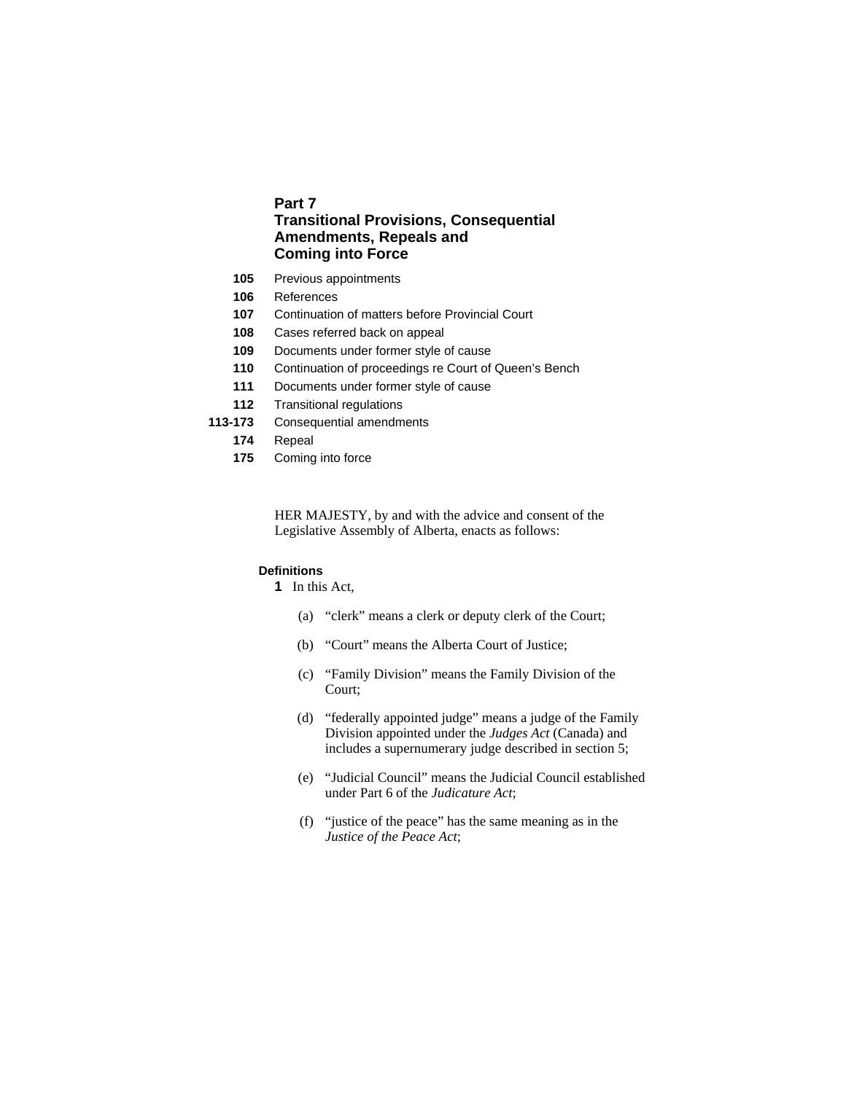## **Part 7 Transitional Provisions, Consequential Amendments, Repeals and Coming into Force**

- **105** Previous appointments
- **106** References
- **107** Continuation of matters before Provincial Court
- **108** Cases referred back on appeal
- **109** Documents under former style of cause
- **110** Continuation of proceedings re Court of Queen's Bench
- **111** Documents under former style of cause
- **112** Transitional regulations
- **113-173** Consequential amendments
	- **174** Repeal
	- **175** Coming into force

HER MAJESTY, by and with the advice and consent of the Legislative Assembly of Alberta, enacts as follows:

#### **Definitions**

**1** In this Act,

- (a) "clerk" means a clerk or deputy clerk of the Court;
- (b) "Court" means the Alberta Court of Justice;
- (c) "Family Division" means the Family Division of the Court;
- (d) "federally appointed judge" means a judge of the Family Division appointed under the *Judges Act* (Canada) and includes a supernumerary judge described in section 5;
- (e) "Judicial Council" means the Judicial Council established under Part 6 of the *Judicature Act*;
- (f) "justice of the peace" has the same meaning as in the *Justice of the Peace Act*;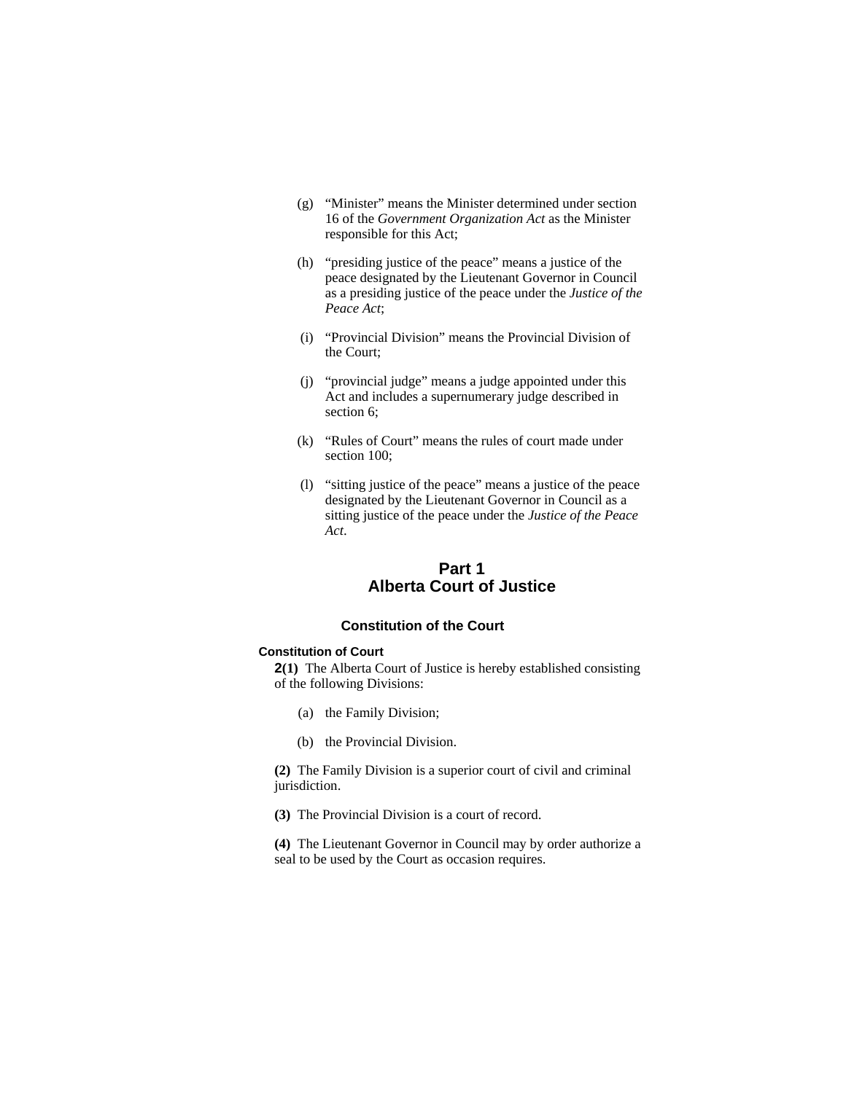- (g) "Minister" means the Minister determined under section 16 of the *Government Organization Act* as the Minister responsible for this Act;
- (h) "presiding justice of the peace" means a justice of the peace designated by the Lieutenant Governor in Council as a presiding justice of the peace under the *Justice of the Peace Act*;
- (i) "Provincial Division" means the Provincial Division of the Court;
- (j) "provincial judge" means a judge appointed under this Act and includes a supernumerary judge described in section 6;
- (k) "Rules of Court" means the rules of court made under section 100;
- (l) "sitting justice of the peace" means a justice of the peace designated by the Lieutenant Governor in Council as a sitting justice of the peace under the *Justice of the Peace Act*.

## **Part 1 Alberta Court of Justice**

## **Constitution of the Court**

### **Constitution of Court**

**2(1)** The Alberta Court of Justice is hereby established consisting of the following Divisions:

- (a) the Family Division;
- (b) the Provincial Division.

**(2)** The Family Division is a superior court of civil and criminal jurisdiction.

**(3)** The Provincial Division is a court of record.

**(4)** The Lieutenant Governor in Council may by order authorize a seal to be used by the Court as occasion requires.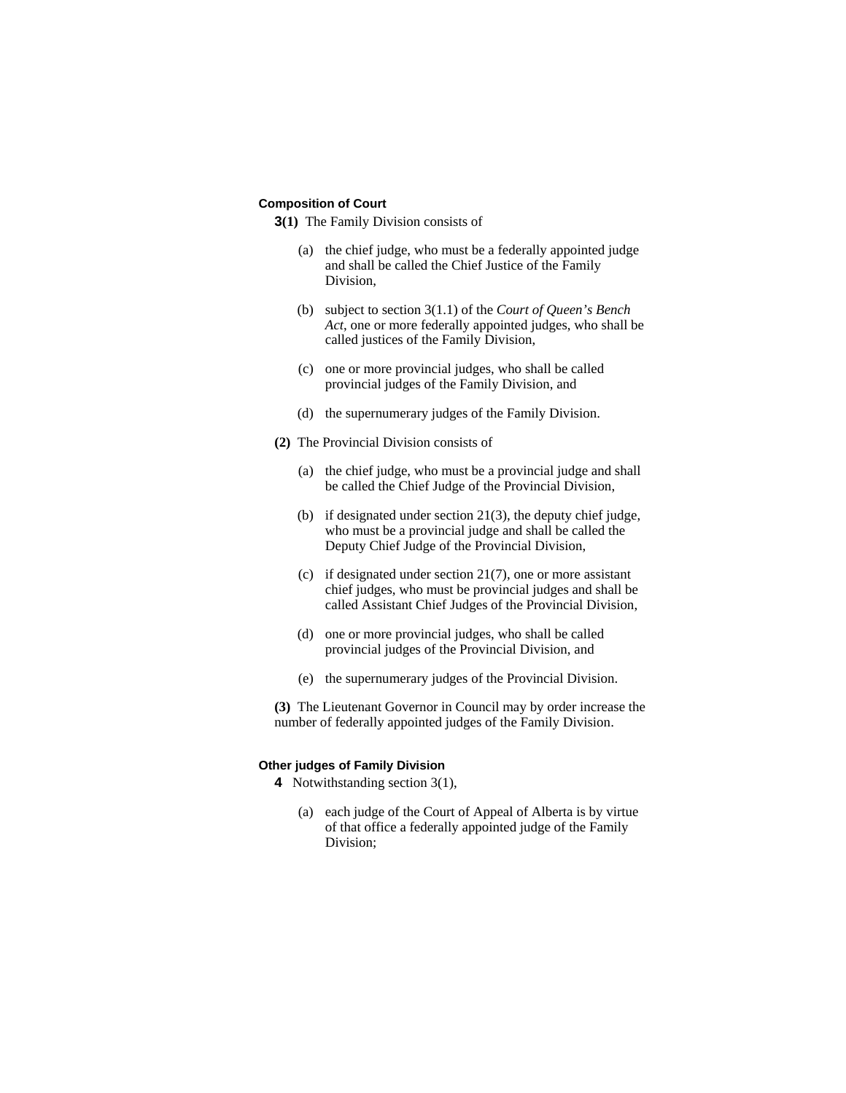#### **Composition of Court**

**3(1)** The Family Division consists of

- (a) the chief judge, who must be a federally appointed judge and shall be called the Chief Justice of the Family Division,
- (b) subject to section 3(1.1) of the *Court of Queen's Bench Act*, one or more federally appointed judges, who shall be called justices of the Family Division,
- (c) one or more provincial judges, who shall be called provincial judges of the Family Division, and
- (d) the supernumerary judges of the Family Division.
- **(2)** The Provincial Division consists of
	- (a) the chief judge, who must be a provincial judge and shall be called the Chief Judge of the Provincial Division,
	- (b) if designated under section 21(3), the deputy chief judge, who must be a provincial judge and shall be called the Deputy Chief Judge of the Provincial Division,
	- (c) if designated under section 21(7), one or more assistant chief judges, who must be provincial judges and shall be called Assistant Chief Judges of the Provincial Division,
	- (d) one or more provincial judges, who shall be called provincial judges of the Provincial Division, and
	- (e) the supernumerary judges of the Provincial Division.

**(3)** The Lieutenant Governor in Council may by order increase the number of federally appointed judges of the Family Division.

## **Other judges of Family Division**

**4** Notwithstanding section 3(1),

 (a) each judge of the Court of Appeal of Alberta is by virtue of that office a federally appointed judge of the Family Division;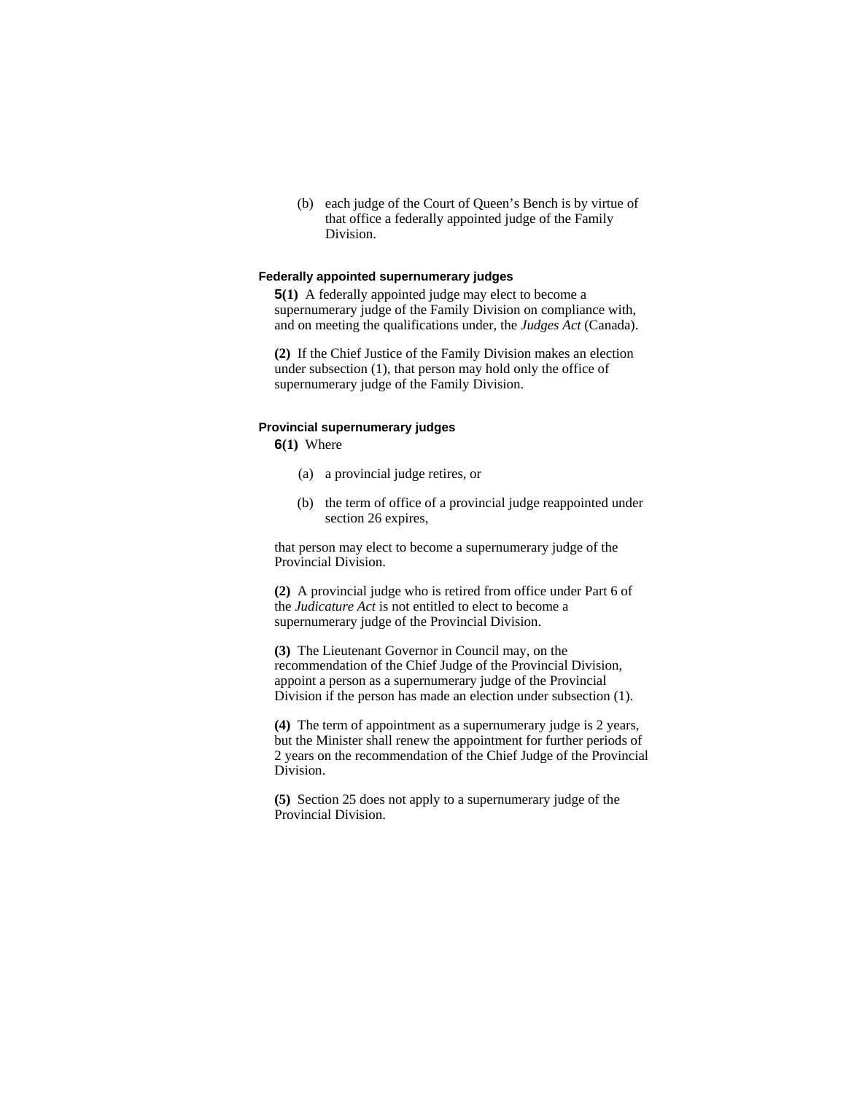(b) each judge of the Court of Queen's Bench is by virtue of that office a federally appointed judge of the Family Division.

#### **Federally appointed supernumerary judges**

**5(1)** A federally appointed judge may elect to become a supernumerary judge of the Family Division on compliance with, and on meeting the qualifications under, the *Judges Act* (Canada).

**(2)** If the Chief Justice of the Family Division makes an election under subsection (1), that person may hold only the office of supernumerary judge of the Family Division.

#### **Provincial supernumerary judges**

**6(1)** Where

- (a) a provincial judge retires, or
- (b) the term of office of a provincial judge reappointed under section 26 expires,

that person may elect to become a supernumerary judge of the Provincial Division.

**(2)** A provincial judge who is retired from office under Part 6 of the *Judicature Act* is not entitled to elect to become a supernumerary judge of the Provincial Division.

**(3)** The Lieutenant Governor in Council may, on the recommendation of the Chief Judge of the Provincial Division, appoint a person as a supernumerary judge of the Provincial Division if the person has made an election under subsection (1).

**(4)** The term of appointment as a supernumerary judge is 2 years, but the Minister shall renew the appointment for further periods of 2 years on the recommendation of the Chief Judge of the Provincial Division.

**(5)** Section 25 does not apply to a supernumerary judge of the Provincial Division.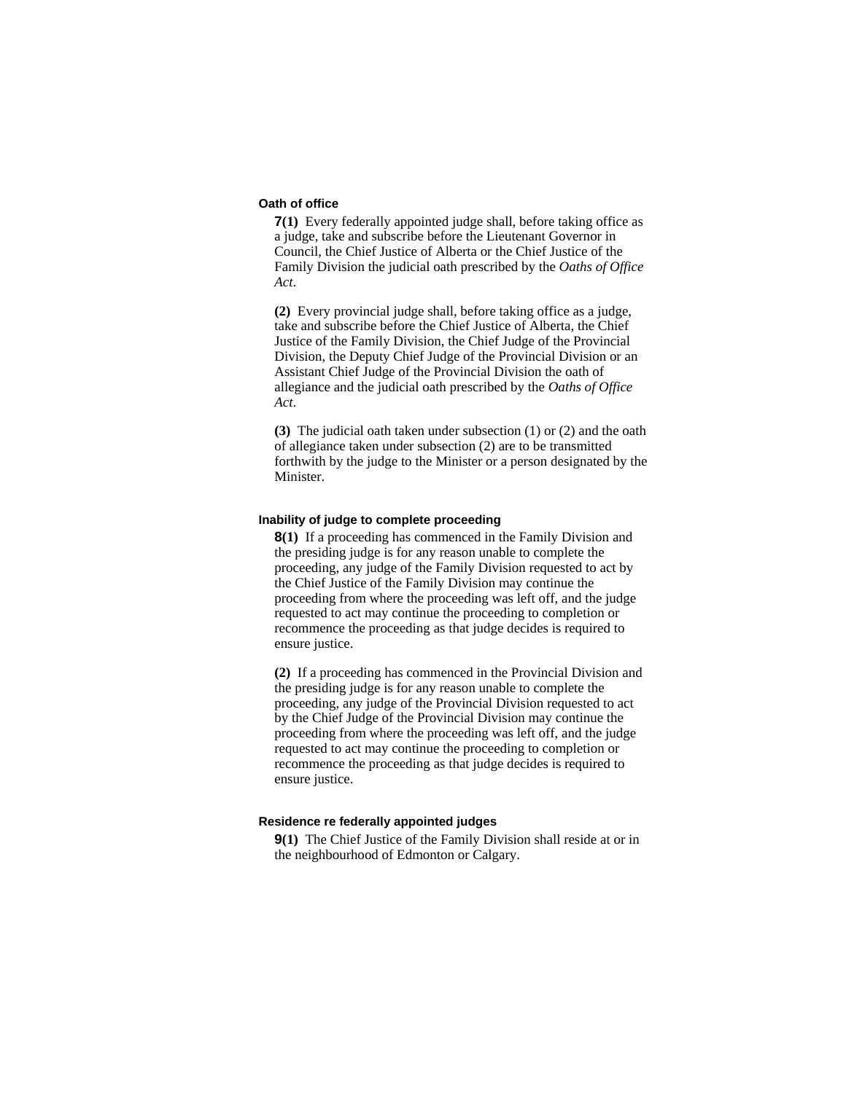#### **Oath of office**

**7(1)** Every federally appointed judge shall, before taking office as a judge, take and subscribe before the Lieutenant Governor in Council, the Chief Justice of Alberta or the Chief Justice of the Family Division the judicial oath prescribed by the *Oaths of Office Act*.

**(2)** Every provincial judge shall, before taking office as a judge, take and subscribe before the Chief Justice of Alberta, the Chief Justice of the Family Division, the Chief Judge of the Provincial Division, the Deputy Chief Judge of the Provincial Division or an Assistant Chief Judge of the Provincial Division the oath of allegiance and the judicial oath prescribed by the *Oaths of Office Act*.

**(3)** The judicial oath taken under subsection (1) or (2) and the oath of allegiance taken under subsection (2) are to be transmitted forthwith by the judge to the Minister or a person designated by the Minister.

#### **Inability of judge to complete proceeding**

**8(1)** If a proceeding has commenced in the Family Division and the presiding judge is for any reason unable to complete the proceeding, any judge of the Family Division requested to act by the Chief Justice of the Family Division may continue the proceeding from where the proceeding was left off, and the judge requested to act may continue the proceeding to completion or recommence the proceeding as that judge decides is required to ensure justice.

**(2)** If a proceeding has commenced in the Provincial Division and the presiding judge is for any reason unable to complete the proceeding, any judge of the Provincial Division requested to act by the Chief Judge of the Provincial Division may continue the proceeding from where the proceeding was left off, and the judge requested to act may continue the proceeding to completion or recommence the proceeding as that judge decides is required to ensure justice.

#### **Residence re federally appointed judges**

**9(1)** The Chief Justice of the Family Division shall reside at or in the neighbourhood of Edmonton or Calgary.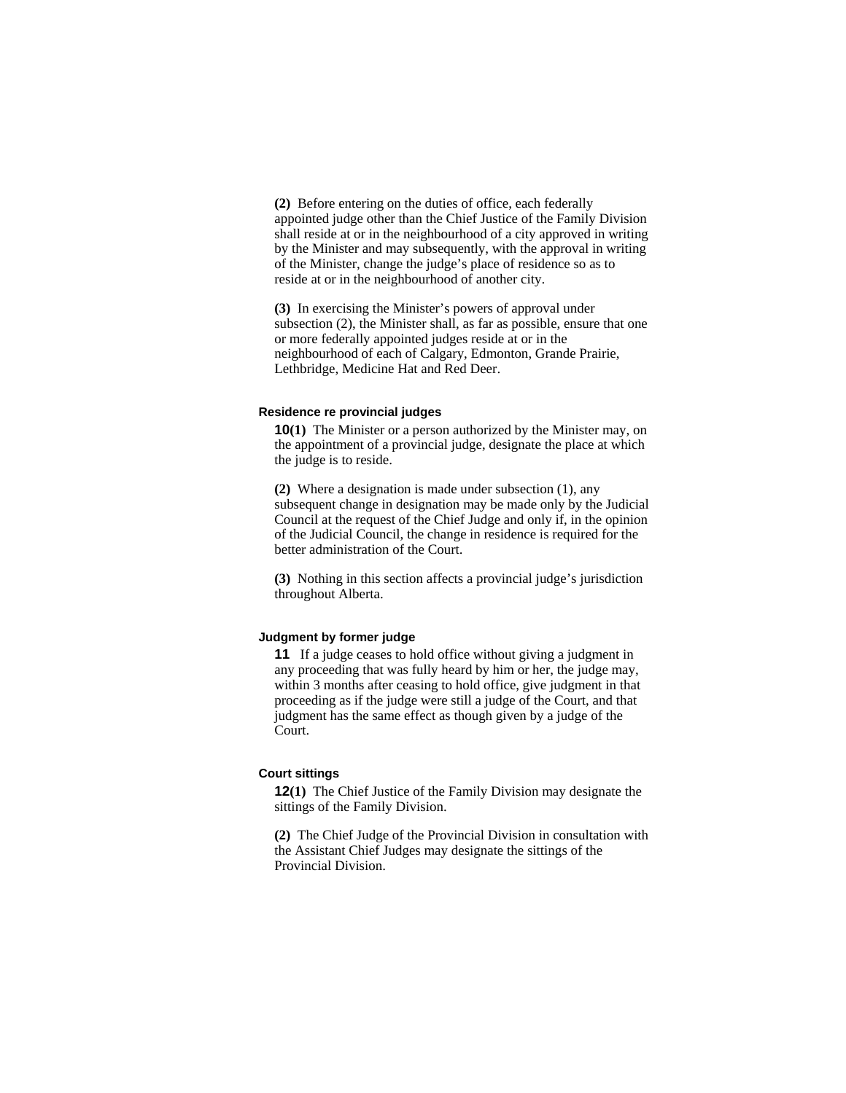**(2)** Before entering on the duties of office, each federally appointed judge other than the Chief Justice of the Family Division shall reside at or in the neighbourhood of a city approved in writing by the Minister and may subsequently, with the approval in writing of the Minister, change the judge's place of residence so as to reside at or in the neighbourhood of another city.

**(3)** In exercising the Minister's powers of approval under subsection (2), the Minister shall, as far as possible, ensure that one or more federally appointed judges reside at or in the neighbourhood of each of Calgary, Edmonton, Grande Prairie, Lethbridge, Medicine Hat and Red Deer.

#### **Residence re provincial judges**

**10(1)** The Minister or a person authorized by the Minister may, on the appointment of a provincial judge, designate the place at which the judge is to reside.

**(2)** Where a designation is made under subsection (1), any subsequent change in designation may be made only by the Judicial Council at the request of the Chief Judge and only if, in the opinion of the Judicial Council, the change in residence is required for the better administration of the Court.

**(3)** Nothing in this section affects a provincial judge's jurisdiction throughout Alberta.

#### **Judgment by former judge**

**11** If a judge ceases to hold office without giving a judgment in any proceeding that was fully heard by him or her, the judge may, within 3 months after ceasing to hold office, give judgment in that proceeding as if the judge were still a judge of the Court, and that judgment has the same effect as though given by a judge of the Court.

#### **Court sittings**

**12(1)** The Chief Justice of the Family Division may designate the sittings of the Family Division.

**(2)** The Chief Judge of the Provincial Division in consultation with the Assistant Chief Judges may designate the sittings of the Provincial Division.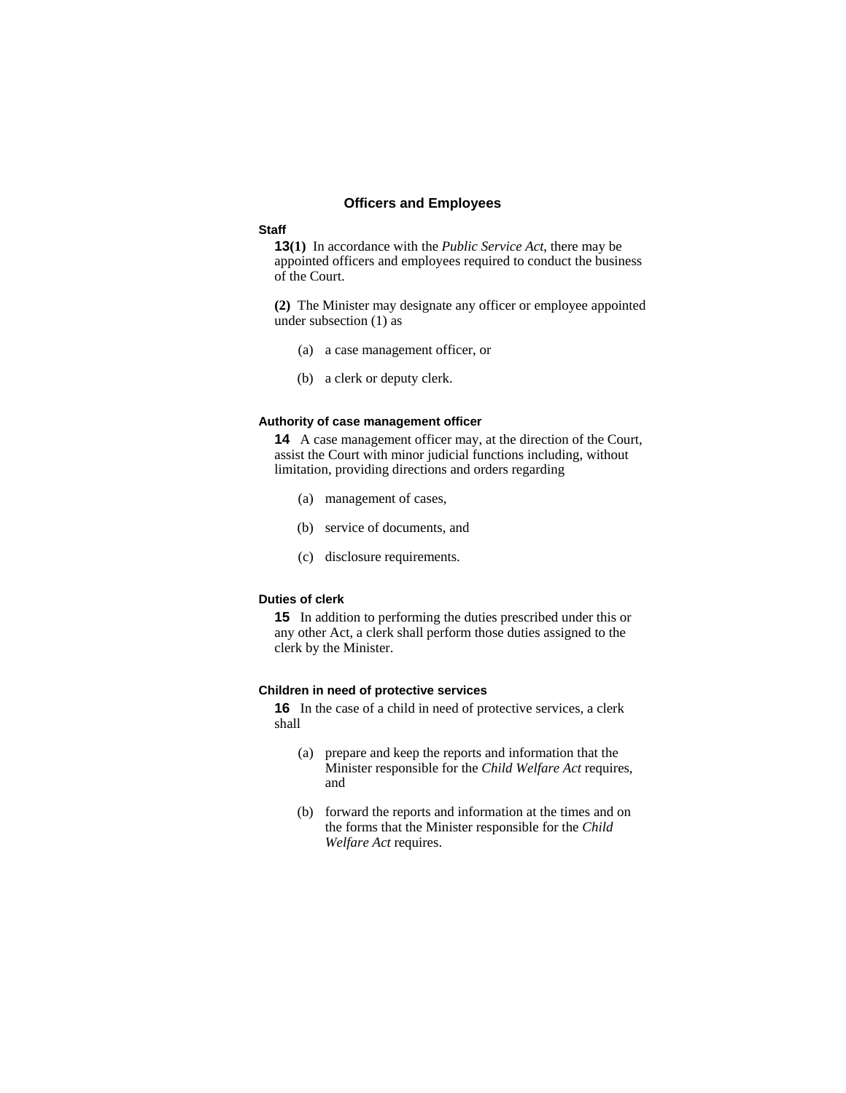#### **Officers and Employees**

#### **Staff**

**13(1)** In accordance with the *Public Service Act*, there may be appointed officers and employees required to conduct the business of the Court.

**(2)** The Minister may designate any officer or employee appointed under subsection (1) as

- (a) a case management officer, or
- (b) a clerk or deputy clerk.

#### **Authority of case management officer**

**14** A case management officer may, at the direction of the Court, assist the Court with minor judicial functions including, without limitation, providing directions and orders regarding

- (a) management of cases,
- (b) service of documents, and
- (c) disclosure requirements.

#### **Duties of clerk**

**15** In addition to performing the duties prescribed under this or any other Act, a clerk shall perform those duties assigned to the clerk by the Minister.

#### **Children in need of protective services**

**16** In the case of a child in need of protective services, a clerk shall

- (a) prepare and keep the reports and information that the Minister responsible for the *Child Welfare Act* requires, and
- (b) forward the reports and information at the times and on the forms that the Minister responsible for the *Child Welfare Act* requires.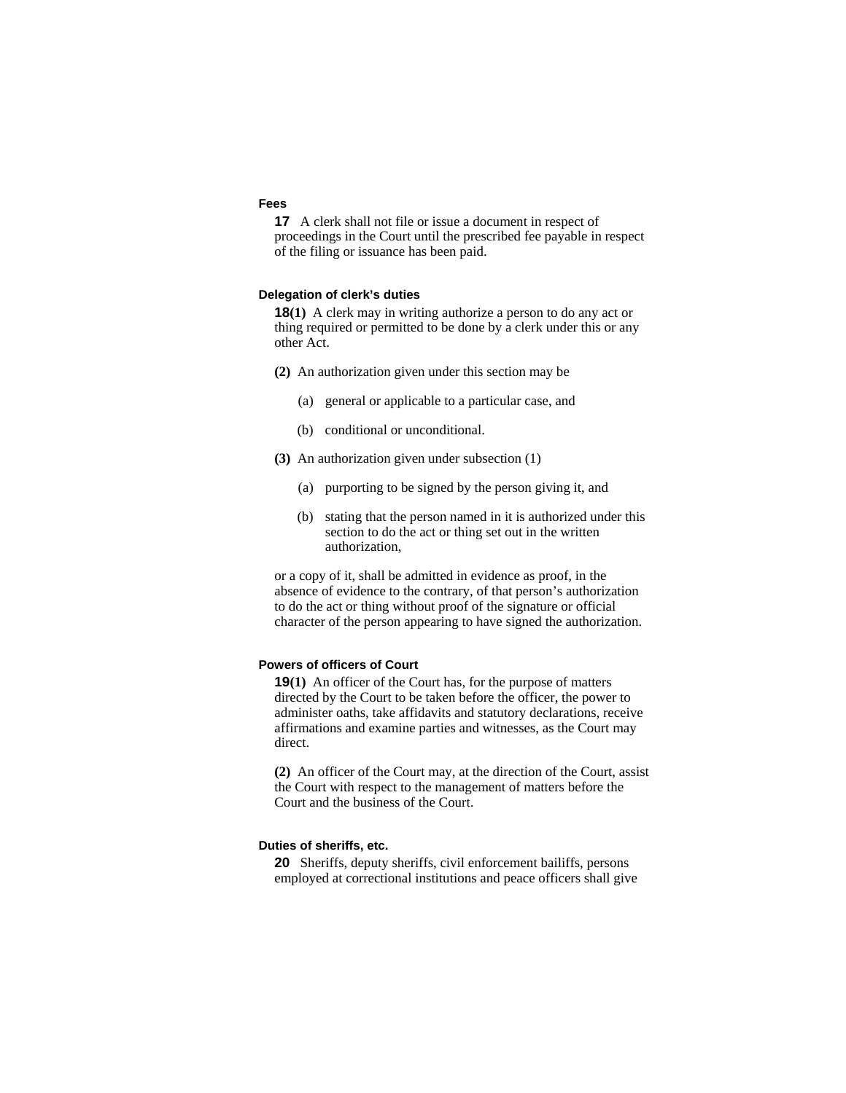#### **Fees**

**17** A clerk shall not file or issue a document in respect of proceedings in the Court until the prescribed fee payable in respect of the filing or issuance has been paid.

#### **Delegation of clerk's duties**

**18(1)** A clerk may in writing authorize a person to do any act or thing required or permitted to be done by a clerk under this or any other Act.

- **(2)** An authorization given under this section may be
	- (a) general or applicable to a particular case, and
	- (b) conditional or unconditional.
- **(3)** An authorization given under subsection (1)
	- (a) purporting to be signed by the person giving it, and
	- (b) stating that the person named in it is authorized under this section to do the act or thing set out in the written authorization,

or a copy of it, shall be admitted in evidence as proof, in the absence of evidence to the contrary, of that person's authorization to do the act or thing without proof of the signature or official character of the person appearing to have signed the authorization.

#### **Powers of officers of Court**

**19(1)** An officer of the Court has, for the purpose of matters directed by the Court to be taken before the officer, the power to administer oaths, take affidavits and statutory declarations, receive affirmations and examine parties and witnesses, as the Court may direct.

**(2)** An officer of the Court may, at the direction of the Court, assist the Court with respect to the management of matters before the Court and the business of the Court.

#### **Duties of sheriffs, etc.**

**20** Sheriffs, deputy sheriffs, civil enforcement bailiffs, persons employed at correctional institutions and peace officers shall give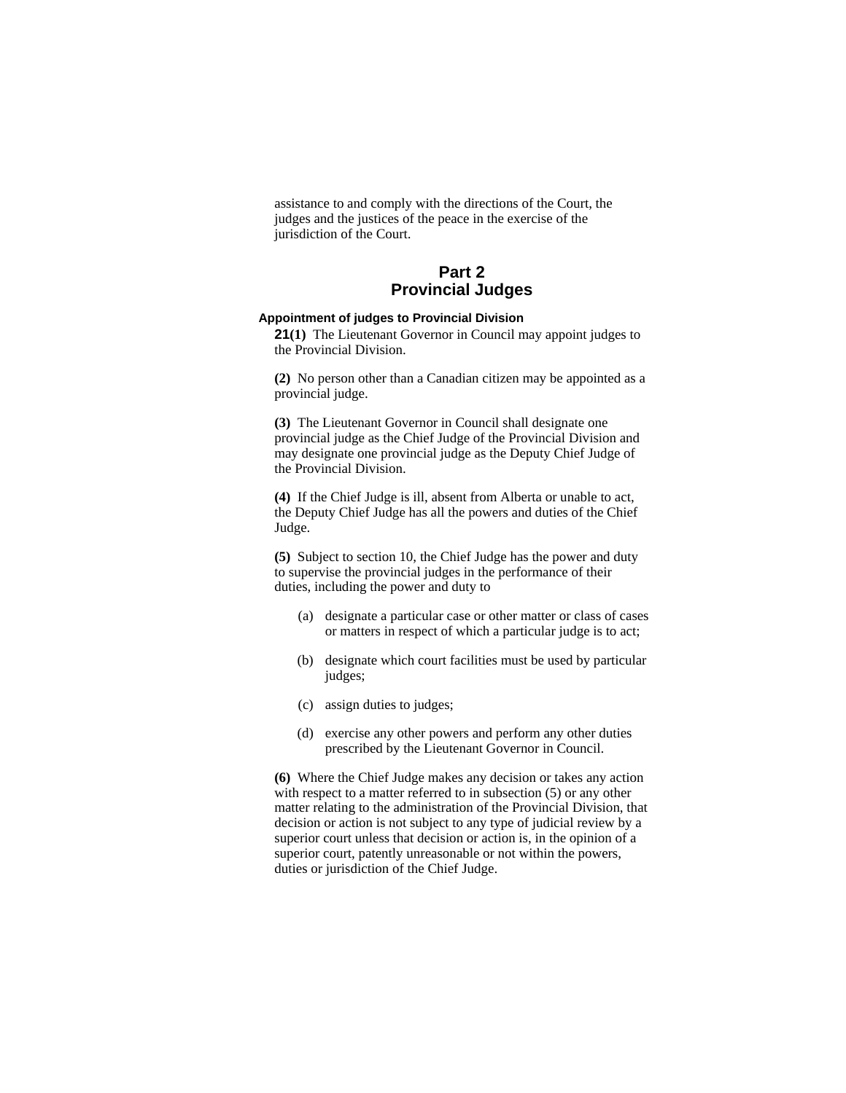assistance to and comply with the directions of the Court, the judges and the justices of the peace in the exercise of the jurisdiction of the Court.

## **Part 2 Provincial Judges**

## **Appointment of judges to Provincial Division**

**21(1)** The Lieutenant Governor in Council may appoint judges to the Provincial Division.

**(2)** No person other than a Canadian citizen may be appointed as a provincial judge.

**(3)** The Lieutenant Governor in Council shall designate one provincial judge as the Chief Judge of the Provincial Division and may designate one provincial judge as the Deputy Chief Judge of the Provincial Division.

**(4)** If the Chief Judge is ill, absent from Alberta or unable to act, the Deputy Chief Judge has all the powers and duties of the Chief Judge.

**(5)** Subject to section 10, the Chief Judge has the power and duty to supervise the provincial judges in the performance of their duties, including the power and duty to

- (a) designate a particular case or other matter or class of cases or matters in respect of which a particular judge is to act;
- (b) designate which court facilities must be used by particular judges;
- (c) assign duties to judges;
- (d) exercise any other powers and perform any other duties prescribed by the Lieutenant Governor in Council.

**(6)** Where the Chief Judge makes any decision or takes any action with respect to a matter referred to in subsection (5) or any other matter relating to the administration of the Provincial Division, that decision or action is not subject to any type of judicial review by a superior court unless that decision or action is, in the opinion of a superior court, patently unreasonable or not within the powers, duties or jurisdiction of the Chief Judge.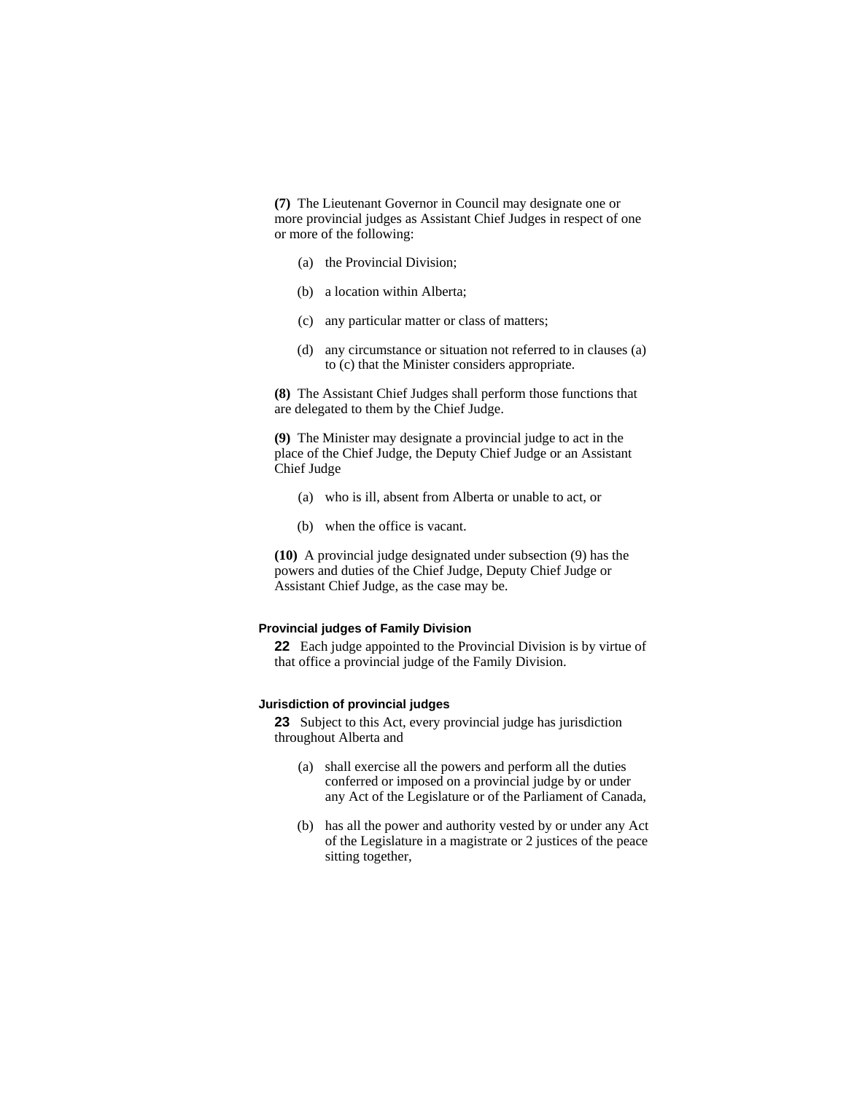**(7)** The Lieutenant Governor in Council may designate one or more provincial judges as Assistant Chief Judges in respect of one or more of the following:

- (a) the Provincial Division;
- (b) a location within Alberta;
- (c) any particular matter or class of matters;
- (d) any circumstance or situation not referred to in clauses (a) to (c) that the Minister considers appropriate.

**(8)** The Assistant Chief Judges shall perform those functions that are delegated to them by the Chief Judge.

**(9)** The Minister may designate a provincial judge to act in the place of the Chief Judge, the Deputy Chief Judge or an Assistant Chief Judge

- (a) who is ill, absent from Alberta or unable to act, or
- (b) when the office is vacant.

**(10)** A provincial judge designated under subsection (9) has the powers and duties of the Chief Judge, Deputy Chief Judge or Assistant Chief Judge, as the case may be.

#### **Provincial judges of Family Division**

**22** Each judge appointed to the Provincial Division is by virtue of that office a provincial judge of the Family Division.

### **Jurisdiction of provincial judges**

**23** Subject to this Act, every provincial judge has jurisdiction throughout Alberta and

- (a) shall exercise all the powers and perform all the duties conferred or imposed on a provincial judge by or under any Act of the Legislature or of the Parliament of Canada,
- (b) has all the power and authority vested by or under any Act of the Legislature in a magistrate or 2 justices of the peace sitting together,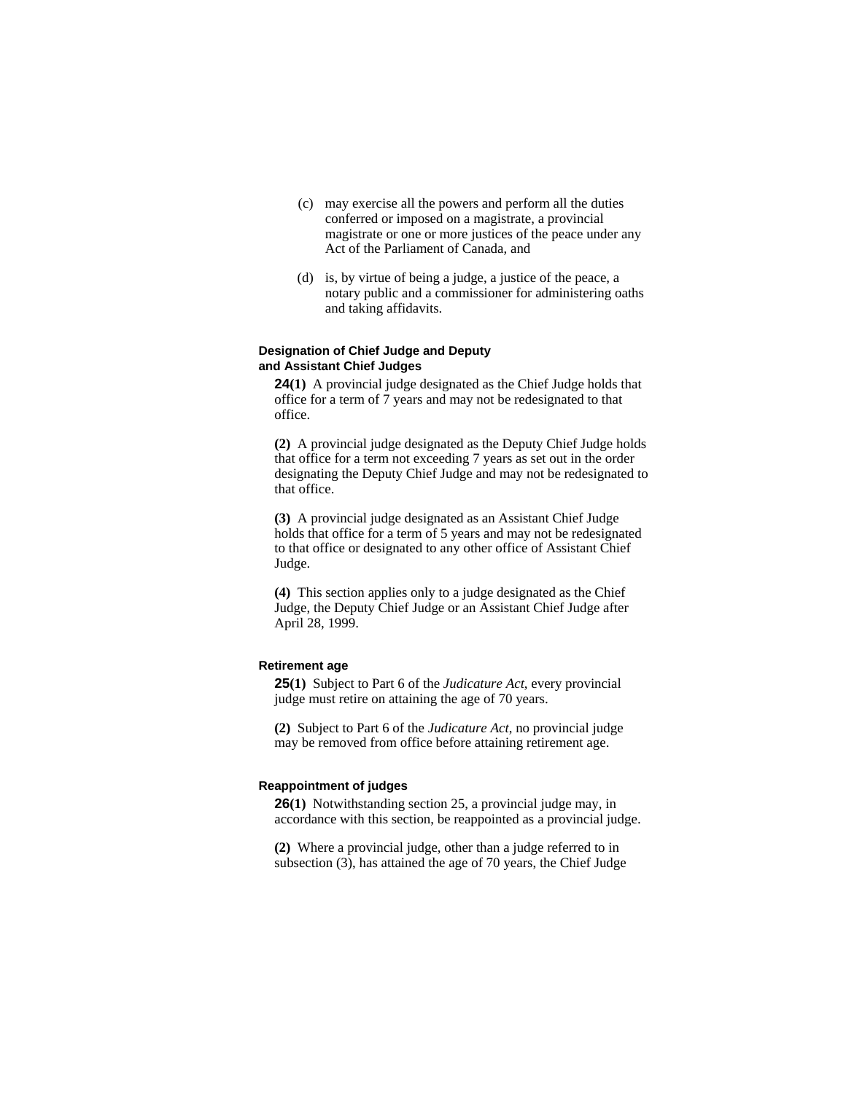- (c) may exercise all the powers and perform all the duties conferred or imposed on a magistrate, a provincial magistrate or one or more justices of the peace under any Act of the Parliament of Canada, and
- (d) is, by virtue of being a judge, a justice of the peace, a notary public and a commissioner for administering oaths and taking affidavits.

#### **Designation of Chief Judge and Deputy and Assistant Chief Judges**

**24(1)** A provincial judge designated as the Chief Judge holds that office for a term of 7 years and may not be redesignated to that office.

**(2)** A provincial judge designated as the Deputy Chief Judge holds that office for a term not exceeding 7 years as set out in the order designating the Deputy Chief Judge and may not be redesignated to that office.

**(3)** A provincial judge designated as an Assistant Chief Judge holds that office for a term of 5 years and may not be redesignated to that office or designated to any other office of Assistant Chief Judge.

**(4)** This section applies only to a judge designated as the Chief Judge, the Deputy Chief Judge or an Assistant Chief Judge after April 28, 1999.

#### **Retirement age**

**25(1)** Subject to Part 6 of the *Judicature Act*, every provincial judge must retire on attaining the age of 70 years.

**(2)** Subject to Part 6 of the *Judicature Act*, no provincial judge may be removed from office before attaining retirement age.

#### **Reappointment of judges**

**26(1)** Notwithstanding section 25, a provincial judge may, in accordance with this section, be reappointed as a provincial judge.

**(2)** Where a provincial judge, other than a judge referred to in subsection (3), has attained the age of 70 years, the Chief Judge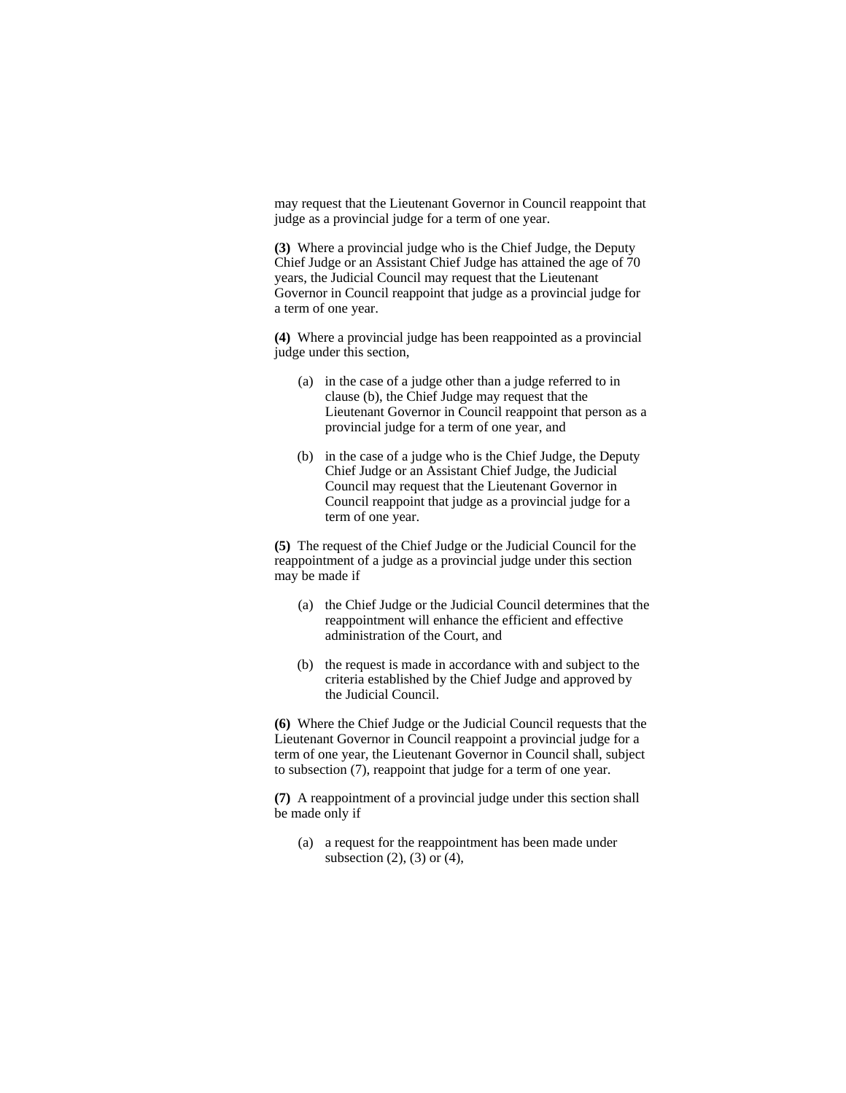may request that the Lieutenant Governor in Council reappoint that judge as a provincial judge for a term of one year.

**(3)** Where a provincial judge who is the Chief Judge, the Deputy Chief Judge or an Assistant Chief Judge has attained the age of 70 years, the Judicial Council may request that the Lieutenant Governor in Council reappoint that judge as a provincial judge for a term of one year.

**(4)** Where a provincial judge has been reappointed as a provincial judge under this section,

- (a) in the case of a judge other than a judge referred to in clause (b), the Chief Judge may request that the Lieutenant Governor in Council reappoint that person as a provincial judge for a term of one year, and
- (b) in the case of a judge who is the Chief Judge, the Deputy Chief Judge or an Assistant Chief Judge, the Judicial Council may request that the Lieutenant Governor in Council reappoint that judge as a provincial judge for a term of one year.

**(5)** The request of the Chief Judge or the Judicial Council for the reappointment of a judge as a provincial judge under this section may be made if

- (a) the Chief Judge or the Judicial Council determines that the reappointment will enhance the efficient and effective administration of the Court, and
- (b) the request is made in accordance with and subject to the criteria established by the Chief Judge and approved by the Judicial Council.

**(6)** Where the Chief Judge or the Judicial Council requests that the Lieutenant Governor in Council reappoint a provincial judge for a term of one year, the Lieutenant Governor in Council shall, subject to subsection (7), reappoint that judge for a term of one year.

**(7)** A reappointment of a provincial judge under this section shall be made only if

(a) a request for the reappointment has been made under subsection  $(2)$ ,  $(3)$  or  $(4)$ ,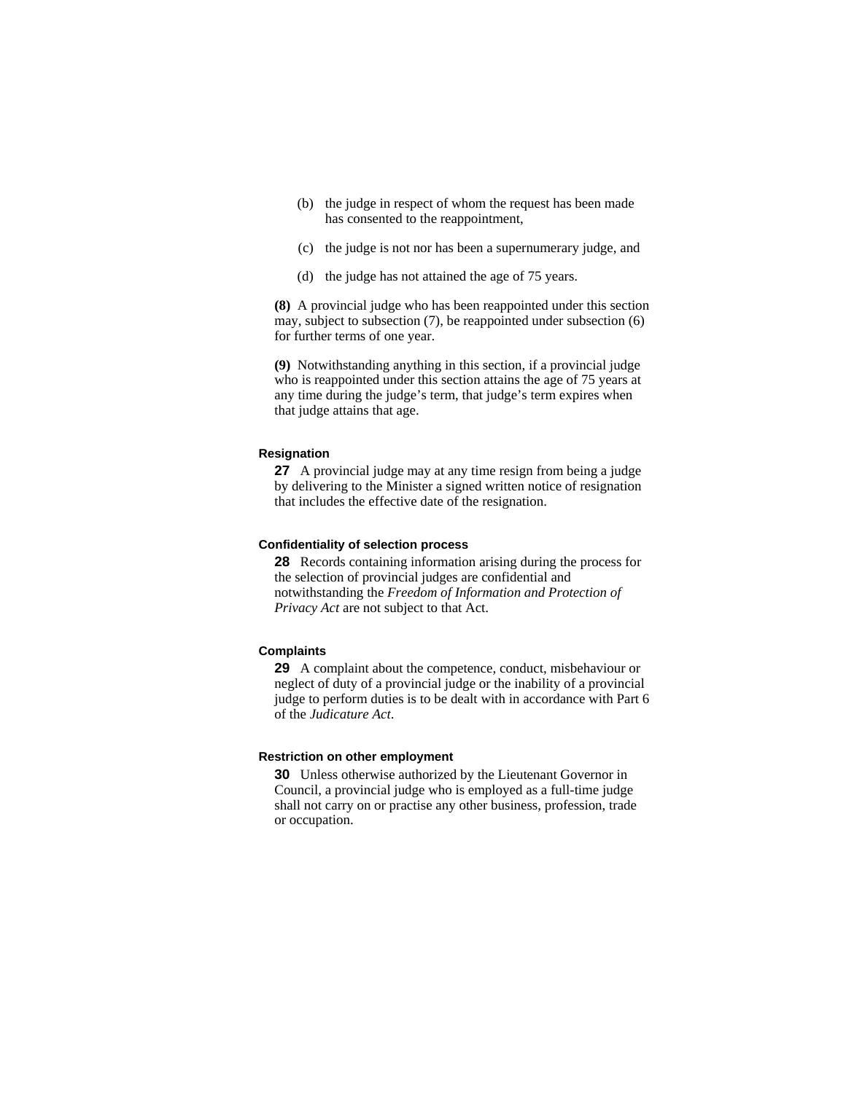- (b) the judge in respect of whom the request has been made has consented to the reappointment,
- (c) the judge is not nor has been a supernumerary judge, and
- (d) the judge has not attained the age of 75 years.

**(8)** A provincial judge who has been reappointed under this section may, subject to subsection (7), be reappointed under subsection (6) for further terms of one year.

**(9)** Notwithstanding anything in this section, if a provincial judge who is reappointed under this section attains the age of 75 years at any time during the judge's term, that judge's term expires when that judge attains that age.

#### **Resignation**

**27** A provincial judge may at any time resign from being a judge by delivering to the Minister a signed written notice of resignation that includes the effective date of the resignation.

#### **Confidentiality of selection process**

**28** Records containing information arising during the process for the selection of provincial judges are confidential and notwithstanding the *Freedom of Information and Protection of Privacy Act* are not subject to that Act.

#### **Complaints**

**29** A complaint about the competence, conduct, misbehaviour or neglect of duty of a provincial judge or the inability of a provincial judge to perform duties is to be dealt with in accordance with Part 6 of the *Judicature Act*.

#### **Restriction on other employment**

**30** Unless otherwise authorized by the Lieutenant Governor in Council, a provincial judge who is employed as a full-time judge shall not carry on or practise any other business, profession, trade or occupation.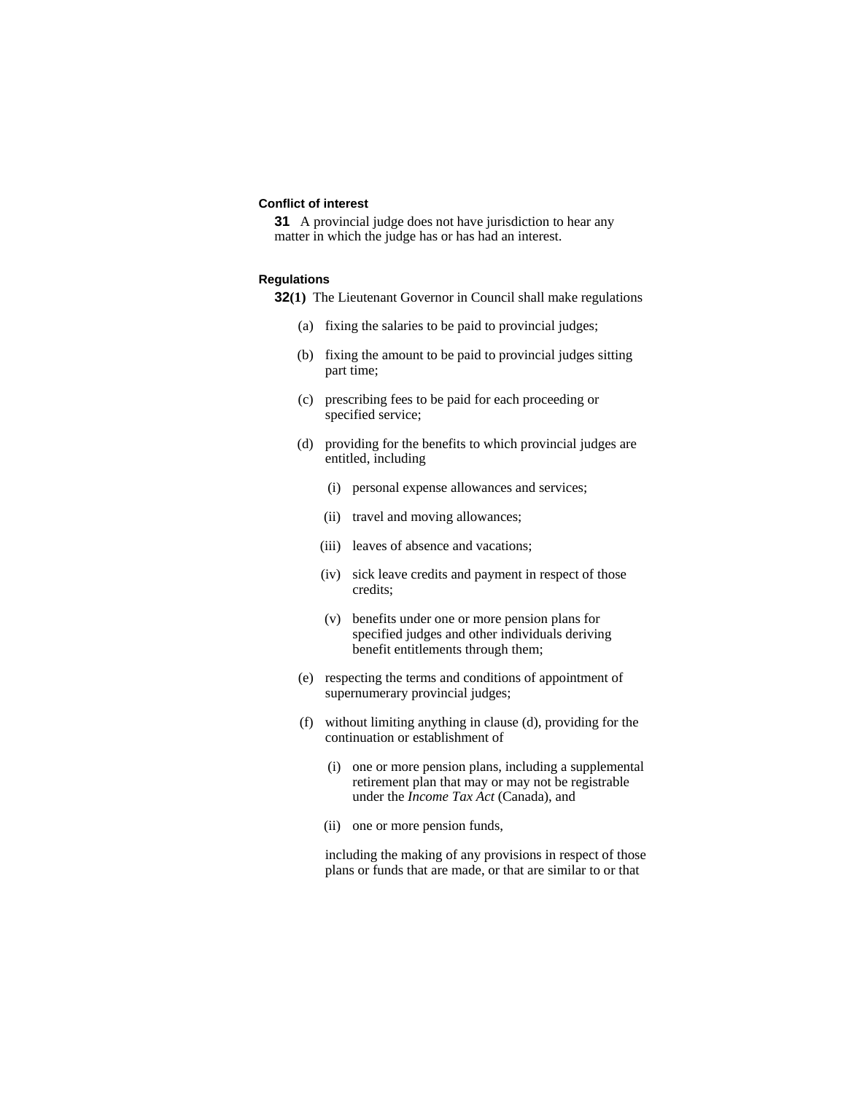### **Conflict of interest**

**31** A provincial judge does not have jurisdiction to hear any matter in which the judge has or has had an interest.

#### **Regulations**

**32(1)** The Lieutenant Governor in Council shall make regulations

- (a) fixing the salaries to be paid to provincial judges;
- (b) fixing the amount to be paid to provincial judges sitting part time;
- (c) prescribing fees to be paid for each proceeding or specified service;
- (d) providing for the benefits to which provincial judges are entitled, including
	- (i) personal expense allowances and services;
	- (ii) travel and moving allowances;
	- (iii) leaves of absence and vacations;
	- (iv) sick leave credits and payment in respect of those credits;
	- (v) benefits under one or more pension plans for specified judges and other individuals deriving benefit entitlements through them;
- (e) respecting the terms and conditions of appointment of supernumerary provincial judges;
- (f) without limiting anything in clause (d), providing for the continuation or establishment of
	- (i) one or more pension plans, including a supplemental retirement plan that may or may not be registrable under the *Income Tax Act* (Canada), and
	- (ii) one or more pension funds,

 including the making of any provisions in respect of those plans or funds that are made, or that are similar to or that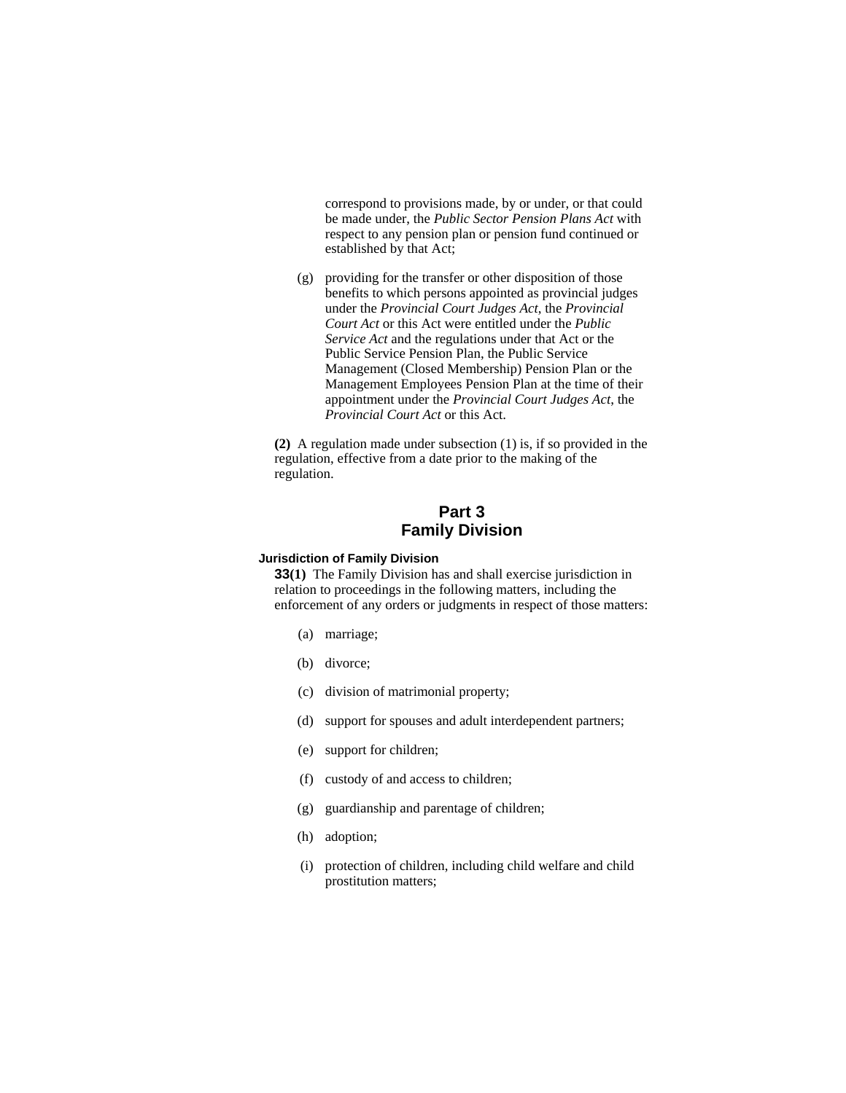correspond to provisions made, by or under, or that could be made under, the *Public Sector Pension Plans Act* with respect to any pension plan or pension fund continued or established by that Act;

 (g) providing for the transfer or other disposition of those benefits to which persons appointed as provincial judges under the *Provincial Court Judges Act*, the *Provincial Court Act* or this Act were entitled under the *Public Service Act* and the regulations under that Act or the Public Service Pension Plan, the Public Service Management (Closed Membership) Pension Plan or the Management Employees Pension Plan at the time of their appointment under the *Provincial Court Judges Act*, the *Provincial Court Act* or this Act.

**(2)** A regulation made under subsection (1) is, if so provided in the regulation, effective from a date prior to the making of the regulation.

## **Part 3 Family Division**

#### **Jurisdiction of Family Division**

**33(1)** The Family Division has and shall exercise jurisdiction in relation to proceedings in the following matters, including the enforcement of any orders or judgments in respect of those matters:

- (a) marriage;
- (b) divorce;
- (c) division of matrimonial property;
- (d) support for spouses and adult interdependent partners;
- (e) support for children;
- (f) custody of and access to children;
- (g) guardianship and parentage of children;
- (h) adoption;
- (i) protection of children, including child welfare and child prostitution matters;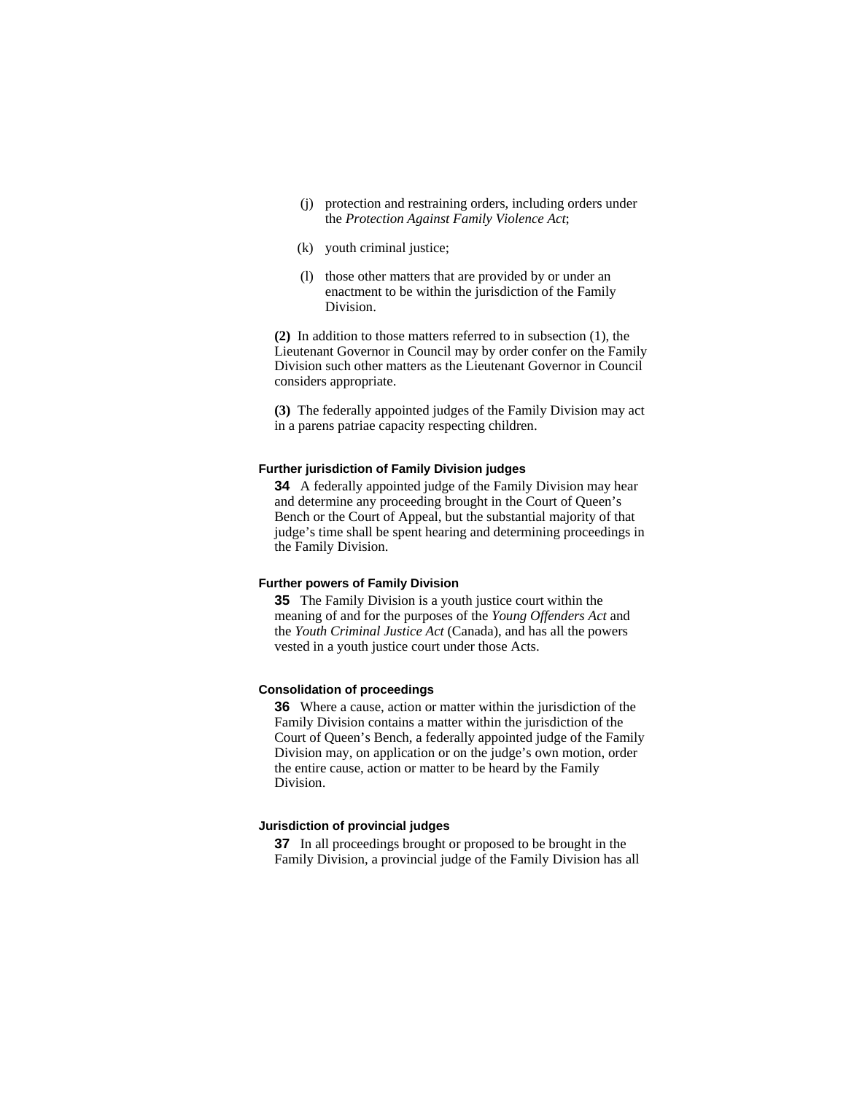- (j) protection and restraining orders, including orders under the *Protection Against Family Violence Act*;
- (k) youth criminal justice;
- (l) those other matters that are provided by or under an enactment to be within the jurisdiction of the Family Division.

**(2)** In addition to those matters referred to in subsection (1), the Lieutenant Governor in Council may by order confer on the Family Division such other matters as the Lieutenant Governor in Council considers appropriate.

**(3)** The federally appointed judges of the Family Division may act in a parens patriae capacity respecting children.

#### **Further jurisdiction of Family Division judges**

**34** A federally appointed judge of the Family Division may hear and determine any proceeding brought in the Court of Queen's Bench or the Court of Appeal, but the substantial majority of that judge's time shall be spent hearing and determining proceedings in the Family Division.

#### **Further powers of Family Division**

**35** The Family Division is a youth justice court within the meaning of and for the purposes of the *Young Offenders Act* and the *Youth Criminal Justice Act* (Canada), and has all the powers vested in a youth justice court under those Acts.

#### **Consolidation of proceedings**

**36** Where a cause, action or matter within the jurisdiction of the Family Division contains a matter within the jurisdiction of the Court of Queen's Bench, a federally appointed judge of the Family Division may, on application or on the judge's own motion, order the entire cause, action or matter to be heard by the Family Division.

#### **Jurisdiction of provincial judges**

**37** In all proceedings brought or proposed to be brought in the Family Division, a provincial judge of the Family Division has all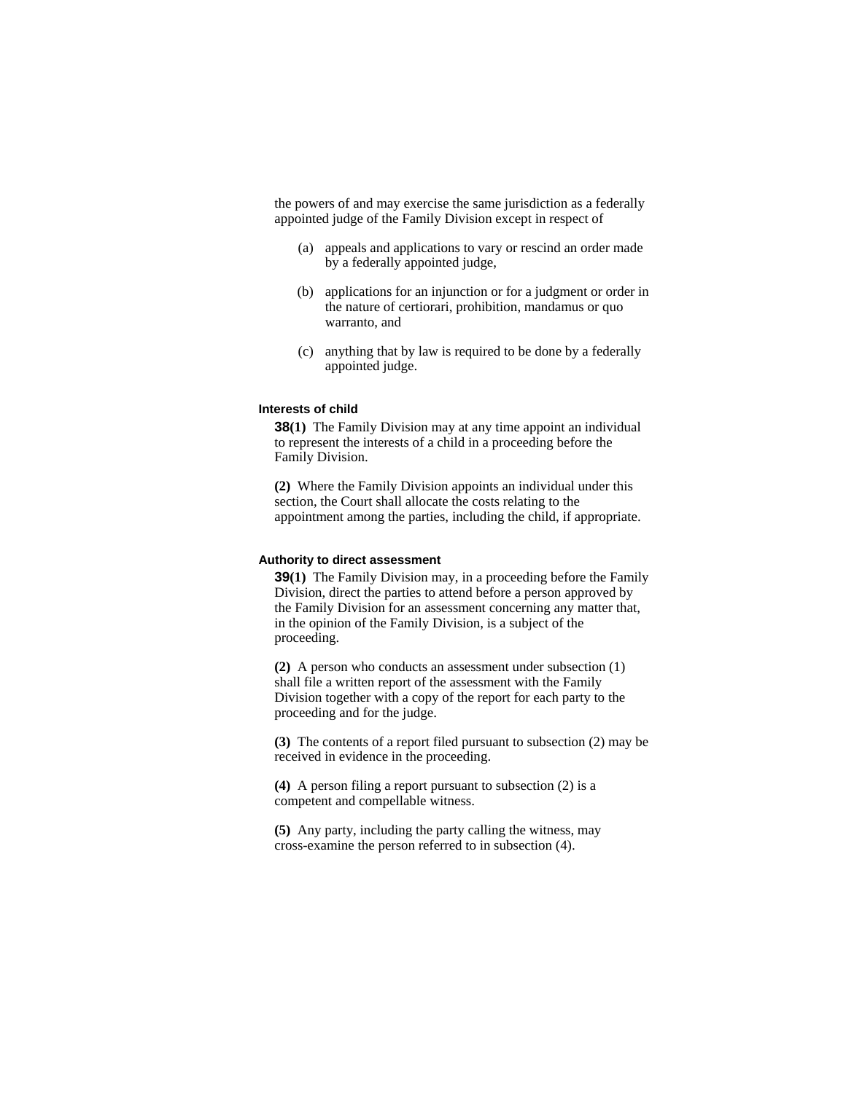the powers of and may exercise the same jurisdiction as a federally appointed judge of the Family Division except in respect of

- (a) appeals and applications to vary or rescind an order made by a federally appointed judge,
- (b) applications for an injunction or for a judgment or order in the nature of certiorari, prohibition, mandamus or quo warranto, and
- (c) anything that by law is required to be done by a federally appointed judge.

#### **Interests of child**

**38(1)** The Family Division may at any time appoint an individual to represent the interests of a child in a proceeding before the Family Division.

**(2)** Where the Family Division appoints an individual under this section, the Court shall allocate the costs relating to the appointment among the parties, including the child, if appropriate.

#### **Authority to direct assessment**

**39(1)** The Family Division may, in a proceeding before the Family Division, direct the parties to attend before a person approved by the Family Division for an assessment concerning any matter that, in the opinion of the Family Division, is a subject of the proceeding.

**(2)** A person who conducts an assessment under subsection (1) shall file a written report of the assessment with the Family Division together with a copy of the report for each party to the proceeding and for the judge.

**(3)** The contents of a report filed pursuant to subsection (2) may be received in evidence in the proceeding.

**(4)** A person filing a report pursuant to subsection (2) is a competent and compellable witness.

**(5)** Any party, including the party calling the witness, may cross-examine the person referred to in subsection (4).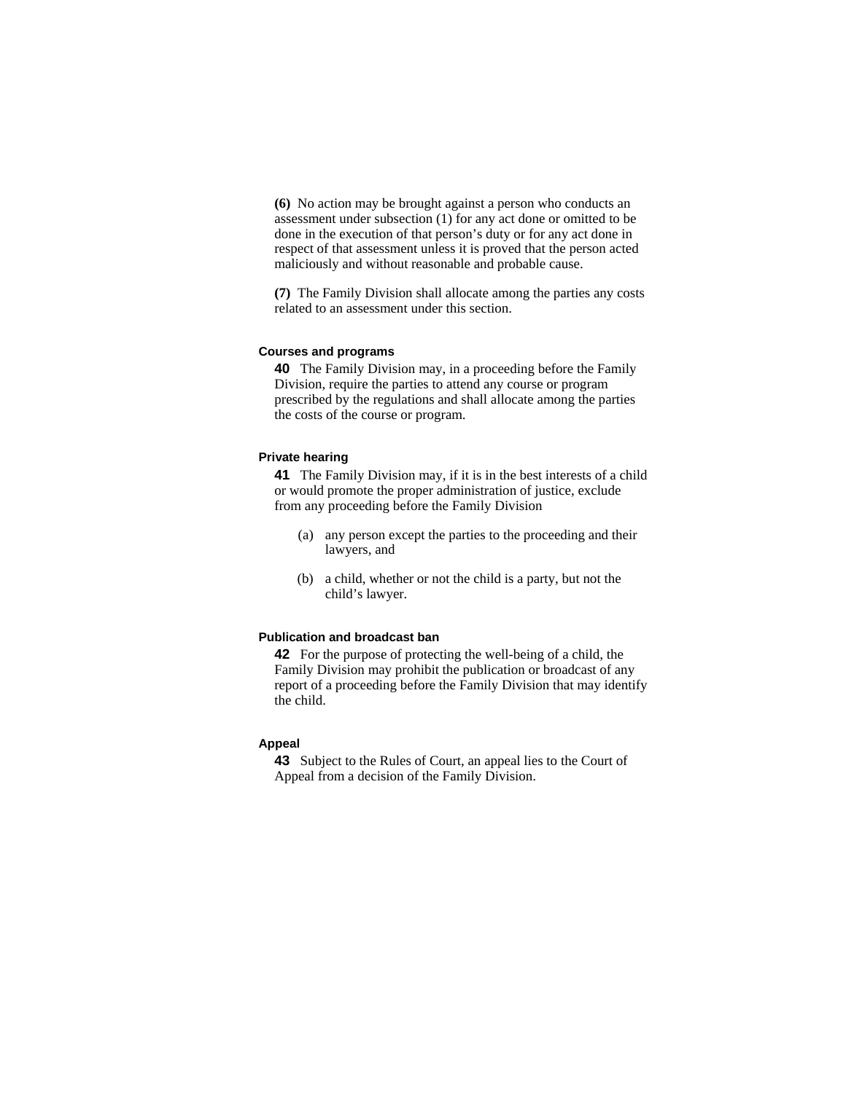**(6)** No action may be brought against a person who conducts an assessment under subsection (1) for any act done or omitted to be done in the execution of that person's duty or for any act done in respect of that assessment unless it is proved that the person acted maliciously and without reasonable and probable cause.

**(7)** The Family Division shall allocate among the parties any costs related to an assessment under this section.

#### **Courses and programs**

**40** The Family Division may, in a proceeding before the Family Division, require the parties to attend any course or program prescribed by the regulations and shall allocate among the parties the costs of the course or program.

#### **Private hearing**

**41** The Family Division may, if it is in the best interests of a child or would promote the proper administration of justice, exclude from any proceeding before the Family Division

- (a) any person except the parties to the proceeding and their lawyers, and
- (b) a child, whether or not the child is a party, but not the child's lawyer.

#### **Publication and broadcast ban**

**42** For the purpose of protecting the well-being of a child, the Family Division may prohibit the publication or broadcast of any report of a proceeding before the Family Division that may identify the child.

#### **Appeal**

**43** Subject to the Rules of Court, an appeal lies to the Court of Appeal from a decision of the Family Division.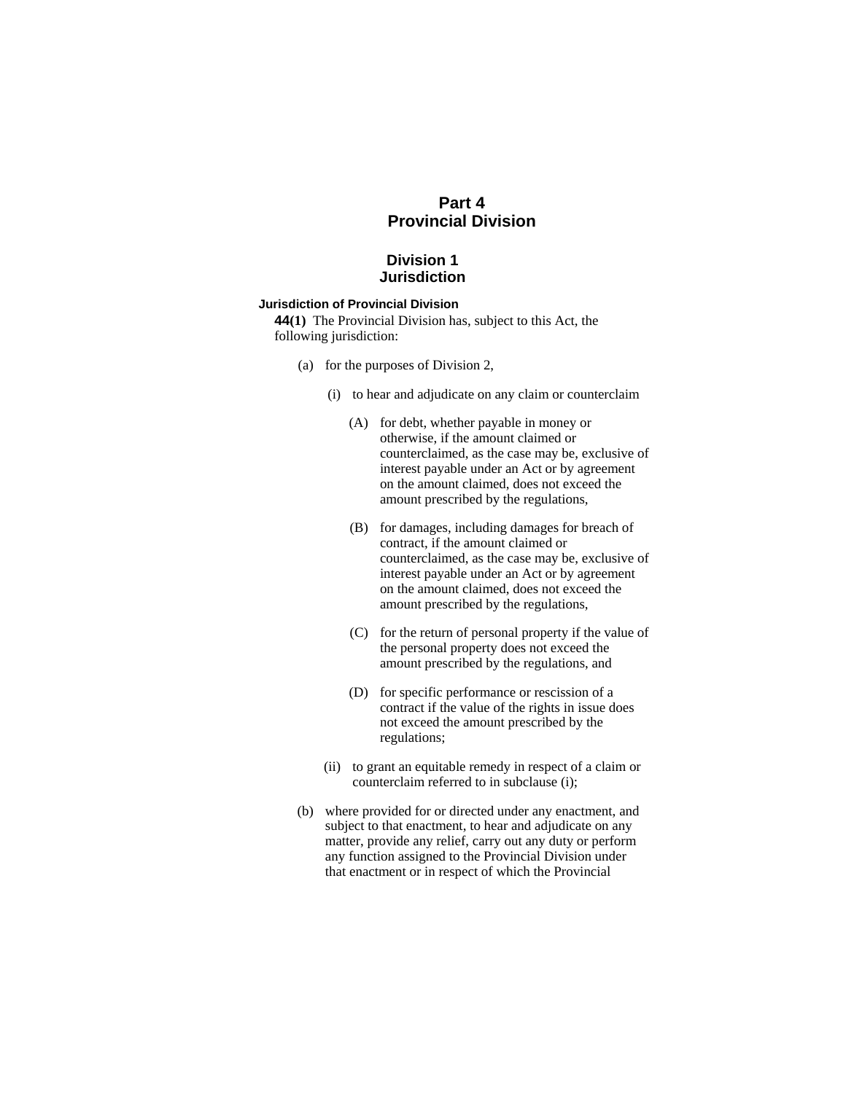## **Part 4 Provincial Division**

## **Division 1 Jurisdiction**

## **Jurisdiction of Provincial Division**

**44(1)** The Provincial Division has, subject to this Act, the following jurisdiction:

- (a) for the purposes of Division 2,
	- (i) to hear and adjudicate on any claim or counterclaim
		- (A) for debt, whether payable in money or otherwise, if the amount claimed or counterclaimed, as the case may be, exclusive of interest payable under an Act or by agreement on the amount claimed, does not exceed the amount prescribed by the regulations,
		- (B) for damages, including damages for breach of contract, if the amount claimed or counterclaimed, as the case may be, exclusive of interest payable under an Act or by agreement on the amount claimed, does not exceed the amount prescribed by the regulations,
		- (C) for the return of personal property if the value of the personal property does not exceed the amount prescribed by the regulations, and
		- (D) for specific performance or rescission of a contract if the value of the rights in issue does not exceed the amount prescribed by the regulations;
	- (ii) to grant an equitable remedy in respect of a claim or counterclaim referred to in subclause (i);
- (b) where provided for or directed under any enactment, and subject to that enactment, to hear and adjudicate on any matter, provide any relief, carry out any duty or perform any function assigned to the Provincial Division under that enactment or in respect of which the Provincial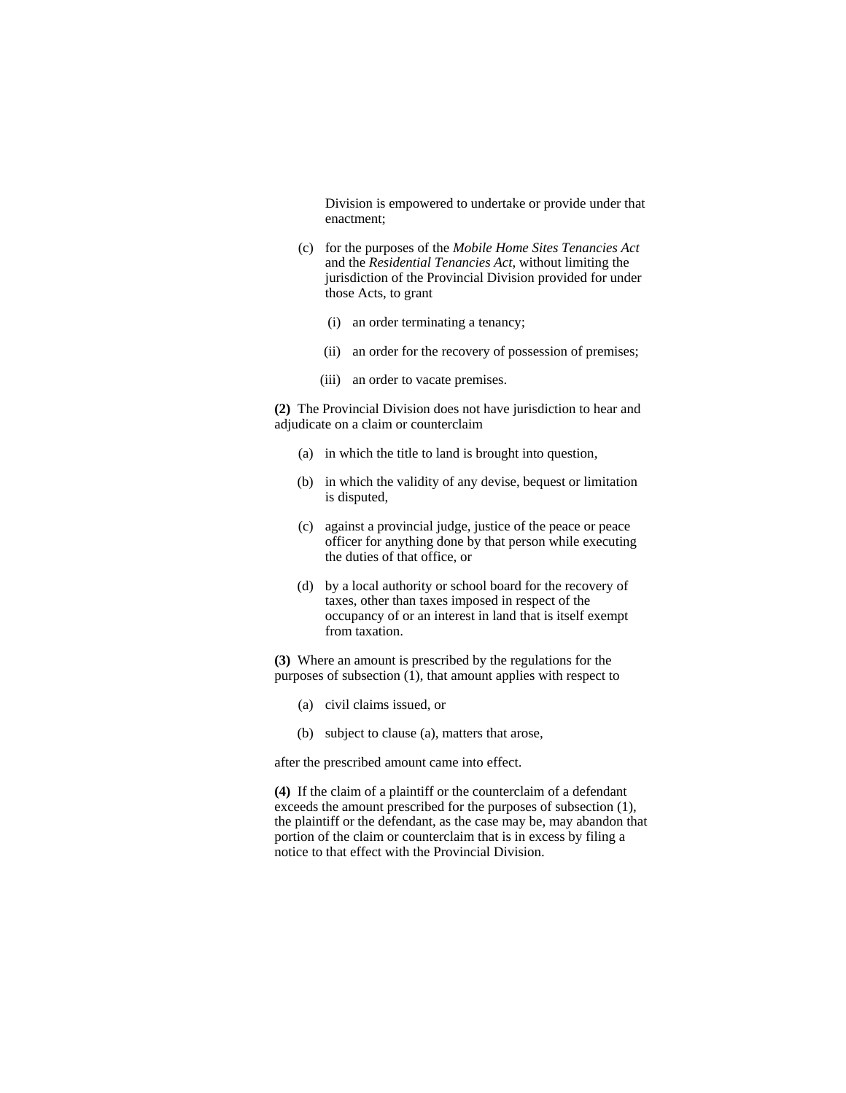Division is empowered to undertake or provide under that enactment;

- (c) for the purposes of the *Mobile Home Sites Tenancies Act* and the *Residential Tenancies Act*, without limiting the jurisdiction of the Provincial Division provided for under those Acts, to grant
	- (i) an order terminating a tenancy;
	- (ii) an order for the recovery of possession of premises;
	- (iii) an order to vacate premises.

**(2)** The Provincial Division does not have jurisdiction to hear and adjudicate on a claim or counterclaim

- (a) in which the title to land is brought into question,
- (b) in which the validity of any devise, bequest or limitation is disputed,
- (c) against a provincial judge, justice of the peace or peace officer for anything done by that person while executing the duties of that office, or
- (d) by a local authority or school board for the recovery of taxes, other than taxes imposed in respect of the occupancy of or an interest in land that is itself exempt from taxation.

**(3)** Where an amount is prescribed by the regulations for the purposes of subsection  $(1)$ , that amount applies with respect to

- (a) civil claims issued, or
- (b) subject to clause (a), matters that arose,

after the prescribed amount came into effect.

**(4)** If the claim of a plaintiff or the counterclaim of a defendant exceeds the amount prescribed for the purposes of subsection (1), the plaintiff or the defendant, as the case may be, may abandon that portion of the claim or counterclaim that is in excess by filing a notice to that effect with the Provincial Division.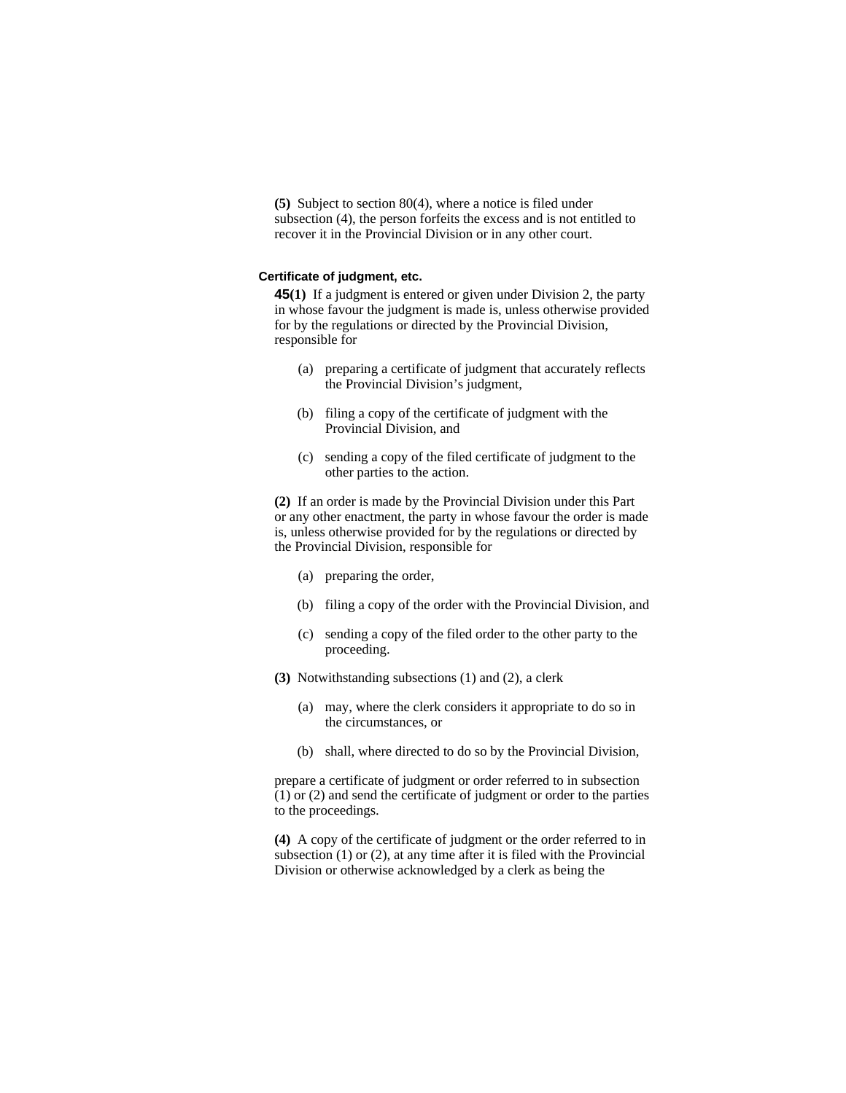**(5)** Subject to section 80(4), where a notice is filed under subsection (4), the person forfeits the excess and is not entitled to recover it in the Provincial Division or in any other court.

#### **Certificate of judgment, etc.**

**45(1)** If a judgment is entered or given under Division 2, the party in whose favour the judgment is made is, unless otherwise provided for by the regulations or directed by the Provincial Division, responsible for

- (a) preparing a certificate of judgment that accurately reflects the Provincial Division's judgment,
- (b) filing a copy of the certificate of judgment with the Provincial Division, and
- (c) sending a copy of the filed certificate of judgment to the other parties to the action.

**(2)** If an order is made by the Provincial Division under this Part or any other enactment, the party in whose favour the order is made is, unless otherwise provided for by the regulations or directed by the Provincial Division, responsible for

- (a) preparing the order,
- (b) filing a copy of the order with the Provincial Division, and
- (c) sending a copy of the filed order to the other party to the proceeding.
- **(3)** Notwithstanding subsections (1) and (2), a clerk
	- (a) may, where the clerk considers it appropriate to do so in the circumstances, or
	- (b) shall, where directed to do so by the Provincial Division,

prepare a certificate of judgment or order referred to in subsection (1) or (2) and send the certificate of judgment or order to the parties to the proceedings.

**(4)** A copy of the certificate of judgment or the order referred to in subsection (1) or (2), at any time after it is filed with the Provincial Division or otherwise acknowledged by a clerk as being the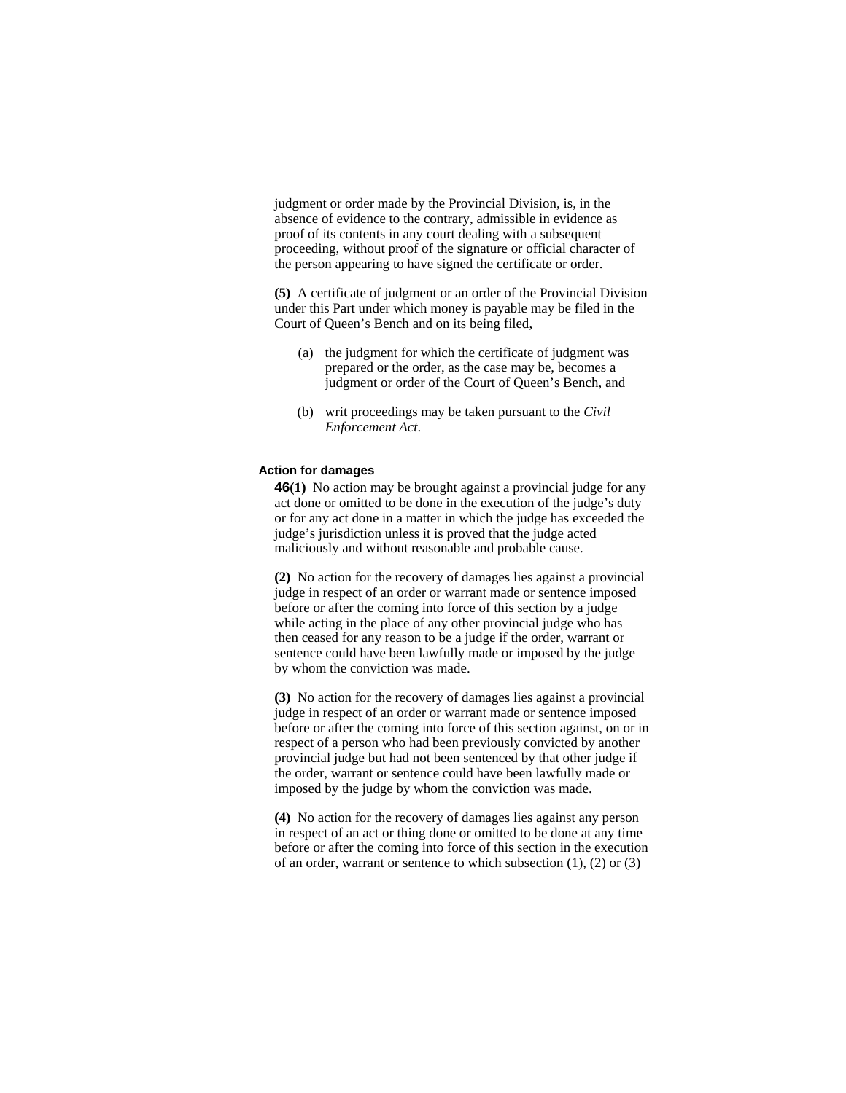judgment or order made by the Provincial Division, is, in the absence of evidence to the contrary, admissible in evidence as proof of its contents in any court dealing with a subsequent proceeding, without proof of the signature or official character of the person appearing to have signed the certificate or order.

**(5)** A certificate of judgment or an order of the Provincial Division under this Part under which money is payable may be filed in the Court of Queen's Bench and on its being filed,

- (a) the judgment for which the certificate of judgment was prepared or the order, as the case may be, becomes a judgment or order of the Court of Queen's Bench, and
- (b) writ proceedings may be taken pursuant to the *Civil Enforcement Act*.

#### **Action for damages**

**46(1)** No action may be brought against a provincial judge for any act done or omitted to be done in the execution of the judge's duty or for any act done in a matter in which the judge has exceeded the judge's jurisdiction unless it is proved that the judge acted maliciously and without reasonable and probable cause.

**(2)** No action for the recovery of damages lies against a provincial judge in respect of an order or warrant made or sentence imposed before or after the coming into force of this section by a judge while acting in the place of any other provincial judge who has then ceased for any reason to be a judge if the order, warrant or sentence could have been lawfully made or imposed by the judge by whom the conviction was made.

**(3)** No action for the recovery of damages lies against a provincial judge in respect of an order or warrant made or sentence imposed before or after the coming into force of this section against, on or in respect of a person who had been previously convicted by another provincial judge but had not been sentenced by that other judge if the order, warrant or sentence could have been lawfully made or imposed by the judge by whom the conviction was made.

**(4)** No action for the recovery of damages lies against any person in respect of an act or thing done or omitted to be done at any time before or after the coming into force of this section in the execution of an order, warrant or sentence to which subsection (1), (2) or (3)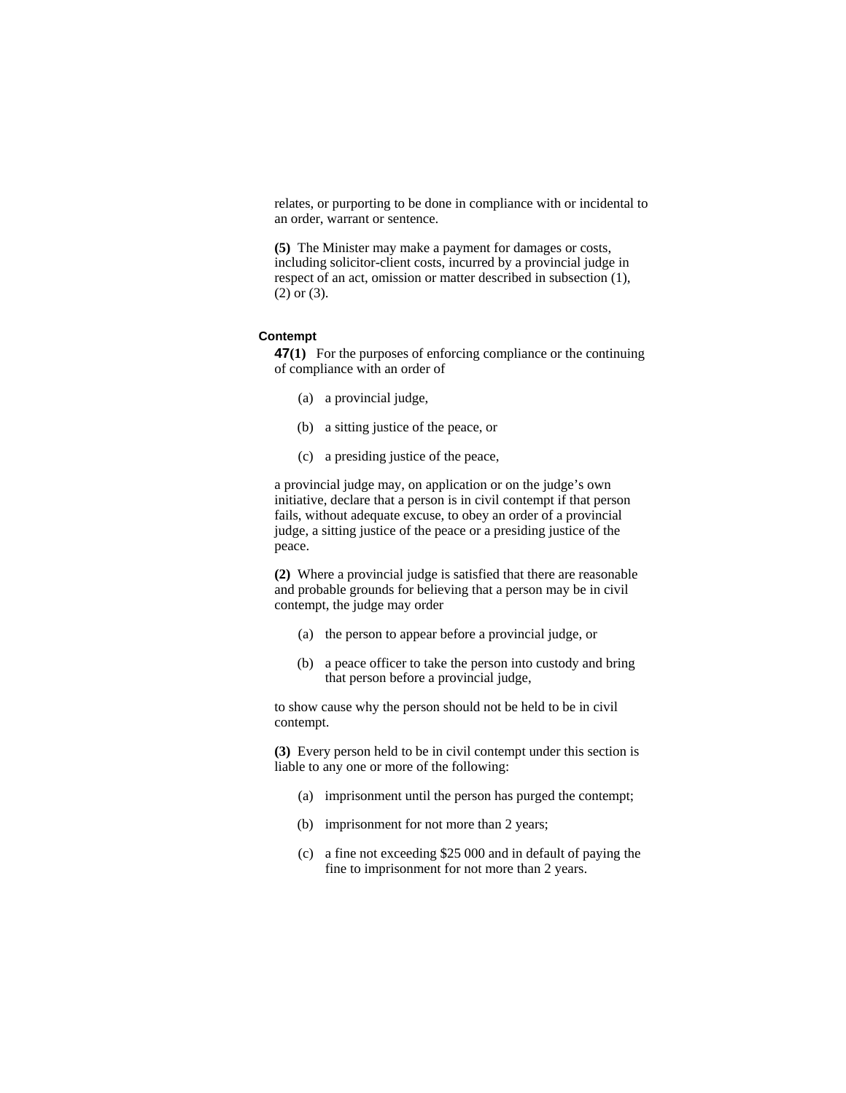relates, or purporting to be done in compliance with or incidental to an order, warrant or sentence.

**(5)** The Minister may make a payment for damages or costs, including solicitor-client costs, incurred by a provincial judge in respect of an act, omission or matter described in subsection (1), (2) or (3).

### **Contempt**

**47(1)** For the purposes of enforcing compliance or the continuing of compliance with an order of

- (a) a provincial judge,
- (b) a sitting justice of the peace, or
- (c) a presiding justice of the peace,

a provincial judge may, on application or on the judge's own initiative, declare that a person is in civil contempt if that person fails, without adequate excuse, to obey an order of a provincial judge, a sitting justice of the peace or a presiding justice of the peace.

**(2)** Where a provincial judge is satisfied that there are reasonable and probable grounds for believing that a person may be in civil contempt, the judge may order

- (a) the person to appear before a provincial judge, or
- (b) a peace officer to take the person into custody and bring that person before a provincial judge,

to show cause why the person should not be held to be in civil contempt.

**(3)** Every person held to be in civil contempt under this section is liable to any one or more of the following:

- (a) imprisonment until the person has purged the contempt;
- (b) imprisonment for not more than 2 years;
- (c) a fine not exceeding \$25 000 and in default of paying the fine to imprisonment for not more than 2 years.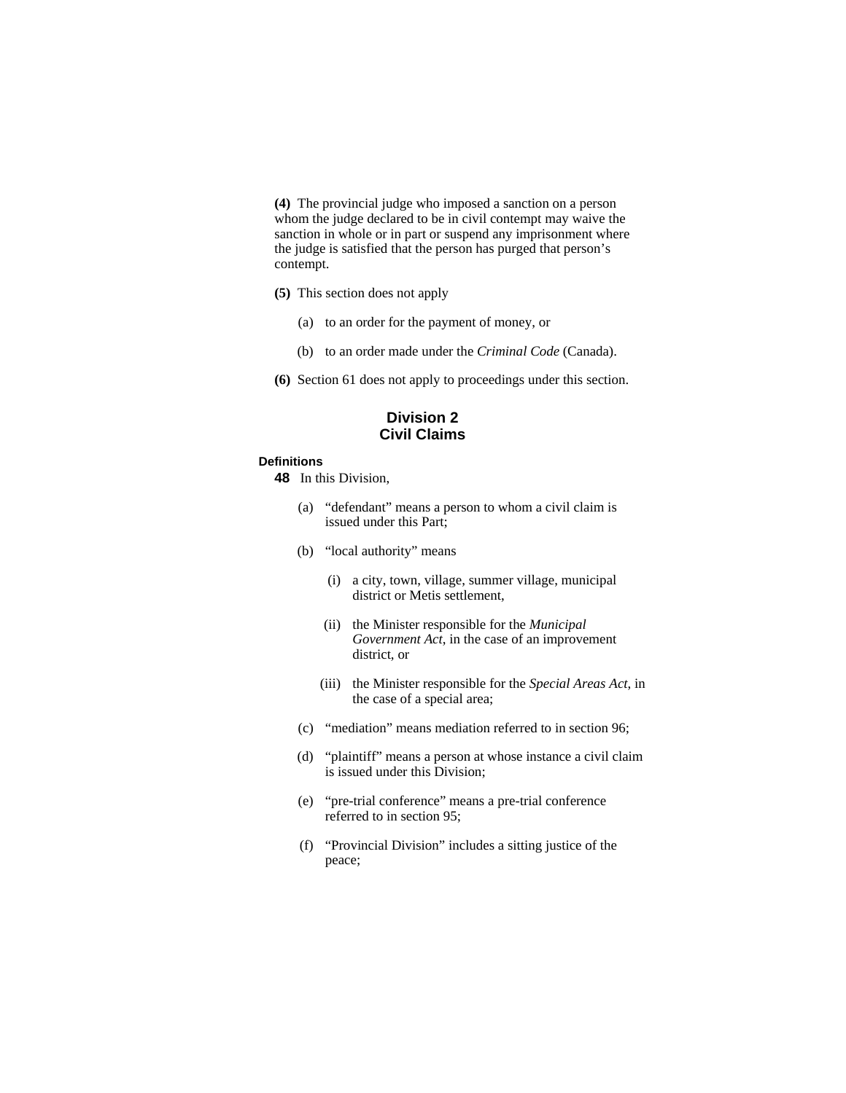**(4)** The provincial judge who imposed a sanction on a person whom the judge declared to be in civil contempt may waive the sanction in whole or in part or suspend any imprisonment where the judge is satisfied that the person has purged that person's contempt.

- **(5)** This section does not apply
	- (a) to an order for the payment of money, or
	- (b) to an order made under the *Criminal Code* (Canada).
- **(6)** Section 61 does not apply to proceedings under this section.

## **Division 2 Civil Claims**

#### **Definitions**

- **48** In this Division,
	- (a) "defendant" means a person to whom a civil claim is issued under this Part;
	- (b) "local authority" means
		- (i) a city, town, village, summer village, municipal district or Metis settlement,
		- (ii) the Minister responsible for the *Municipal Government Act*, in the case of an improvement district, or
		- (iii) the Minister responsible for the *Special Areas Act*, in the case of a special area;
	- (c) "mediation" means mediation referred to in section 96;
	- (d) "plaintiff" means a person at whose instance a civil claim is issued under this Division;
	- (e) "pre-trial conference" means a pre-trial conference referred to in section 95;
	- (f) "Provincial Division" includes a sitting justice of the peace;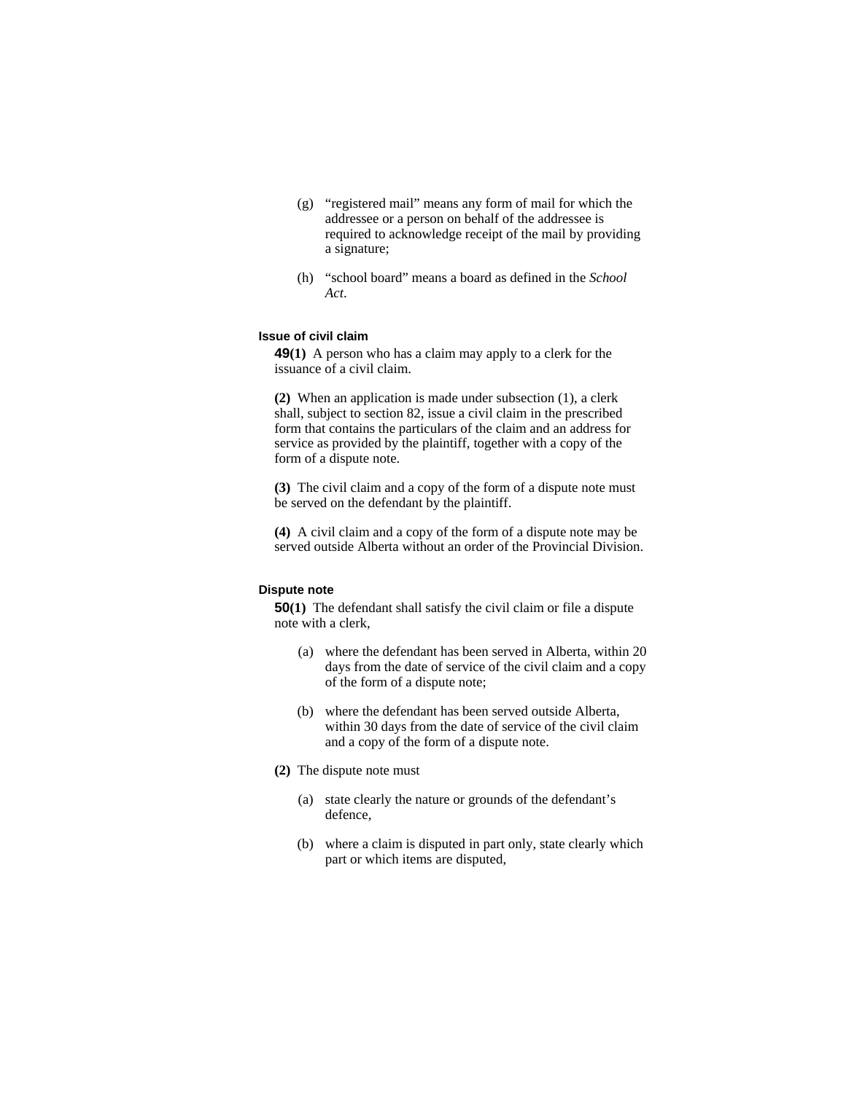- (g) "registered mail" means any form of mail for which the addressee or a person on behalf of the addressee is required to acknowledge receipt of the mail by providing a signature;
- (h) "school board" means a board as defined in the *School Act*.

### **Issue of civil claim**

**49(1)** A person who has a claim may apply to a clerk for the issuance of a civil claim.

**(2)** When an application is made under subsection (1), a clerk shall, subject to section 82, issue a civil claim in the prescribed form that contains the particulars of the claim and an address for service as provided by the plaintiff, together with a copy of the form of a dispute note.

**(3)** The civil claim and a copy of the form of a dispute note must be served on the defendant by the plaintiff.

**(4)** A civil claim and a copy of the form of a dispute note may be served outside Alberta without an order of the Provincial Division.

#### **Dispute note**

**50(1)** The defendant shall satisfy the civil claim or file a dispute note with a clerk,

- (a) where the defendant has been served in Alberta, within 20 days from the date of service of the civil claim and a copy of the form of a dispute note;
- (b) where the defendant has been served outside Alberta, within 30 days from the date of service of the civil claim and a copy of the form of a dispute note.
- **(2)** The dispute note must
	- (a) state clearly the nature or grounds of the defendant's defence,
	- (b) where a claim is disputed in part only, state clearly which part or which items are disputed,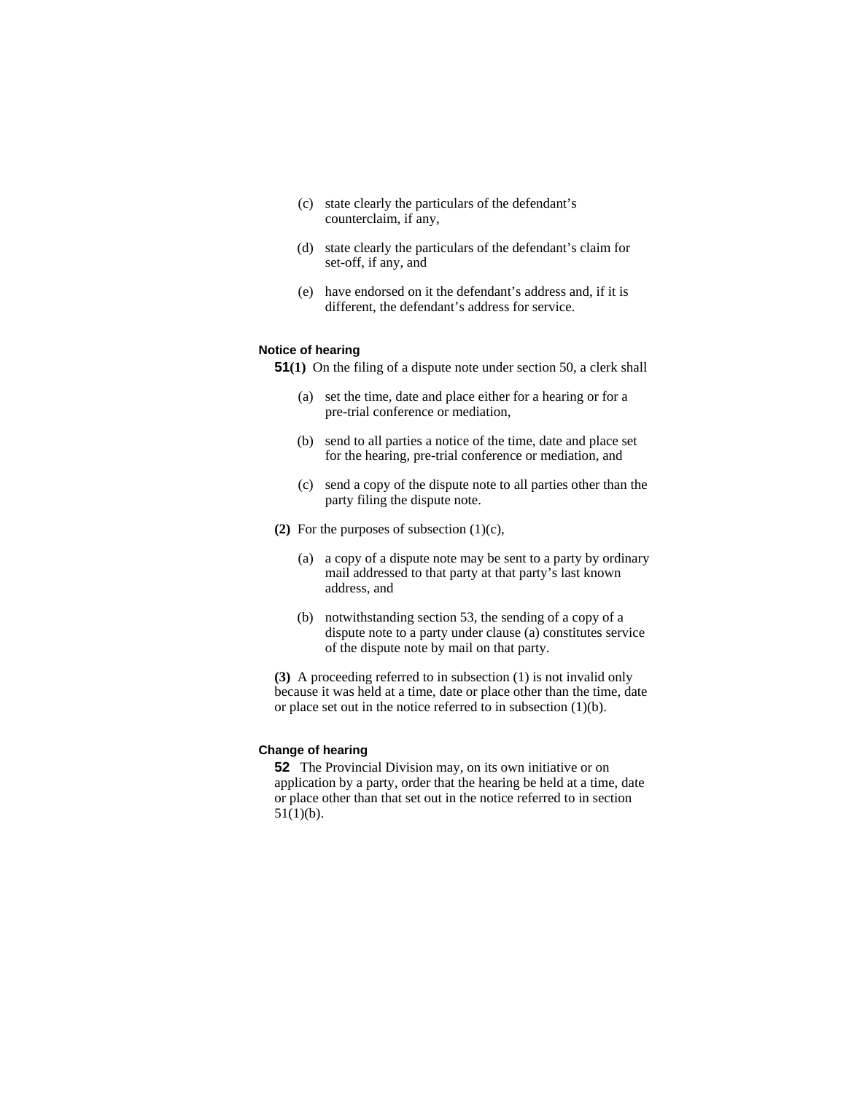- (c) state clearly the particulars of the defendant's counterclaim, if any,
- (d) state clearly the particulars of the defendant's claim for set-off, if any, and
- (e) have endorsed on it the defendant's address and, if it is different, the defendant's address for service.

#### **Notice of hearing**

**51(1)** On the filing of a dispute note under section 50, a clerk shall

- (a) set the time, date and place either for a hearing or for a pre-trial conference or mediation,
- (b) send to all parties a notice of the time, date and place set for the hearing, pre-trial conference or mediation, and
- (c) send a copy of the dispute note to all parties other than the party filing the dispute note.
- **(2)** For the purposes of subsection (1)(c),
	- (a) a copy of a dispute note may be sent to a party by ordinary mail addressed to that party at that party's last known address, and
	- (b) notwithstanding section 53, the sending of a copy of a dispute note to a party under clause (a) constitutes service of the dispute note by mail on that party.

**(3)** A proceeding referred to in subsection (1) is not invalid only because it was held at a time, date or place other than the time, date or place set out in the notice referred to in subsection (1)(b).

## **Change of hearing**

**52** The Provincial Division may, on its own initiative or on application by a party, order that the hearing be held at a time, date or place other than that set out in the notice referred to in section  $51(1)(b)$ .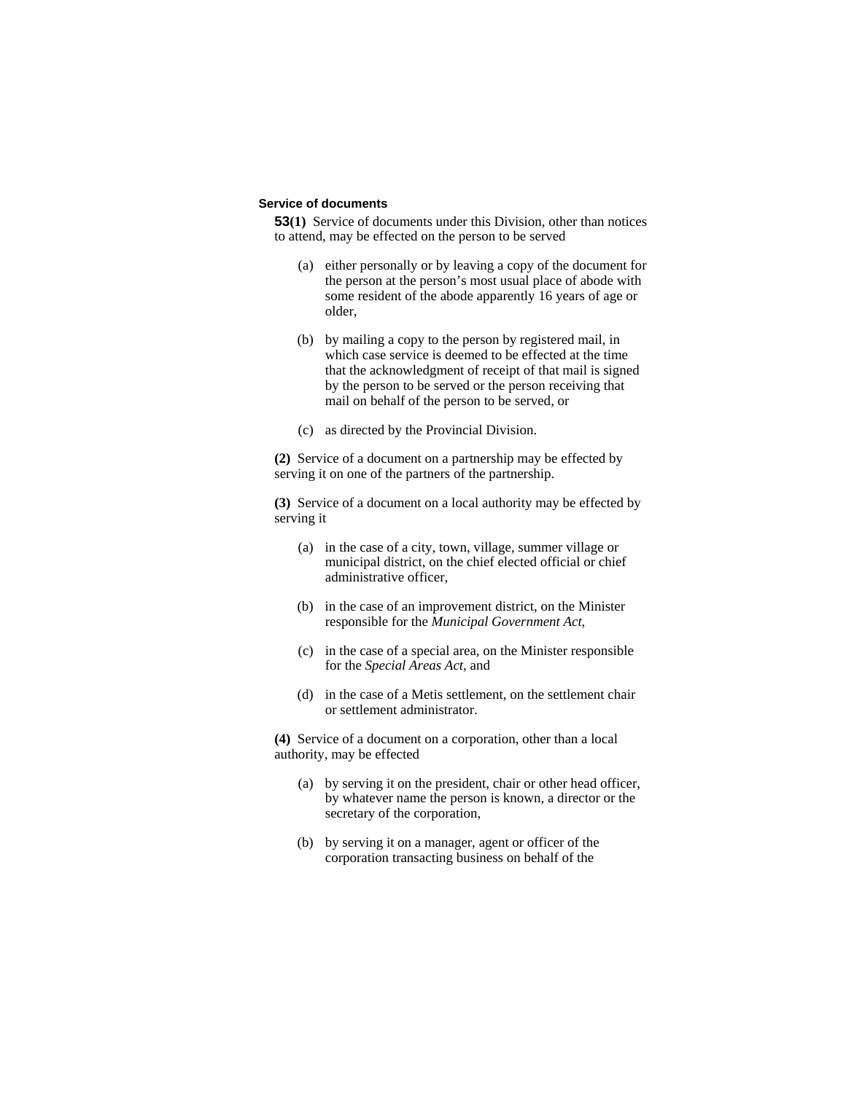#### **Service of documents**

**53(1)** Service of documents under this Division, other than notices to attend, may be effected on the person to be served

- (a) either personally or by leaving a copy of the document for the person at the person's most usual place of abode with some resident of the abode apparently 16 years of age or older,
- (b) by mailing a copy to the person by registered mail, in which case service is deemed to be effected at the time that the acknowledgment of receipt of that mail is signed by the person to be served or the person receiving that mail on behalf of the person to be served, or
- (c) as directed by the Provincial Division.

**(2)** Service of a document on a partnership may be effected by serving it on one of the partners of the partnership.

**(3)** Service of a document on a local authority may be effected by serving it

- (a) in the case of a city, town, village, summer village or municipal district, on the chief elected official or chief administrative officer,
- (b) in the case of an improvement district, on the Minister responsible for the *Municipal Government Act*,
- (c) in the case of a special area, on the Minister responsible for the *Special Areas Act*, and
- (d) in the case of a Metis settlement, on the settlement chair or settlement administrator.

**(4)** Service of a document on a corporation, other than a local authority, may be effected

- (a) by serving it on the president, chair or other head officer, by whatever name the person is known, a director or the secretary of the corporation,
- (b) by serving it on a manager, agent or officer of the corporation transacting business on behalf of the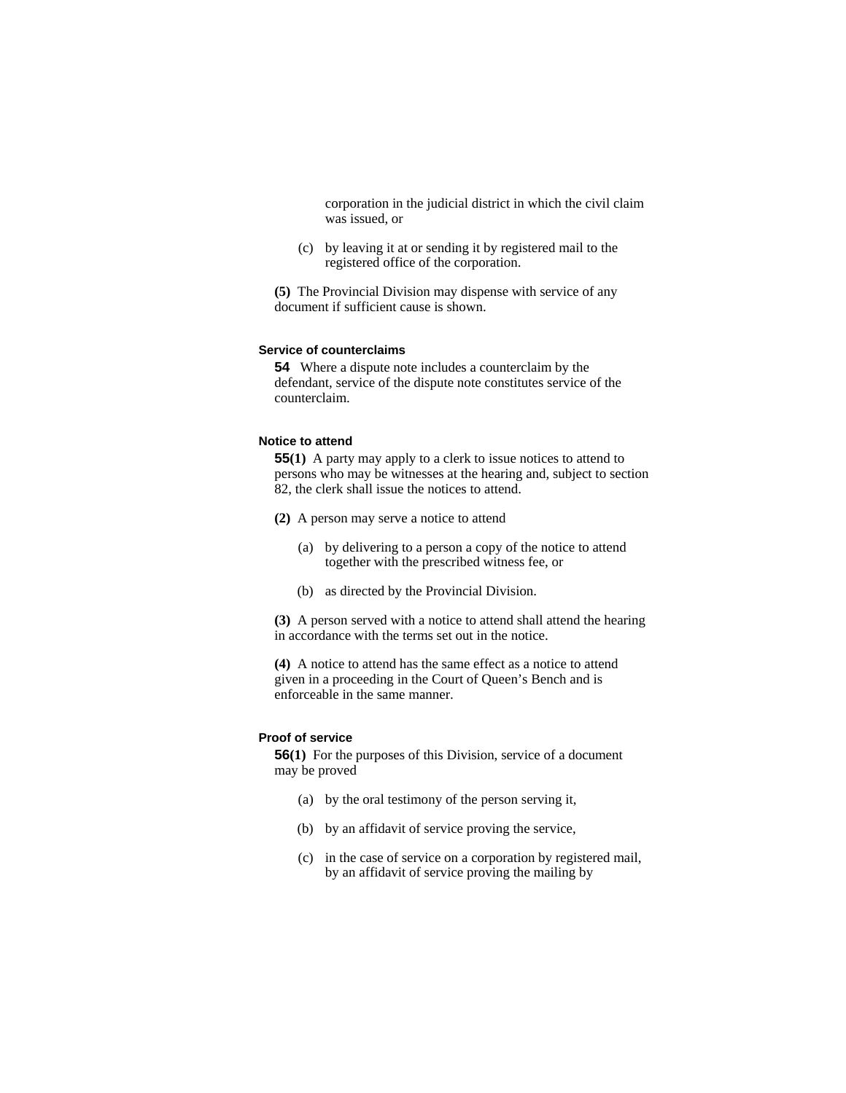corporation in the judicial district in which the civil claim was issued, or

 (c) by leaving it at or sending it by registered mail to the registered office of the corporation.

**(5)** The Provincial Division may dispense with service of any document if sufficient cause is shown.

#### **Service of counterclaims**

**54** Where a dispute note includes a counterclaim by the defendant, service of the dispute note constitutes service of the counterclaim.

#### **Notice to attend**

**55(1)** A party may apply to a clerk to issue notices to attend to persons who may be witnesses at the hearing and, subject to section 82, the clerk shall issue the notices to attend.

- **(2)** A person may serve a notice to attend
	- (a) by delivering to a person a copy of the notice to attend together with the prescribed witness fee, or
	- (b) as directed by the Provincial Division.

**(3)** A person served with a notice to attend shall attend the hearing in accordance with the terms set out in the notice.

**(4)** A notice to attend has the same effect as a notice to attend given in a proceeding in the Court of Queen's Bench and is enforceable in the same manner.

## **Proof of service**

**56(1)** For the purposes of this Division, service of a document may be proved

- (a) by the oral testimony of the person serving it,
- (b) by an affidavit of service proving the service,
- (c) in the case of service on a corporation by registered mail, by an affidavit of service proving the mailing by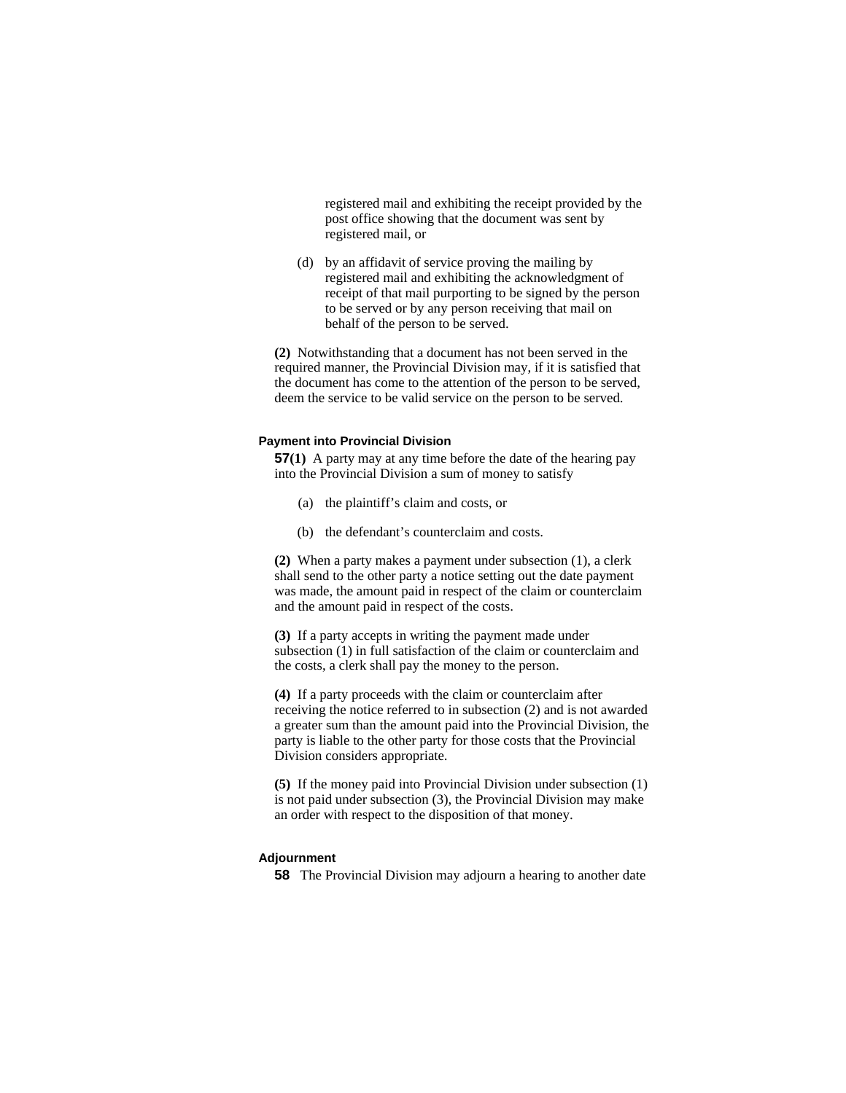registered mail and exhibiting the receipt provided by the post office showing that the document was sent by registered mail, or

 (d) by an affidavit of service proving the mailing by registered mail and exhibiting the acknowledgment of receipt of that mail purporting to be signed by the person to be served or by any person receiving that mail on behalf of the person to be served.

**(2)** Notwithstanding that a document has not been served in the required manner, the Provincial Division may, if it is satisfied that the document has come to the attention of the person to be served, deem the service to be valid service on the person to be served.

#### **Payment into Provincial Division**

**57(1)** A party may at any time before the date of the hearing pay into the Provincial Division a sum of money to satisfy

- (a) the plaintiff's claim and costs, or
- (b) the defendant's counterclaim and costs.

**(2)** When a party makes a payment under subsection (1), a clerk shall send to the other party a notice setting out the date payment was made, the amount paid in respect of the claim or counterclaim and the amount paid in respect of the costs.

**(3)** If a party accepts in writing the payment made under subsection (1) in full satisfaction of the claim or counterclaim and the costs, a clerk shall pay the money to the person.

**(4)** If a party proceeds with the claim or counterclaim after receiving the notice referred to in subsection (2) and is not awarded a greater sum than the amount paid into the Provincial Division, the party is liable to the other party for those costs that the Provincial Division considers appropriate.

**(5)** If the money paid into Provincial Division under subsection (1) is not paid under subsection (3), the Provincial Division may make an order with respect to the disposition of that money.

#### **Adjournment**

**58** The Provincial Division may adjourn a hearing to another date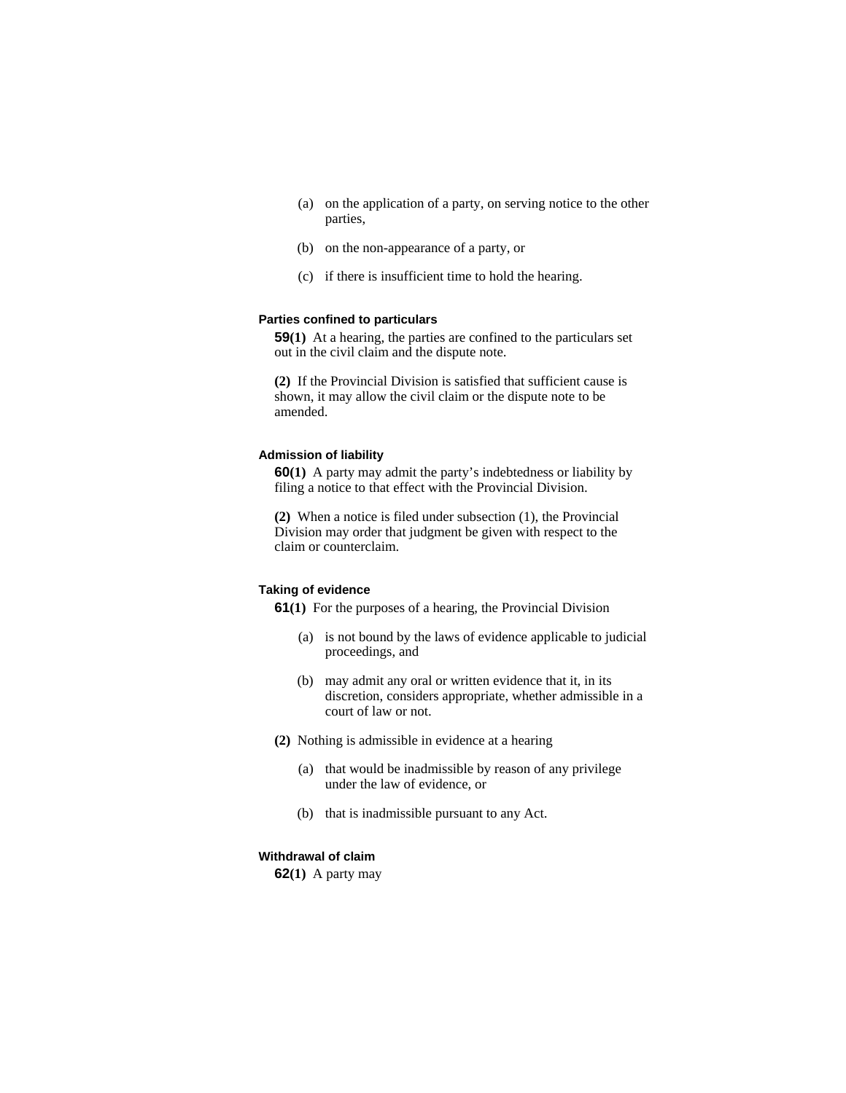- (a) on the application of a party, on serving notice to the other parties,
- (b) on the non-appearance of a party, or
- (c) if there is insufficient time to hold the hearing.

### **Parties confined to particulars**

**59(1)** At a hearing, the parties are confined to the particulars set out in the civil claim and the dispute note.

**(2)** If the Provincial Division is satisfied that sufficient cause is shown, it may allow the civil claim or the dispute note to be amended.

#### **Admission of liability**

**60(1)** A party may admit the party's indebtedness or liability by filing a notice to that effect with the Provincial Division.

**(2)** When a notice is filed under subsection (1), the Provincial Division may order that judgment be given with respect to the claim or counterclaim.

#### **Taking of evidence**

**61(1)** For the purposes of a hearing, the Provincial Division

- (a) is not bound by the laws of evidence applicable to judicial proceedings, and
- (b) may admit any oral or written evidence that it, in its discretion, considers appropriate, whether admissible in a court of law or not.
- **(2)** Nothing is admissible in evidence at a hearing
	- (a) that would be inadmissible by reason of any privilege under the law of evidence, or
	- (b) that is inadmissible pursuant to any Act.

### **Withdrawal of claim**

**62(1)** A party may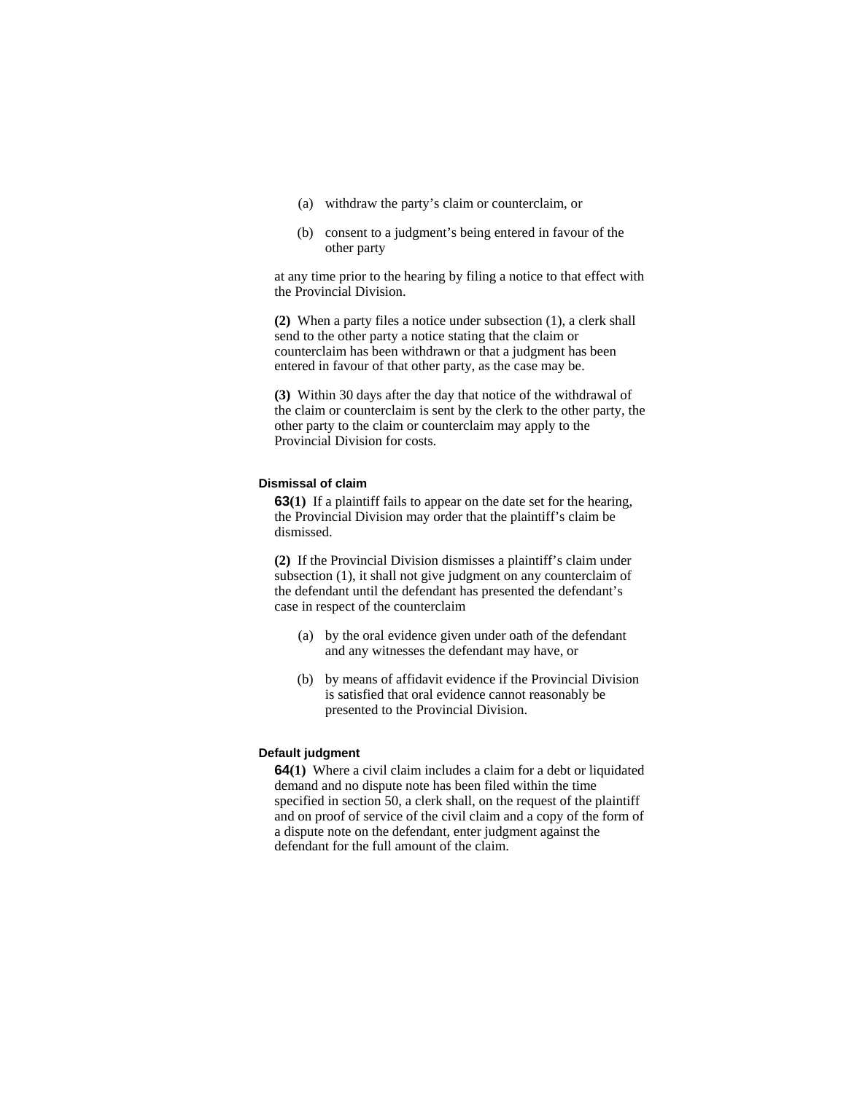- (a) withdraw the party's claim or counterclaim, or
- (b) consent to a judgment's being entered in favour of the other party

at any time prior to the hearing by filing a notice to that effect with the Provincial Division.

**(2)** When a party files a notice under subsection (1), a clerk shall send to the other party a notice stating that the claim or counterclaim has been withdrawn or that a judgment has been entered in favour of that other party, as the case may be.

**(3)** Within 30 days after the day that notice of the withdrawal of the claim or counterclaim is sent by the clerk to the other party, the other party to the claim or counterclaim may apply to the Provincial Division for costs.

#### **Dismissal of claim**

**63(1)** If a plaintiff fails to appear on the date set for the hearing, the Provincial Division may order that the plaintiff's claim be dismissed.

**(2)** If the Provincial Division dismisses a plaintiff's claim under subsection (1), it shall not give judgment on any counterclaim of the defendant until the defendant has presented the defendant's case in respect of the counterclaim

- (a) by the oral evidence given under oath of the defendant and any witnesses the defendant may have, or
- (b) by means of affidavit evidence if the Provincial Division is satisfied that oral evidence cannot reasonably be presented to the Provincial Division.

#### **Default judgment**

**64(1)** Where a civil claim includes a claim for a debt or liquidated demand and no dispute note has been filed within the time specified in section 50, a clerk shall, on the request of the plaintiff and on proof of service of the civil claim and a copy of the form of a dispute note on the defendant, enter judgment against the defendant for the full amount of the claim.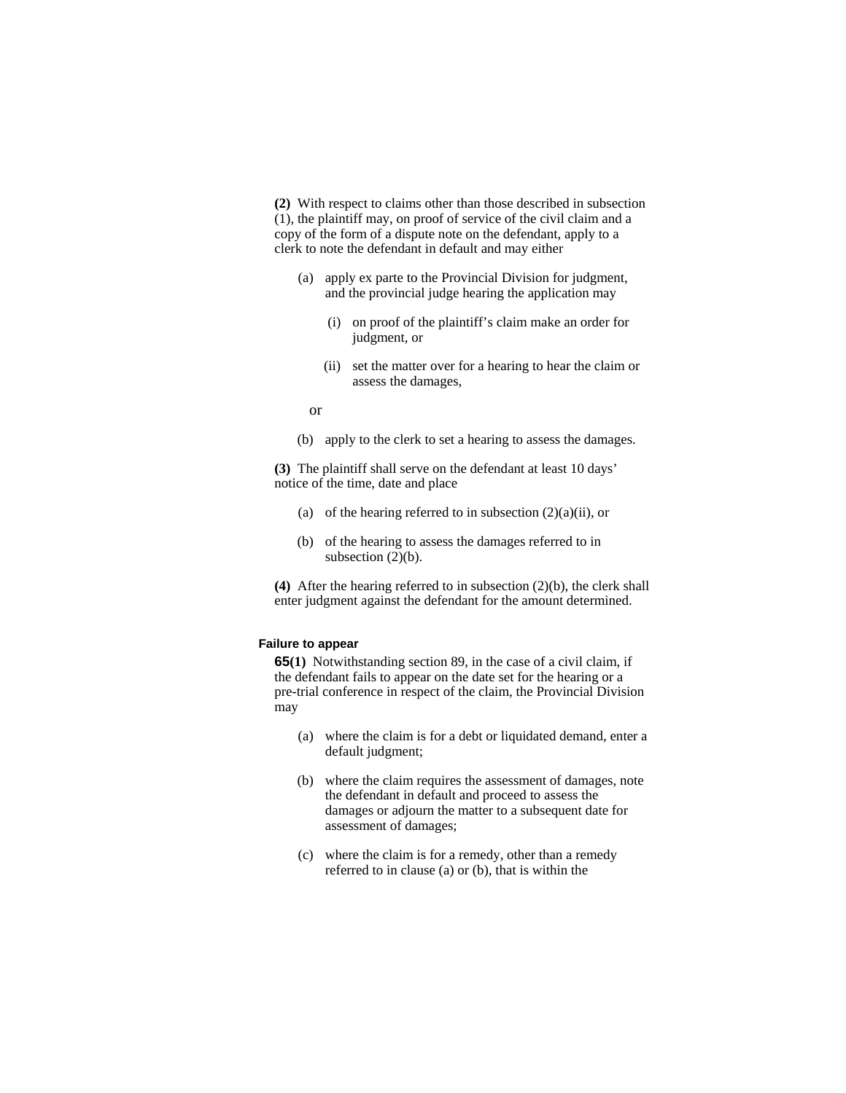**(2)** With respect to claims other than those described in subsection (1), the plaintiff may, on proof of service of the civil claim and a copy of the form of a dispute note on the defendant, apply to a clerk to note the defendant in default and may either

- (a) apply ex parte to the Provincial Division for judgment, and the provincial judge hearing the application may
	- (i) on proof of the plaintiff's claim make an order for judgment, or
	- (ii) set the matter over for a hearing to hear the claim or assess the damages,

or

(b) apply to the clerk to set a hearing to assess the damages.

**(3)** The plaintiff shall serve on the defendant at least 10 days' notice of the time, date and place

- (a) of the hearing referred to in subsection  $(2)(a)(ii)$ , or
- (b) of the hearing to assess the damages referred to in subsection  $(2)(b)$ .

**(4)** After the hearing referred to in subsection (2)(b), the clerk shall enter judgment against the defendant for the amount determined.

#### **Failure to appear**

**65(1)** Notwithstanding section 89, in the case of a civil claim, if the defendant fails to appear on the date set for the hearing or a pre-trial conference in respect of the claim, the Provincial Division may

- (a) where the claim is for a debt or liquidated demand, enter a default judgment;
- (b) where the claim requires the assessment of damages, note the defendant in default and proceed to assess the damages or adjourn the matter to a subsequent date for assessment of damages;
- (c) where the claim is for a remedy, other than a remedy referred to in clause (a) or (b), that is within the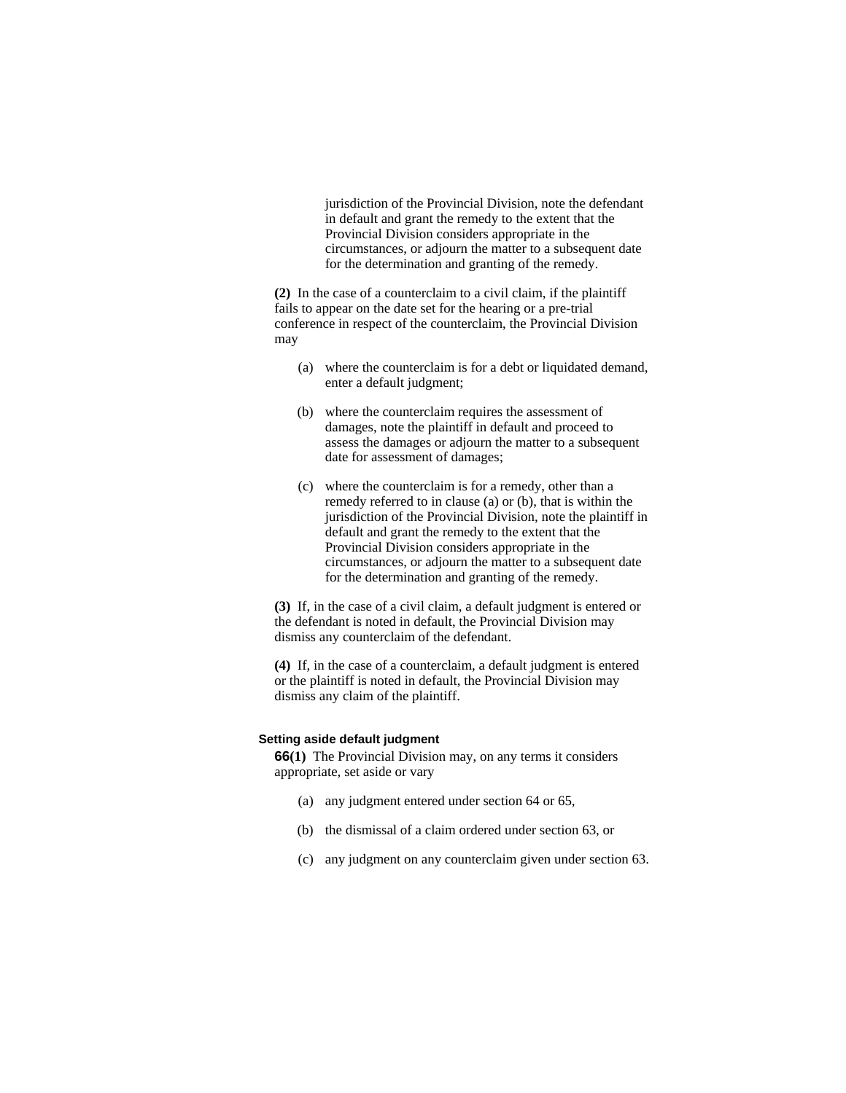jurisdiction of the Provincial Division, note the defendant in default and grant the remedy to the extent that the Provincial Division considers appropriate in the circumstances, or adjourn the matter to a subsequent date for the determination and granting of the remedy.

**(2)** In the case of a counterclaim to a civil claim, if the plaintiff fails to appear on the date set for the hearing or a pre-trial conference in respect of the counterclaim, the Provincial Division may

- (a) where the counterclaim is for a debt or liquidated demand, enter a default judgment;
- (b) where the counterclaim requires the assessment of damages, note the plaintiff in default and proceed to assess the damages or adjourn the matter to a subsequent date for assessment of damages;
- (c) where the counterclaim is for a remedy, other than a remedy referred to in clause (a) or (b), that is within the jurisdiction of the Provincial Division, note the plaintiff in default and grant the remedy to the extent that the Provincial Division considers appropriate in the circumstances, or adjourn the matter to a subsequent date for the determination and granting of the remedy.

**(3)** If, in the case of a civil claim, a default judgment is entered or the defendant is noted in default, the Provincial Division may dismiss any counterclaim of the defendant.

**(4)** If, in the case of a counterclaim, a default judgment is entered or the plaintiff is noted in default, the Provincial Division may dismiss any claim of the plaintiff.

#### **Setting aside default judgment**

**66(1)** The Provincial Division may, on any terms it considers appropriate, set aside or vary

- (a) any judgment entered under section 64 or 65,
- (b) the dismissal of a claim ordered under section 63, or
- (c) any judgment on any counterclaim given under section 63.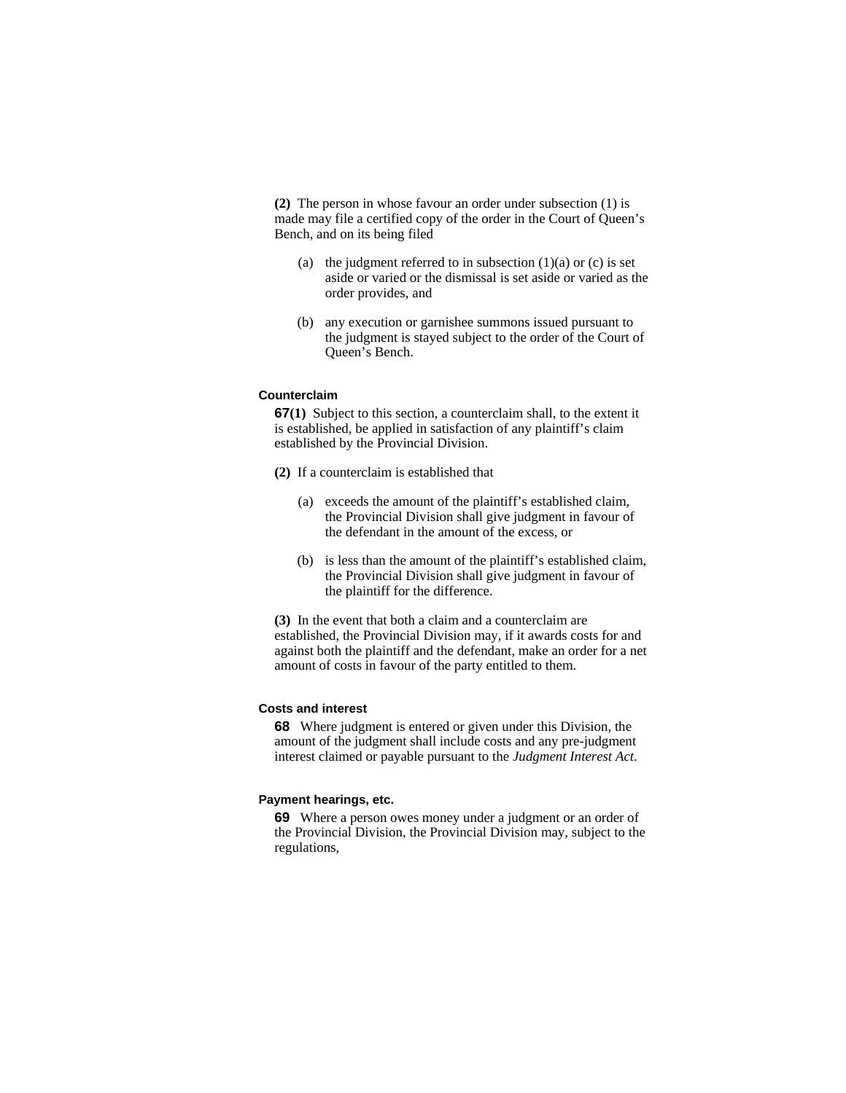**(2)** The person in whose favour an order under subsection (1) is made may file a certified copy of the order in the Court of Queen's Bench, and on its being filed

- (a) the judgment referred to in subsection  $(1)(a)$  or  $(c)$  is set aside or varied or the dismissal is set aside or varied as the order provides, and
- (b) any execution or garnishee summons issued pursuant to the judgment is stayed subject to the order of the Court of Queen's Bench.

# **Counterclaim**

**67(1)** Subject to this section, a counterclaim shall, to the extent it is established, be applied in satisfaction of any plaintiff's claim established by the Provincial Division.

- **(2)** If a counterclaim is established that
	- (a) exceeds the amount of the plaintiff's established claim, the Provincial Division shall give judgment in favour of the defendant in the amount of the excess, or
	- (b) is less than the amount of the plaintiff's established claim, the Provincial Division shall give judgment in favour of the plaintiff for the difference.

**(3)** In the event that both a claim and a counterclaim are established, the Provincial Division may, if it awards costs for and against both the plaintiff and the defendant, make an order for a net amount of costs in favour of the party entitled to them.

### **Costs and interest**

**68** Where judgment is entered or given under this Division, the amount of the judgment shall include costs and any pre-judgment interest claimed or payable pursuant to the *Judgment Interest Act*.

#### **Payment hearings, etc.**

**69** Where a person owes money under a judgment or an order of the Provincial Division, the Provincial Division may, subject to the regulations,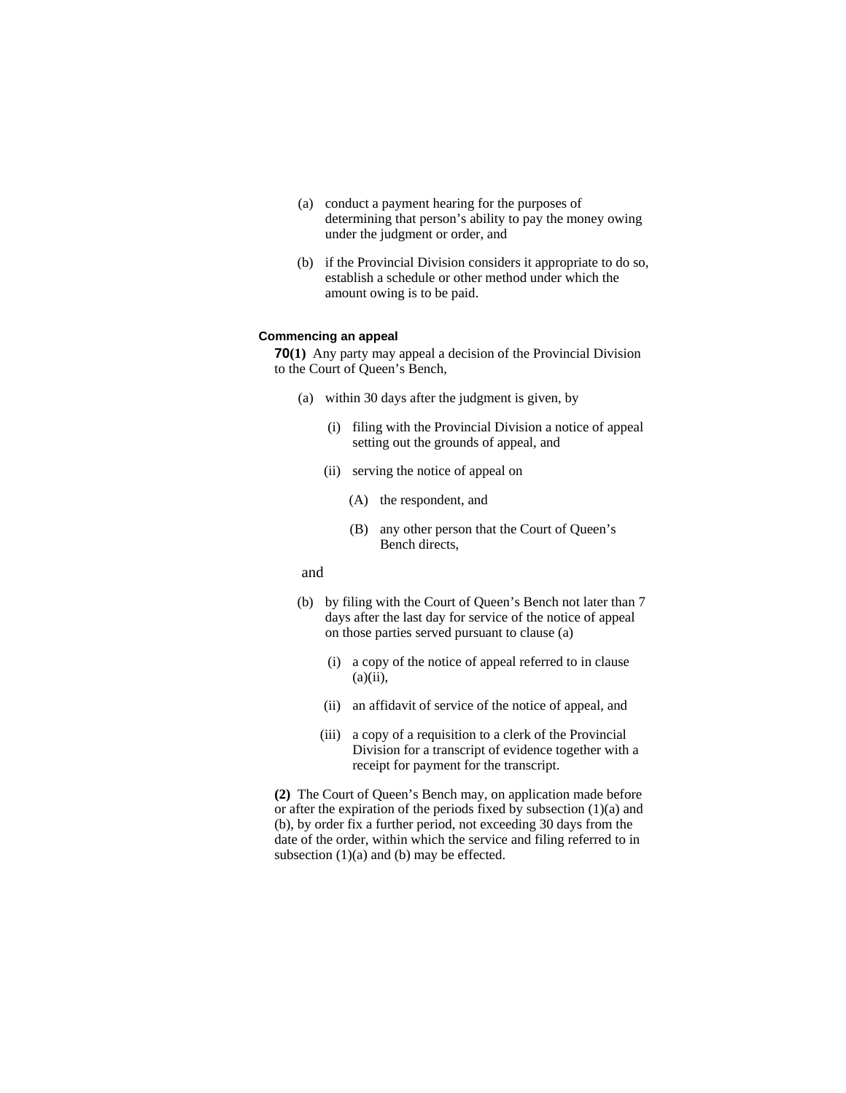- (a) conduct a payment hearing for the purposes of determining that person's ability to pay the money owing under the judgment or order, and
- (b) if the Provincial Division considers it appropriate to do so, establish a schedule or other method under which the amount owing is to be paid.

# **Commencing an appeal**

**70(1)** Any party may appeal a decision of the Provincial Division to the Court of Queen's Bench,

- (a) within 30 days after the judgment is given, by
	- (i) filing with the Provincial Division a notice of appeal setting out the grounds of appeal, and
	- (ii) serving the notice of appeal on
		- (A) the respondent, and
		- (B) any other person that the Court of Queen's Bench directs,
- and
- (b) by filing with the Court of Queen's Bench not later than 7 days after the last day for service of the notice of appeal on those parties served pursuant to clause (a)
	- (i) a copy of the notice of appeal referred to in clause  $(a)(ii)$ ,
	- (ii) an affidavit of service of the notice of appeal, and
	- (iii) a copy of a requisition to a clerk of the Provincial Division for a transcript of evidence together with a receipt for payment for the transcript.

**(2)** The Court of Queen's Bench may, on application made before or after the expiration of the periods fixed by subsection (1)(a) and (b), by order fix a further period, not exceeding 30 days from the date of the order, within which the service and filing referred to in subsection (1)(a) and (b) may be effected.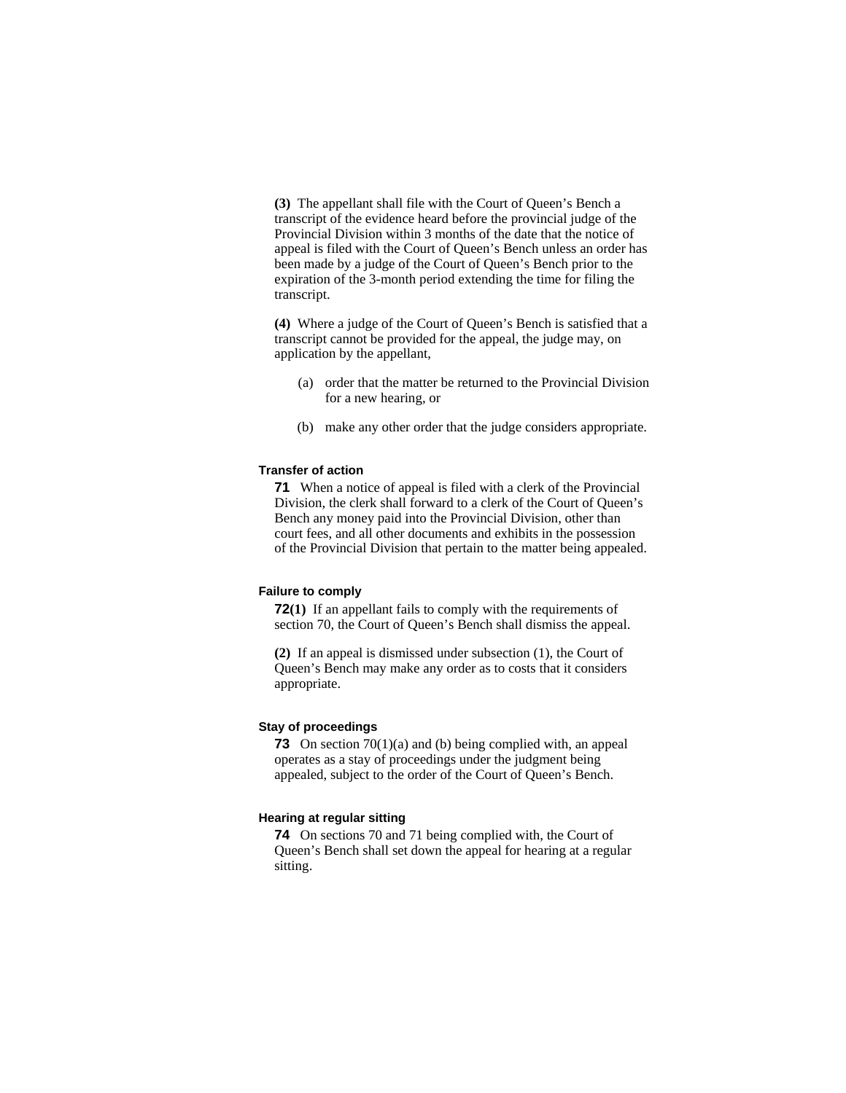**(3)** The appellant shall file with the Court of Queen's Bench a transcript of the evidence heard before the provincial judge of the Provincial Division within 3 months of the date that the notice of appeal is filed with the Court of Queen's Bench unless an order has been made by a judge of the Court of Queen's Bench prior to the expiration of the 3-month period extending the time for filing the transcript.

**(4)** Where a judge of the Court of Queen's Bench is satisfied that a transcript cannot be provided for the appeal, the judge may, on application by the appellant,

- (a) order that the matter be returned to the Provincial Division for a new hearing, or
- (b) make any other order that the judge considers appropriate.

#### **Transfer of action**

**71** When a notice of appeal is filed with a clerk of the Provincial Division, the clerk shall forward to a clerk of the Court of Queen's Bench any money paid into the Provincial Division, other than court fees, and all other documents and exhibits in the possession of the Provincial Division that pertain to the matter being appealed.

#### **Failure to comply**

**72(1)** If an appellant fails to comply with the requirements of section 70, the Court of Queen's Bench shall dismiss the appeal.

**(2)** If an appeal is dismissed under subsection (1), the Court of Queen's Bench may make any order as to costs that it considers appropriate.

### **Stay of proceedings**

**73** On section 70(1)(a) and (b) being complied with, an appeal operates as a stay of proceedings under the judgment being appealed, subject to the order of the Court of Queen's Bench.

### **Hearing at regular sitting**

**74** On sections 70 and 71 being complied with, the Court of Queen's Bench shall set down the appeal for hearing at a regular sitting.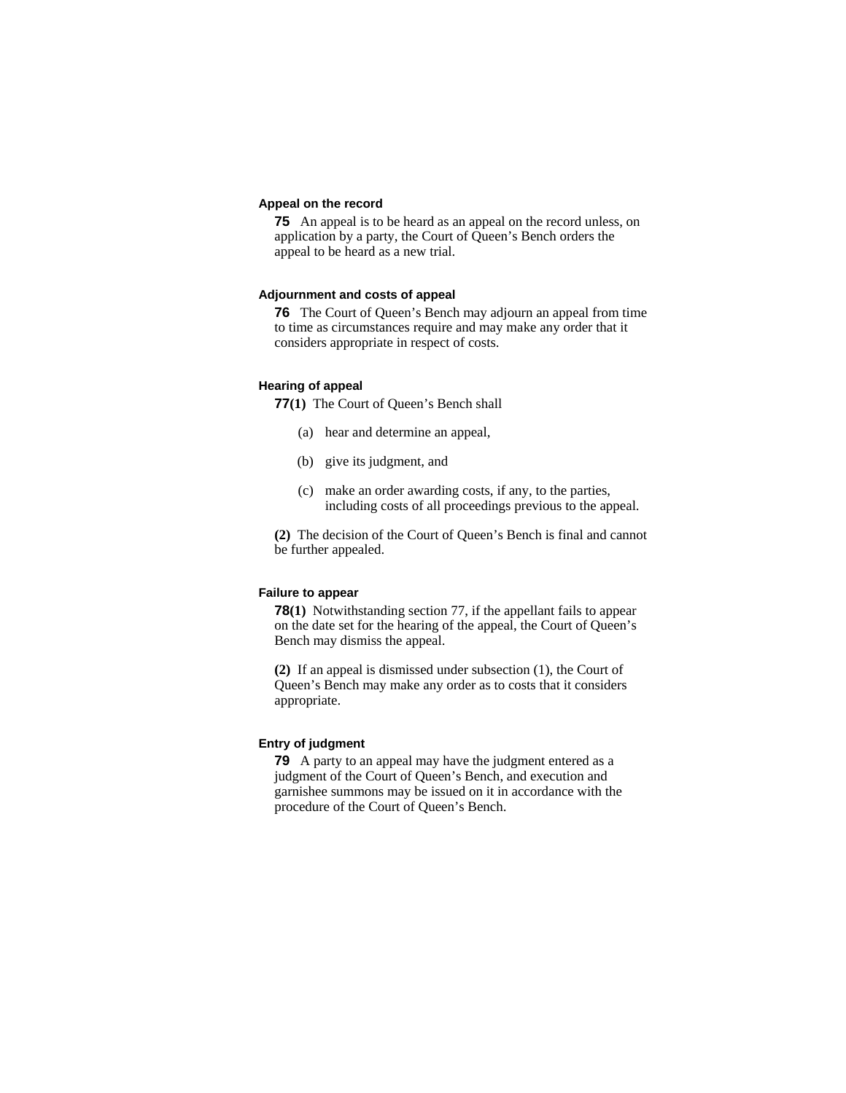### **Appeal on the record**

**75** An appeal is to be heard as an appeal on the record unless, on application by a party, the Court of Queen's Bench orders the appeal to be heard as a new trial.

### **Adjournment and costs of appeal**

**76** The Court of Queen's Bench may adjourn an appeal from time to time as circumstances require and may make any order that it considers appropriate in respect of costs.

# **Hearing of appeal**

**77(1)** The Court of Queen's Bench shall

- (a) hear and determine an appeal,
- (b) give its judgment, and
- (c) make an order awarding costs, if any, to the parties, including costs of all proceedings previous to the appeal.

**(2)** The decision of the Court of Queen's Bench is final and cannot be further appealed.

# **Failure to appear**

**78(1)** Notwithstanding section 77, if the appellant fails to appear on the date set for the hearing of the appeal, the Court of Queen's Bench may dismiss the appeal.

**(2)** If an appeal is dismissed under subsection (1), the Court of Queen's Bench may make any order as to costs that it considers appropriate.

# **Entry of judgment**

**79** A party to an appeal may have the judgment entered as a judgment of the Court of Queen's Bench, and execution and garnishee summons may be issued on it in accordance with the procedure of the Court of Queen's Bench.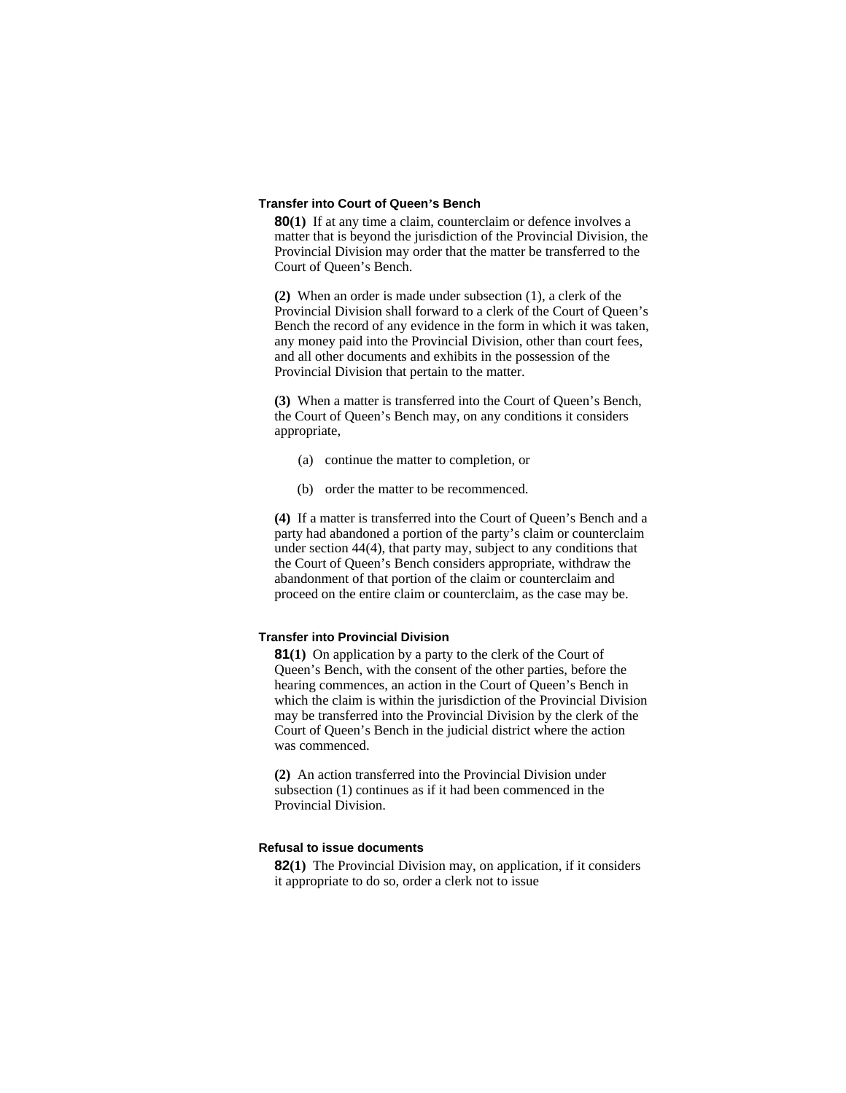#### **Transfer into Court of Queen's Bench**

**80(1)** If at any time a claim, counterclaim or defence involves a matter that is beyond the jurisdiction of the Provincial Division, the Provincial Division may order that the matter be transferred to the Court of Queen's Bench.

**(2)** When an order is made under subsection (1), a clerk of the Provincial Division shall forward to a clerk of the Court of Queen's Bench the record of any evidence in the form in which it was taken, any money paid into the Provincial Division, other than court fees, and all other documents and exhibits in the possession of the Provincial Division that pertain to the matter.

**(3)** When a matter is transferred into the Court of Queen's Bench, the Court of Queen's Bench may, on any conditions it considers appropriate,

- (a) continue the matter to completion, or
- (b) order the matter to be recommenced.

**(4)** If a matter is transferred into the Court of Queen's Bench and a party had abandoned a portion of the party's claim or counterclaim under section 44(4), that party may, subject to any conditions that the Court of Queen's Bench considers appropriate, withdraw the abandonment of that portion of the claim or counterclaim and proceed on the entire claim or counterclaim, as the case may be.

### **Transfer into Provincial Division**

**81(1)** On application by a party to the clerk of the Court of Queen's Bench, with the consent of the other parties, before the hearing commences, an action in the Court of Queen's Bench in which the claim is within the jurisdiction of the Provincial Division may be transferred into the Provincial Division by the clerk of the Court of Queen's Bench in the judicial district where the action was commenced.

**(2)** An action transferred into the Provincial Division under subsection (1) continues as if it had been commenced in the Provincial Division.

### **Refusal to issue documents**

**82(1)** The Provincial Division may, on application, if it considers it appropriate to do so, order a clerk not to issue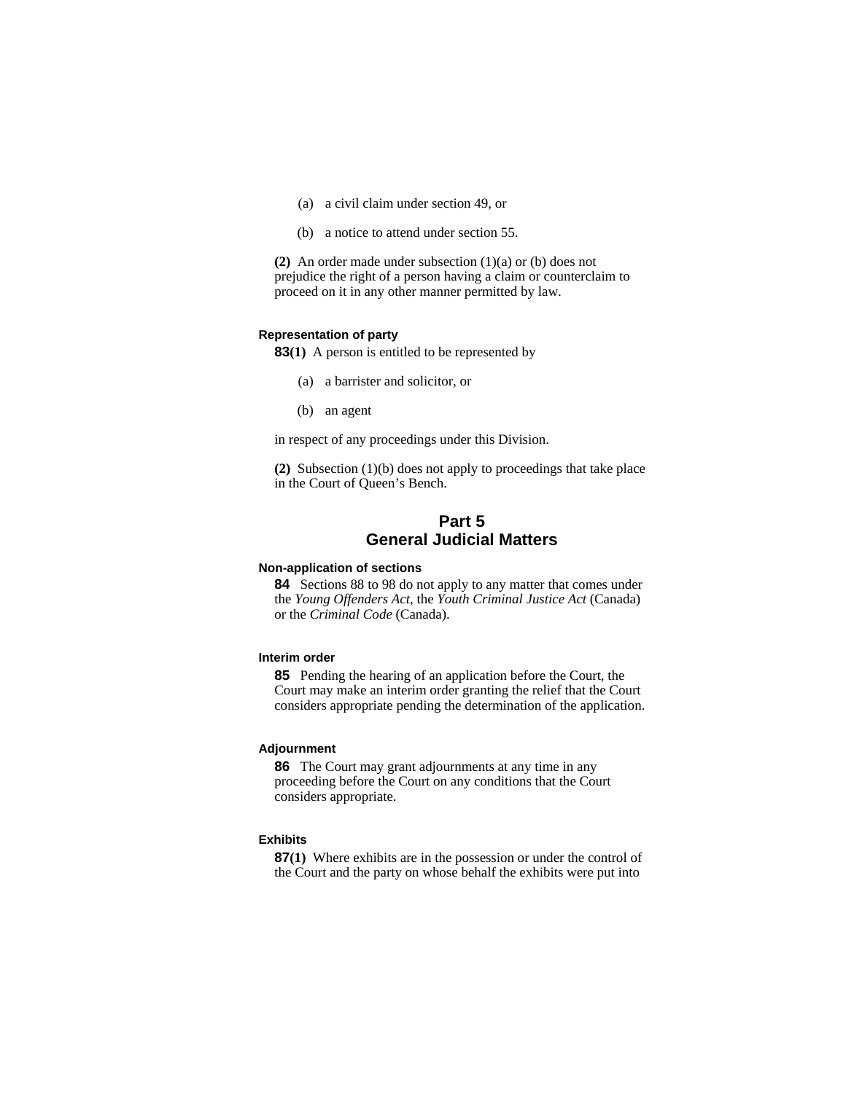- (a) a civil claim under section 49, or
- (b) a notice to attend under section 55.

**(2)** An order made under subsection (1)(a) or (b) does not prejudice the right of a person having a claim or counterclaim to proceed on it in any other manner permitted by law.

#### **Representation of party**

**83(1)** A person is entitled to be represented by

- (a) a barrister and solicitor, or
- (b) an agent

in respect of any proceedings under this Division.

**(2)** Subsection (1)(b) does not apply to proceedings that take place in the Court of Queen's Bench.

# **Part 5 General Judicial Matters**

#### **Non-application of sections**

**84** Sections 88 to 98 do not apply to any matter that comes under the *Young Offenders Act*, the *Youth Criminal Justice Act* (Canada) or the *Criminal Code* (Canada).

#### **Interim order**

**85** Pending the hearing of an application before the Court, the Court may make an interim order granting the relief that the Court considers appropriate pending the determination of the application.

### **Adjournment**

**86** The Court may grant adjournments at any time in any proceeding before the Court on any conditions that the Court considers appropriate.

#### **Exhibits**

**87(1)** Where exhibits are in the possession or under the control of the Court and the party on whose behalf the exhibits were put into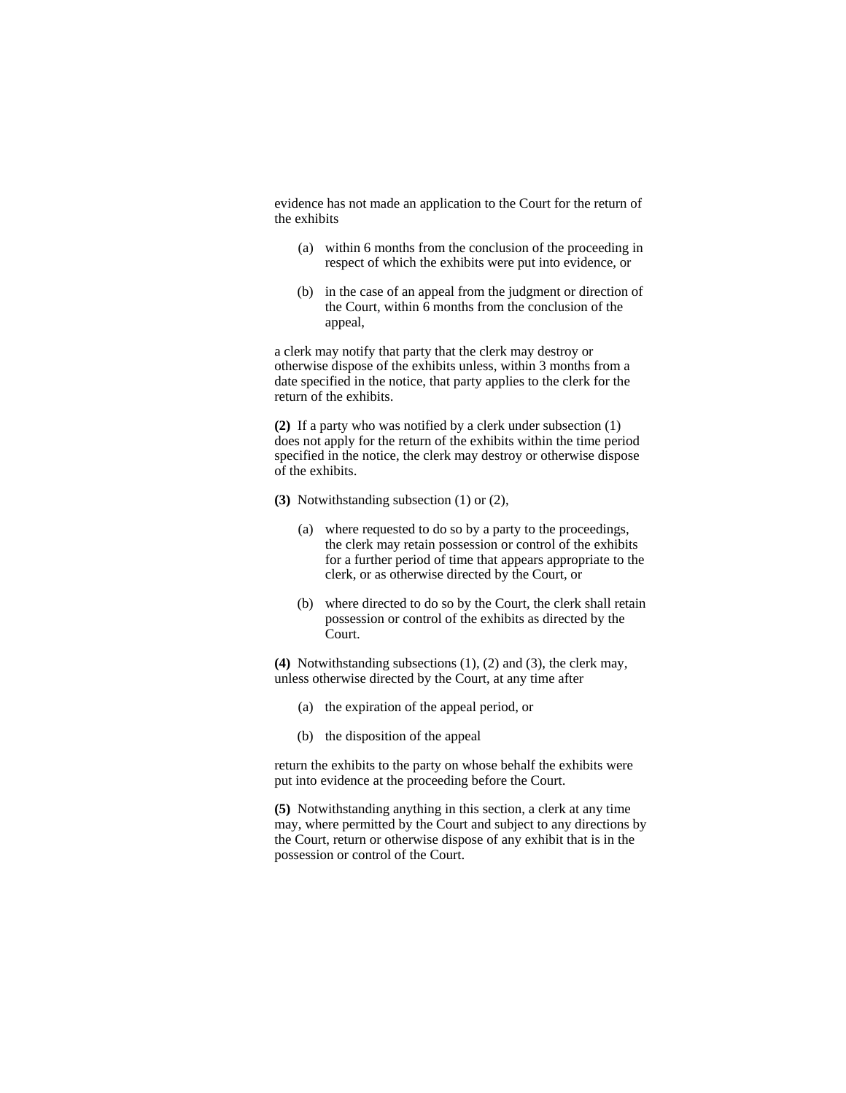evidence has not made an application to the Court for the return of the exhibits

- (a) within 6 months from the conclusion of the proceeding in respect of which the exhibits were put into evidence, or
- (b) in the case of an appeal from the judgment or direction of the Court, within 6 months from the conclusion of the appeal,

a clerk may notify that party that the clerk may destroy or otherwise dispose of the exhibits unless, within 3 months from a date specified in the notice, that party applies to the clerk for the return of the exhibits.

**(2)** If a party who was notified by a clerk under subsection (1) does not apply for the return of the exhibits within the time period specified in the notice, the clerk may destroy or otherwise dispose of the exhibits.

**(3)** Notwithstanding subsection (1) or (2),

- (a) where requested to do so by a party to the proceedings, the clerk may retain possession or control of the exhibits for a further period of time that appears appropriate to the clerk, or as otherwise directed by the Court, or
- (b) where directed to do so by the Court, the clerk shall retain possession or control of the exhibits as directed by the Court.

**(4)** Notwithstanding subsections (1), (2) and (3), the clerk may, unless otherwise directed by the Court, at any time after

- (a) the expiration of the appeal period, or
- (b) the disposition of the appeal

return the exhibits to the party on whose behalf the exhibits were put into evidence at the proceeding before the Court.

**(5)** Notwithstanding anything in this section, a clerk at any time may, where permitted by the Court and subject to any directions by the Court, return or otherwise dispose of any exhibit that is in the possession or control of the Court.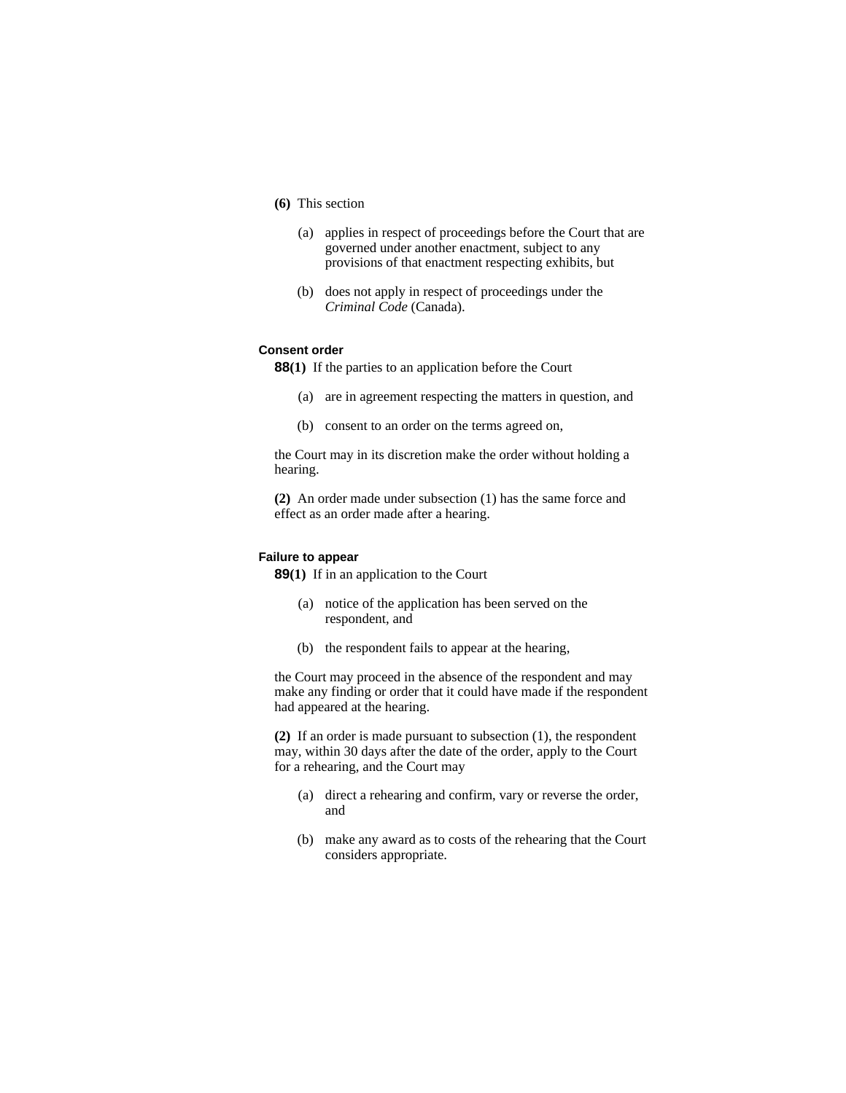- **(6)** This section
	- (a) applies in respect of proceedings before the Court that are governed under another enactment, subject to any provisions of that enactment respecting exhibits, but
	- (b) does not apply in respect of proceedings under the *Criminal Code* (Canada).

#### **Consent order**

**88(1)** If the parties to an application before the Court

- (a) are in agreement respecting the matters in question, and
- (b) consent to an order on the terms agreed on,

the Court may in its discretion make the order without holding a hearing.

**(2)** An order made under subsection (1) has the same force and effect as an order made after a hearing.

#### **Failure to appear**

**89(1)** If in an application to the Court

- (a) notice of the application has been served on the respondent, and
- (b) the respondent fails to appear at the hearing,

the Court may proceed in the absence of the respondent and may make any finding or order that it could have made if the respondent had appeared at the hearing.

**(2)** If an order is made pursuant to subsection (1), the respondent may, within 30 days after the date of the order, apply to the Court for a rehearing, and the Court may

- (a) direct a rehearing and confirm, vary or reverse the order, and
- (b) make any award as to costs of the rehearing that the Court considers appropriate.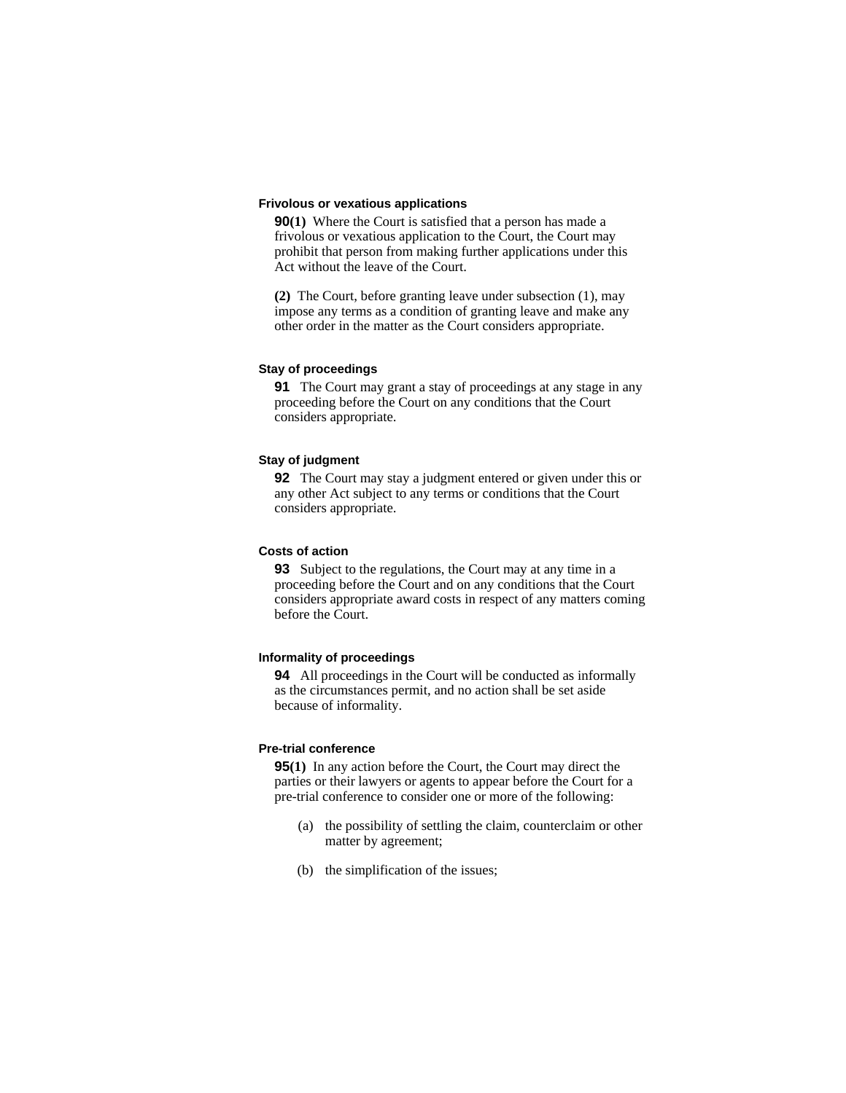### **Frivolous or vexatious applications**

**90(1)** Where the Court is satisfied that a person has made a frivolous or vexatious application to the Court, the Court may prohibit that person from making further applications under this Act without the leave of the Court.

**(2)** The Court, before granting leave under subsection (1), may impose any terms as a condition of granting leave and make any other order in the matter as the Court considers appropriate.

### **Stay of proceedings**

**91** The Court may grant a stay of proceedings at any stage in any proceeding before the Court on any conditions that the Court considers appropriate.

### **Stay of judgment**

**92** The Court may stay a judgment entered or given under this or any other Act subject to any terms or conditions that the Court considers appropriate.

#### **Costs of action**

**93** Subject to the regulations, the Court may at any time in a proceeding before the Court and on any conditions that the Court considers appropriate award costs in respect of any matters coming before the Court.

### **Informality of proceedings**

**94** All proceedings in the Court will be conducted as informally as the circumstances permit, and no action shall be set aside because of informality.

#### **Pre-trial conference**

**95(1)** In any action before the Court, the Court may direct the parties or their lawyers or agents to appear before the Court for a pre-trial conference to consider one or more of the following:

- (a) the possibility of settling the claim, counterclaim or other matter by agreement;
- (b) the simplification of the issues;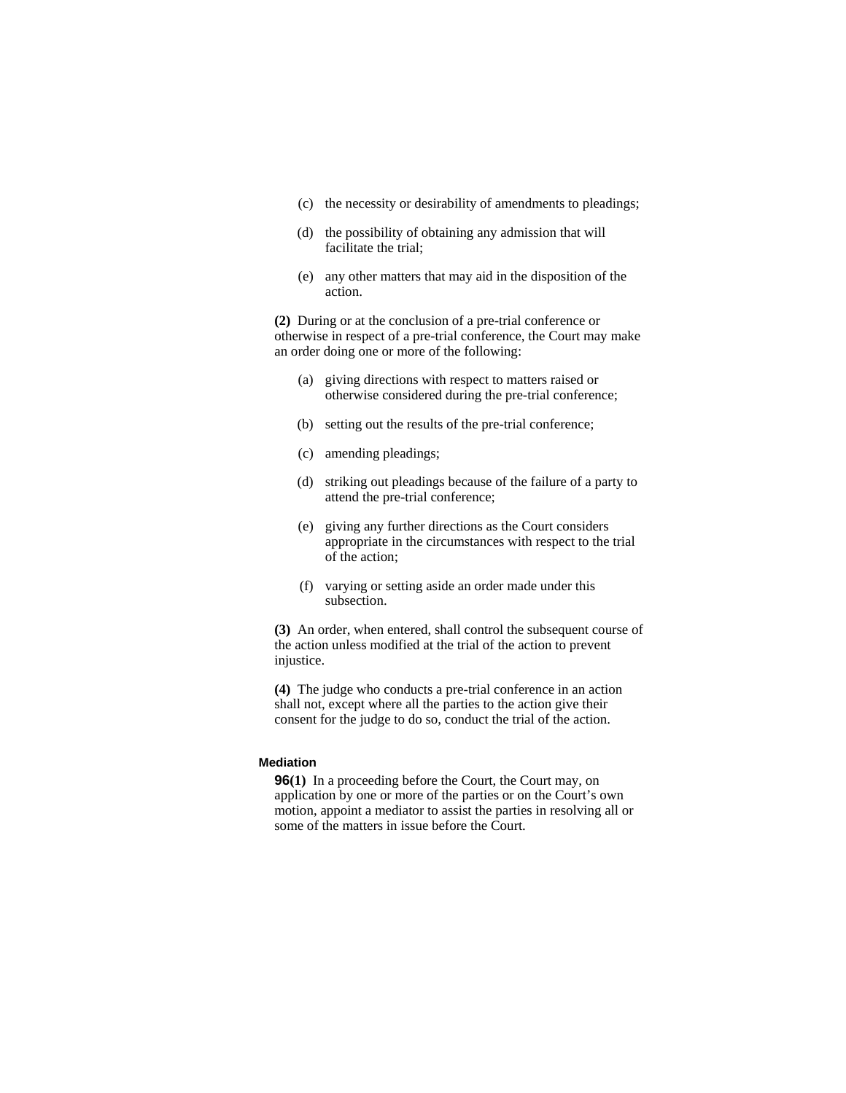- (c) the necessity or desirability of amendments to pleadings;
- (d) the possibility of obtaining any admission that will facilitate the trial;
- (e) any other matters that may aid in the disposition of the action.

**(2)** During or at the conclusion of a pre-trial conference or otherwise in respect of a pre-trial conference, the Court may make an order doing one or more of the following:

- (a) giving directions with respect to matters raised or otherwise considered during the pre-trial conference;
- (b) setting out the results of the pre-trial conference;
- (c) amending pleadings;
- (d) striking out pleadings because of the failure of a party to attend the pre-trial conference;
- (e) giving any further directions as the Court considers appropriate in the circumstances with respect to the trial of the action;
- (f) varying or setting aside an order made under this subsection.

**(3)** An order, when entered, shall control the subsequent course of the action unless modified at the trial of the action to prevent injustice.

**(4)** The judge who conducts a pre-trial conference in an action shall not, except where all the parties to the action give their consent for the judge to do so, conduct the trial of the action.

# **Mediation**

**96(1)** In a proceeding before the Court, the Court may, on application by one or more of the parties or on the Court's own motion, appoint a mediator to assist the parties in resolving all or some of the matters in issue before the Court.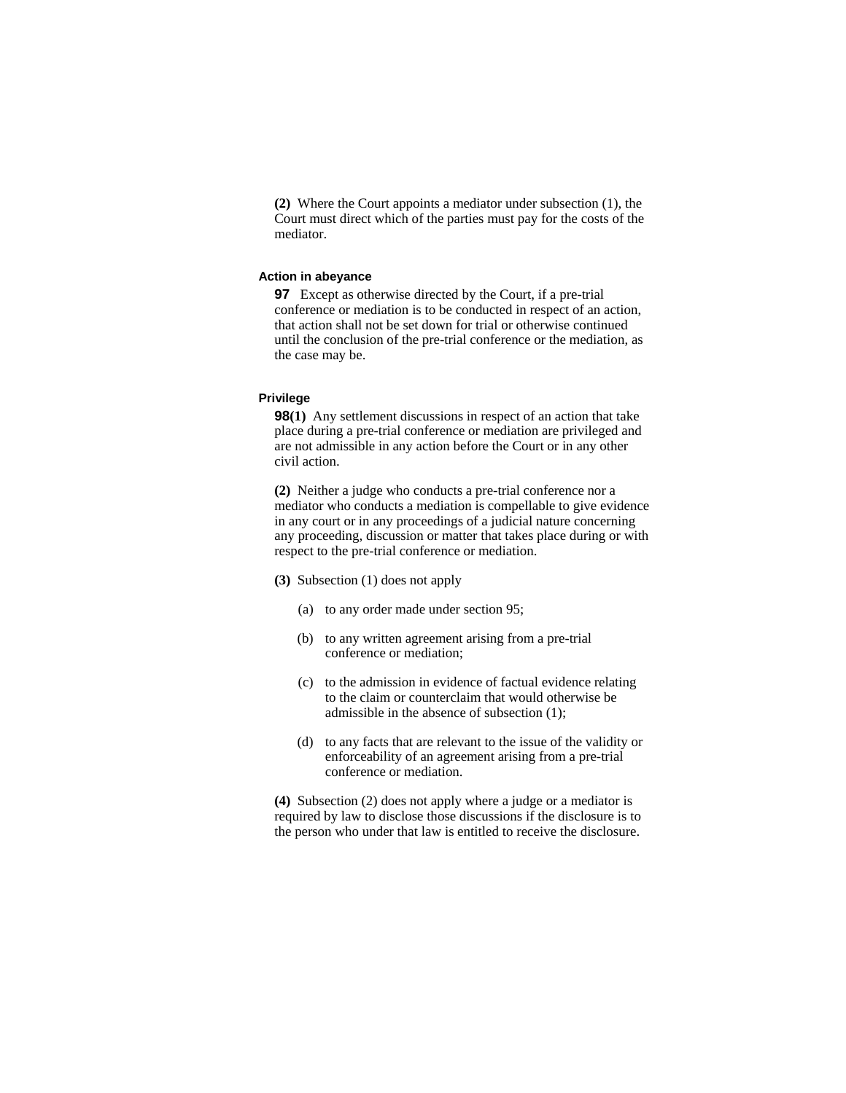**(2)** Where the Court appoints a mediator under subsection (1), the Court must direct which of the parties must pay for the costs of the mediator.

### **Action in abeyance**

**97** Except as otherwise directed by the Court, if a pre-trial conference or mediation is to be conducted in respect of an action, that action shall not be set down for trial or otherwise continued until the conclusion of the pre-trial conference or the mediation, as the case may be.

#### **Privilege**

**98(1)** Any settlement discussions in respect of an action that take place during a pre-trial conference or mediation are privileged and are not admissible in any action before the Court or in any other civil action.

**(2)** Neither a judge who conducts a pre-trial conference nor a mediator who conducts a mediation is compellable to give evidence in any court or in any proceedings of a judicial nature concerning any proceeding, discussion or matter that takes place during or with respect to the pre-trial conference or mediation.

- **(3)** Subsection (1) does not apply
	- (a) to any order made under section 95;
	- (b) to any written agreement arising from a pre-trial conference or mediation;
	- (c) to the admission in evidence of factual evidence relating to the claim or counterclaim that would otherwise be admissible in the absence of subsection (1);
	- (d) to any facts that are relevant to the issue of the validity or enforceability of an agreement arising from a pre-trial conference or mediation.

**(4)** Subsection (2) does not apply where a judge or a mediator is required by law to disclose those discussions if the disclosure is to the person who under that law is entitled to receive the disclosure.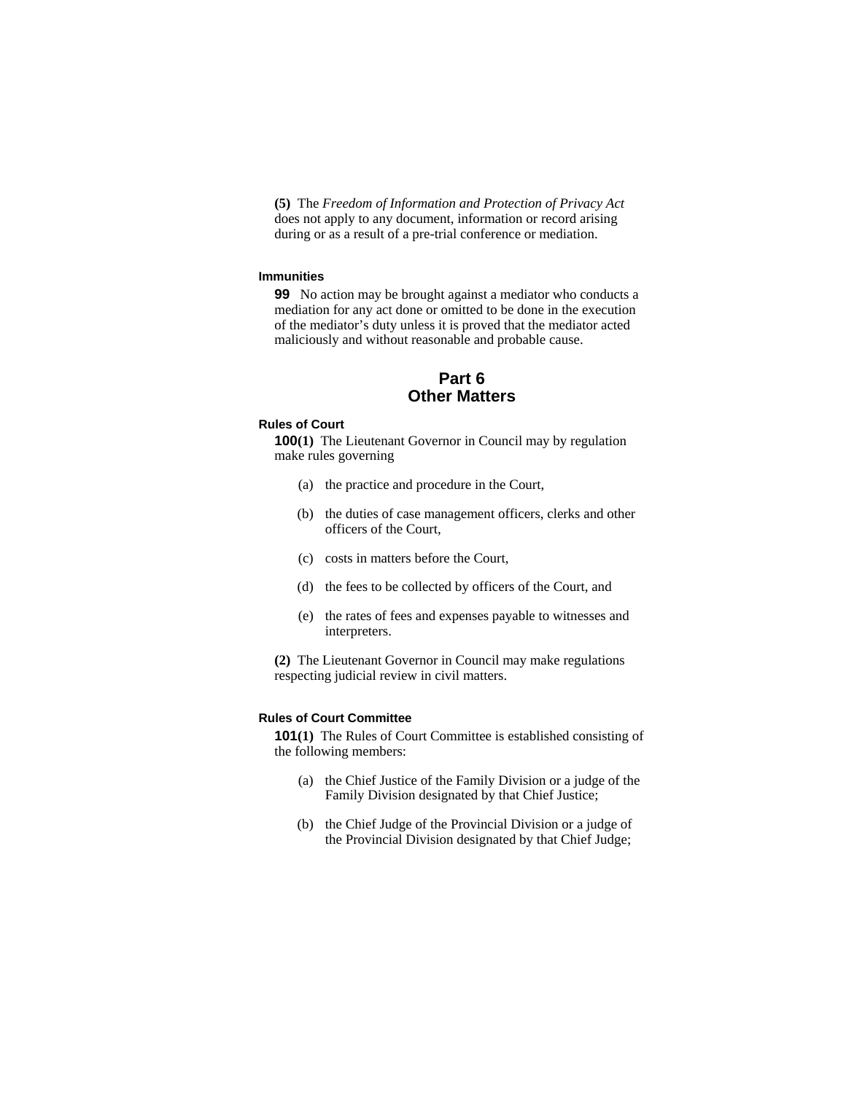**(5)** The *Freedom of Information and Protection of Privacy Act* does not apply to any document, information or record arising during or as a result of a pre-trial conference or mediation.

#### **Immunities**

**99** No action may be brought against a mediator who conducts a mediation for any act done or omitted to be done in the execution of the mediator's duty unless it is proved that the mediator acted maliciously and without reasonable and probable cause.

# **Part 6 Other Matters**

### **Rules of Court**

**100(1)** The Lieutenant Governor in Council may by regulation make rules governing

- (a) the practice and procedure in the Court,
- (b) the duties of case management officers, clerks and other officers of the Court,
- (c) costs in matters before the Court,
- (d) the fees to be collected by officers of the Court, and
- (e) the rates of fees and expenses payable to witnesses and interpreters.

**(2)** The Lieutenant Governor in Council may make regulations respecting judicial review in civil matters.

#### **Rules of Court Committee**

**101(1)** The Rules of Court Committee is established consisting of the following members:

- (a) the Chief Justice of the Family Division or a judge of the Family Division designated by that Chief Justice;
- (b) the Chief Judge of the Provincial Division or a judge of the Provincial Division designated by that Chief Judge;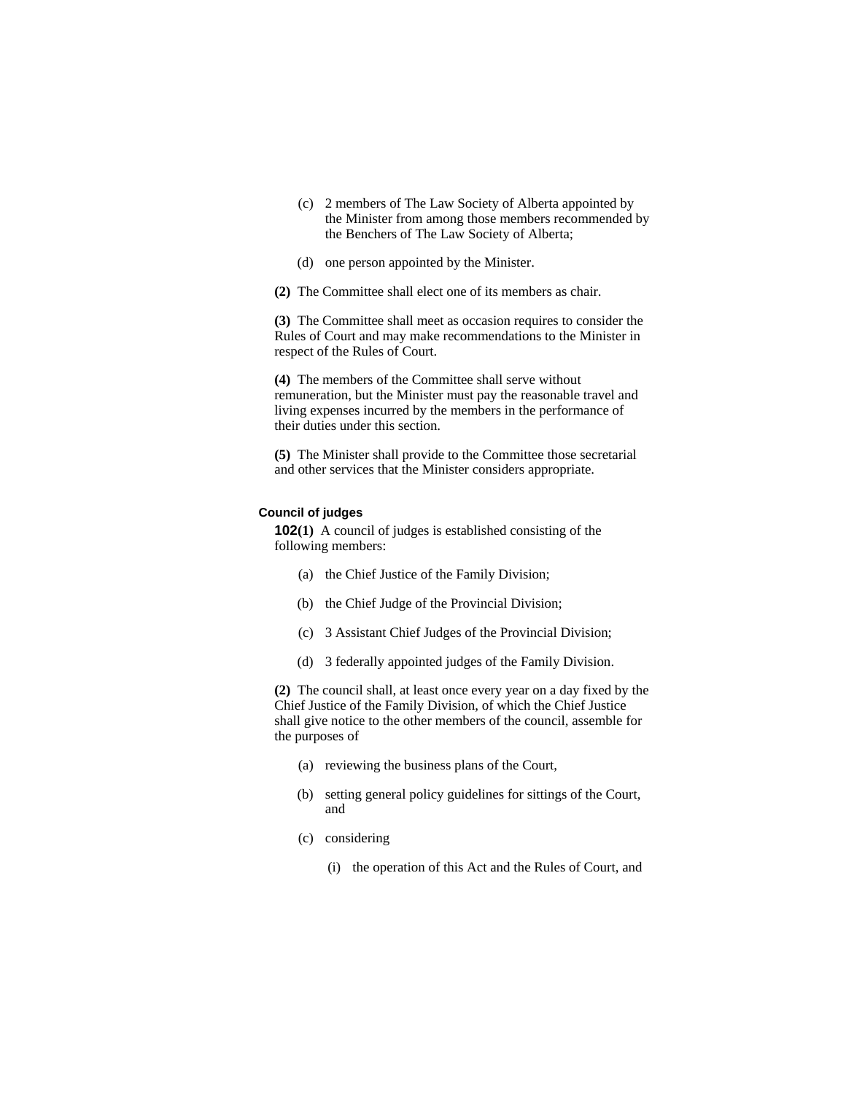- (c) 2 members of The Law Society of Alberta appointed by the Minister from among those members recommended by the Benchers of The Law Society of Alberta;
- (d) one person appointed by the Minister.
- **(2)** The Committee shall elect one of its members as chair.

**(3)** The Committee shall meet as occasion requires to consider the Rules of Court and may make recommendations to the Minister in respect of the Rules of Court.

**(4)** The members of the Committee shall serve without remuneration, but the Minister must pay the reasonable travel and living expenses incurred by the members in the performance of their duties under this section.

**(5)** The Minister shall provide to the Committee those secretarial and other services that the Minister considers appropriate.

#### **Council of judges**

**102(1)** A council of judges is established consisting of the following members:

- (a) the Chief Justice of the Family Division;
- (b) the Chief Judge of the Provincial Division;
- (c) 3 Assistant Chief Judges of the Provincial Division;
- (d) 3 federally appointed judges of the Family Division.

**(2)** The council shall, at least once every year on a day fixed by the Chief Justice of the Family Division, of which the Chief Justice shall give notice to the other members of the council, assemble for the purposes of

- (a) reviewing the business plans of the Court,
- (b) setting general policy guidelines for sittings of the Court, and
- (c) considering
	- (i) the operation of this Act and the Rules of Court, and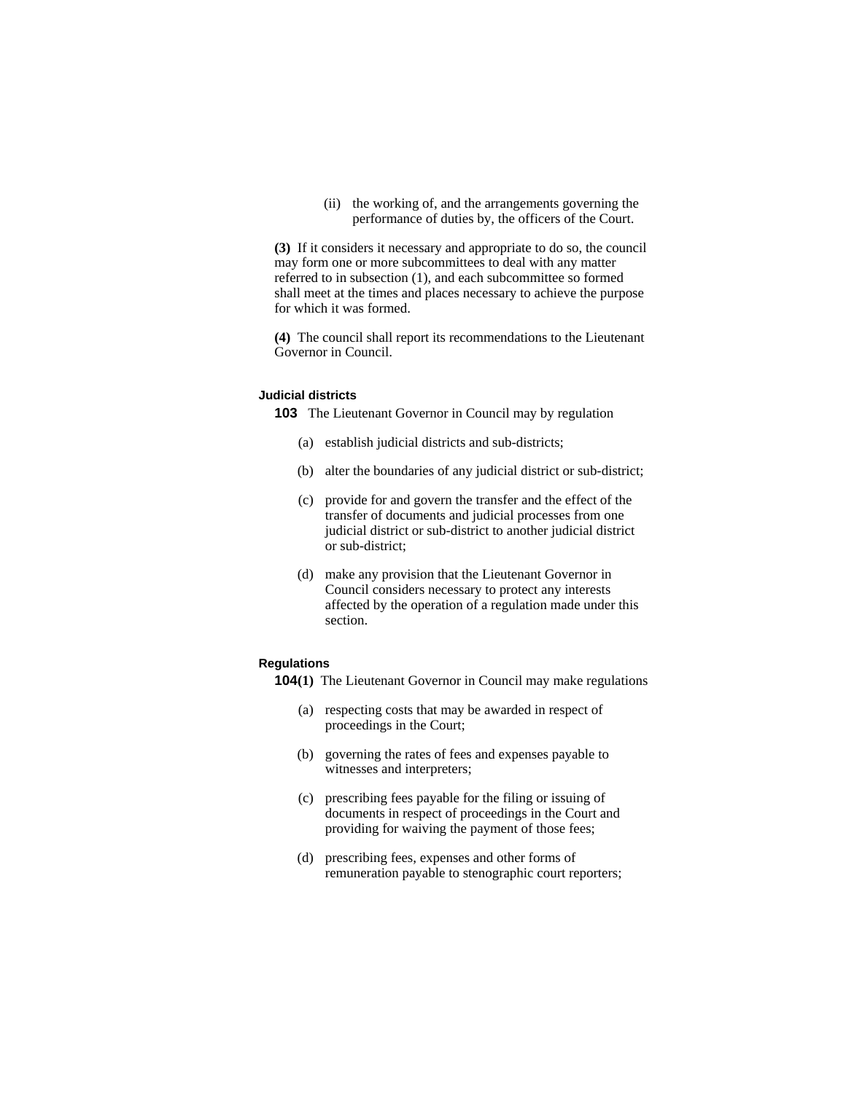(ii) the working of, and the arrangements governing the performance of duties by, the officers of the Court.

**(3)** If it considers it necessary and appropriate to do so, the council may form one or more subcommittees to deal with any matter referred to in subsection (1), and each subcommittee so formed shall meet at the times and places necessary to achieve the purpose for which it was formed.

**(4)** The council shall report its recommendations to the Lieutenant Governor in Council.

# **Judicial districts**

**103** The Lieutenant Governor in Council may by regulation

- (a) establish judicial districts and sub-districts;
- (b) alter the boundaries of any judicial district or sub-district;
- (c) provide for and govern the transfer and the effect of the transfer of documents and judicial processes from one judicial district or sub-district to another judicial district or sub-district;
- (d) make any provision that the Lieutenant Governor in Council considers necessary to protect any interests affected by the operation of a regulation made under this section.

#### **Regulations**

- **104(1)** The Lieutenant Governor in Council may make regulations
	- (a) respecting costs that may be awarded in respect of proceedings in the Court;
	- (b) governing the rates of fees and expenses payable to witnesses and interpreters;
	- (c) prescribing fees payable for the filing or issuing of documents in respect of proceedings in the Court and providing for waiving the payment of those fees;
	- (d) prescribing fees, expenses and other forms of remuneration payable to stenographic court reporters;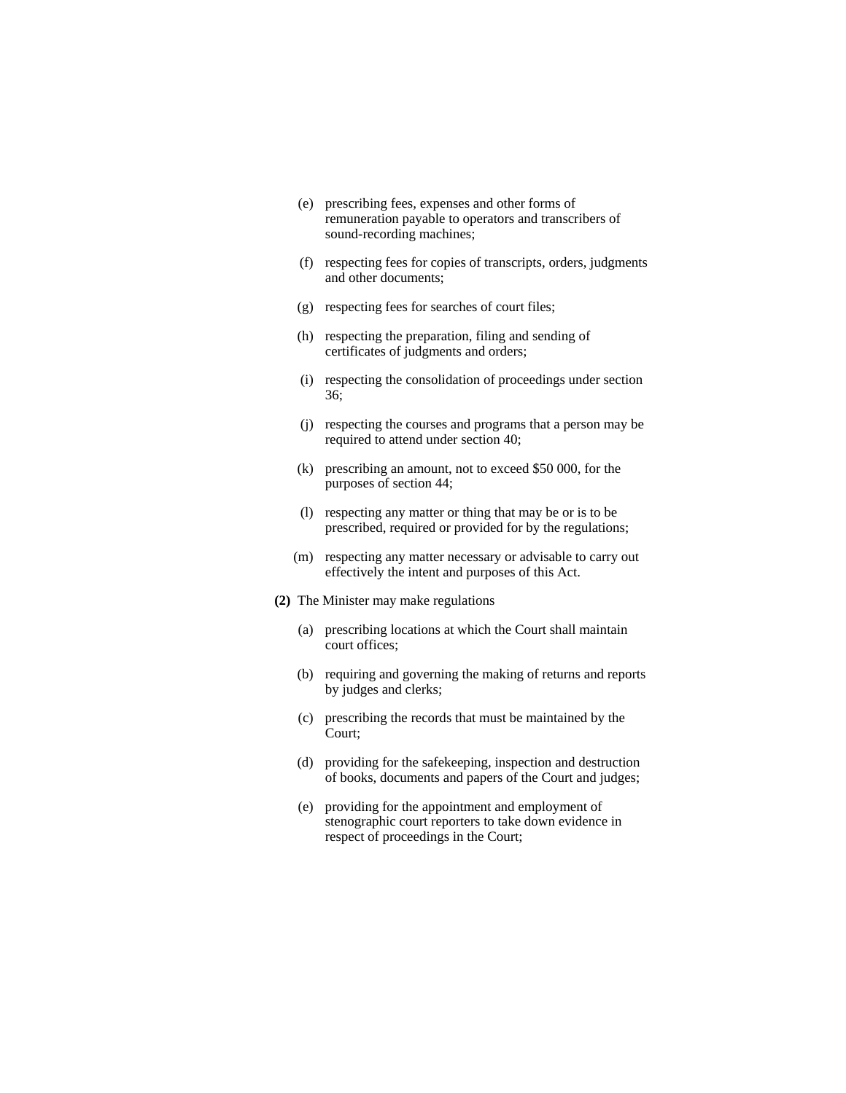- (e) prescribing fees, expenses and other forms of remuneration payable to operators and transcribers of sound-recording machines;
- (f) respecting fees for copies of transcripts, orders, judgments and other documents;
- (g) respecting fees for searches of court files;
- (h) respecting the preparation, filing and sending of certificates of judgments and orders;
- (i) respecting the consolidation of proceedings under section 36;
- (j) respecting the courses and programs that a person may be required to attend under section 40;
- (k) prescribing an amount, not to exceed \$50 000, for the purposes of section 44;
- (l) respecting any matter or thing that may be or is to be prescribed, required or provided for by the regulations;
- (m) respecting any matter necessary or advisable to carry out effectively the intent and purposes of this Act.
- **(2)** The Minister may make regulations
	- (a) prescribing locations at which the Court shall maintain court offices;
	- (b) requiring and governing the making of returns and reports by judges and clerks;
	- (c) prescribing the records that must be maintained by the Court;
	- (d) providing for the safekeeping, inspection and destruction of books, documents and papers of the Court and judges;
	- (e) providing for the appointment and employment of stenographic court reporters to take down evidence in respect of proceedings in the Court;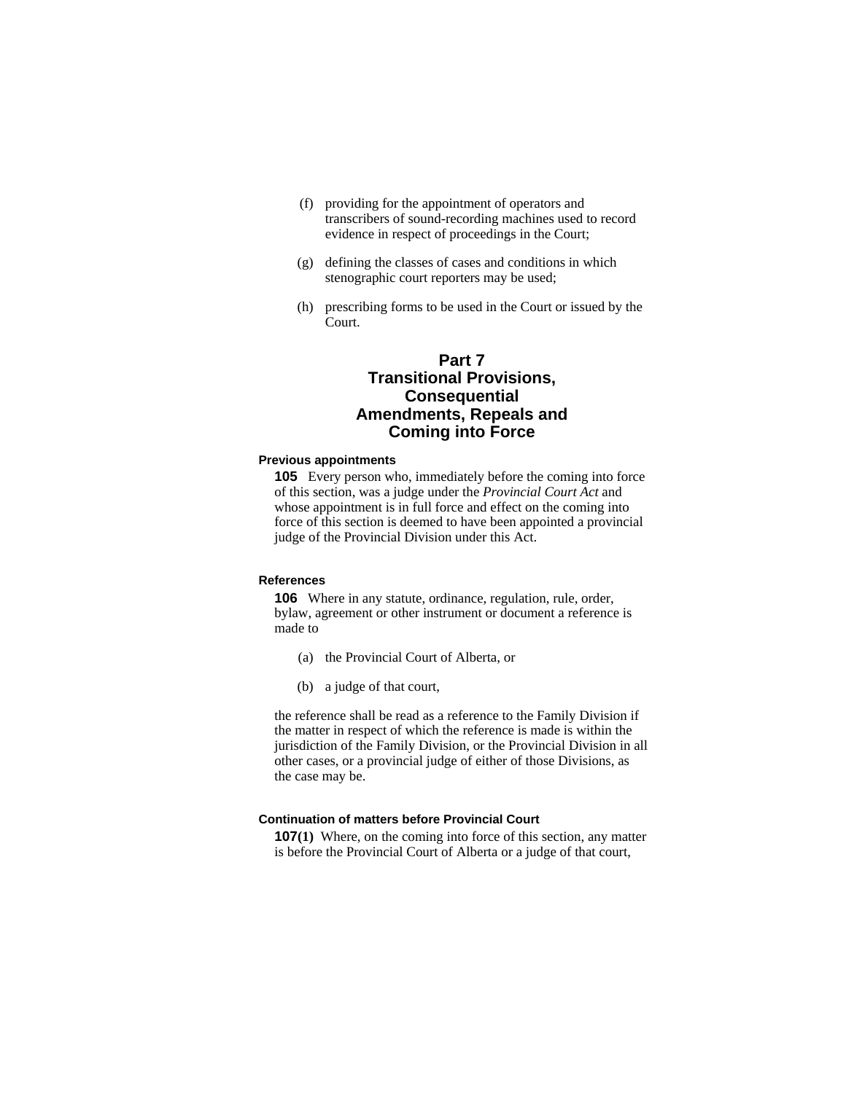- (f) providing for the appointment of operators and transcribers of sound-recording machines used to record evidence in respect of proceedings in the Court;
- (g) defining the classes of cases and conditions in which stenographic court reporters may be used;
- (h) prescribing forms to be used in the Court or issued by the Court.

# **Part 7 Transitional Provisions, Consequential Amendments, Repeals and Coming into Force**

#### **Previous appointments**

**105** Every person who, immediately before the coming into force of this section, was a judge under the *Provincial Court Act* and whose appointment is in full force and effect on the coming into force of this section is deemed to have been appointed a provincial judge of the Provincial Division under this Act.

#### **References**

**106** Where in any statute, ordinance, regulation, rule, order, bylaw, agreement or other instrument or document a reference is made to

- (a) the Provincial Court of Alberta, or
- (b) a judge of that court,

the reference shall be read as a reference to the Family Division if the matter in respect of which the reference is made is within the jurisdiction of the Family Division, or the Provincial Division in all other cases, or a provincial judge of either of those Divisions, as the case may be.

#### **Continuation of matters before Provincial Court**

**107(1)** Where, on the coming into force of this section, any matter is before the Provincial Court of Alberta or a judge of that court,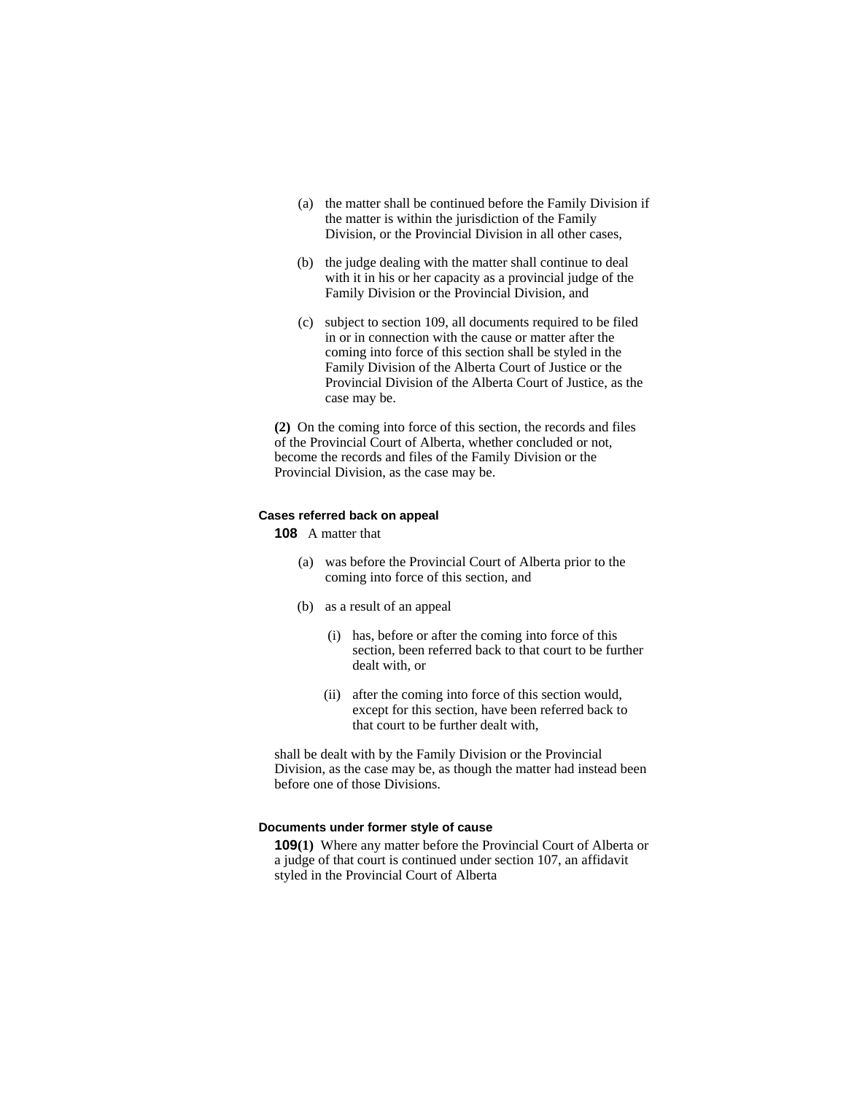- (a) the matter shall be continued before the Family Division if the matter is within the jurisdiction of the Family Division, or the Provincial Division in all other cases,
- (b) the judge dealing with the matter shall continue to deal with it in his or her capacity as a provincial judge of the Family Division or the Provincial Division, and
- (c) subject to section 109, all documents required to be filed in or in connection with the cause or matter after the coming into force of this section shall be styled in the Family Division of the Alberta Court of Justice or the Provincial Division of the Alberta Court of Justice, as the case may be.

**(2)** On the coming into force of this section, the records and files of the Provincial Court of Alberta, whether concluded or not, become the records and files of the Family Division or the Provincial Division, as the case may be.

# **Cases referred back on appeal**

- **108** A matter that
	- (a) was before the Provincial Court of Alberta prior to the coming into force of this section, and
	- (b) as a result of an appeal
		- (i) has, before or after the coming into force of this section, been referred back to that court to be further dealt with, or
		- (ii) after the coming into force of this section would, except for this section, have been referred back to that court to be further dealt with,

shall be dealt with by the Family Division or the Provincial Division, as the case may be, as though the matter had instead been before one of those Divisions.

#### **Documents under former style of cause**

**109(1)** Where any matter before the Provincial Court of Alberta or a judge of that court is continued under section 107, an affidavit styled in the Provincial Court of Alberta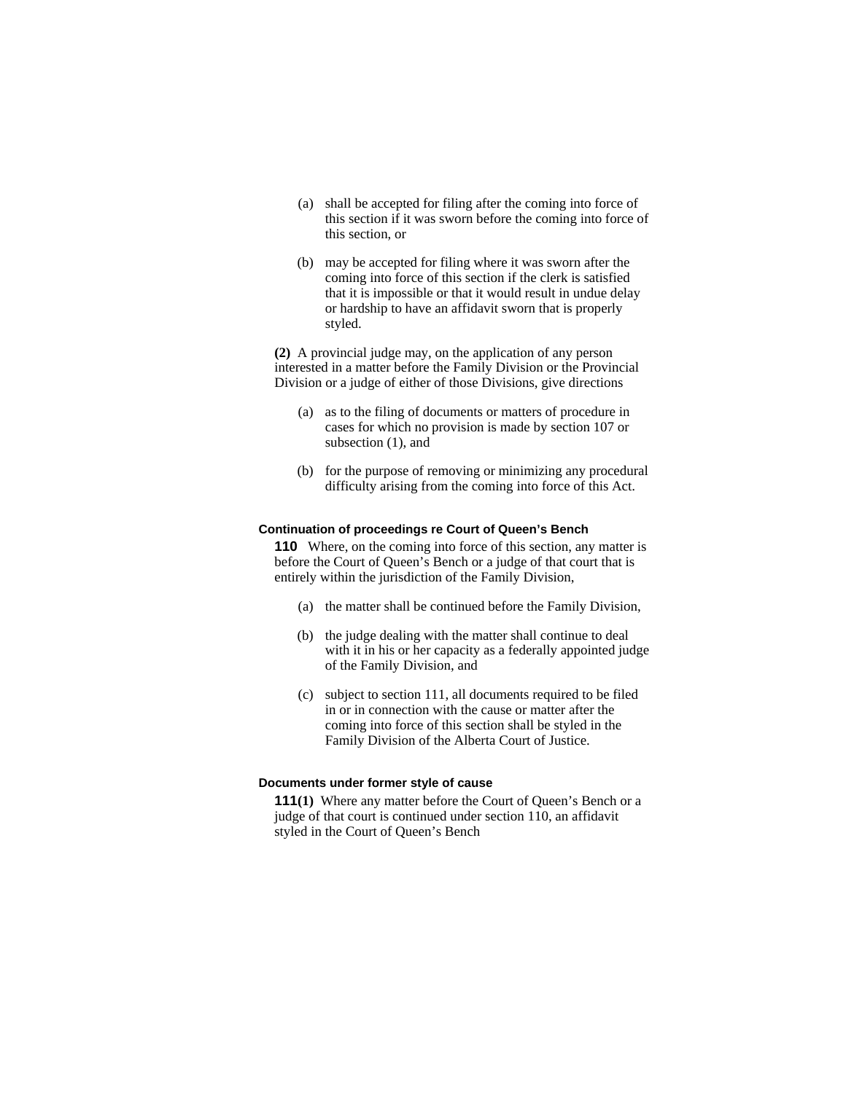- (a) shall be accepted for filing after the coming into force of this section if it was sworn before the coming into force of this section, or
- (b) may be accepted for filing where it was sworn after the coming into force of this section if the clerk is satisfied that it is impossible or that it would result in undue delay or hardship to have an affidavit sworn that is properly styled.

**(2)** A provincial judge may, on the application of any person interested in a matter before the Family Division or the Provincial Division or a judge of either of those Divisions, give directions

- (a) as to the filing of documents or matters of procedure in cases for which no provision is made by section 107 or subsection (1), and
- (b) for the purpose of removing or minimizing any procedural difficulty arising from the coming into force of this Act.

#### **Continuation of proceedings re Court of Queen's Bench**

**110** Where, on the coming into force of this section, any matter is before the Court of Queen's Bench or a judge of that court that is entirely within the jurisdiction of the Family Division,

- (a) the matter shall be continued before the Family Division,
- (b) the judge dealing with the matter shall continue to deal with it in his or her capacity as a federally appointed judge of the Family Division, and
- (c) subject to section 111, all documents required to be filed in or in connection with the cause or matter after the coming into force of this section shall be styled in the Family Division of the Alberta Court of Justice.

#### **Documents under former style of cause**

**111(1)** Where any matter before the Court of Queen's Bench or a judge of that court is continued under section 110, an affidavit styled in the Court of Queen's Bench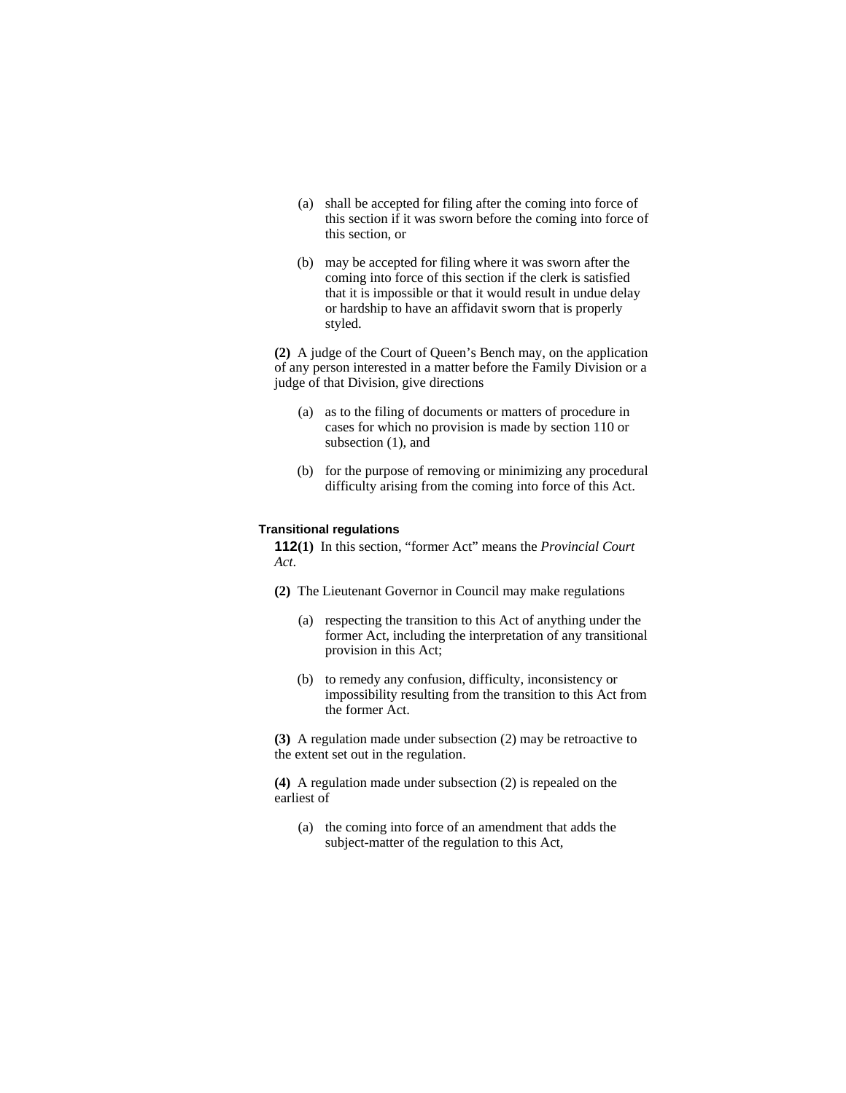- (a) shall be accepted for filing after the coming into force of this section if it was sworn before the coming into force of this section, or
- (b) may be accepted for filing where it was sworn after the coming into force of this section if the clerk is satisfied that it is impossible or that it would result in undue delay or hardship to have an affidavit sworn that is properly styled.

**(2)** A judge of the Court of Queen's Bench may, on the application of any person interested in a matter before the Family Division or a judge of that Division, give directions

- (a) as to the filing of documents or matters of procedure in cases for which no provision is made by section 110 or subsection (1), and
- (b) for the purpose of removing or minimizing any procedural difficulty arising from the coming into force of this Act.

### **Transitional regulations**

**112(1)** In this section, "former Act" means the *Provincial Court Act*.

- **(2)** The Lieutenant Governor in Council may make regulations
	- (a) respecting the transition to this Act of anything under the former Act, including the interpretation of any transitional provision in this Act;
	- (b) to remedy any confusion, difficulty, inconsistency or impossibility resulting from the transition to this Act from the former Act.

**(3)** A regulation made under subsection (2) may be retroactive to the extent set out in the regulation.

**(4)** A regulation made under subsection (2) is repealed on the earliest of

(a) the coming into force of an amendment that adds the subject-matter of the regulation to this Act,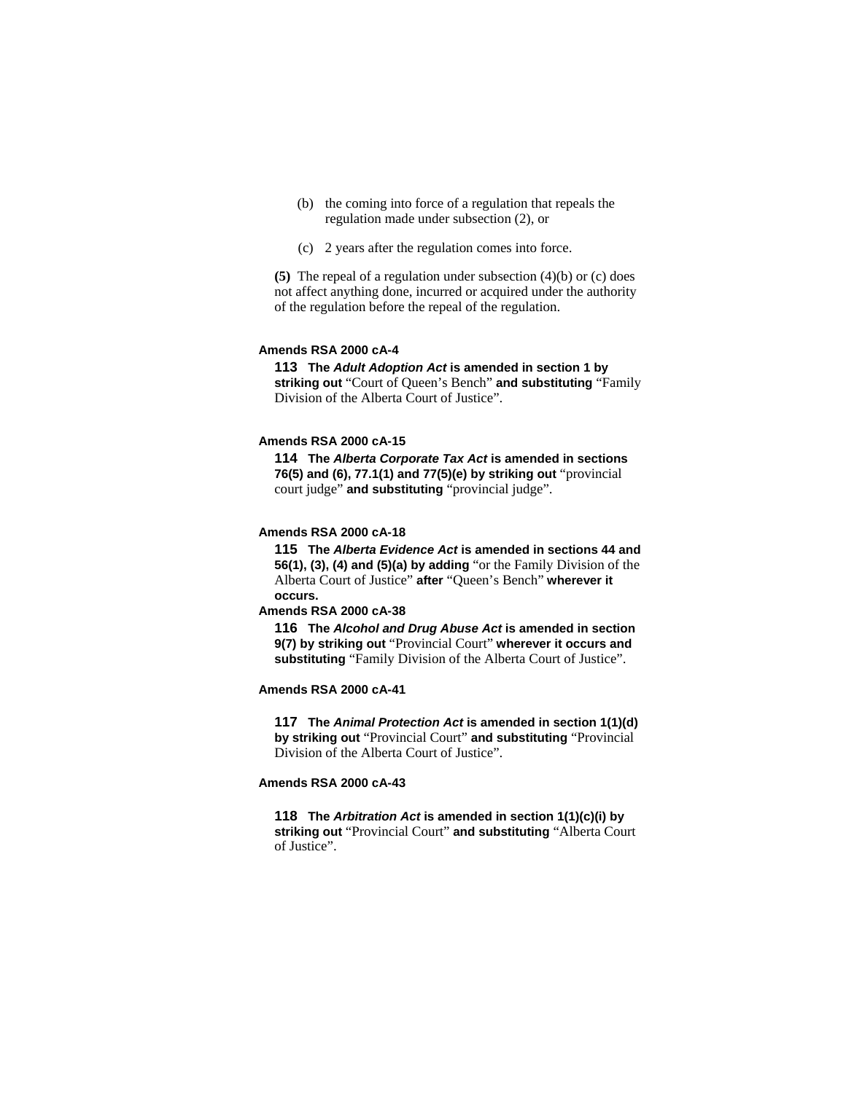- (b) the coming into force of a regulation that repeals the regulation made under subsection (2), or
- (c) 2 years after the regulation comes into force.

**(5)** The repeal of a regulation under subsection (4)(b) or (c) does not affect anything done, incurred or acquired under the authority of the regulation before the repeal of the regulation.

### **Amends RSA 2000 cA-4**

**113 The** *Adult Adoption Act* **is amended in section 1 by striking out** "Court of Queen's Bench" **and substituting** "Family Division of the Alberta Court of Justice".

### **Amends RSA 2000 cA-15**

**114 The** *Alberta Corporate Tax Act* **is amended in sections 76(5) and (6), 77.1(1) and 77(5)(e) by striking out** "provincial court judge" **and substituting** "provincial judge".

### **Amends RSA 2000 cA-18**

**115 The** *Alberta Evidence Act* **is amended in sections 44 and 56(1), (3), (4) and (5)(a) by adding** "or the Family Division of the Alberta Court of Justice" **after** "Queen's Bench" **wherever it occurs.**

#### **Amends RSA 2000 cA-38**

**116 The** *Alcohol and Drug Abuse Act* **is amended in section 9(7) by striking out** "Provincial Court" **wherever it occurs and substituting** "Family Division of the Alberta Court of Justice".

### **Amends RSA 2000 cA-41**

**117 The** *Animal Protection Act* **is amended in section 1(1)(d) by striking out** "Provincial Court" **and substituting** "Provincial Division of the Alberta Court of Justice".

### **Amends RSA 2000 cA-43**

**118 The** *Arbitration Act* **is amended in section 1(1)(c)(i) by striking out** "Provincial Court" **and substituting** "Alberta Court of Justice".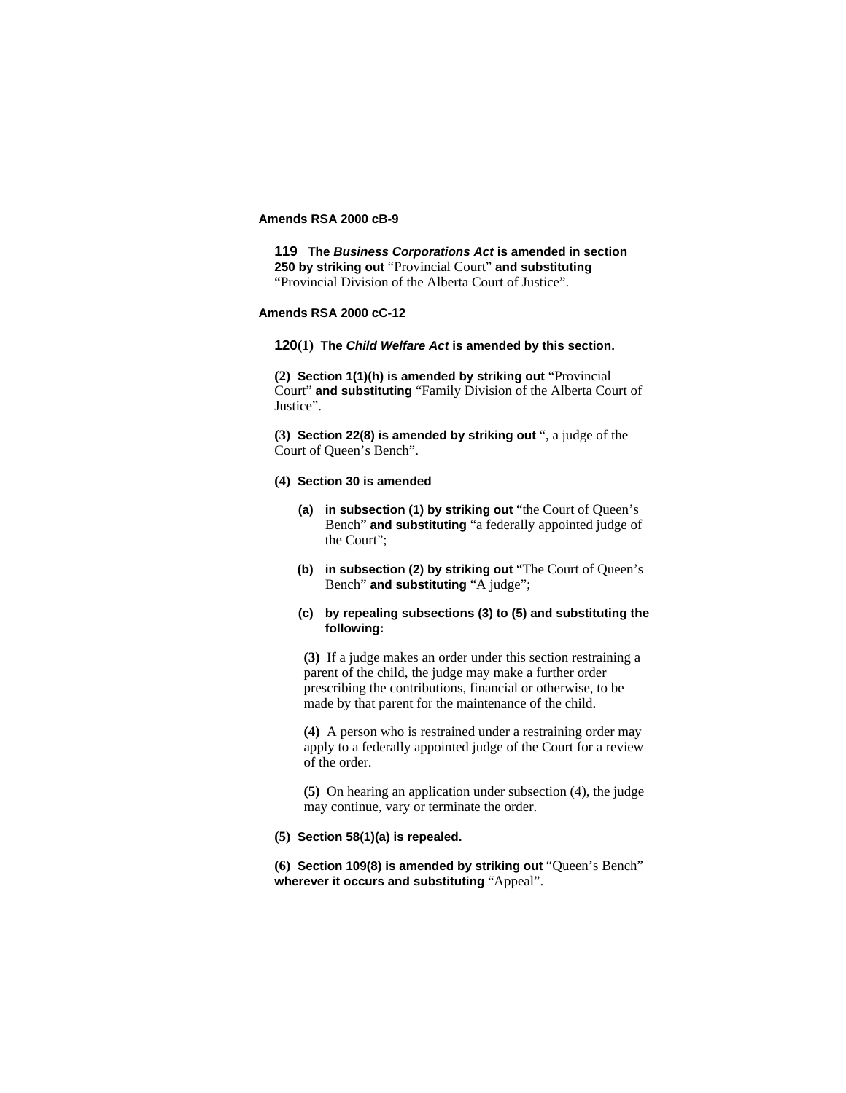# **Amends RSA 2000 cB-9**

**119 The** *Business Corporations Act* **is amended in section 250 by striking out** "Provincial Court" **and substituting**  "Provincial Division of the Alberta Court of Justice".

# **Amends RSA 2000 cC-12**

**120(1) The** *Child Welfare Act* **is amended by this section.**

**(2) Section 1(1)(h) is amended by striking out** "Provincial Court" **and substituting** "Family Division of the Alberta Court of Justice".

**(3) Section 22(8) is amended by striking out** ", a judge of the Court of Queen's Bench".

#### **(4) Section 30 is amended**

- **(a) in subsection (1) by striking out** "the Court of Queen's Bench" **and substituting** "a federally appointed judge of the Court";
- **(b) in subsection (2) by striking out** "The Court of Queen's Bench" **and substituting** "A judge";
- **(c) by repealing subsections (3) to (5) and substituting the following:**

**(3)** If a judge makes an order under this section restraining a parent of the child, the judge may make a further order prescribing the contributions, financial or otherwise, to be made by that parent for the maintenance of the child.

**(4)** A person who is restrained under a restraining order may apply to a federally appointed judge of the Court for a review of the order.

**(5)** On hearing an application under subsection (4), the judge may continue, vary or terminate the order.

### **(5) Section 58(1)(a) is repealed.**

**(6) Section 109(8) is amended by striking out** "Queen's Bench" **wherever it occurs and substituting** "Appeal".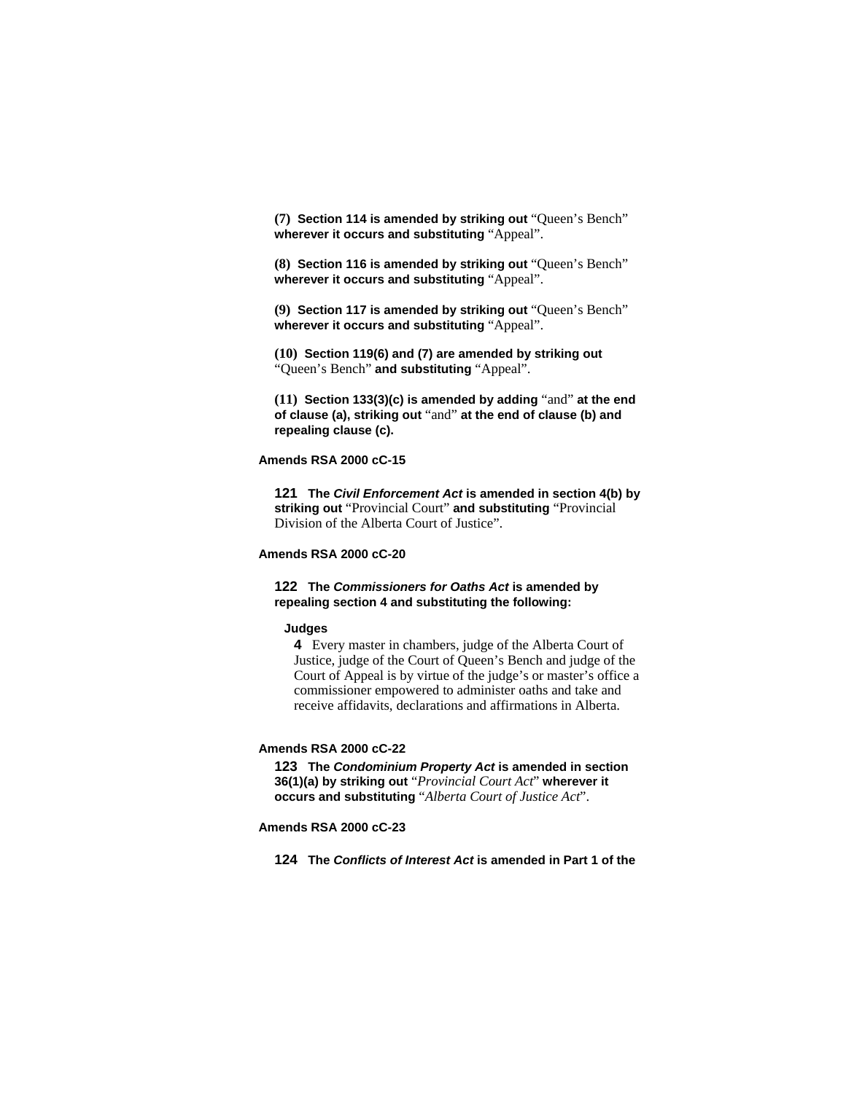**(7) Section 114 is amended by striking out** "Queen's Bench" **wherever it occurs and substituting** "Appeal".

**(8) Section 116 is amended by striking out** "Queen's Bench" **wherever it occurs and substituting** "Appeal".

**(9) Section 117 is amended by striking out** "Queen's Bench" **wherever it occurs and substituting** "Appeal".

**(10) Section 119(6) and (7) are amended by striking out**  "Queen's Bench" **and substituting** "Appeal".

**(11) Section 133(3)(c) is amended by adding** "and" **at the end of clause (a), striking out** "and" **at the end of clause (b) and repealing clause (c).** 

#### **Amends RSA 2000 cC-15**

**121 The** *Civil Enforcement Act* **is amended in section 4(b) by striking out** "Provincial Court" **and substituting** "Provincial Division of the Alberta Court of Justice".

# **Amends RSA 2000 cC-20**

### **122 The** *Commissioners for Oaths Act* **is amended by repealing section 4 and substituting the following:**

#### **Judges**

**4** Every master in chambers, judge of the Alberta Court of Justice, judge of the Court of Queen's Bench and judge of the Court of Appeal is by virtue of the judge's or master's office a commissioner empowered to administer oaths and take and receive affidavits, declarations and affirmations in Alberta.

# **Amends RSA 2000 cC-22**

**123 The** *Condominium Property Act* **is amended in section 36(1)(a) by striking out** "*Provincial Court Act*" **wherever it occurs and substituting** "*Alberta Court of Justice Act*".

# **Amends RSA 2000 cC-23**

**124 The** *Conflicts of Interest Act* **is amended in Part 1 of the**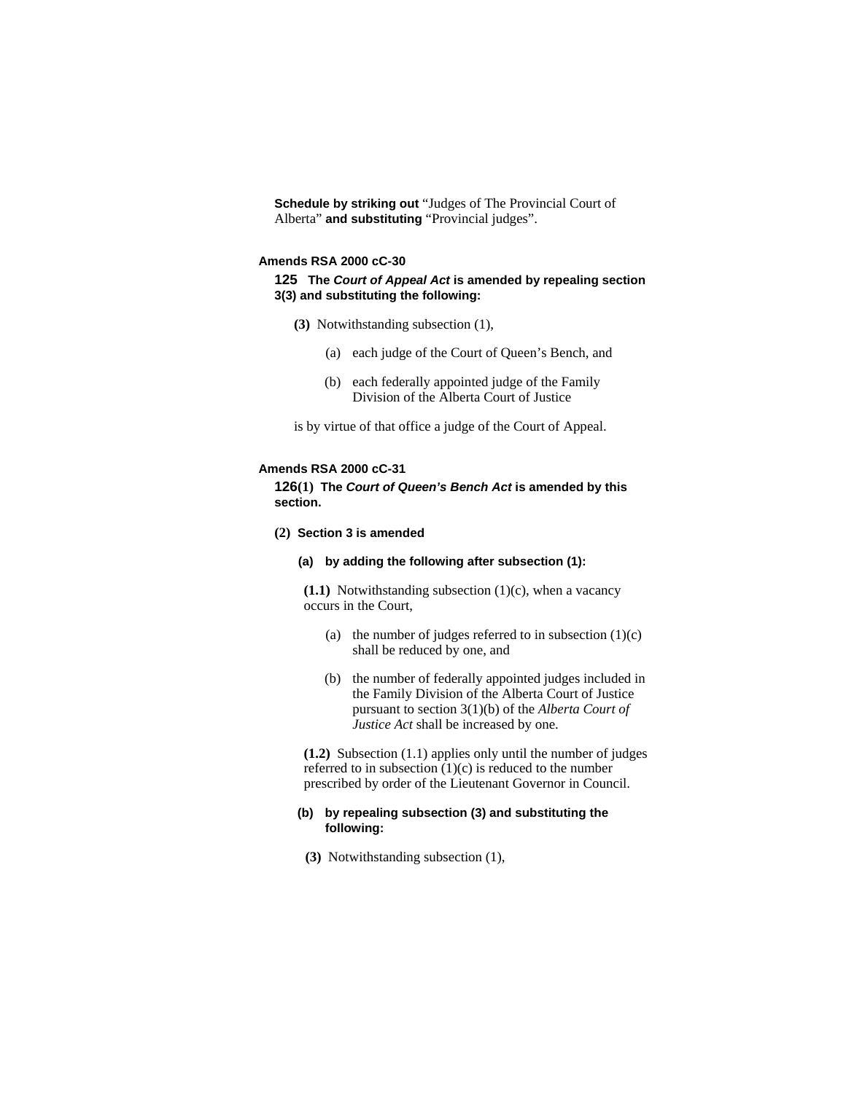**Schedule by striking out** "Judges of The Provincial Court of Alberta" **and substituting** "Provincial judges".

#### **Amends RSA 2000 cC-30**

### **125 The** *Court of Appeal Act* **is amended by repealing section 3(3) and substituting the following:**

- **(3)** Notwithstanding subsection (1),
	- (a) each judge of the Court of Queen's Bench, and
	- (b) each federally appointed judge of the Family Division of the Alberta Court of Justice

is by virtue of that office a judge of the Court of Appeal.

### **Amends RSA 2000 cC-31**

**126(1) The** *Court of Queen's Bench Act* **is amended by this section.**

**(2) Section 3 is amended**

# **(a) by adding the following after subsection (1):**

**(1.1)** Notwithstanding subsection (1)(c), when a vacancy occurs in the Court,

- (a) the number of judges referred to in subsection  $(1)(c)$ shall be reduced by one, and
- (b) the number of federally appointed judges included in the Family Division of the Alberta Court of Justice pursuant to section 3(1)(b) of the *Alberta Court of Justice Act* shall be increased by one.

**(1.2)** Subsection (1.1) applies only until the number of judges referred to in subsection  $(1)(c)$  is reduced to the number prescribed by order of the Lieutenant Governor in Council.

### **(b) by repealing subsection (3) and substituting the following:**

**(3)** Notwithstanding subsection (1),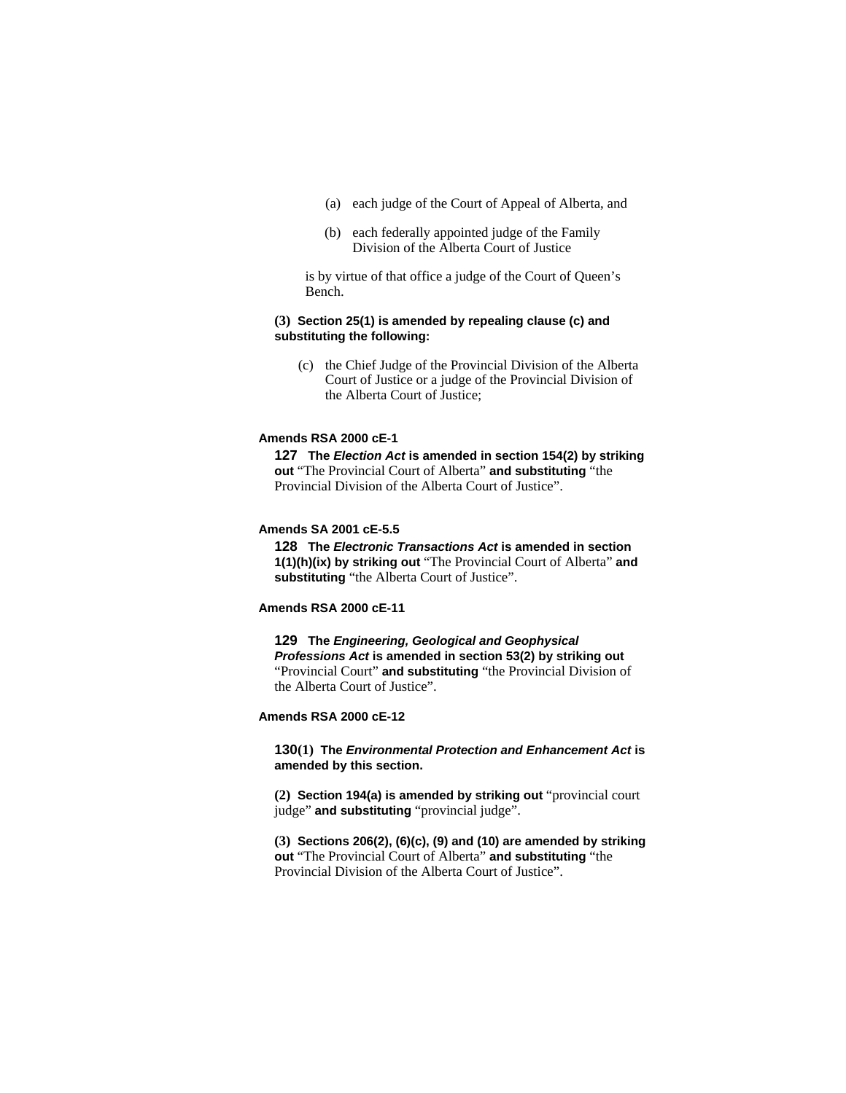- (a) each judge of the Court of Appeal of Alberta, and
- (b) each federally appointed judge of the Family Division of the Alberta Court of Justice

is by virtue of that office a judge of the Court of Queen's Bench.

### **(3) Section 25(1) is amended by repealing clause (c) and substituting the following:**

 (c) the Chief Judge of the Provincial Division of the Alberta Court of Justice or a judge of the Provincial Division of the Alberta Court of Justice;

#### **Amends RSA 2000 cE-1**

**127 The** *Election Act* **is amended in section 154(2) by striking out** "The Provincial Court of Alberta" **and substituting** "the Provincial Division of the Alberta Court of Justice".

# **Amends SA 2001 cE-5.5**

**128 The** *Electronic Transactions Act* **is amended in section 1(1)(h)(ix) by striking out** "The Provincial Court of Alberta" **and substituting** "the Alberta Court of Justice".

#### **Amends RSA 2000 cE-11**

**129 The** *Engineering, Geological and Geophysical Professions Act* **is amended in section 53(2) by striking out**  "Provincial Court" **and substituting** "the Provincial Division of the Alberta Court of Justice".

#### **Amends RSA 2000 cE-12**

**130(1) The** *Environmental Protection and Enhancement Act* **is amended by this section.**

**(2) Section 194(a) is amended by striking out** "provincial court judge" **and substituting** "provincial judge".

**(3) Sections 206(2), (6)(c), (9) and (10) are amended by striking out** "The Provincial Court of Alberta" **and substituting** "the Provincial Division of the Alberta Court of Justice".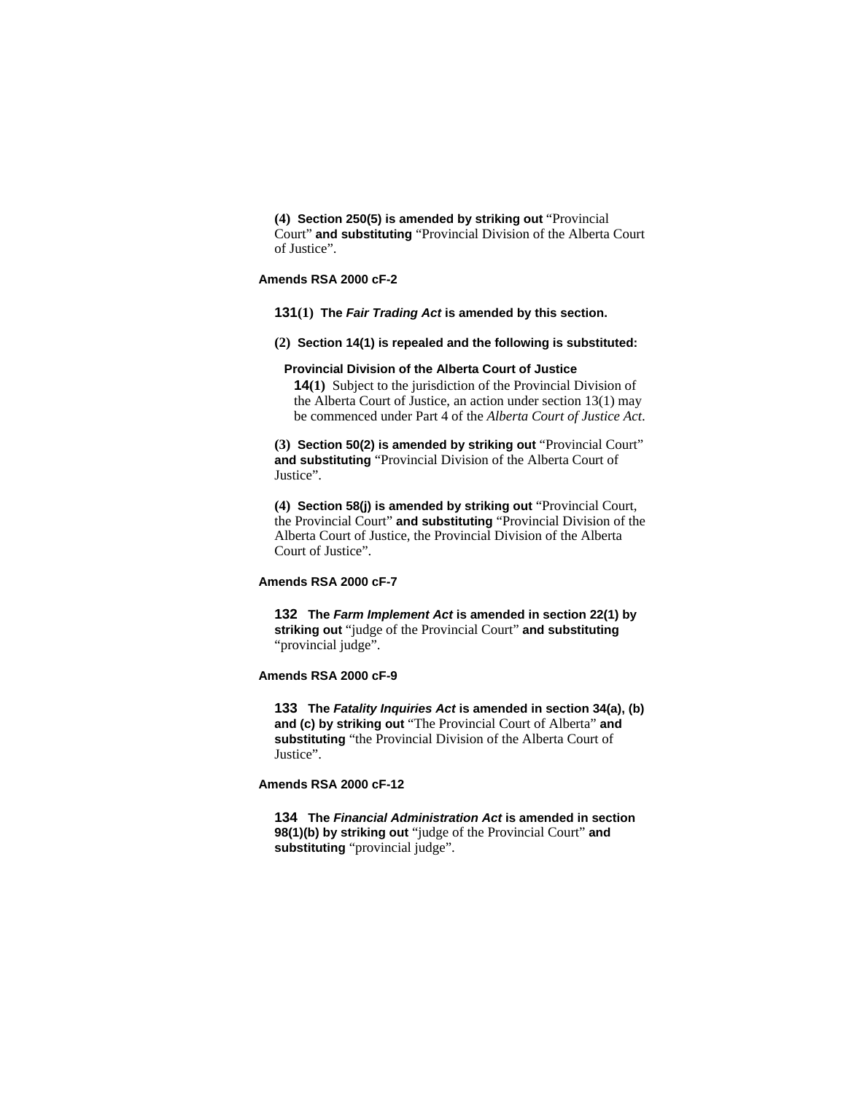**(4) Section 250(5) is amended by striking out** "Provincial Court" **and substituting** "Provincial Division of the Alberta Court of Justice".

### **Amends RSA 2000 cF-2**

**131(1) The** *Fair Trading Act* **is amended by this section.** 

**(2) Section 14(1) is repealed and the following is substituted:**

#### **Provincial Division of the Alberta Court of Justice**

**14(1)** Subject to the jurisdiction of the Provincial Division of the Alberta Court of Justice, an action under section 13(1) may be commenced under Part 4 of the *Alberta Court of Justice Act*.

**(3) Section 50(2) is amended by striking out** "Provincial Court" **and substituting** "Provincial Division of the Alberta Court of Justice".

**(4) Section 58(j) is amended by striking out** "Provincial Court, the Provincial Court" **and substituting** "Provincial Division of the Alberta Court of Justice, the Provincial Division of the Alberta Court of Justice".

# **Amends RSA 2000 cF-7**

**132 The** *Farm Implement Act* **is amended in section 22(1) by striking out** "judge of the Provincial Court" **and substituting**  "provincial judge".

## **Amends RSA 2000 cF-9**

**133 The** *Fatality Inquiries Act* **is amended in section 34(a), (b) and (c) by striking out** "The Provincial Court of Alberta" **and substituting** "the Provincial Division of the Alberta Court of Justice".

# **Amends RSA 2000 cF-12**

**134 The** *Financial Administration Act* **is amended in section 98(1)(b) by striking out** "judge of the Provincial Court" **and substituting** "provincial judge".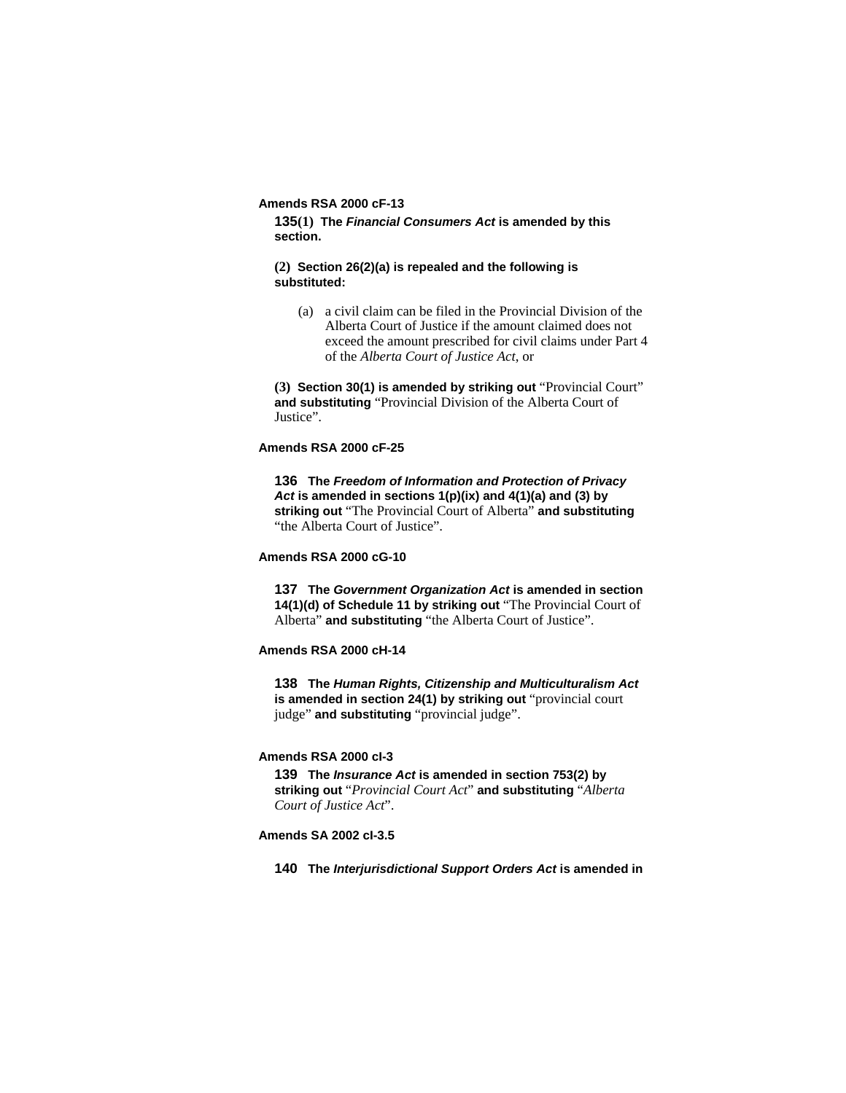### **Amends RSA 2000 cF-13**

**135(1) The** *Financial Consumers Act* **is amended by this section.**

# **(2) Section 26(2)(a) is repealed and the following is substituted:**

 (a) a civil claim can be filed in the Provincial Division of the Alberta Court of Justice if the amount claimed does not exceed the amount prescribed for civil claims under Part 4 of the *Alberta Court of Justice Act*, or

**(3) Section 30(1) is amended by striking out** "Provincial Court" **and substituting** "Provincial Division of the Alberta Court of Justice".

# **Amends RSA 2000 cF-25**

**136 The** *Freedom of Information and Protection of Privacy Act* **is amended in sections 1(p)(ix) and 4(1)(a) and (3) by striking out** "The Provincial Court of Alberta" **and substituting**  "the Alberta Court of Justice".

#### **Amends RSA 2000 cG-10**

**137 The** *Government Organization Act* **is amended in section 14(1)(d) of Schedule 11 by striking out** "The Provincial Court of Alberta" **and substituting** "the Alberta Court of Justice".

#### **Amends RSA 2000 cH-14**

**138 The** *Human Rights, Citizenship and Multiculturalism Act* **is amended in section 24(1) by striking out** "provincial court judge" **and substituting** "provincial judge".

### **Amends RSA 2000 cI-3**

**139 The** *Insurance Act* **is amended in section 753(2) by striking out** "*Provincial Court Act*" **and substituting** "*Alberta Court of Justice Act*".

# **Amends SA 2002 cI-3.5**

**140 The** *Interjurisdictional Support Orders Act* **is amended in**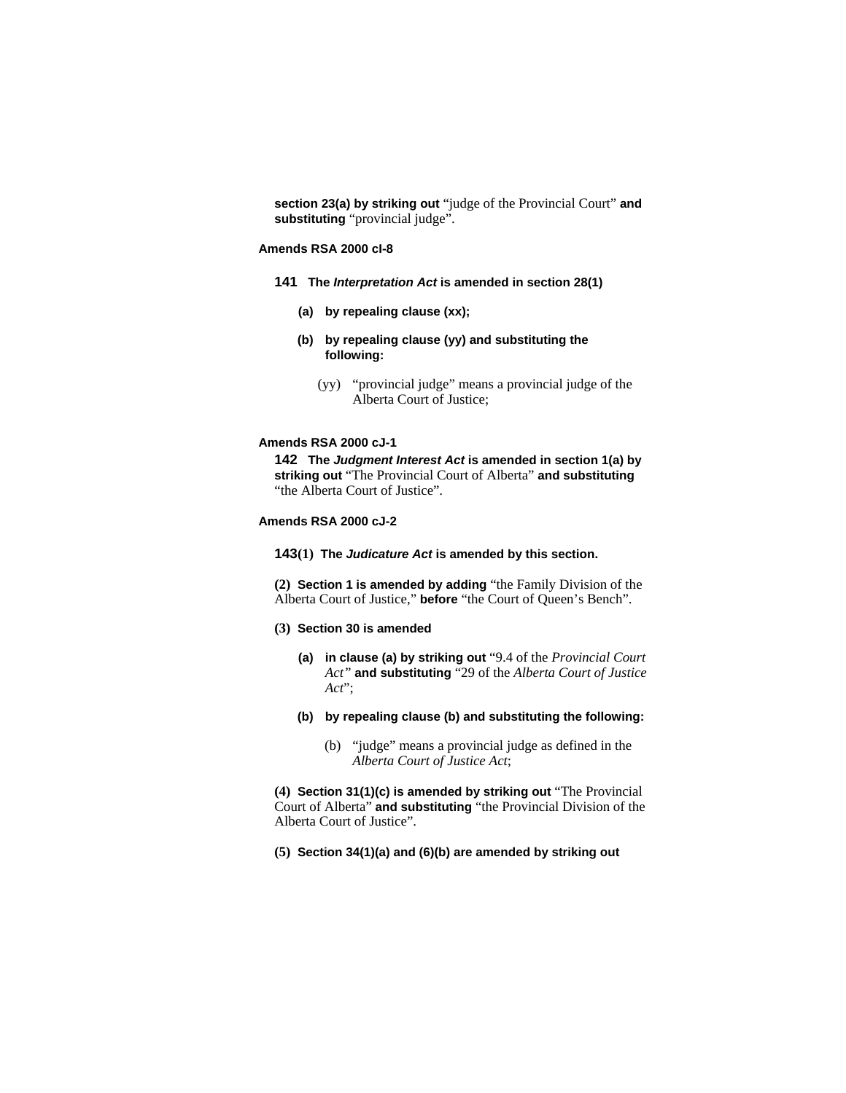**section 23(a) by striking out** "judge of the Provincial Court" **and substituting** "provincial judge".

### **Amends RSA 2000 cI-8**

- **141 The** *Interpretation Act* **is amended in section 28(1)**
	- **(a) by repealing clause (xx);**
	- **(b) by repealing clause (yy) and substituting the following:**
		- (yy) "provincial judge" means a provincial judge of the Alberta Court of Justice;

## **Amends RSA 2000 cJ-1**

**142 The** *Judgment Interest Act* **is amended in section 1(a) by striking out** "The Provincial Court of Alberta" **and substituting**  "the Alberta Court of Justice".

#### **Amends RSA 2000 cJ-2**

**143(1) The** *Judicature Act* **is amended by this section.**

**(2) Section 1 is amended by adding** "the Family Division of the Alberta Court of Justice," **before** "the Court of Queen's Bench".

### **(3) Section 30 is amended**

- **(a) in clause (a) by striking out** "9.4 of the *Provincial Court Act"* **and substituting** "29 of the *Alberta Court of Justice Act*";
- **(b) by repealing clause (b) and substituting the following:**
	- (b) "judge" means a provincial judge as defined in the *Alberta Court of Justice Act*;

**(4) Section 31(1)(c) is amended by striking out** "The Provincial Court of Alberta" **and substituting** "the Provincial Division of the Alberta Court of Justice".

**(5) Section 34(1)(a) and (6)(b) are amended by striking out**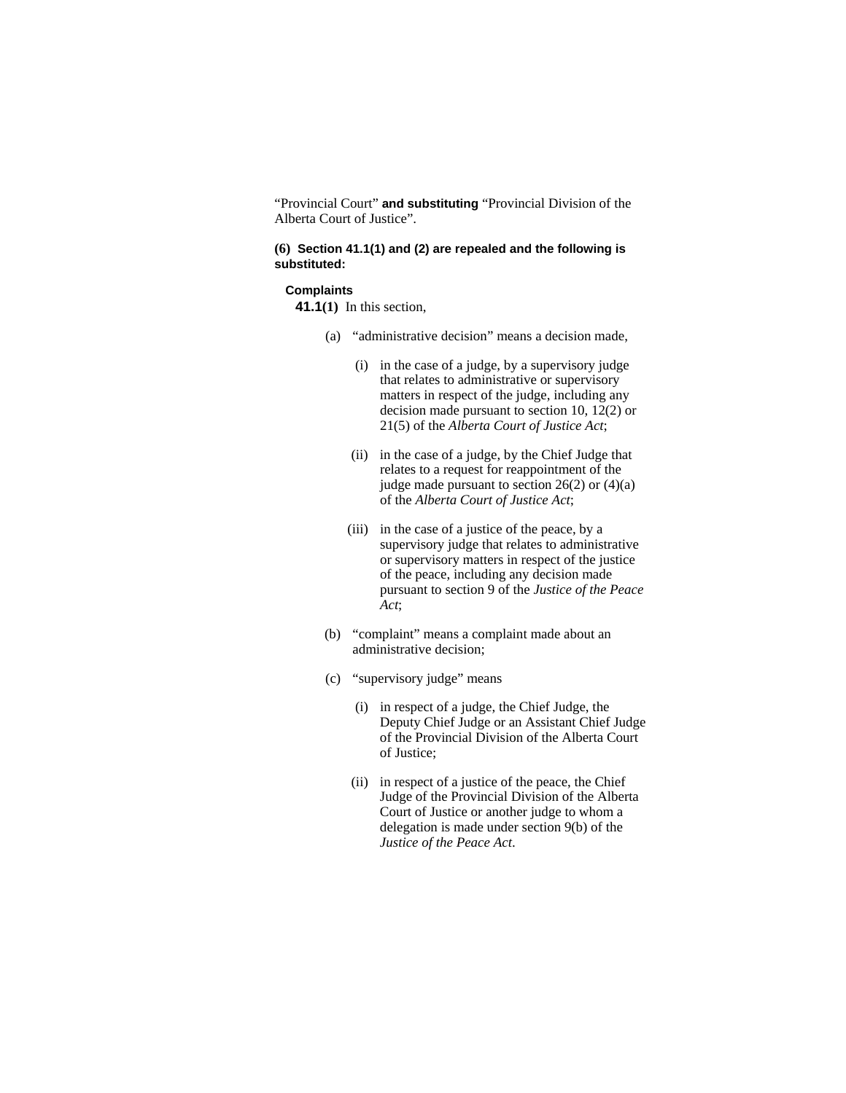"Provincial Court" **and substituting** "Provincial Division of the Alberta Court of Justice".

# **(6) Section 41.1(1) and (2) are repealed and the following is substituted:**

### **Complaints**

**41.1(1)** In this section,

- (a) "administrative decision" means a decision made,
	- (i) in the case of a judge, by a supervisory judge that relates to administrative or supervisory matters in respect of the judge, including any decision made pursuant to section 10, 12(2) or 21(5) of the *Alberta Court of Justice Act*;
	- (ii) in the case of a judge, by the Chief Judge that relates to a request for reappointment of the judge made pursuant to section 26(2) or (4)(a) of the *Alberta Court of Justice Act*;
	- (iii) in the case of a justice of the peace, by a supervisory judge that relates to administrative or supervisory matters in respect of the justice of the peace, including any decision made pursuant to section 9 of the *Justice of the Peace Act*;
- (b) "complaint" means a complaint made about an administrative decision;
- (c) "supervisory judge" means
	- (i) in respect of a judge, the Chief Judge, the Deputy Chief Judge or an Assistant Chief Judge of the Provincial Division of the Alberta Court of Justice;
	- (ii) in respect of a justice of the peace, the Chief Judge of the Provincial Division of the Alberta Court of Justice or another judge to whom a delegation is made under section 9(b) of the *Justice of the Peace Act*.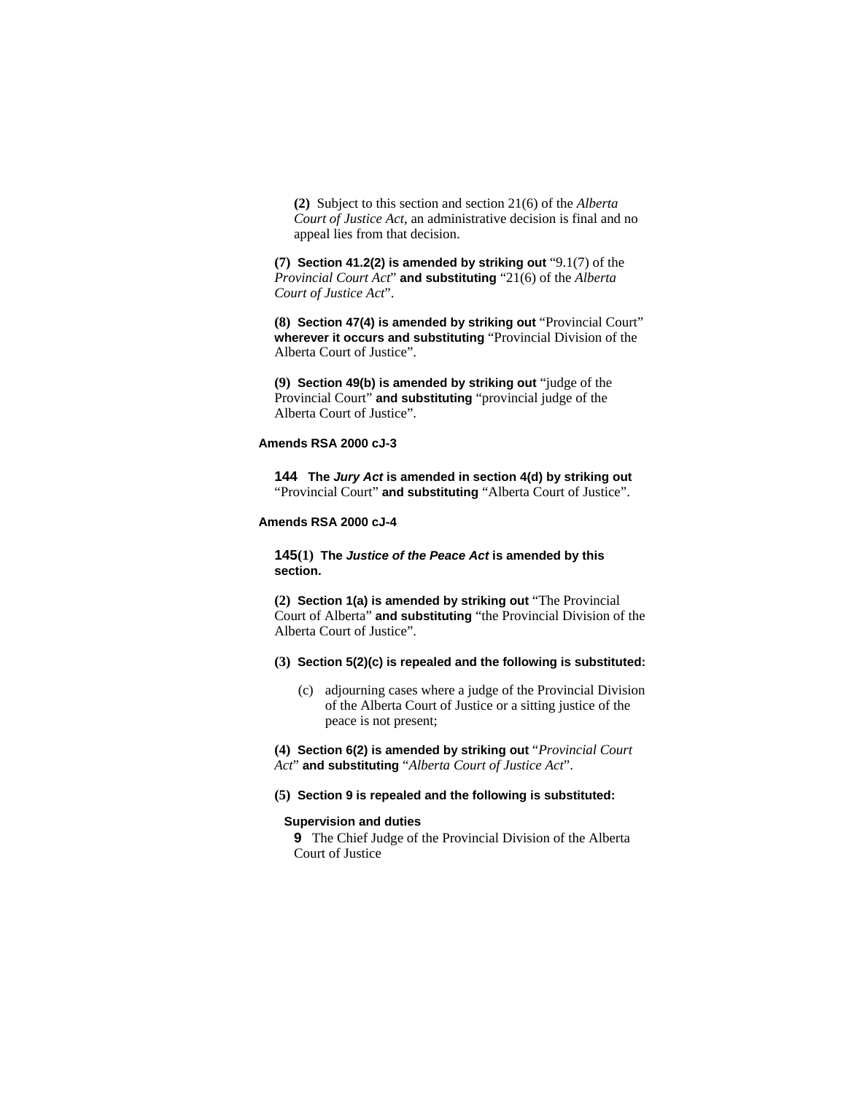**(2)** Subject to this section and section 21(6) of the *Alberta Court of Justice Act*, an administrative decision is final and no appeal lies from that decision.

**(7) Section 41.2(2) is amended by striking out** "9.1(7) of the *Provincial Court Act*" **and substituting** "21(6) of the *Alberta Court of Justice Act*".

**(8) Section 47(4) is amended by striking out** "Provincial Court" **wherever it occurs and substituting** "Provincial Division of the Alberta Court of Justice".

**(9) Section 49(b) is amended by striking out** "judge of the Provincial Court" **and substituting** "provincial judge of the Alberta Court of Justice".

# **Amends RSA 2000 cJ-3**

**144 The** *Jury Act* **is amended in section 4(d) by striking out**  "Provincial Court" **and substituting** "Alberta Court of Justice".

# **Amends RSA 2000 cJ-4**

**145(1) The** *Justice of the Peace Act* **is amended by this section.**

**(2) Section 1(a) is amended by striking out** "The Provincial Court of Alberta" **and substituting** "the Provincial Division of the Alberta Court of Justice".

# **(3) Section 5(2)(c) is repealed and the following is substituted:**

 (c) adjourning cases where a judge of the Provincial Division of the Alberta Court of Justice or a sitting justice of the peace is not present;

**(4) Section 6(2) is amended by striking out** "*Provincial Court Act*" **and substituting** "*Alberta Court of Justice Act*".

**(5) Section 9 is repealed and the following is substituted:**

#### **Supervision and duties**

**9** The Chief Judge of the Provincial Division of the Alberta Court of Justice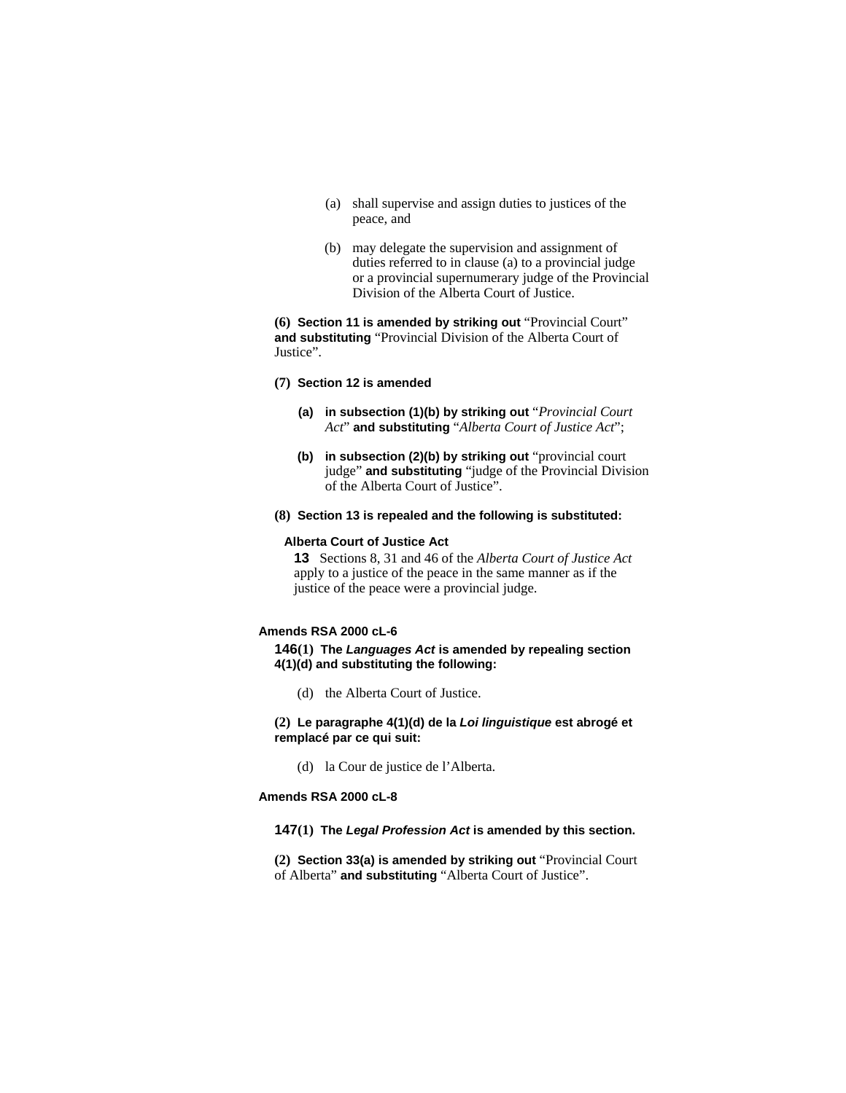- (a) shall supervise and assign duties to justices of the peace, and
- (b) may delegate the supervision and assignment of duties referred to in clause (a) to a provincial judge or a provincial supernumerary judge of the Provincial Division of the Alberta Court of Justice.

**(6) Section 11 is amended by striking out** "Provincial Court" **and substituting** "Provincial Division of the Alberta Court of Justice".

#### **(7) Section 12 is amended**

- **(a) in subsection (1)(b) by striking out** "*Provincial Court Act*" **and substituting** "*Alberta Court of Justice Act*";
- **(b) in subsection (2)(b) by striking out** "provincial court judge" **and substituting** "judge of the Provincial Division of the Alberta Court of Justice".
- **(8) Section 13 is repealed and the following is substituted:**

#### **Alberta Court of Justice Act**

**13** Sections 8, 31 and 46 of the *Alberta Court of Justice Act* apply to a justice of the peace in the same manner as if the justice of the peace were a provincial judge.

# **Amends RSA 2000 cL-6**

**146(1) The** *Languages Act* **is amended by repealing section 4(1)(d) and substituting the following:**

(d) the Alberta Court of Justice.

**(2) Le paragraphe 4(1)(d) de la** *Loi linguistique* **est abrogé et remplacé par ce qui suit:**

(d) la Cour de justice de l'Alberta.

**Amends RSA 2000 cL-8** 

### **147(1) The** *Legal Profession Act* **is amended by this section.**

**(2) Section 33(a) is amended by striking out** "Provincial Court of Alberta" **and substituting** "Alberta Court of Justice".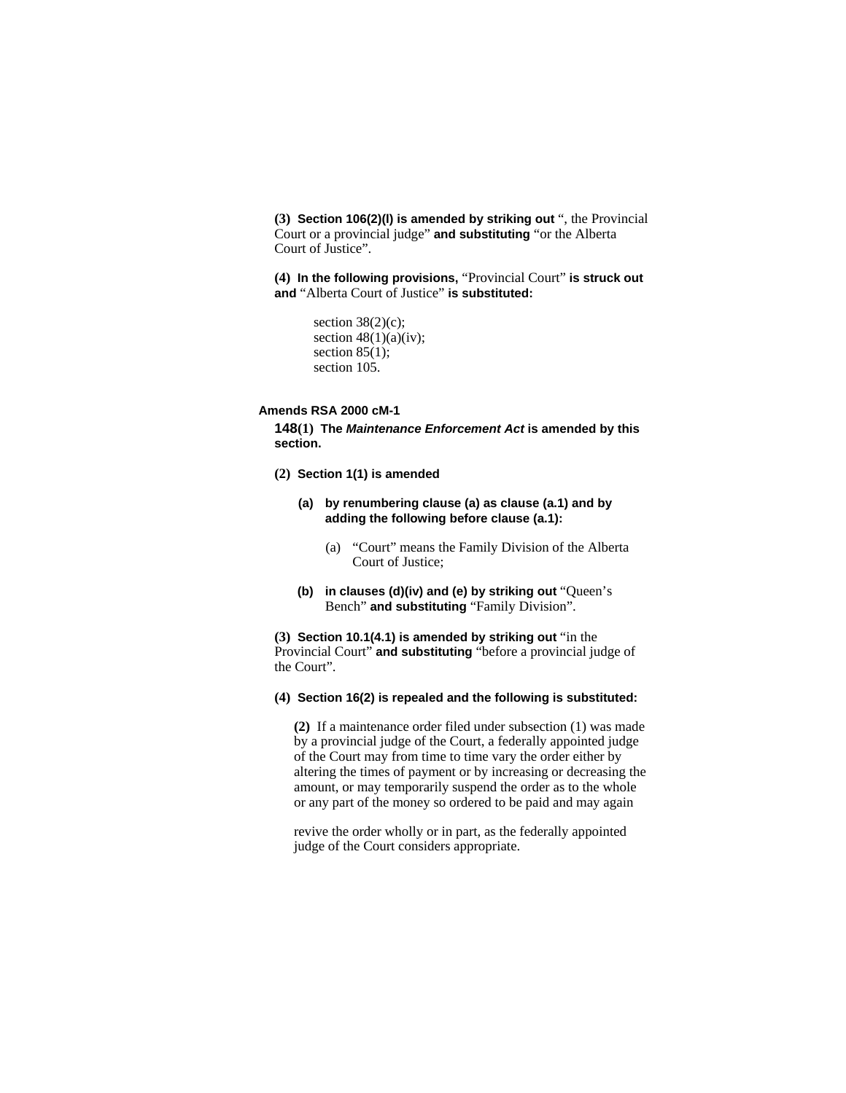**(3) Section 106(2)(l) is amended by striking out** ", the Provincial Court or a provincial judge" **and substituting** "or the Alberta Court of Justice".

**(4) In the following provisions,** "Provincial Court" **is struck out and** "Alberta Court of Justice" **is substituted:**

```
section 38(2)(c);
section 48(1)(a)(iv);
section 85(1);
section 105.
```
### **Amends RSA 2000 cM-1**

**148(1) The** *Maintenance Enforcement Act* **is amended by this section.**

- **(2) Section 1(1) is amended**
	- **(a) by renumbering clause (a) as clause (a.1) and by adding the following before clause (a.1):**
		- (a) "Court" means the Family Division of the Alberta Court of Justice;
	- **(b) in clauses (d)(iv) and (e) by striking out** "Queen's Bench" **and substituting** "Family Division".

**(3) Section 10.1(4.1) is amended by striking out** "in the Provincial Court" **and substituting** "before a provincial judge of the Court".

# **(4) Section 16(2) is repealed and the following is substituted:**

**(2)** If a maintenance order filed under subsection (1) was made by a provincial judge of the Court, a federally appointed judge of the Court may from time to time vary the order either by altering the times of payment or by increasing or decreasing the amount, or may temporarily suspend the order as to the whole or any part of the money so ordered to be paid and may again

revive the order wholly or in part, as the federally appointed judge of the Court considers appropriate.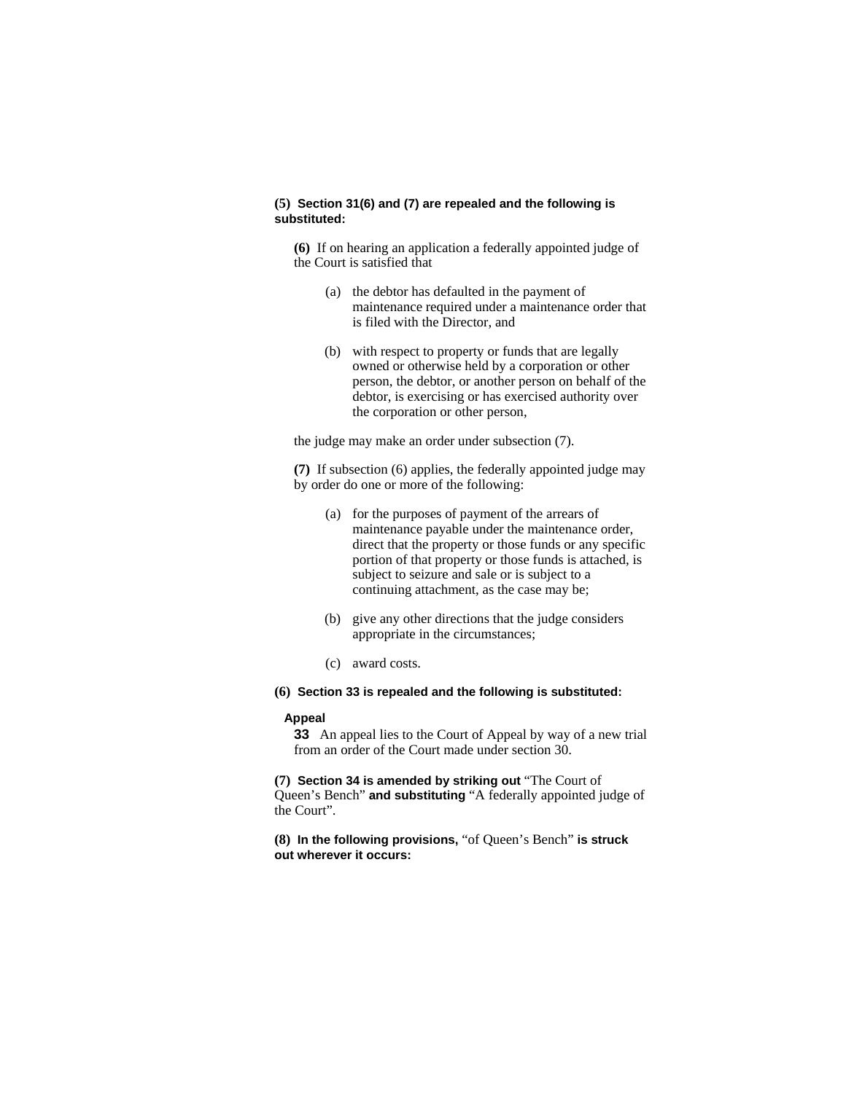# **(5) Section 31(6) and (7) are repealed and the following is substituted:**

**(6)** If on hearing an application a federally appointed judge of the Court is satisfied that

- (a) the debtor has defaulted in the payment of maintenance required under a maintenance order that is filed with the Director, and
- (b) with respect to property or funds that are legally owned or otherwise held by a corporation or other person, the debtor, or another person on behalf of the debtor, is exercising or has exercised authority over the corporation or other person,

the judge may make an order under subsection (7).

**(7)** If subsection (6) applies, the federally appointed judge may by order do one or more of the following:

- (a) for the purposes of payment of the arrears of maintenance payable under the maintenance order, direct that the property or those funds or any specific portion of that property or those funds is attached, is subject to seizure and sale or is subject to a continuing attachment, as the case may be;
- (b) give any other directions that the judge considers appropriate in the circumstances;
- (c) award costs.
- **(6) Section 33 is repealed and the following is substituted:**

#### **Appeal**

**33** An appeal lies to the Court of Appeal by way of a new trial from an order of the Court made under section 30.

**(7) Section 34 is amended by striking out** "The Court of Queen's Bench" **and substituting** "A federally appointed judge of the Court".

**(8) In the following provisions,** "of Queen's Bench" **is struck out wherever it occurs:**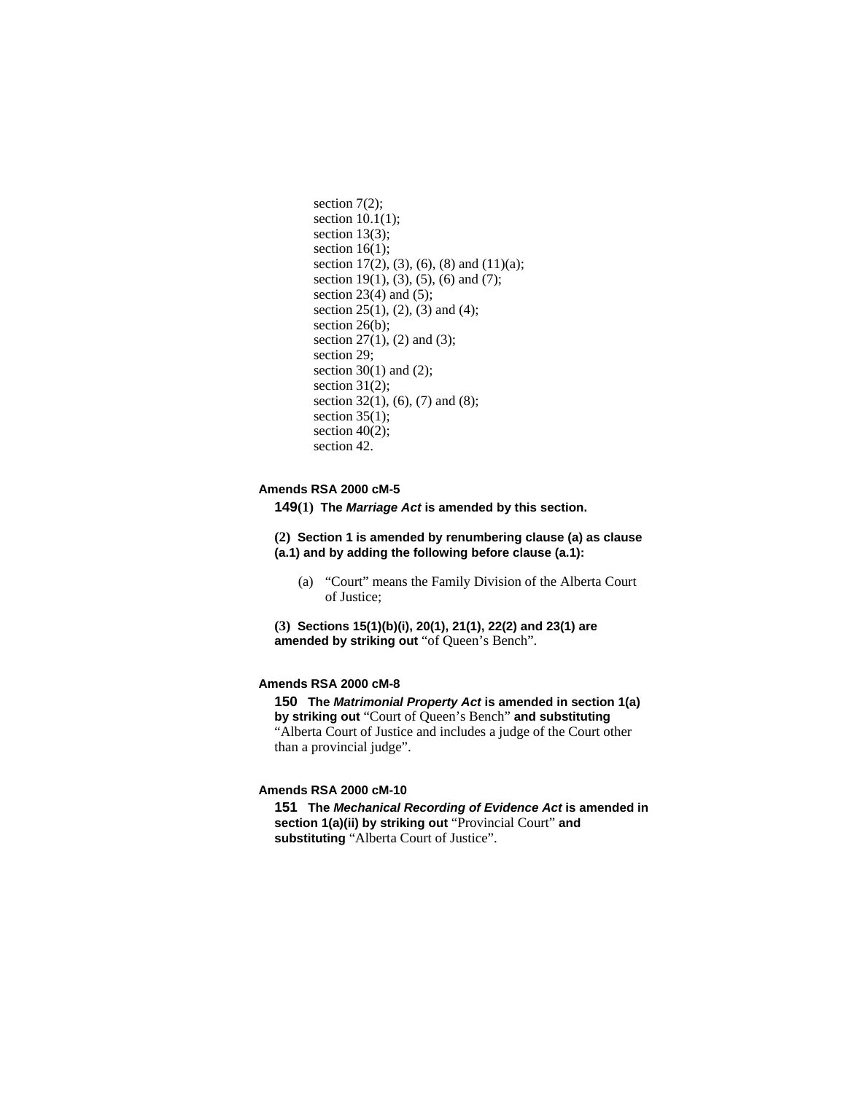```
section 7(2);
section 10.1(1);
section 13(3);
section 16(1);
section 17(2), (3), (6), (8) and (11)(a);
section 19(1), (3), (5), (6) and (7);
section 23(4) and (5);
section 25(1), (2), (3) and (4); 
section 26(b);
section 27(1), (2) and (3);
section 29; 
section 30(1) and (2);
section 31(2);
section 32(1), (6), (7) and (8);
section 35(1);
section 40(2);
section 42.
```
# **Amends RSA 2000 cM-5**

**149(1) The** *Marriage Act* **is amended by this section.**

**(2) Section 1 is amended by renumbering clause (a) as clause (a.1) and by adding the following before clause (a.1):**

 (a) "Court" means the Family Division of the Alberta Court of Justice;

**(3) Sections 15(1)(b)(i), 20(1), 21(1), 22(2) and 23(1) are amended by striking out** "of Queen's Bench".

# **Amends RSA 2000 cM-8**

**150 The** *Matrimonial Property Act* **is amended in section 1(a) by striking out** "Court of Queen's Bench" **and substituting**  "Alberta Court of Justice and includes a judge of the Court other than a provincial judge".

### **Amends RSA 2000 cM-10**

**151 The** *Mechanical Recording of Evidence Act* **is amended in section 1(a)(ii) by striking out** "Provincial Court" **and substituting** "Alberta Court of Justice".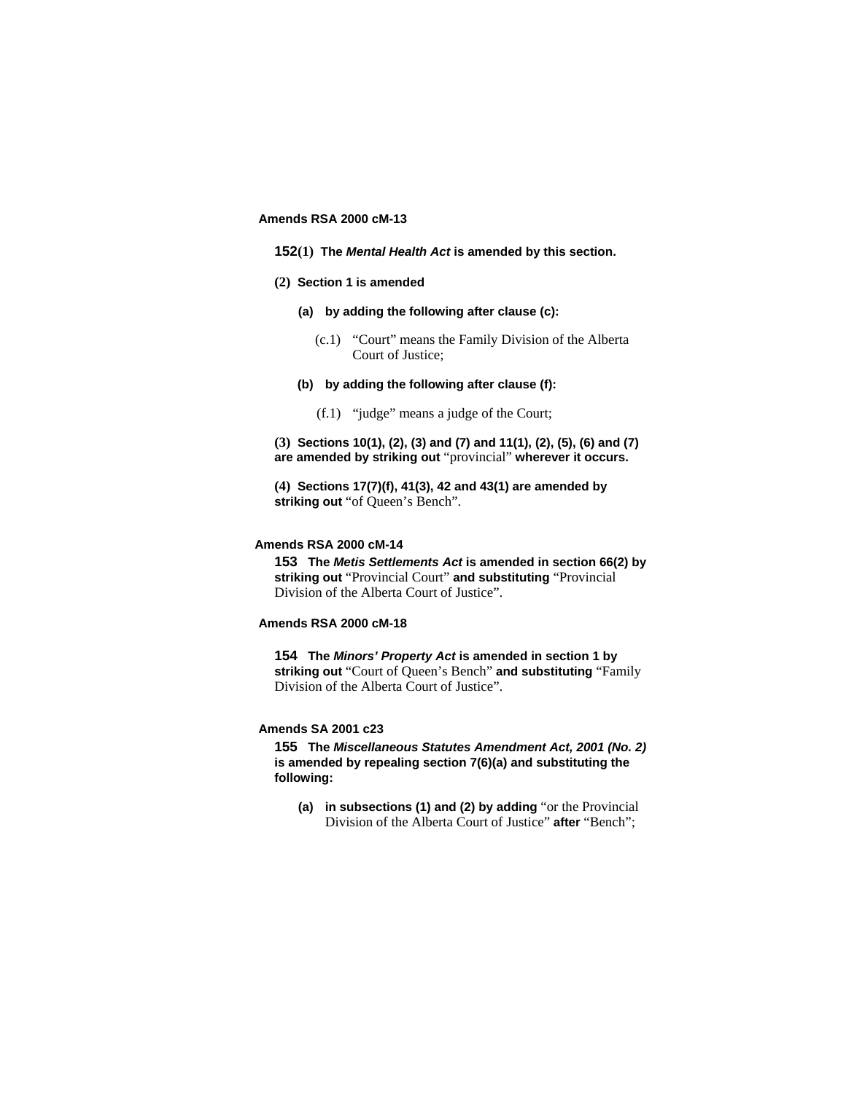### **Amends RSA 2000 cM-13**

- **152(1) The** *Mental Health Act* **is amended by this section.**
- **(2) Section 1 is amended**
	- **(a) by adding the following after clause (c):**
		- (c.1) "Court" means the Family Division of the Alberta Court of Justice;
	- **(b) by adding the following after clause (f):**
		- (f.1) "judge" means a judge of the Court;

**(3) Sections 10(1), (2), (3) and (7) and 11(1), (2), (5), (6) and (7) are amended by striking out** "provincial" **wherever it occurs.**

**(4) Sections 17(7)(f), 41(3), 42 and 43(1) are amended by striking out** "of Queen's Bench".

### **Amends RSA 2000 cM-14**

**153 The** *Metis Settlements Act* **is amended in section 66(2) by striking out** "Provincial Court" **and substituting** "Provincial Division of the Alberta Court of Justice".

## **Amends RSA 2000 cM-18**

**154 The** *Minors' Property Act* **is amended in section 1 by striking out** "Court of Queen's Bench" **and substituting** "Family Division of the Alberta Court of Justice".

# **Amends SA 2001 c23**

**155 The** *Miscellaneous Statutes Amendment Act, 2001 (No. 2)* **is amended by repealing section 7(6)(a) and substituting the following:**

**(a) in subsections (1) and (2) by adding** "or the Provincial Division of the Alberta Court of Justice" **after** "Bench";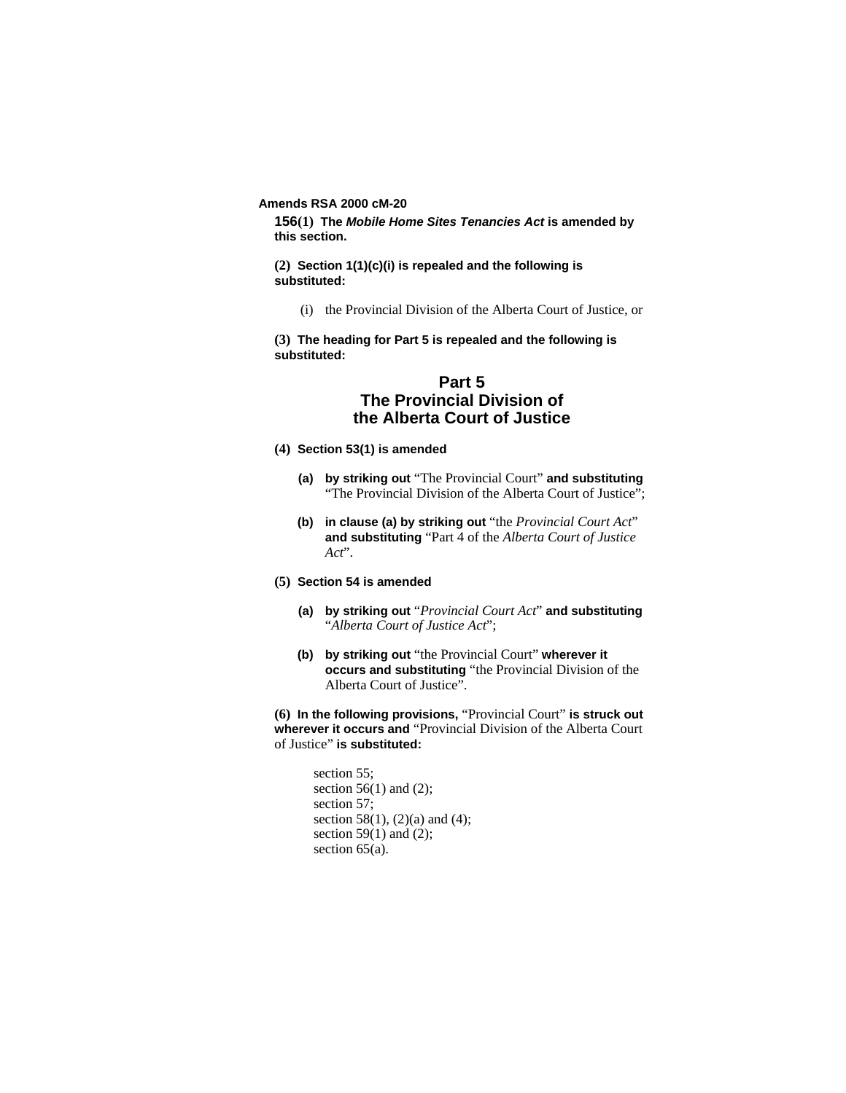**Amends RSA 2000 cM-20** 

**156(1) The** *Mobile Home Sites Tenancies Act* **is amended by this section.**

**(2) Section 1(1)(c)(i) is repealed and the following is substituted:**

(i) the Provincial Division of the Alberta Court of Justice, or

**(3) The heading for Part 5 is repealed and the following is substituted:**

# **Part 5 The Provincial Division of the Alberta Court of Justice**

- **(4) Section 53(1) is amended**
	- **(a) by striking out** "The Provincial Court" **and substituting**  "The Provincial Division of the Alberta Court of Justice";
	- **(b) in clause (a) by striking out** "the *Provincial Court Act*" **and substituting** "Part 4 of the *Alberta Court of Justice Act*".
- **(5) Section 54 is amended**
	- **(a) by striking out** "*Provincial Court Act*" **and substituting**  "*Alberta Court of Justice Act*";
	- **(b) by striking out** "the Provincial Court" **wherever it occurs and substituting** "the Provincial Division of the Alberta Court of Justice".

**(6) In the following provisions,** "Provincial Court" **is struck out wherever it occurs and** "Provincial Division of the Alberta Court of Justice" **is substituted:**

```
section 55;
section 56(1) and (2);
section 57; 
section 58(1), (2)(a) and (4);
section 59(1) and (2);
section 65(a).
```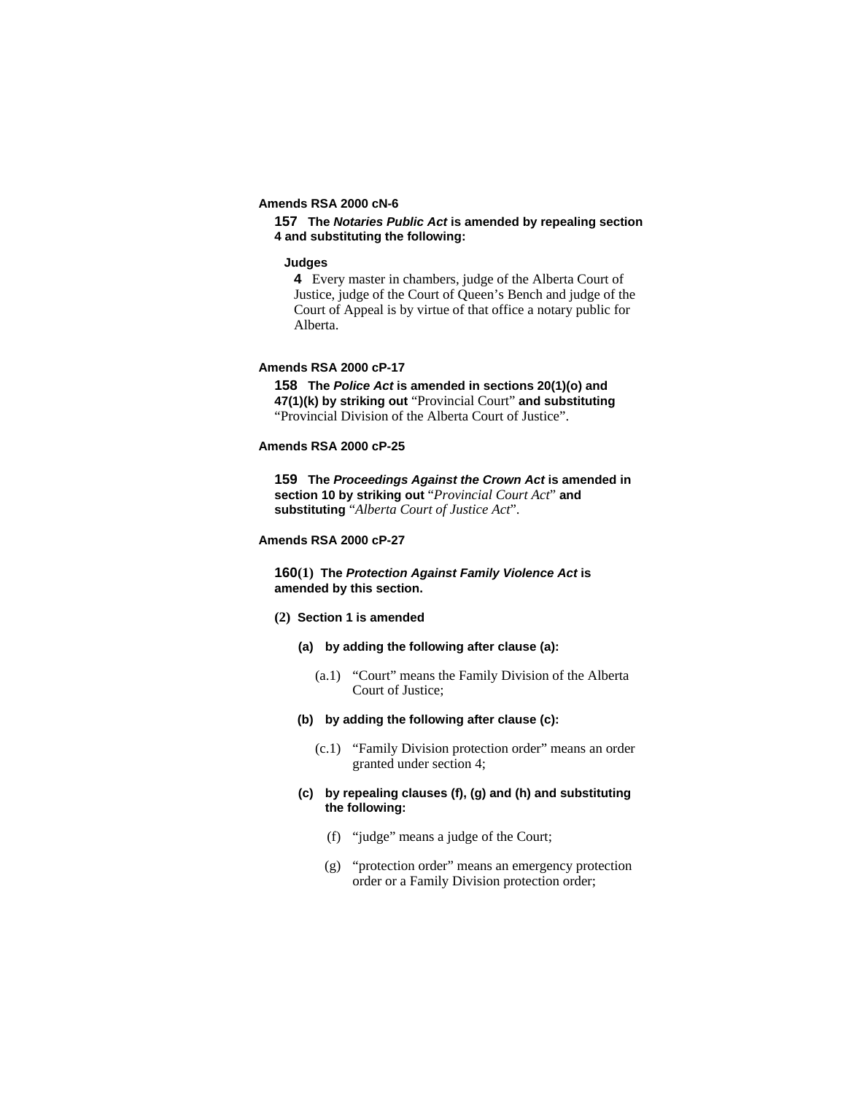# **Amends RSA 2000 cN-6**

# **157 The** *Notaries Public Act* **is amended by repealing section 4 and substituting the following:**

#### **Judges**

**4** Every master in chambers, judge of the Alberta Court of Justice, judge of the Court of Queen's Bench and judge of the Court of Appeal is by virtue of that office a notary public for Alberta.

## **Amends RSA 2000 cP-17**

**158 The** *Police Act* **is amended in sections 20(1)(o) and 47(1)(k) by striking out** "Provincial Court" **and substituting**  "Provincial Division of the Alberta Court of Justice".

# **Amends RSA 2000 cP-25**

**159 The** *Proceedings Against the Crown Act* **is amended in section 10 by striking out** "*Provincial Court Act*" **and substituting** "*Alberta Court of Justice Act*".

# **Amends RSA 2000 cP-27**

# **160(1) The** *Protection Against Family Violence Act* **is amended by this section.**

#### **(2) Section 1 is amended**

- **(a) by adding the following after clause (a):**
	- (a.1) "Court" means the Family Division of the Alberta Court of Justice;

## **(b) by adding the following after clause (c):**

- (c.1) "Family Division protection order" means an order granted under section 4;
- **(c) by repealing clauses (f), (g) and (h) and substituting the following:**
	- (f) "judge" means a judge of the Court;
	- (g) "protection order" means an emergency protection order or a Family Division protection order;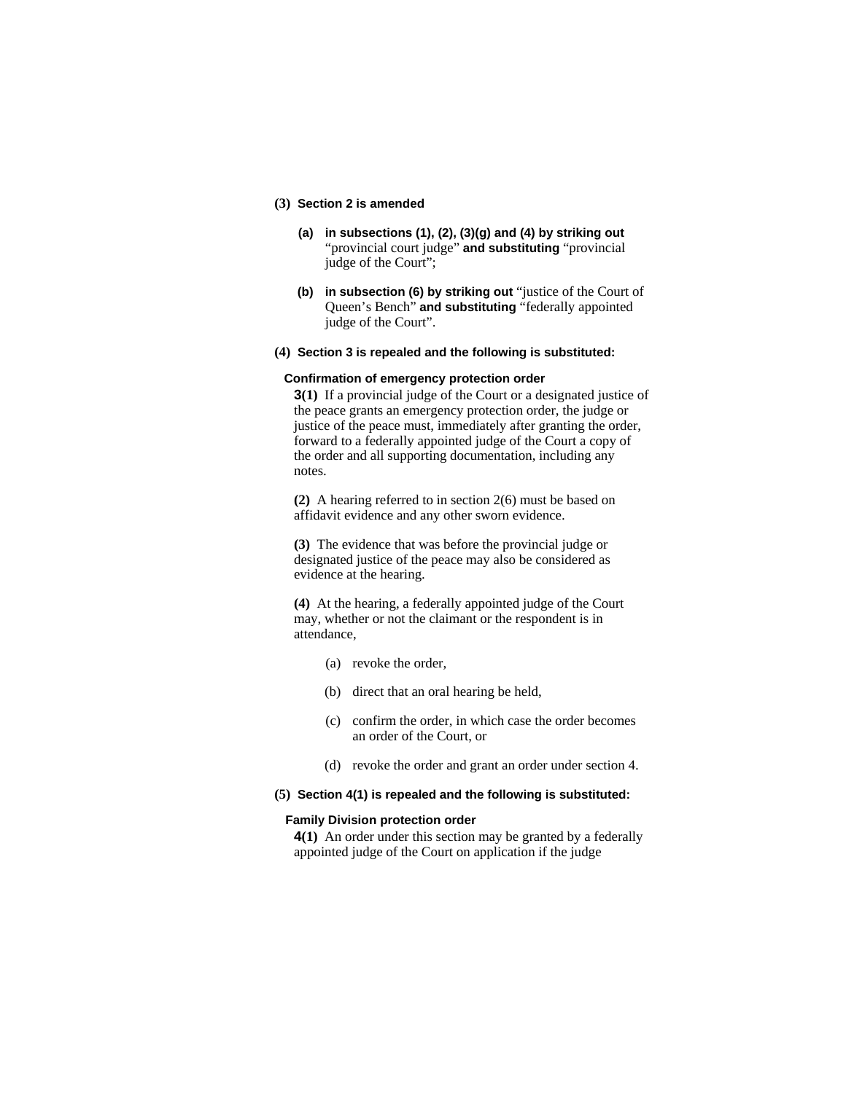## **(3) Section 2 is amended**

- **(a) in subsections (1), (2), (3)(g) and (4) by striking out**  "provincial court judge" **and substituting** "provincial judge of the Court";
- **(b) in subsection (6) by striking out** "justice of the Court of Queen's Bench" **and substituting** "federally appointed judge of the Court".
- **(4) Section 3 is repealed and the following is substituted:**

#### **Confirmation of emergency protection order**

**3(1)** If a provincial judge of the Court or a designated justice of the peace grants an emergency protection order, the judge or justice of the peace must, immediately after granting the order, forward to a federally appointed judge of the Court a copy of the order and all supporting documentation, including any notes.

**(2)** A hearing referred to in section 2(6) must be based on affidavit evidence and any other sworn evidence.

**(3)** The evidence that was before the provincial judge or designated justice of the peace may also be considered as evidence at the hearing.

**(4)** At the hearing, a federally appointed judge of the Court may, whether or not the claimant or the respondent is in attendance,

- (a) revoke the order,
- (b) direct that an oral hearing be held,
- (c) confirm the order, in which case the order becomes an order of the Court, or
- (d) revoke the order and grant an order under section 4.

#### **(5) Section 4(1) is repealed and the following is substituted:**

# **Family Division protection order**

**4(1)** An order under this section may be granted by a federally appointed judge of the Court on application if the judge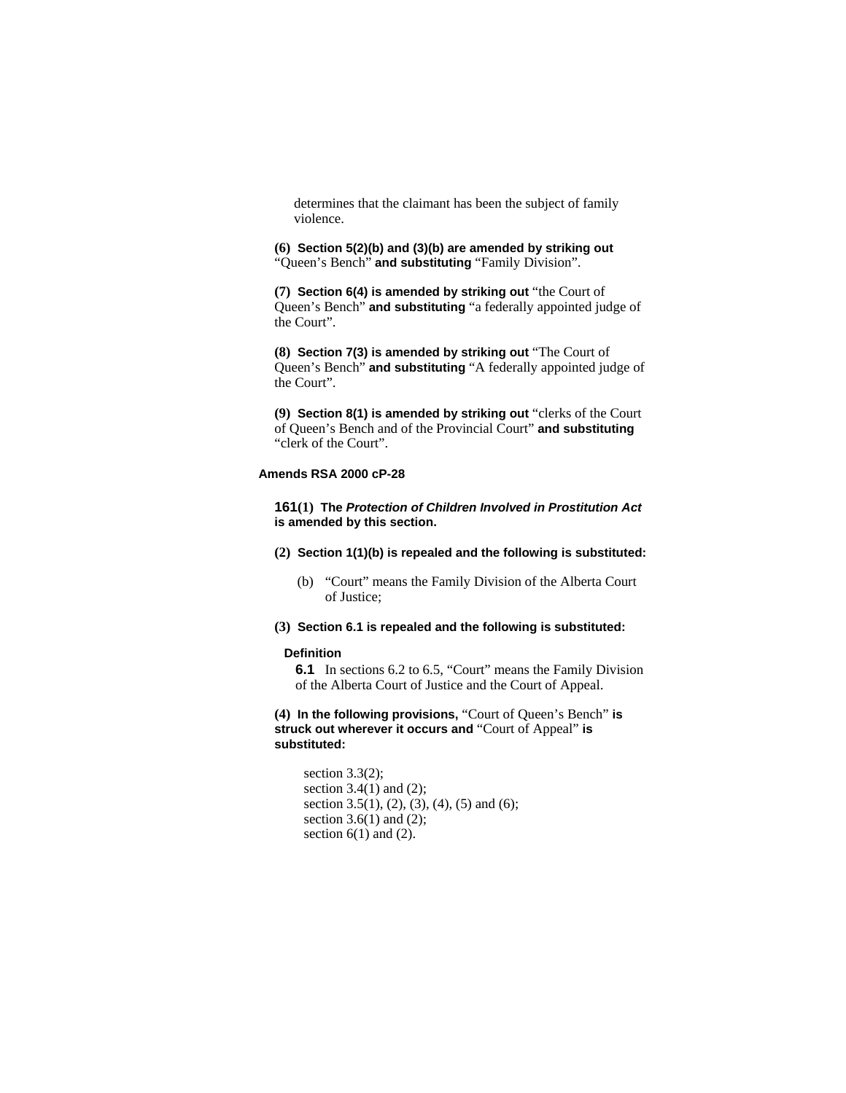determines that the claimant has been the subject of family violence.

**(6) Section 5(2)(b) and (3)(b) are amended by striking out**  "Queen's Bench" **and substituting** "Family Division".

**(7) Section 6(4) is amended by striking out** "the Court of Queen's Bench" **and substituting** "a federally appointed judge of the Court".

**(8) Section 7(3) is amended by striking out** "The Court of Queen's Bench" **and substituting** "A federally appointed judge of the Court".

**(9) Section 8(1) is amended by striking out** "clerks of the Court of Queen's Bench and of the Provincial Court" **and substituting**  "clerk of the Court".

## **Amends RSA 2000 cP-28**

**161(1) The** *Protection of Children Involved in Prostitution Act* **is amended by this section.** 

**(2) Section 1(1)(b) is repealed and the following is substituted:** 

- (b) "Court" means the Family Division of the Alberta Court of Justice;
- **(3) Section 6.1 is repealed and the following is substituted:**

## **Definition**

**6.1** In sections 6.2 to 6.5, "Court" means the Family Division of the Alberta Court of Justice and the Court of Appeal.

**(4) In the following provisions,** "Court of Queen's Bench" **is struck out wherever it occurs and** "Court of Appeal" **is substituted:** 

```
section 3.3(2); 
section 3.4(1) and (2);
section 3.5(1), (2), (3), (4), (5) and (6);
section 3.6(1) and (2);
section 6(1) and (2).
```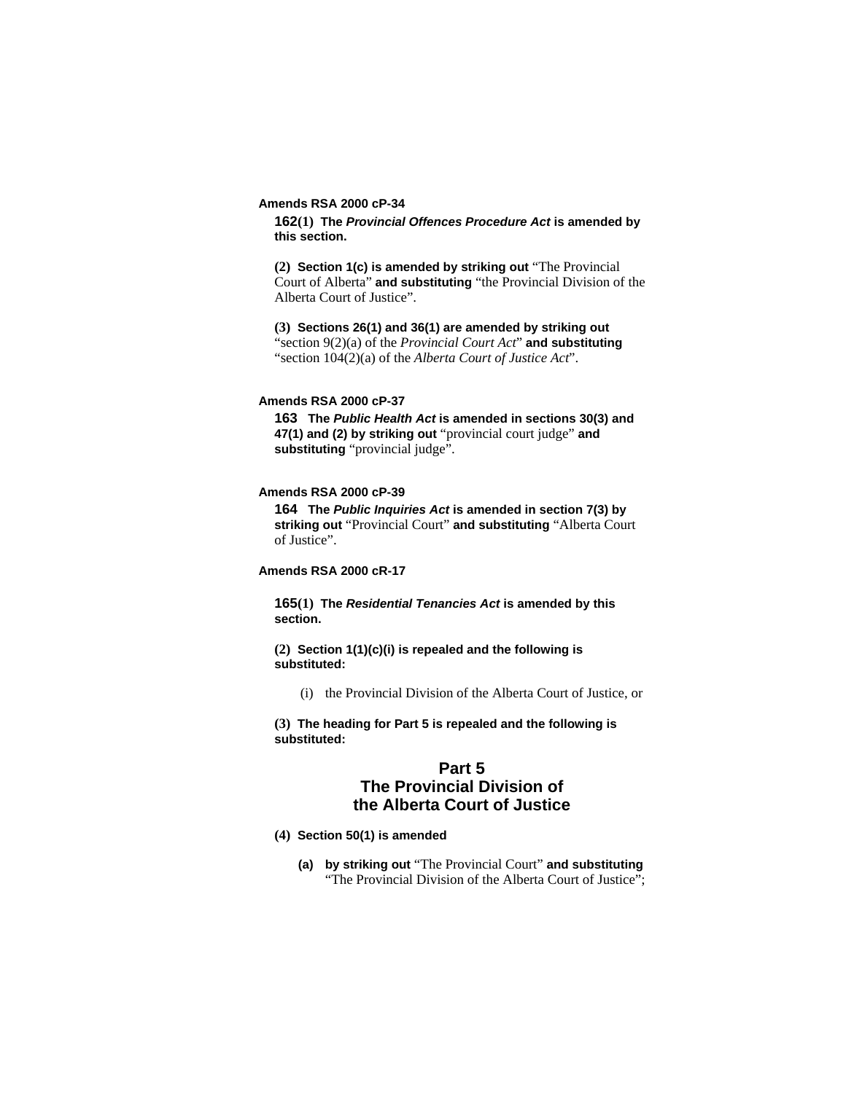#### **Amends RSA 2000 cP-34**

**162(1) The** *Provincial Offences Procedure Act* **is amended by this section.** 

**(2) Section 1(c) is amended by striking out** "The Provincial Court of Alberta" **and substituting** "the Provincial Division of the Alberta Court of Justice".

**(3) Sections 26(1) and 36(1) are amended by striking out**  "section 9(2)(a) of the *Provincial Court Act*" **and substituting**  "section 104(2)(a) of the *Alberta Court of Justice Act*".

## **Amends RSA 2000 cP-37**

**163 The** *Public Health Act* **is amended in sections 30(3) and 47(1) and (2) by striking out** "provincial court judge" **and substituting** "provincial judge".

# **Amends RSA 2000 cP-39**

**164 The** *Public Inquiries Act* **is amended in section 7(3) by striking out** "Provincial Court" **and substituting** "Alberta Court of Justice".

# **Amends RSA 2000 cR-17**

**165(1) The** *Residential Tenancies Act* **is amended by this section.**

**(2) Section 1(1)(c)(i) is repealed and the following is substituted:**

(i) the Provincial Division of the Alberta Court of Justice, or

**(3) The heading for Part 5 is repealed and the following is substituted:**

# **Part 5**

# **The Provincial Division of the Alberta Court of Justice**

- **(4) Section 50(1) is amended**
	- **(a) by striking out** "The Provincial Court" **and substituting**  "The Provincial Division of the Alberta Court of Justice";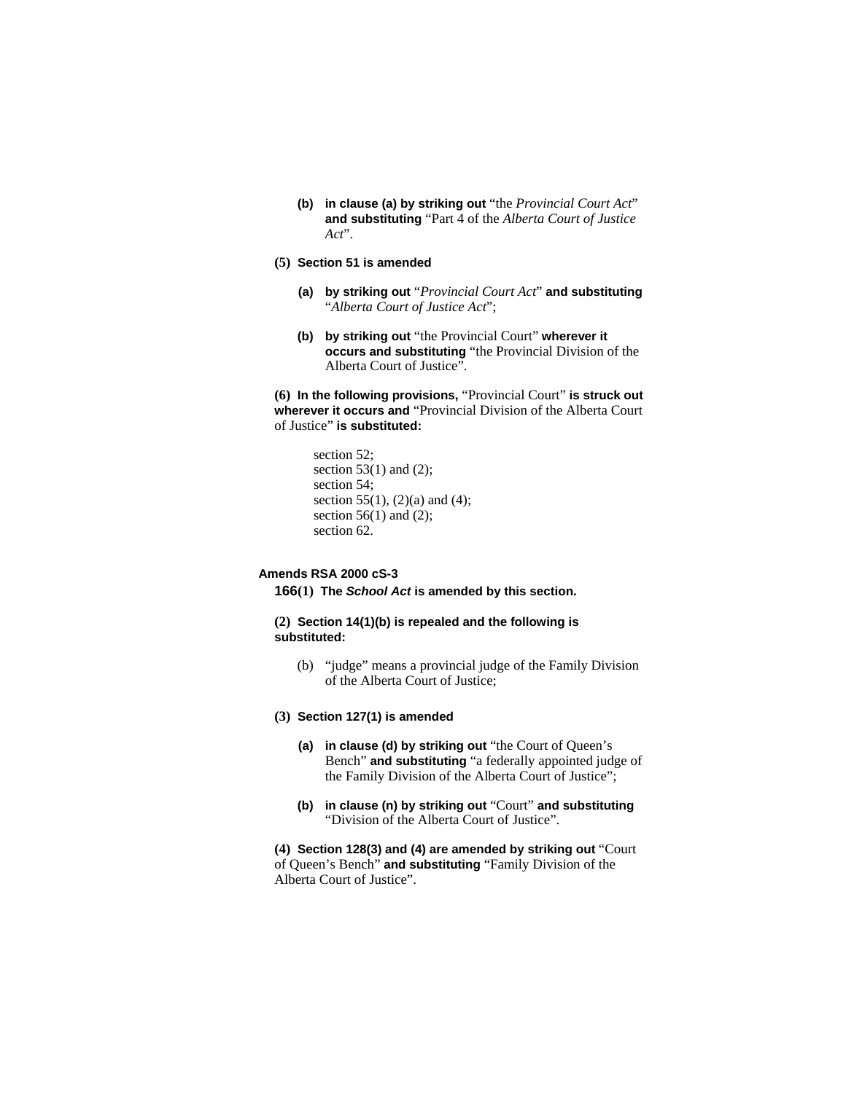- **(b) in clause (a) by striking out** "the *Provincial Court Act*" **and substituting** "Part 4 of the *Alberta Court of Justice Act*".
- **(5) Section 51 is amended**
	- **(a) by striking out** "*Provincial Court Act*" **and substituting**  "*Alberta Court of Justice Act*";
	- **(b) by striking out** "the Provincial Court" **wherever it occurs and substituting** "the Provincial Division of the Alberta Court of Justice".

**(6) In the following provisions,** "Provincial Court" **is struck out wherever it occurs and** "Provincial Division of the Alberta Court of Justice" **is substituted:**

```
section 52; 
section 53(1) and (2);
section 54; 
section 55(1), (2)(a) and (4);
section 56(1) and (2);
section 62.
```
# **Amends RSA 2000 cS-3**

**166(1) The** *School Act* **is amended by this section.**

**(2) Section 14(1)(b) is repealed and the following is substituted:**

- (b) "judge" means a provincial judge of the Family Division of the Alberta Court of Justice;
- **(3) Section 127(1) is amended**
	- **(a) in clause (d) by striking out** "the Court of Queen's Bench" **and substituting** "a federally appointed judge of the Family Division of the Alberta Court of Justice";
	- **(b) in clause (n) by striking out** "Court" **and substituting**  "Division of the Alberta Court of Justice".

**(4) Section 128(3) and (4) are amended by striking out** "Court of Queen's Bench" **and substituting** "Family Division of the Alberta Court of Justice".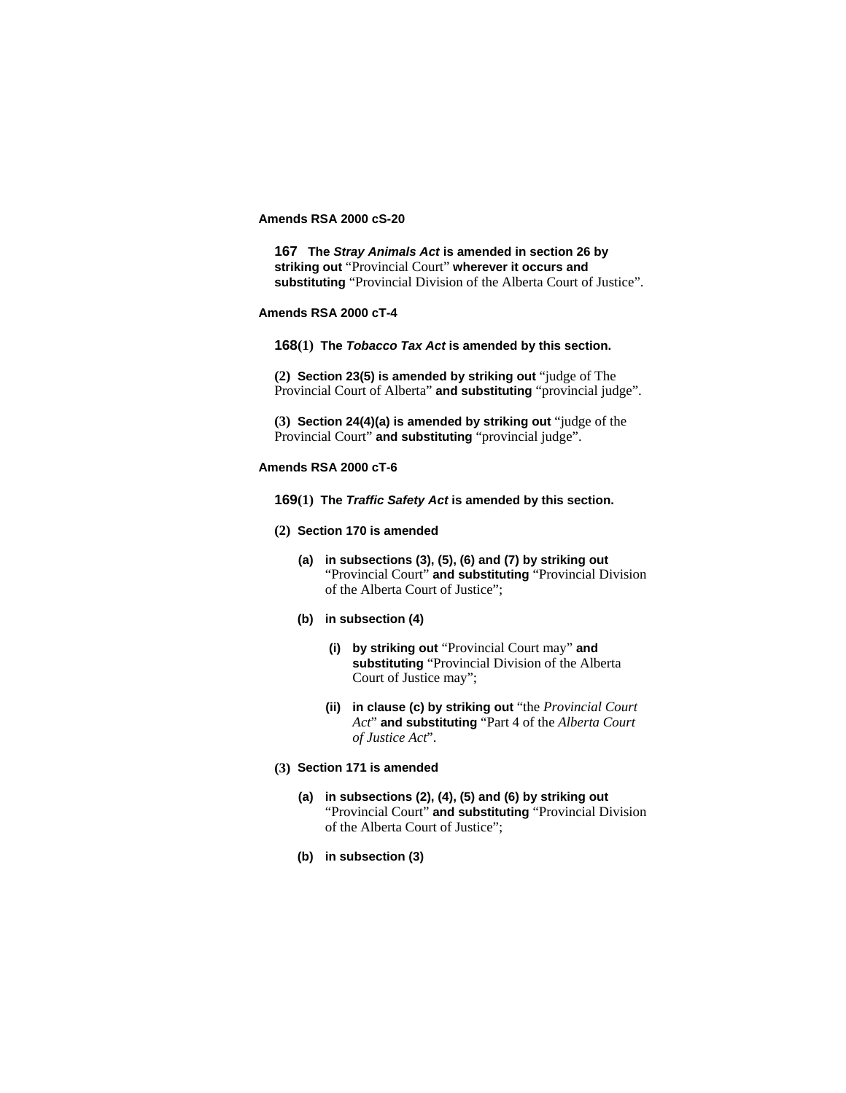# **Amends RSA 2000 cS-20**

**167 The** *Stray Animals Act* **is amended in section 26 by striking out** "Provincial Court" **wherever it occurs and substituting** "Provincial Division of the Alberta Court of Justice".

## **Amends RSA 2000 cT-4**

**168(1) The** *Tobacco Tax Act* **is amended by this section.**

**(2) Section 23(5) is amended by striking out** "judge of The Provincial Court of Alberta" **and substituting** "provincial judge".

**(3) Section 24(4)(a) is amended by striking out** "judge of the Provincial Court" **and substituting** "provincial judge".

## **Amends RSA 2000 cT-6**

**169(1) The** *Traffic Safety Act* **is amended by this section.**

- **(2) Section 170 is amended**
	- **(a) in subsections (3), (5), (6) and (7) by striking out**  "Provincial Court" **and substituting** "Provincial Division of the Alberta Court of Justice";
	- **(b) in subsection (4)**
		- **(i) by striking out** "Provincial Court may" **and substituting** "Provincial Division of the Alberta Court of Justice may";
		- **(ii) in clause (c) by striking out** "the *Provincial Court Act*" **and substituting** "Part 4 of the *Alberta Court of Justice Act*".
- **(3) Section 171 is amended**
	- **(a) in subsections (2), (4), (5) and (6) by striking out**  "Provincial Court" **and substituting** "Provincial Division of the Alberta Court of Justice";
	- **(b) in subsection (3)**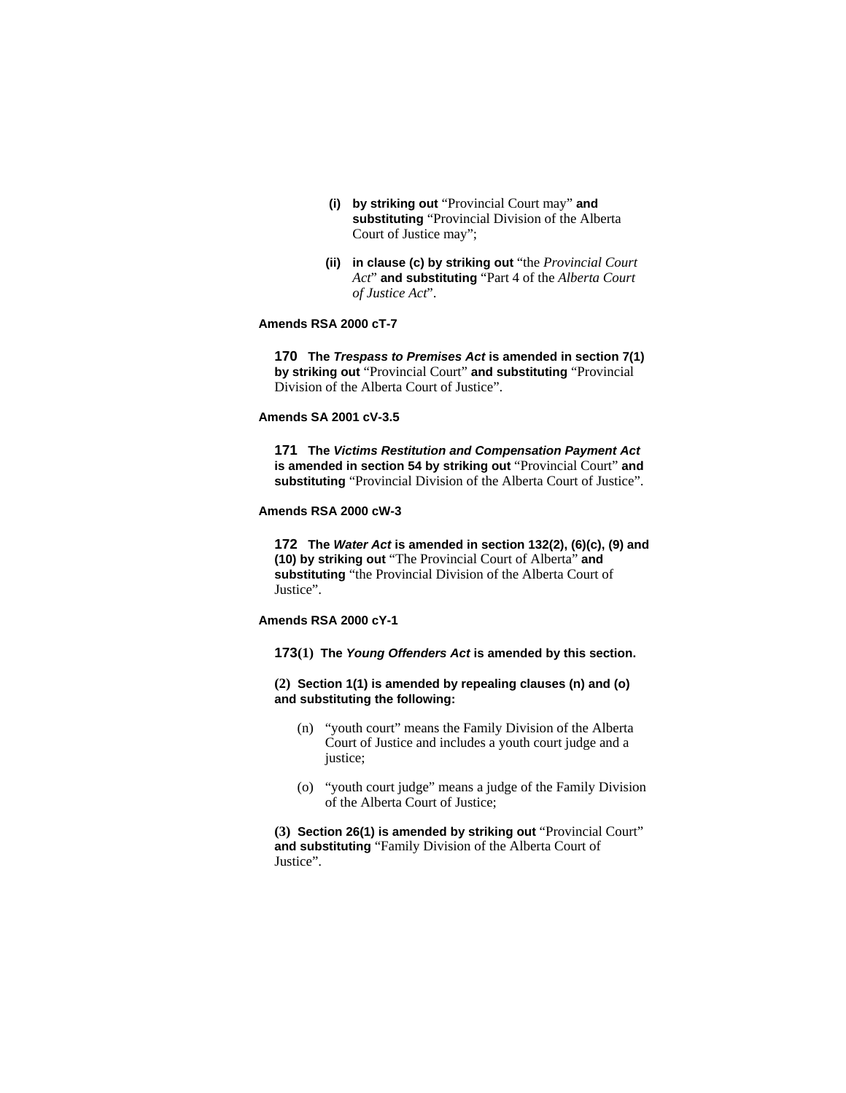- **(i) by striking out** "Provincial Court may" **and substituting** "Provincial Division of the Alberta Court of Justice may";
- **(ii) in clause (c) by striking out** "the *Provincial Court Act*" **and substituting** "Part 4 of the *Alberta Court of Justice Act*".

## **Amends RSA 2000 cT-7**

**170 The** *Trespass to Premises Act* **is amended in section 7(1) by striking out** "Provincial Court" **and substituting** "Provincial Division of the Alberta Court of Justice".

# **Amends SA 2001 cV-3.5**

**171 The** *Victims Restitution and Compensation Payment Act* **is amended in section 54 by striking out** "Provincial Court" **and substituting** "Provincial Division of the Alberta Court of Justice".

## **Amends RSA 2000 cW-3**

**172 The** *Water Act* **is amended in section 132(2), (6)(c), (9) and (10) by striking out** "The Provincial Court of Alberta" **and substituting** "the Provincial Division of the Alberta Court of Justice".

## **Amends RSA 2000 cY-1**

**173(1) The** *Young Offenders Act* **is amended by this section.**

**(2) Section 1(1) is amended by repealing clauses (n) and (o) and substituting the following:**

- (n) "youth court" means the Family Division of the Alberta Court of Justice and includes a youth court judge and a justice;
- (o) "youth court judge" means a judge of the Family Division of the Alberta Court of Justice;

**(3) Section 26(1) is amended by striking out** "Provincial Court" **and substituting** "Family Division of the Alberta Court of Justice".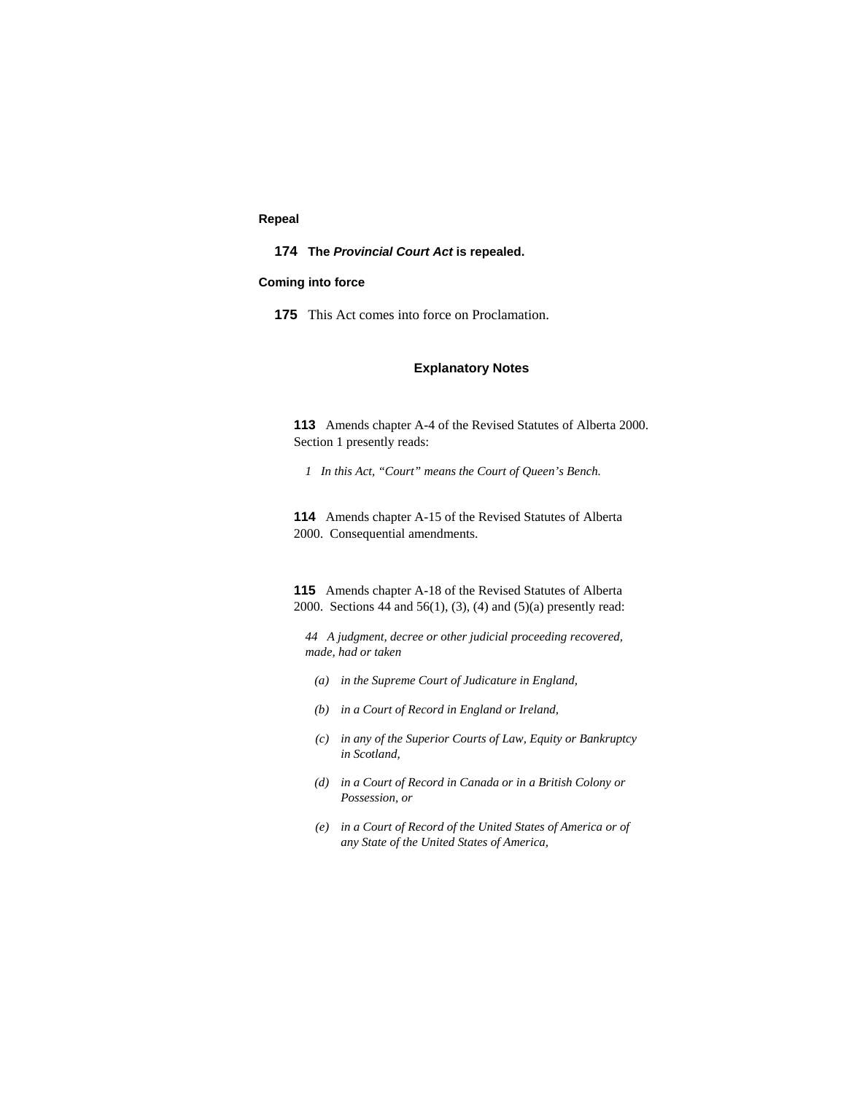# **Repeal**

## **174 The** *Provincial Court Act* **is repealed.**

## **Coming into force**

**175** This Act comes into force on Proclamation.

# **Explanatory Notes**

**113** Amends chapter A-4 of the Revised Statutes of Alberta 2000. Section 1 presently reads:

*1 In this Act, "Court" means the Court of Queen's Bench.* 

**114** Amends chapter A-15 of the Revised Statutes of Alberta 2000. Consequential amendments.

**115** Amends chapter A-18 of the Revised Statutes of Alberta 2000. Sections 44 and 56(1), (3), (4) and (5)(a) presently read:

*44 A judgment, decree or other judicial proceeding recovered, made, had or taken* 

- *(a) in the Supreme Court of Judicature in England,*
- *(b) in a Court of Record in England or Ireland,*
- *(c) in any of the Superior Courts of Law, Equity or Bankruptcy in Scotland,*
- *(d) in a Court of Record in Canada or in a British Colony or Possession, or*
- *(e) in a Court of Record of the United States of America or of any State of the United States of America,*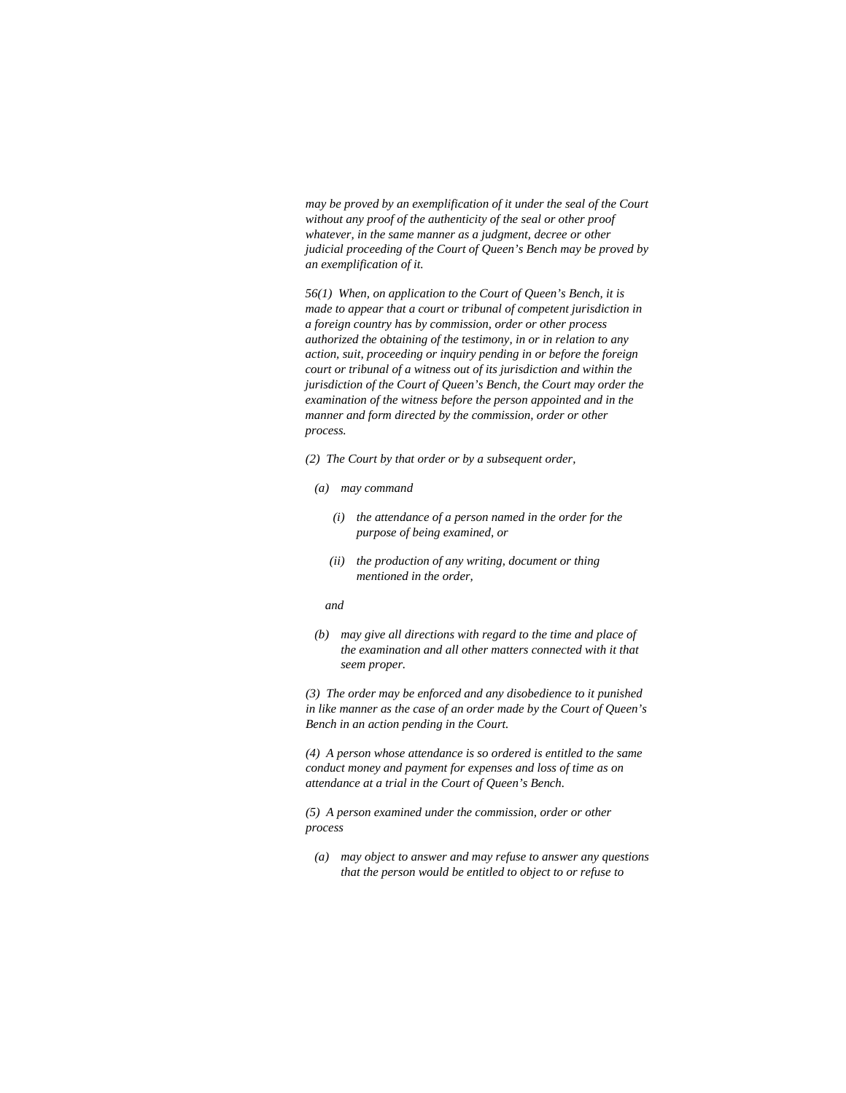*may be proved by an exemplification of it under the seal of the Court without any proof of the authenticity of the seal or other proof whatever, in the same manner as a judgment, decree or other judicial proceeding of the Court of Queen's Bench may be proved by an exemplification of it.* 

*56(1) When, on application to the Court of Queen's Bench, it is made to appear that a court or tribunal of competent jurisdiction in a foreign country has by commission, order or other process authorized the obtaining of the testimony, in or in relation to any action, suit, proceeding or inquiry pending in or before the foreign court or tribunal of a witness out of its jurisdiction and within the jurisdiction of the Court of Queen's Bench, the Court may order the examination of the witness before the person appointed and in the manner and form directed by the commission, order or other process.* 

- *(2) The Court by that order or by a subsequent order,*
- *(a) may command* 
	- *(i) the attendance of a person named in the order for the purpose of being examined, or*
	- *(ii) the production of any writing, document or thing mentioned in the order,*

 *and* 

 *(b) may give all directions with regard to the time and place of the examination and all other matters connected with it that seem proper.* 

*(3) The order may be enforced and any disobedience to it punished in like manner as the case of an order made by the Court of Queen's Bench in an action pending in the Court.* 

*(4) A person whose attendance is so ordered is entitled to the same conduct money and payment for expenses and loss of time as on attendance at a trial in the Court of Queen's Bench.* 

*(5) A person examined under the commission, order or other process* 

 *(a) may object to answer and may refuse to answer any questions that the person would be entitled to object to or refuse to*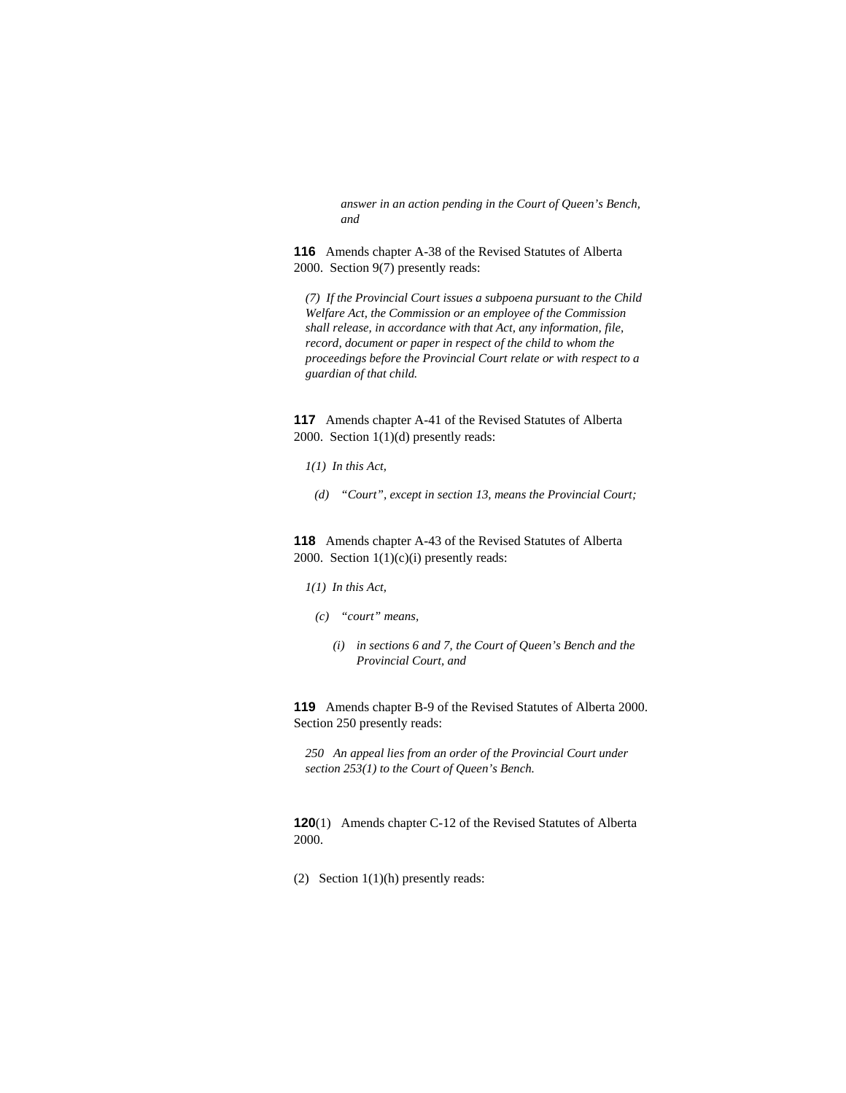*answer in an action pending in the Court of Queen's Bench, and* 

**116** Amends chapter A-38 of the Revised Statutes of Alberta 2000. Section 9(7) presently reads:

*(7) If the Provincial Court issues a subpoena pursuant to the Child Welfare Act, the Commission or an employee of the Commission shall release, in accordance with that Act, any information, file, record, document or paper in respect of the child to whom the proceedings before the Provincial Court relate or with respect to a guardian of that child.* 

**117** Amends chapter A-41 of the Revised Statutes of Alberta 2000. Section 1(1)(d) presently reads:

- *1(1) In this Act,*
- *(d) "Court", except in section 13, means the Provincial Court;*

**118** Amends chapter A-43 of the Revised Statutes of Alberta 2000. Section  $1(1)(c)(i)$  presently reads:

## *1(1) In this Act,*

- *(c) "court" means,* 
	- *(i) in sections 6 and 7, the Court of Queen's Bench and the Provincial Court, and*

**119** Amends chapter B-9 of the Revised Statutes of Alberta 2000. Section 250 presently reads:

*250 An appeal lies from an order of the Provincial Court under section 253(1) to the Court of Queen's Bench.* 

**120**(1) Amends chapter C-12 of the Revised Statutes of Alberta 2000.

(2) Section 1(1)(h) presently reads: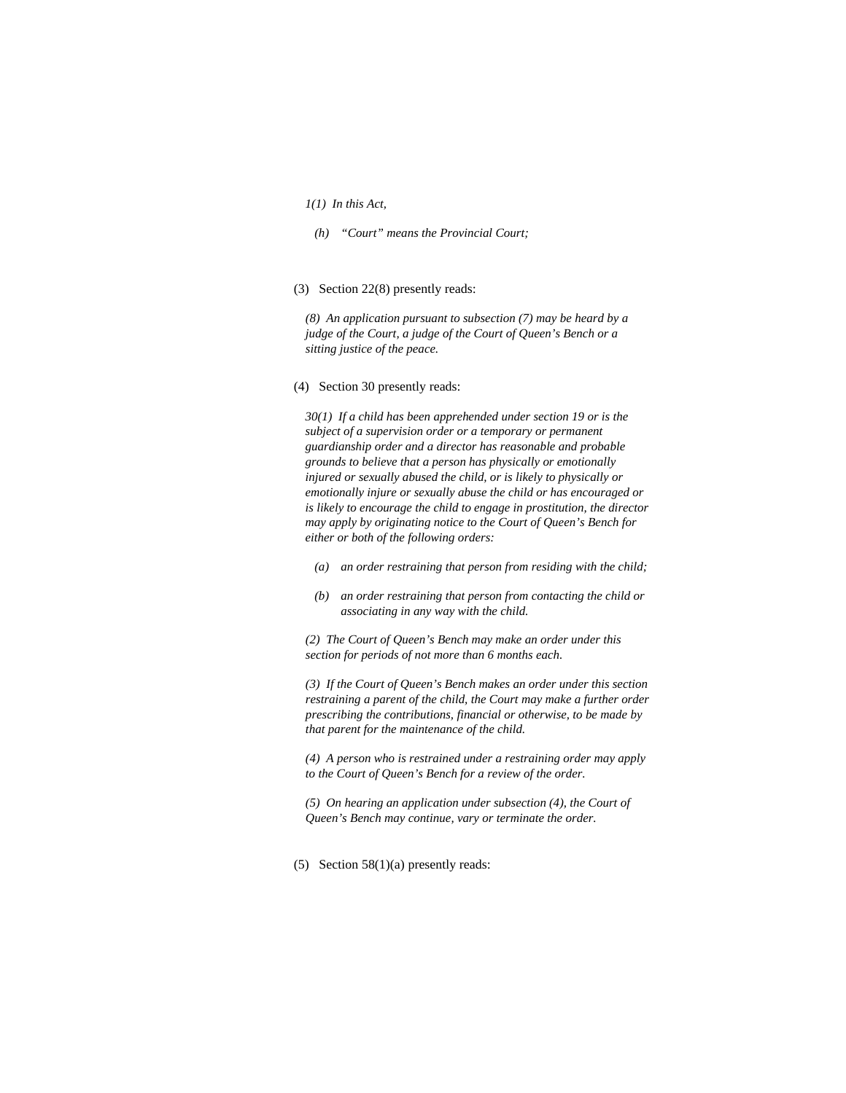## *1(1) In this Act,*

- *(h) "Court" means the Provincial Court;*
- (3) Section 22(8) presently reads:

*(8) An application pursuant to subsection (7) may be heard by a judge of the Court, a judge of the Court of Queen's Bench or a sitting justice of the peace.* 

## (4) Section 30 presently reads:

*30(1) If a child has been apprehended under section 19 or is the subject of a supervision order or a temporary or permanent guardianship order and a director has reasonable and probable grounds to believe that a person has physically or emotionally injured or sexually abused the child, or is likely to physically or emotionally injure or sexually abuse the child or has encouraged or is likely to encourage the child to engage in prostitution, the director may apply by originating notice to the Court of Queen's Bench for either or both of the following orders:* 

- *(a) an order restraining that person from residing with the child;*
- *(b) an order restraining that person from contacting the child or associating in any way with the child.*

*(2) The Court of Queen's Bench may make an order under this section for periods of not more than 6 months each.* 

*(3) If the Court of Queen's Bench makes an order under this section restraining a parent of the child, the Court may make a further order prescribing the contributions, financial or otherwise, to be made by that parent for the maintenance of the child.* 

*(4) A person who is restrained under a restraining order may apply to the Court of Queen's Bench for a review of the order.* 

*(5) On hearing an application under subsection (4), the Court of Queen's Bench may continue, vary or terminate the order.* 

(5) Section 58(1)(a) presently reads: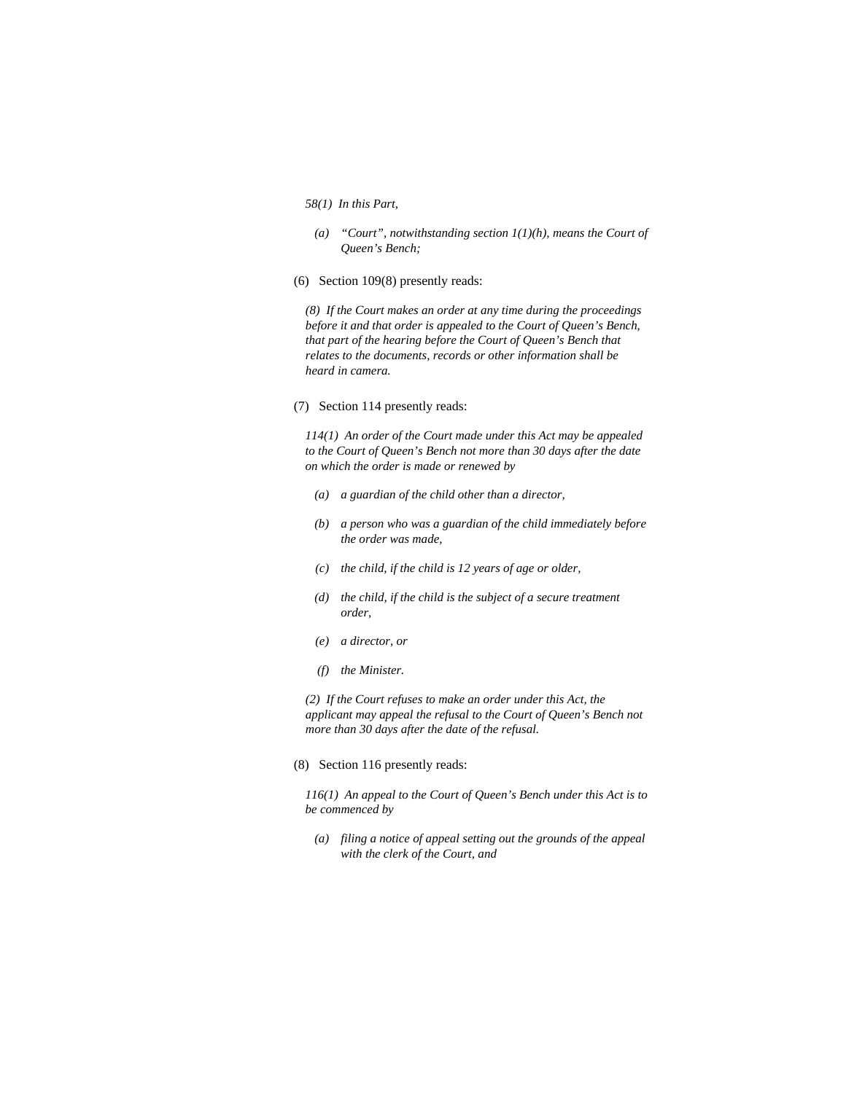#### *58(1) In this Part,*

- *(a) "Court", notwithstanding section 1(1)(h), means the Court of Queen's Bench;*
- (6) Section 109(8) presently reads:

*(8) If the Court makes an order at any time during the proceedings before it and that order is appealed to the Court of Queen's Bench, that part of the hearing before the Court of Queen's Bench that relates to the documents, records or other information shall be heard in camera.* 

#### (7) Section 114 presently reads:

*114(1) An order of the Court made under this Act may be appealed to the Court of Queen's Bench not more than 30 days after the date on which the order is made or renewed by* 

- *(a) a guardian of the child other than a director,*
- *(b) a person who was a guardian of the child immediately before the order was made,*
- *(c) the child, if the child is 12 years of age or older,*
- *(d) the child, if the child is the subject of a secure treatment order,*
- *(e) a director, or*
- *(f) the Minister.*

*(2) If the Court refuses to make an order under this Act, the applicant may appeal the refusal to the Court of Queen's Bench not more than 30 days after the date of the refusal.* 

(8) Section 116 presently reads:

*116(1) An appeal to the Court of Queen's Bench under this Act is to be commenced by* 

 *(a) filing a notice of appeal setting out the grounds of the appeal with the clerk of the Court, and*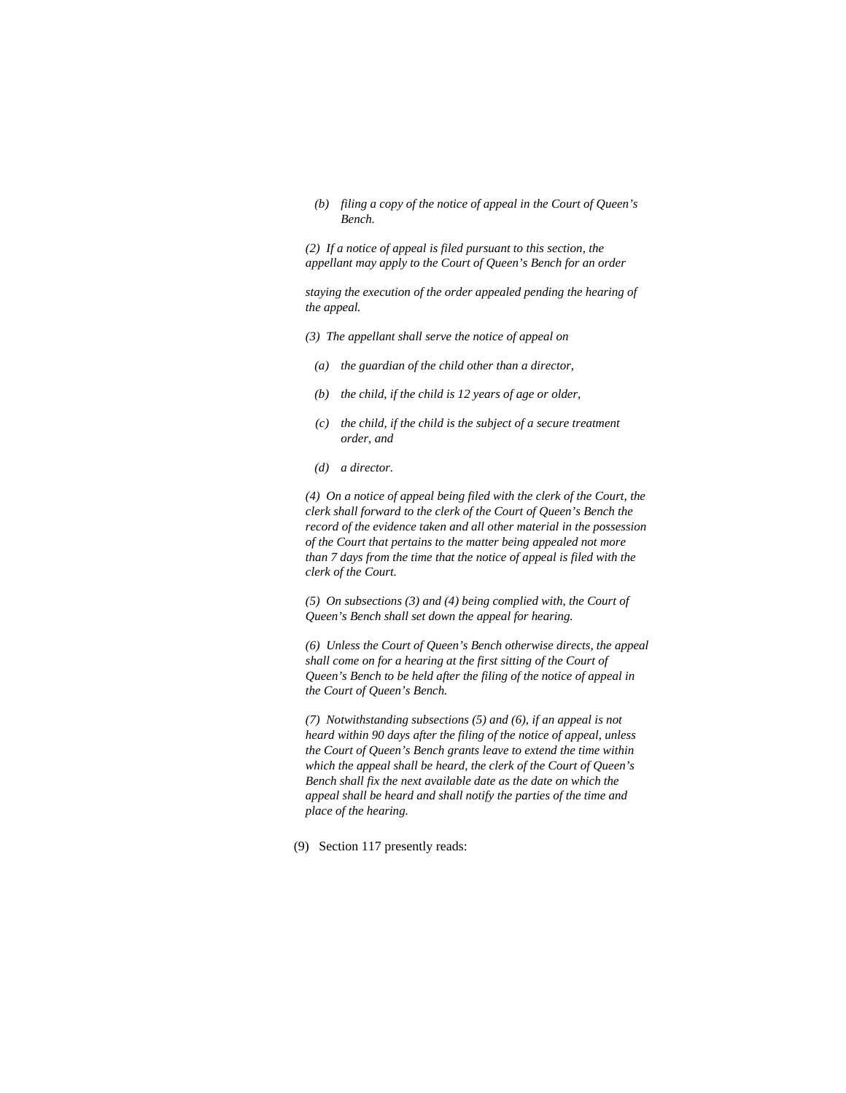*(b) filing a copy of the notice of appeal in the Court of Queen's Bench.* 

*(2) If a notice of appeal is filed pursuant to this section, the appellant may apply to the Court of Queen's Bench for an order* 

*staying the execution of the order appealed pending the hearing of the appeal.* 

- *(3) The appellant shall serve the notice of appeal on*
- *(a) the guardian of the child other than a director,*
- *(b) the child, if the child is 12 years of age or older,*
- *(c) the child, if the child is the subject of a secure treatment order, and*
- *(d) a director.*

*(4) On a notice of appeal being filed with the clerk of the Court, the clerk shall forward to the clerk of the Court of Queen's Bench the record of the evidence taken and all other material in the possession of the Court that pertains to the matter being appealed not more than 7 days from the time that the notice of appeal is filed with the clerk of the Court.* 

*(5) On subsections (3) and (4) being complied with, the Court of Queen's Bench shall set down the appeal for hearing.* 

*(6) Unless the Court of Queen's Bench otherwise directs, the appeal shall come on for a hearing at the first sitting of the Court of Queen's Bench to be held after the filing of the notice of appeal in the Court of Queen's Bench.* 

*(7) Notwithstanding subsections (5) and (6), if an appeal is not heard within 90 days after the filing of the notice of appeal, unless the Court of Queen's Bench grants leave to extend the time within which the appeal shall be heard, the clerk of the Court of Queen's Bench shall fix the next available date as the date on which the appeal shall be heard and shall notify the parties of the time and place of the hearing.* 

(9) Section 117 presently reads: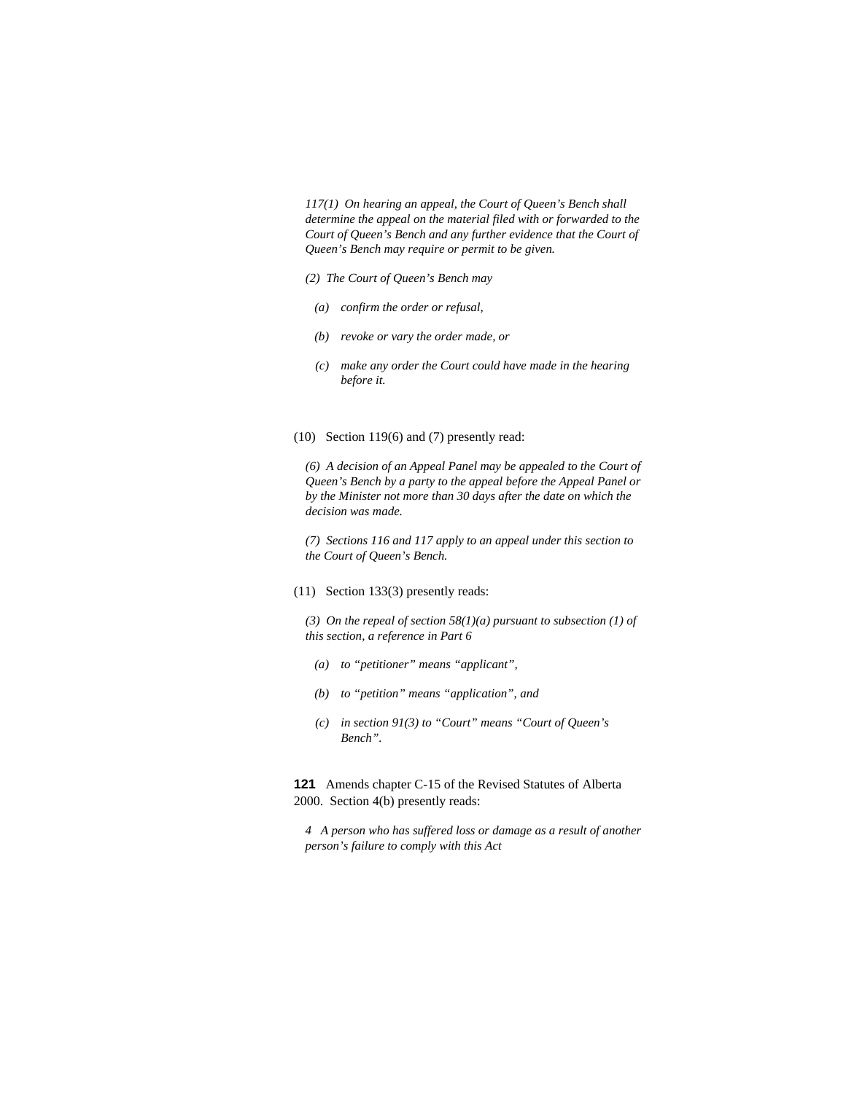*117(1) On hearing an appeal, the Court of Queen's Bench shall determine the appeal on the material filed with or forwarded to the Court of Queen's Bench and any further evidence that the Court of Queen's Bench may require or permit to be given.* 

- *(2) The Court of Queen's Bench may* 
	- *(a) confirm the order or refusal,*
	- *(b) revoke or vary the order made, or*
	- *(c) make any order the Court could have made in the hearing before it.*

#### (10) Section 119(6) and (7) presently read:

*(6) A decision of an Appeal Panel may be appealed to the Court of Queen's Bench by a party to the appeal before the Appeal Panel or by the Minister not more than 30 days after the date on which the decision was made.* 

*(7) Sections 116 and 117 apply to an appeal under this section to the Court of Queen's Bench.* 

# (11) Section 133(3) presently reads:

*(3) On the repeal of section 58(1)(a) pursuant to subsection (1) of this section, a reference in Part 6* 

- *(a) to "petitioner" means "applicant",*
- *(b) to "petition" means "application", and*
- *(c) in section 91(3) to "Court" means "Court of Queen's Bench".*

**121** Amends chapter C-15 of the Revised Statutes of Alberta 2000. Section 4(b) presently reads:

*4 A person who has suffered loss or damage as a result of another person's failure to comply with this Act*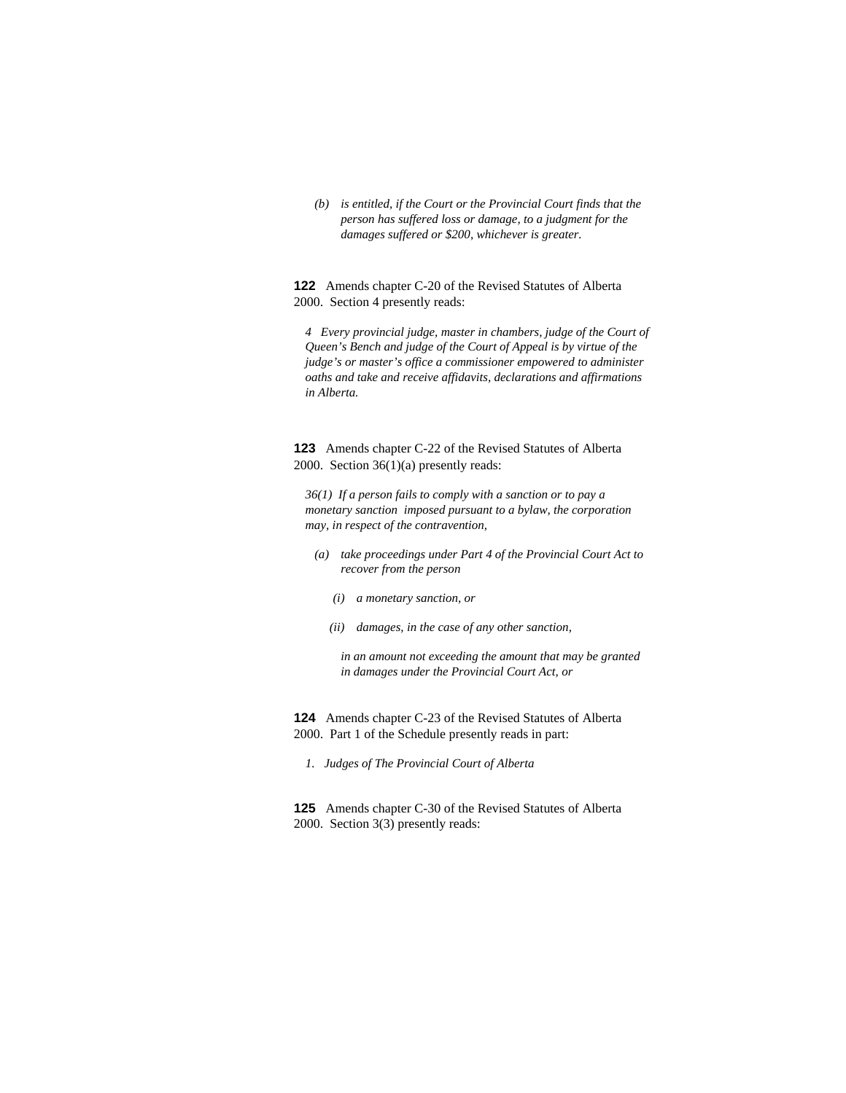*(b) is entitled, if the Court or the Provincial Court finds that the person has suffered loss or damage, to a judgment for the damages suffered or \$200, whichever is greater.* 

**122** Amends chapter C-20 of the Revised Statutes of Alberta 2000. Section 4 presently reads:

*4 Every provincial judge, master in chambers, judge of the Court of Queen's Bench and judge of the Court of Appeal is by virtue of the judge's or master's office a commissioner empowered to administer oaths and take and receive affidavits, declarations and affirmations in Alberta.* 

**123** Amends chapter C-22 of the Revised Statutes of Alberta 2000. Section 36(1)(a) presently reads:

*36(1) If a person fails to comply with a sanction or to pay a monetary sanction imposed pursuant to a bylaw, the corporation may, in respect of the contravention,* 

- *(a) take proceedings under Part 4 of the Provincial Court Act to recover from the person* 
	- *(i) a monetary sanction, or*
	- *(ii) damages, in the case of any other sanction,*

 *in an amount not exceeding the amount that may be granted in damages under the Provincial Court Act, or* 

**124** Amends chapter C-23 of the Revised Statutes of Alberta 2000. Part 1 of the Schedule presently reads in part:

*1. Judges of The Provincial Court of Alberta* 

**125** Amends chapter C-30 of the Revised Statutes of Alberta 2000. Section 3(3) presently reads: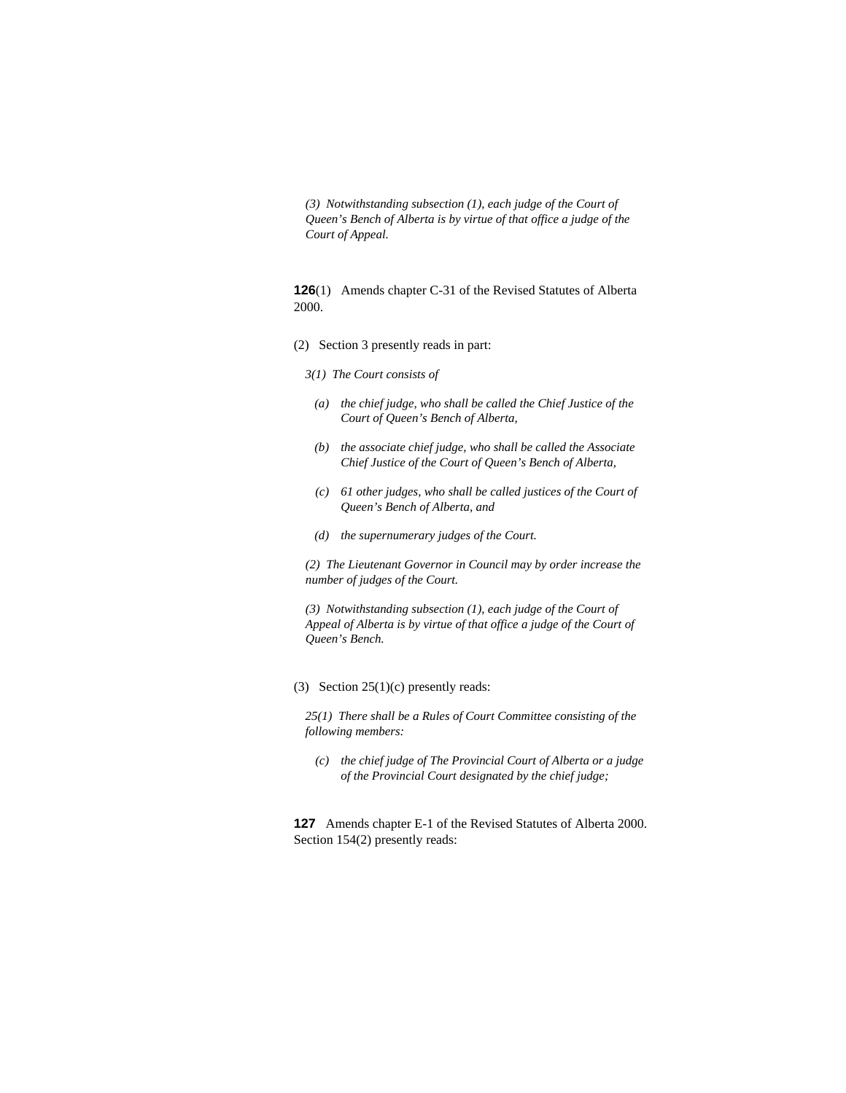*(3) Notwithstanding subsection (1), each judge of the Court of Queen's Bench of Alberta is by virtue of that office a judge of the Court of Appeal.* 

**126**(1) Amends chapter C-31 of the Revised Statutes of Alberta 2000.

- (2) Section 3 presently reads in part:
	- *3(1) The Court consists of*
	- *(a) the chief judge, who shall be called the Chief Justice of the Court of Queen's Bench of Alberta,*
	- *(b) the associate chief judge, who shall be called the Associate Chief Justice of the Court of Queen's Bench of Alberta,*
	- *(c) 61 other judges, who shall be called justices of the Court of Queen's Bench of Alberta, and*
	- *(d) the supernumerary judges of the Court.*

*(2) The Lieutenant Governor in Council may by order increase the number of judges of the Court.* 

*(3) Notwithstanding subsection (1), each judge of the Court of Appeal of Alberta is by virtue of that office a judge of the Court of Queen's Bench.* 

(3) Section 25(1)(c) presently reads:

*25(1) There shall be a Rules of Court Committee consisting of the following members:* 

 *(c) the chief judge of The Provincial Court of Alberta or a judge of the Provincial Court designated by the chief judge;* 

**127** Amends chapter E-1 of the Revised Statutes of Alberta 2000. Section 154(2) presently reads: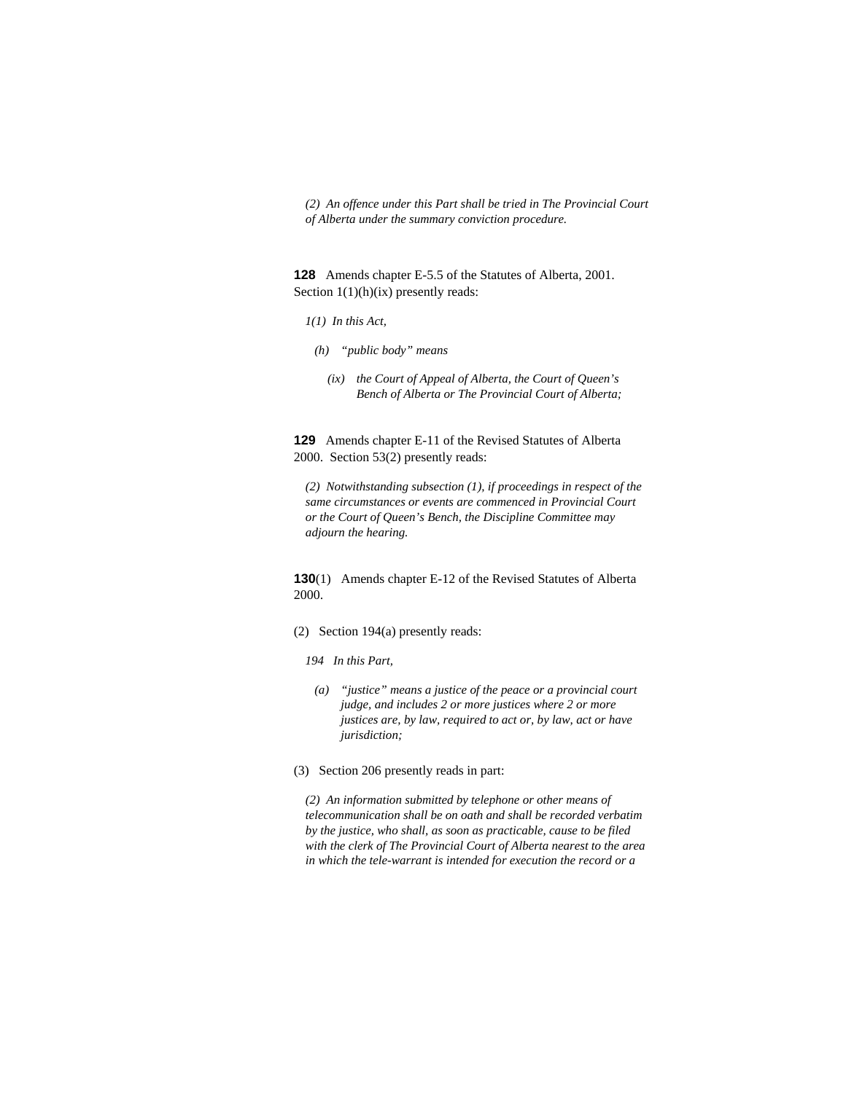*(2) An offence under this Part shall be tried in The Provincial Court of Alberta under the summary conviction procedure.* 

**128** Amends chapter E-5.5 of the Statutes of Alberta, 2001. Section  $1(1)(h)(ix)$  presently reads:

- *1(1) In this Act,*
- *(h) "public body" means* 
	- *(ix) the Court of Appeal of Alberta, the Court of Queen's Bench of Alberta or The Provincial Court of Alberta;*

**129** Amends chapter E-11 of the Revised Statutes of Alberta 2000. Section 53(2) presently reads:

*(2) Notwithstanding subsection (1), if proceedings in respect of the same circumstances or events are commenced in Provincial Court or the Court of Queen's Bench, the Discipline Committee may adjourn the hearing.* 

**130**(1) Amends chapter E-12 of the Revised Statutes of Alberta 2000.

# (2) Section 194(a) presently reads:

*194 In this Part,* 

- *(a) "justice" means a justice of the peace or a provincial court judge, and includes 2 or more justices where 2 or more justices are, by law, required to act or, by law, act or have jurisdiction;*
- (3) Section 206 presently reads in part:

*(2) An information submitted by telephone or other means of telecommunication shall be on oath and shall be recorded verbatim by the justice, who shall, as soon as practicable, cause to be filed with the clerk of The Provincial Court of Alberta nearest to the area in which the tele-warrant is intended for execution the record or a*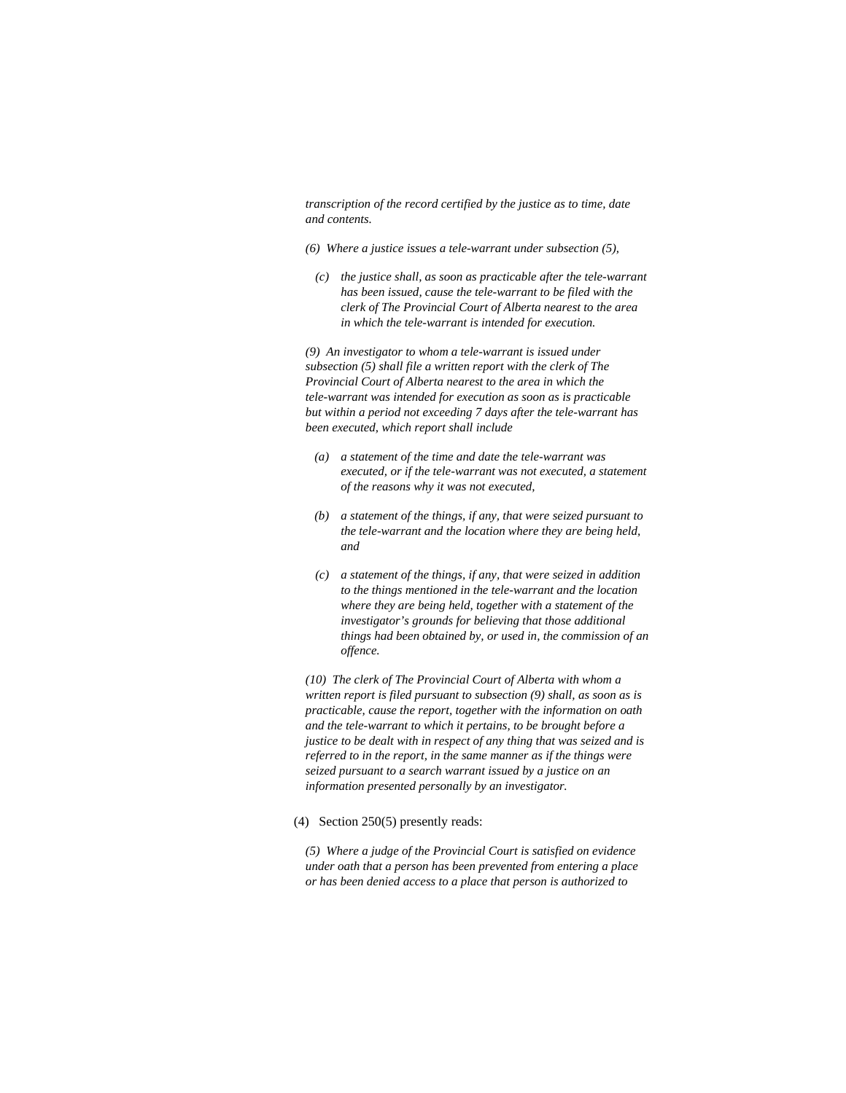*transcription of the record certified by the justice as to time, date and contents.* 

- *(6) Where a justice issues a tele-warrant under subsection (5),*
- *(c) the justice shall, as soon as practicable after the tele-warrant has been issued, cause the tele-warrant to be filed with the clerk of The Provincial Court of Alberta nearest to the area in which the tele-warrant is intended for execution.*

*(9) An investigator to whom a tele-warrant is issued under subsection (5) shall file a written report with the clerk of The Provincial Court of Alberta nearest to the area in which the tele-warrant was intended for execution as soon as is practicable but within a period not exceeding 7 days after the tele-warrant has been executed, which report shall include* 

- *(a) a statement of the time and date the tele-warrant was executed, or if the tele-warrant was not executed, a statement of the reasons why it was not executed,*
- *(b) a statement of the things, if any, that were seized pursuant to the tele-warrant and the location where they are being held, and*
- *(c) a statement of the things, if any, that were seized in addition to the things mentioned in the tele-warrant and the location where they are being held, together with a statement of the investigator's grounds for believing that those additional things had been obtained by, or used in, the commission of an offence.*

*(10) The clerk of The Provincial Court of Alberta with whom a written report is filed pursuant to subsection (9) shall, as soon as is practicable, cause the report, together with the information on oath and the tele-warrant to which it pertains, to be brought before a justice to be dealt with in respect of any thing that was seized and is referred to in the report, in the same manner as if the things were seized pursuant to a search warrant issued by a justice on an information presented personally by an investigator.* 

(4) Section 250(5) presently reads:

*(5) Where a judge of the Provincial Court is satisfied on evidence under oath that a person has been prevented from entering a place or has been denied access to a place that person is authorized to*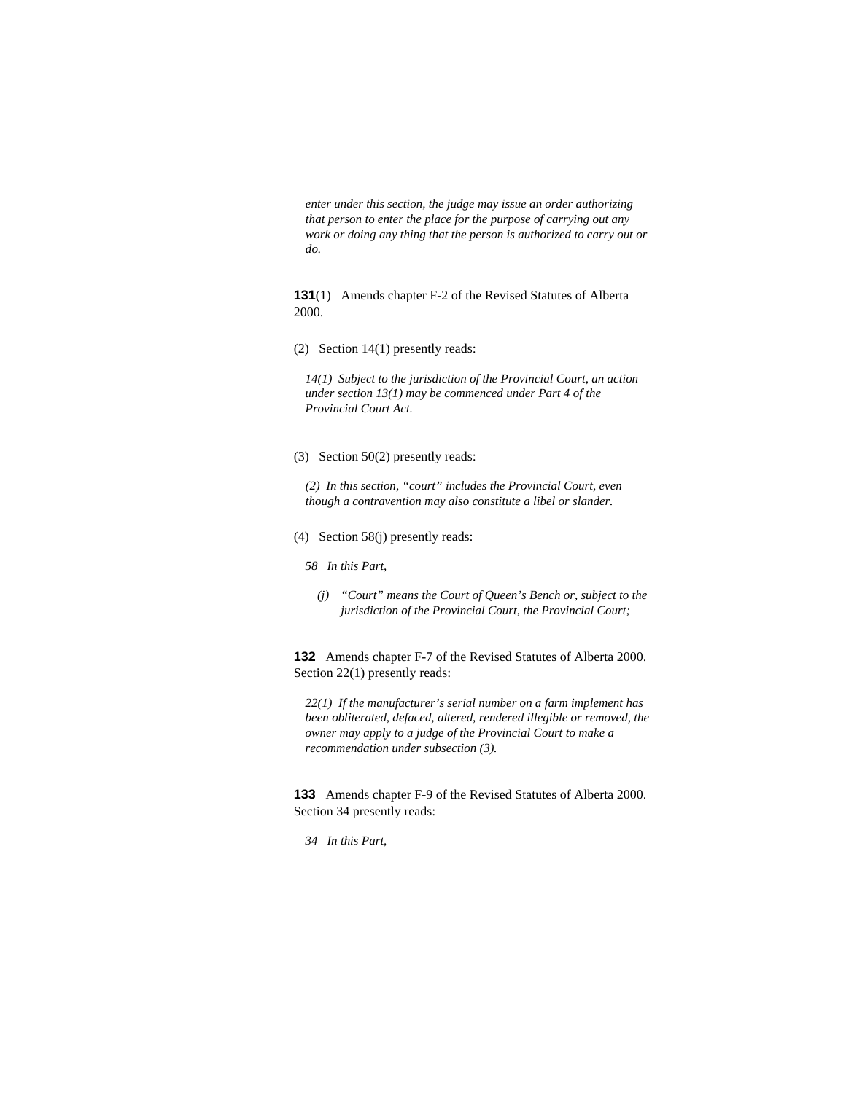*enter under this section, the judge may issue an order authorizing that person to enter the place for the purpose of carrying out any work or doing any thing that the person is authorized to carry out or do.* 

**131**(1) Amends chapter F-2 of the Revised Statutes of Alberta 2000.

(2) Section 14(1) presently reads:

*14(1) Subject to the jurisdiction of the Provincial Court, an action under section 13(1) may be commenced under Part 4 of the Provincial Court Act.* 

(3) Section 50(2) presently reads:

*(2) In this section, "court" includes the Provincial Court, even though a contravention may also constitute a libel or slander.* 

- (4) Section 58(j) presently reads:
	- *58 In this Part,* 
		- *(j) "Court" means the Court of Queen's Bench or, subject to the jurisdiction of the Provincial Court, the Provincial Court;*

**132** Amends chapter F-7 of the Revised Statutes of Alberta 2000. Section 22(1) presently reads:

*22(1) If the manufacturer's serial number on a farm implement has been obliterated, defaced, altered, rendered illegible or removed, the owner may apply to a judge of the Provincial Court to make a recommendation under subsection (3).* 

**133** Amends chapter F-9 of the Revised Statutes of Alberta 2000. Section 34 presently reads:

*34 In this Part,*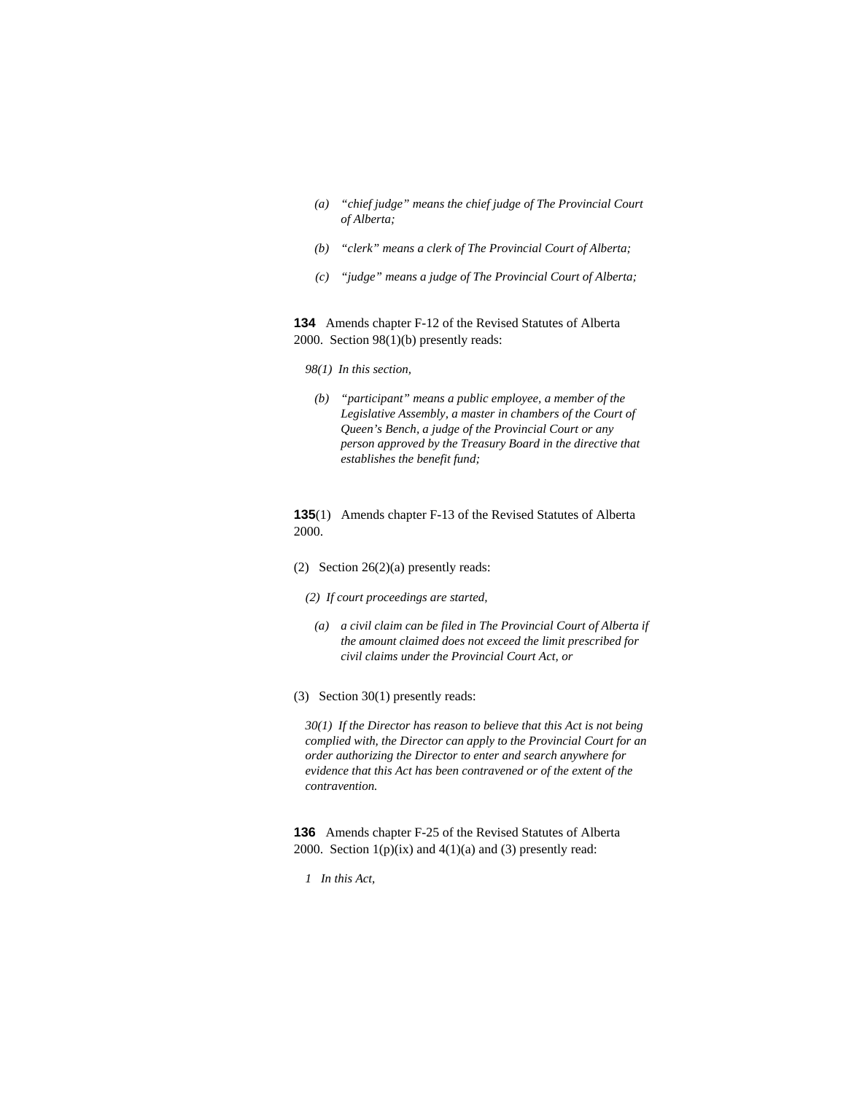- *(a) "chief judge" means the chief judge of The Provincial Court of Alberta;*
- *(b) "clerk" means a clerk of The Provincial Court of Alberta;*
- *(c) "judge" means a judge of The Provincial Court of Alberta;*

**134** Amends chapter F-12 of the Revised Statutes of Alberta 2000. Section 98(1)(b) presently reads:

- *98(1) In this section,*
- *(b) "participant" means a public employee, a member of the Legislative Assembly, a master in chambers of the Court of Queen's Bench, a judge of the Provincial Court or any person approved by the Treasury Board in the directive that establishes the benefit fund;*

**135**(1) Amends chapter F-13 of the Revised Statutes of Alberta 2000.

- (2) Section 26(2)(a) presently reads:
	- *(2) If court proceedings are started,*
	- *(a) a civil claim can be filed in The Provincial Court of Alberta if the amount claimed does not exceed the limit prescribed for civil claims under the Provincial Court Act, or*
- (3) Section 30(1) presently reads:

*30(1) If the Director has reason to believe that this Act is not being complied with, the Director can apply to the Provincial Court for an order authorizing the Director to enter and search anywhere for evidence that this Act has been contravened or of the extent of the contravention.* 

**136** Amends chapter F-25 of the Revised Statutes of Alberta 2000. Section  $1(p)(ix)$  and  $4(1)(a)$  and (3) presently read:

*1 In this Act,*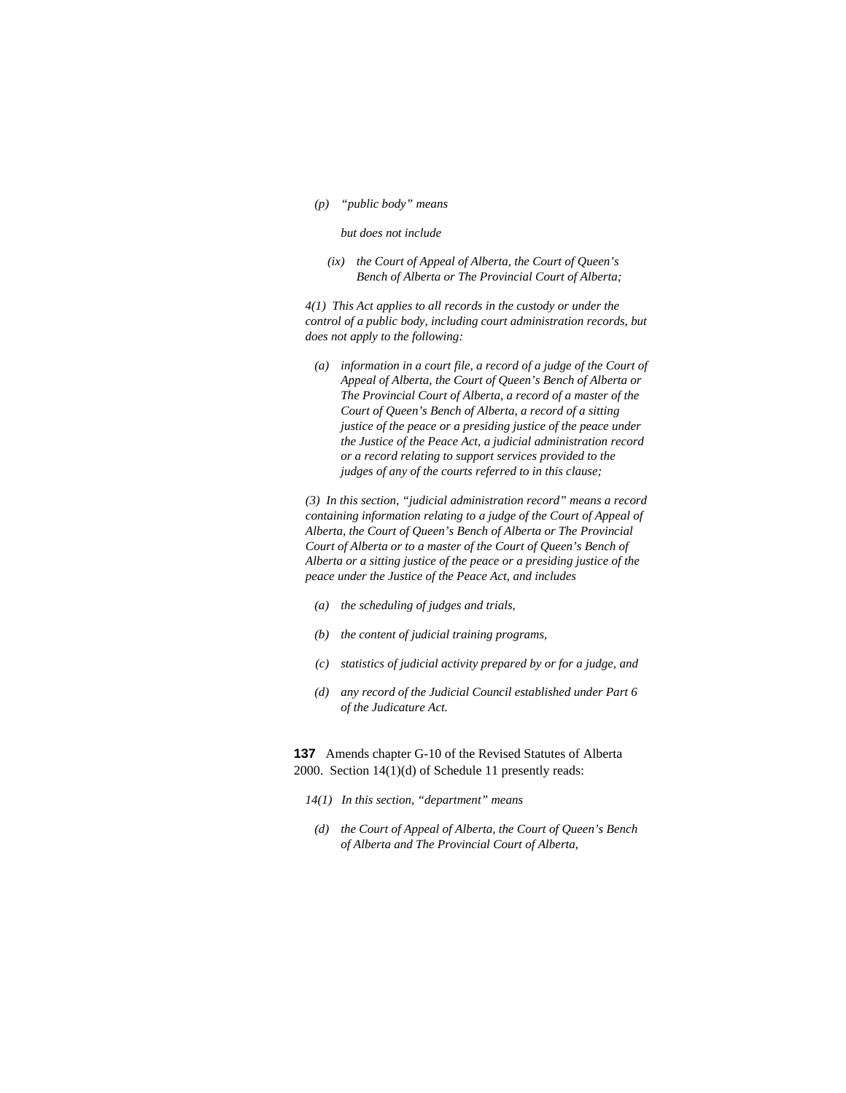*(p) "public body" means* 

#### *but does not include*

 *(ix) the Court of Appeal of Alberta, the Court of Queen's Bench of Alberta or The Provincial Court of Alberta;* 

*4(1) This Act applies to all records in the custody or under the control of a public body, including court administration records, but does not apply to the following:* 

 *(a) information in a court file, a record of a judge of the Court of Appeal of Alberta, the Court of Queen's Bench of Alberta or The Provincial Court of Alberta, a record of a master of the Court of Queen's Bench of Alberta, a record of a sitting justice of the peace or a presiding justice of the peace under the Justice of the Peace Act, a judicial administration record or a record relating to support services provided to the judges of any of the courts referred to in this clause;* 

*(3) In this section, "judicial administration record" means a record containing information relating to a judge of the Court of Appeal of Alberta, the Court of Queen's Bench of Alberta or The Provincial Court of Alberta or to a master of the Court of Queen's Bench of Alberta or a sitting justice of the peace or a presiding justice of the peace under the Justice of the Peace Act, and includes* 

- *(a) the scheduling of judges and trials,*
- *(b) the content of judicial training programs,*
- *(c) statistics of judicial activity prepared by or for a judge, and*
- *(d) any record of the Judicial Council established under Part 6 of the Judicature Act.*

**137** Amends chapter G-10 of the Revised Statutes of Alberta 2000. Section 14(1)(d) of Schedule 11 presently reads:

- *14(1) In this section, "department" means*
- *(d) the Court of Appeal of Alberta, the Court of Queen's Bench of Alberta and The Provincial Court of Alberta,*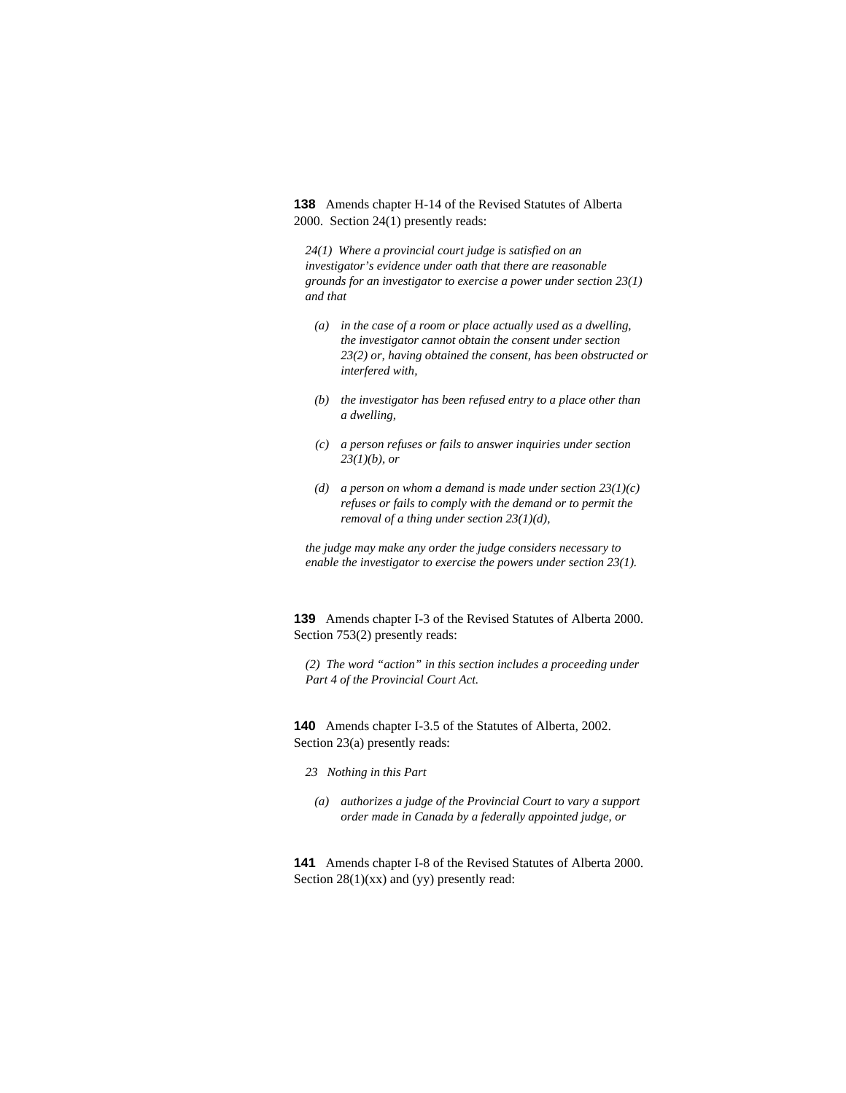**138** Amends chapter H-14 of the Revised Statutes of Alberta 2000. Section 24(1) presently reads:

*24(1) Where a provincial court judge is satisfied on an investigator's evidence under oath that there are reasonable grounds for an investigator to exercise a power under section 23(1) and that* 

- *(a) in the case of a room or place actually used as a dwelling, the investigator cannot obtain the consent under section 23(2) or, having obtained the consent, has been obstructed or interfered with,*
- *(b) the investigator has been refused entry to a place other than a dwelling,*
- *(c) a person refuses or fails to answer inquiries under section 23(1)(b), or*
- *(d) a person on whom a demand is made under section 23(1)(c) refuses or fails to comply with the demand or to permit the removal of a thing under section 23(1)(d),*

*the judge may make any order the judge considers necessary to enable the investigator to exercise the powers under section 23(1).* 

**139** Amends chapter I-3 of the Revised Statutes of Alberta 2000. Section 753(2) presently reads:

*(2) The word "action" in this section includes a proceeding under Part 4 of the Provincial Court Act.* 

**140** Amends chapter I-3.5 of the Statutes of Alberta, 2002. Section 23(a) presently reads:

- *23 Nothing in this Part*
- *(a) authorizes a judge of the Provincial Court to vary a support order made in Canada by a federally appointed judge, or*

**141** Amends chapter I-8 of the Revised Statutes of Alberta 2000. Section  $28(1)(xx)$  and (yy) presently read: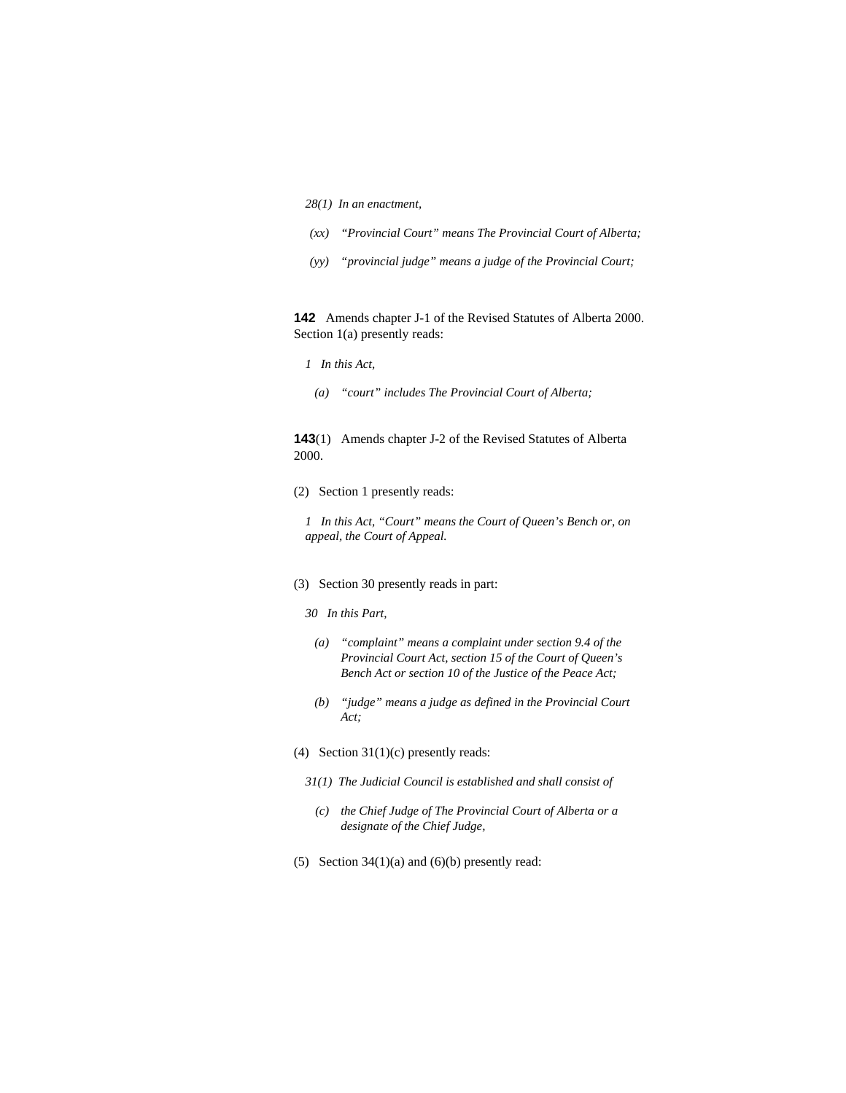- *28(1) In an enactment,*
- *(xx) "Provincial Court" means The Provincial Court of Alberta;*
- *(yy) "provincial judge" means a judge of the Provincial Court;*

**142** Amends chapter J-1 of the Revised Statutes of Alberta 2000. Section 1(a) presently reads:

- *1 In this Act,*
- *(a) "court" includes The Provincial Court of Alberta;*

# **143**(1) Amends chapter J-2 of the Revised Statutes of Alberta 2000.

(2) Section 1 presently reads:

*1 In this Act, "Court" means the Court of Queen's Bench or, on appeal, the Court of Appeal.* 

- (3) Section 30 presently reads in part:
	- *30 In this Part,*
	- *(a) "complaint" means a complaint under section 9.4 of the Provincial Court Act, section 15 of the Court of Queen's Bench Act or section 10 of the Justice of the Peace Act;*
	- *(b) "judge" means a judge as defined in the Provincial Court Act;*
- (4) Section  $31(1)(c)$  presently reads:
	- *31(1) The Judicial Council is established and shall consist of* 
		- *(c) the Chief Judge of The Provincial Court of Alberta or a designate of the Chief Judge,*
- (5) Section  $34(1)(a)$  and  $(6)(b)$  presently read: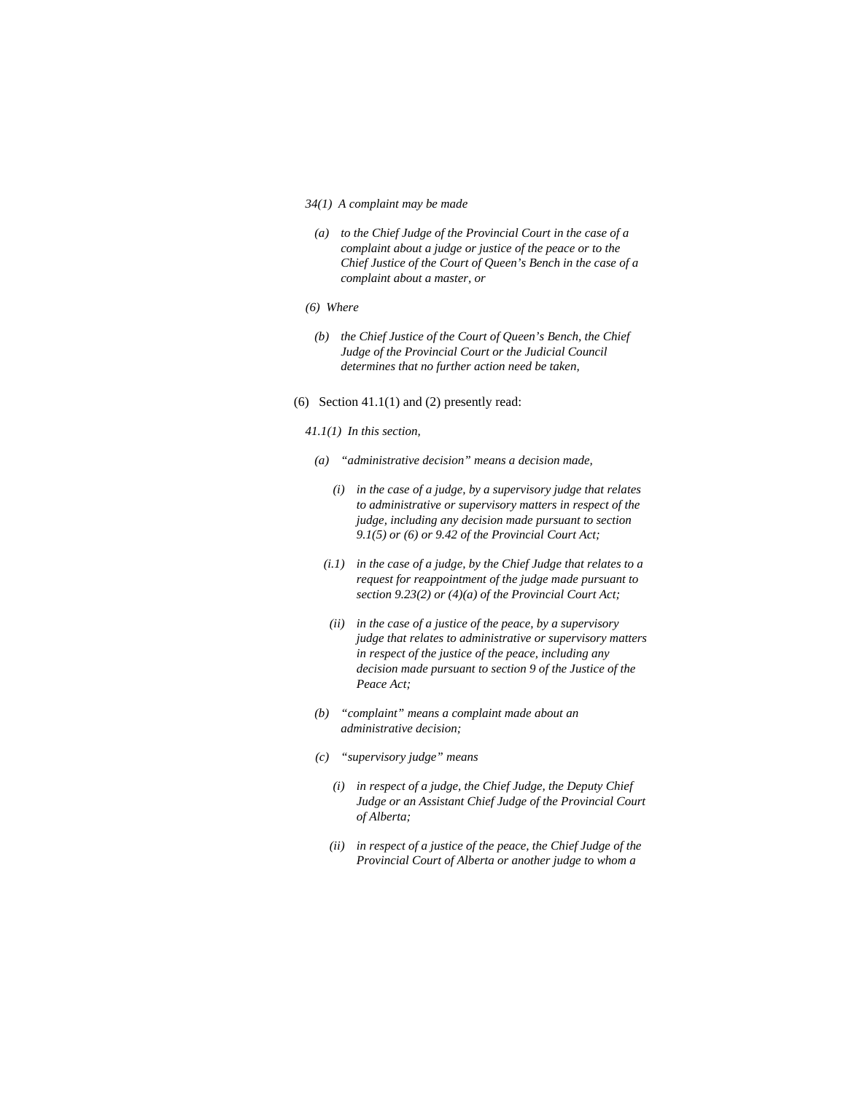#### *34(1) A complaint may be made*

- *(a) to the Chief Judge of the Provincial Court in the case of a complaint about a judge or justice of the peace or to the Chief Justice of the Court of Queen's Bench in the case of a complaint about a master, or*
- *(6) Where*
- *(b) the Chief Justice of the Court of Queen's Bench, the Chief Judge of the Provincial Court or the Judicial Council determines that no further action need be taken,*
- (6) Section  $41.1(1)$  and (2) presently read:
	- *41.1(1) In this section,*
	- *(a) "administrative decision" means a decision made,* 
		- *(i) in the case of a judge, by a supervisory judge that relates to administrative or supervisory matters in respect of the judge, including any decision made pursuant to section 9.1(5) or (6) or 9.42 of the Provincial Court Act;*
		- *(i.1) in the case of a judge, by the Chief Judge that relates to a request for reappointment of the judge made pursuant to section 9.23(2) or (4)(a) of the Provincial Court Act;*
		- *(ii) in the case of a justice of the peace, by a supervisory judge that relates to administrative or supervisory matters in respect of the justice of the peace, including any decision made pursuant to section 9 of the Justice of the Peace Act;*
	- *(b) "complaint" means a complaint made about an administrative decision;*
	- *(c) "supervisory judge" means* 
		- *(i) in respect of a judge, the Chief Judge, the Deputy Chief Judge or an Assistant Chief Judge of the Provincial Court of Alberta;*
		- *(ii) in respect of a justice of the peace, the Chief Judge of the Provincial Court of Alberta or another judge to whom a*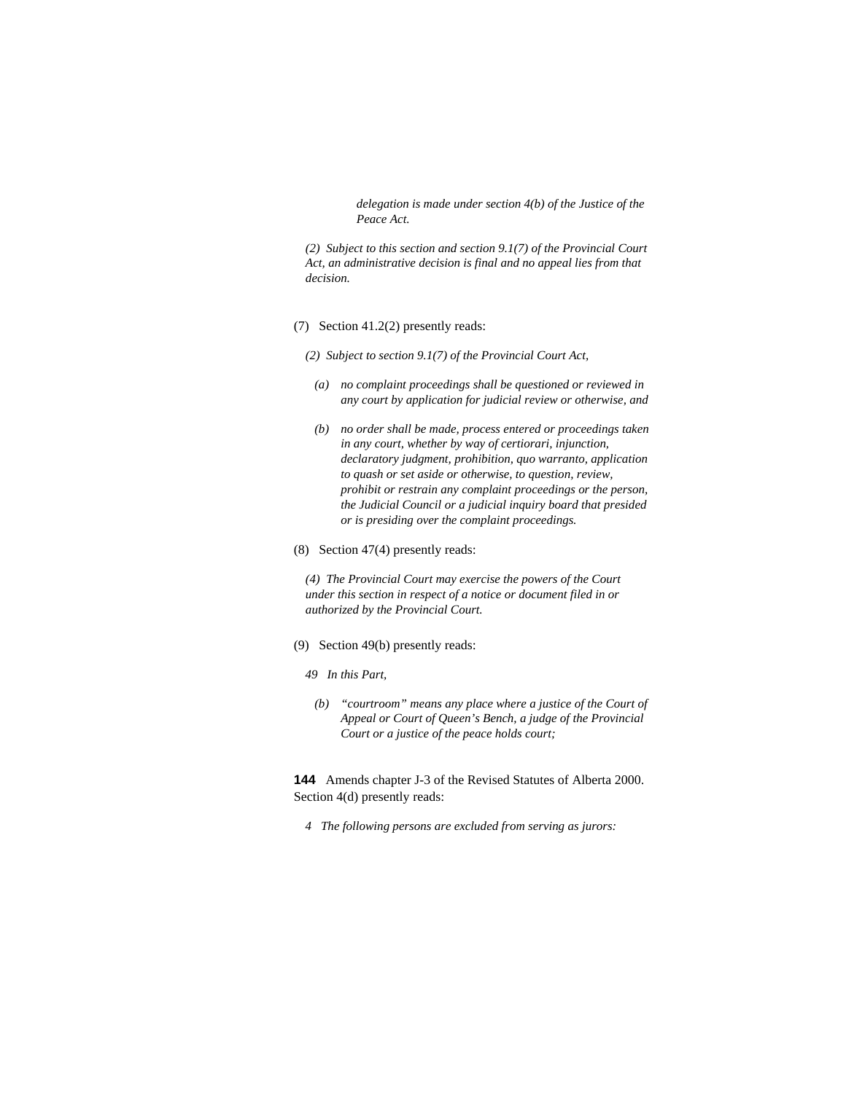*delegation is made under section 4(b) of the Justice of the Peace Act.* 

*(2) Subject to this section and section 9.1(7) of the Provincial Court Act, an administrative decision is final and no appeal lies from that decision.* 

- (7) Section 41.2(2) presently reads:
	- *(2) Subject to section 9.1(7) of the Provincial Court Act,* 
		- *(a) no complaint proceedings shall be questioned or reviewed in any court by application for judicial review or otherwise, and*
		- *(b) no order shall be made, process entered or proceedings taken in any court, whether by way of certiorari, injunction, declaratory judgment, prohibition, quo warranto, application to quash or set aside or otherwise, to question, review, prohibit or restrain any complaint proceedings or the person, the Judicial Council or a judicial inquiry board that presided or is presiding over the complaint proceedings.*
- (8) Section 47(4) presently reads:

*(4) The Provincial Court may exercise the powers of the Court under this section in respect of a notice or document filed in or authorized by the Provincial Court.* 

- (9) Section 49(b) presently reads:
	- *49 In this Part,*
	- *(b) "courtroom" means any place where a justice of the Court of Appeal or Court of Queen's Bench, a judge of the Provincial Court or a justice of the peace holds court;*

**144** Amends chapter J-3 of the Revised Statutes of Alberta 2000. Section 4(d) presently reads:

*4 The following persons are excluded from serving as jurors:*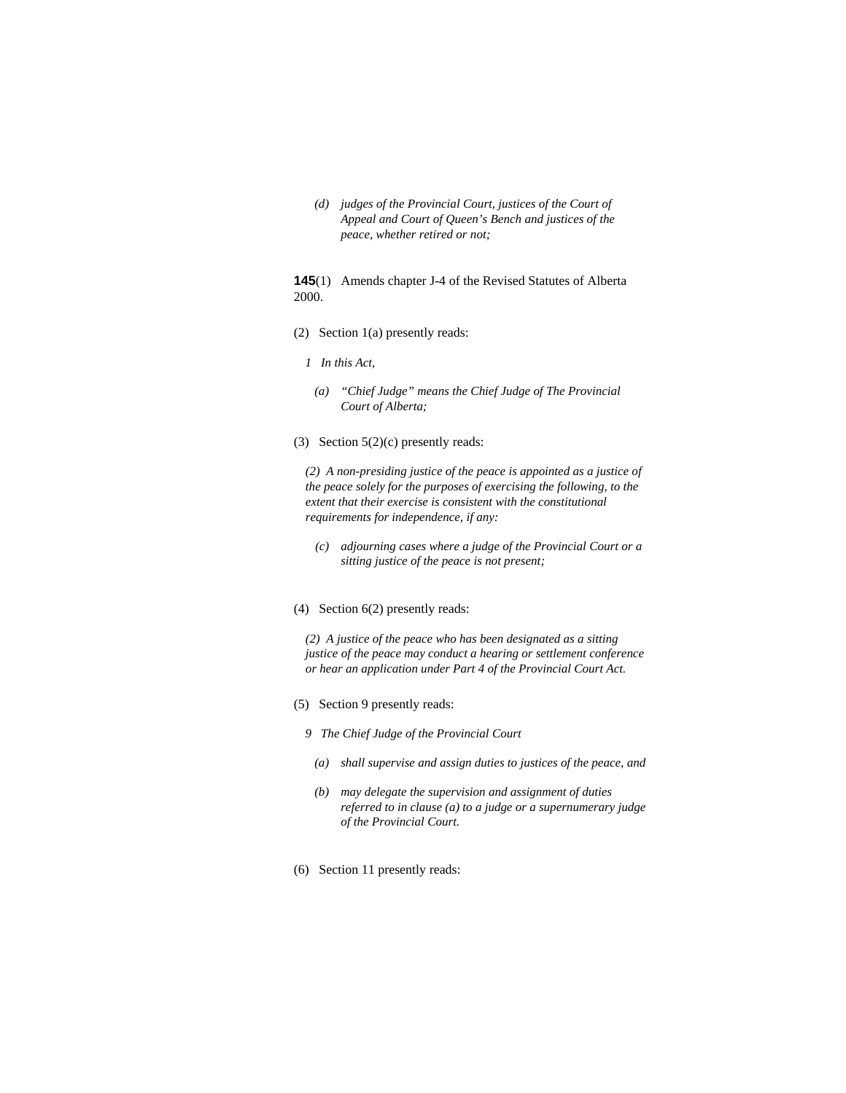*(d) judges of the Provincial Court, justices of the Court of Appeal and Court of Queen's Bench and justices of the peace, whether retired or not;* 

**145**(1) Amends chapter J-4 of the Revised Statutes of Alberta 2000.

- (2) Section 1(a) presently reads:
	- *1 In this Act,* 
		- *(a) "Chief Judge" means the Chief Judge of The Provincial Court of Alberta;*
- (3) Section  $5(2)(c)$  presently reads:

*(2) A non-presiding justice of the peace is appointed as a justice of the peace solely for the purposes of exercising the following, to the extent that their exercise is consistent with the constitutional requirements for independence, if any:* 

- *(c) adjourning cases where a judge of the Provincial Court or a sitting justice of the peace is not present;*
- (4) Section 6(2) presently reads:

*(2) A justice of the peace who has been designated as a sitting justice of the peace may conduct a hearing or settlement conference or hear an application under Part 4 of the Provincial Court Act.* 

- (5) Section 9 presently reads:
	- *9 The Chief Judge of the Provincial Court* 
		- *(a) shall supervise and assign duties to justices of the peace, and*
		- *(b) may delegate the supervision and assignment of duties referred to in clause (a) to a judge or a supernumerary judge of the Provincial Court.*
- (6) Section 11 presently reads: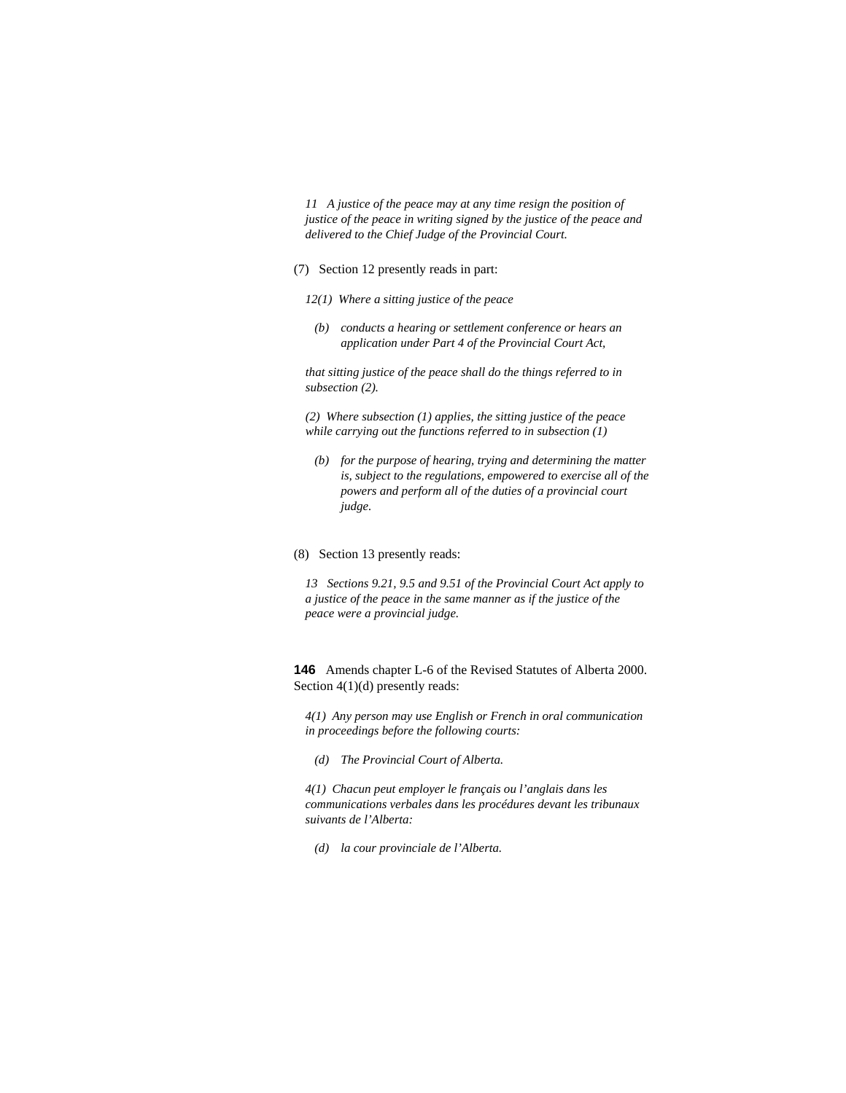*11 A justice of the peace may at any time resign the position of justice of the peace in writing signed by the justice of the peace and delivered to the Chief Judge of the Provincial Court.* 

### (7) Section 12 presently reads in part:

- *12(1) Where a sitting justice of the peace*
- *(b) conducts a hearing or settlement conference or hears an application under Part 4 of the Provincial Court Act,*

*that sitting justice of the peace shall do the things referred to in subsection (2).* 

*(2) Where subsection (1) applies, the sitting justice of the peace while carrying out the functions referred to in subsection (1)* 

- *(b) for the purpose of hearing, trying and determining the matter is, subject to the regulations, empowered to exercise all of the powers and perform all of the duties of a provincial court judge.*
- (8) Section 13 presently reads:

*13 Sections 9.21, 9.5 and 9.51 of the Provincial Court Act apply to a justice of the peace in the same manner as if the justice of the peace were a provincial judge.* 

**146** Amends chapter L-6 of the Revised Statutes of Alberta 2000. Section 4(1)(d) presently reads:

*4(1) Any person may use English or French in oral communication in proceedings before the following courts:* 

 *(d) The Provincial Court of Alberta.* 

*4(1) Chacun peut employer le français ou l'anglais dans les communications verbales dans les procédures devant les tribunaux suivants de l'Alberta:* 

 *(d) la cour provinciale de l'Alberta.*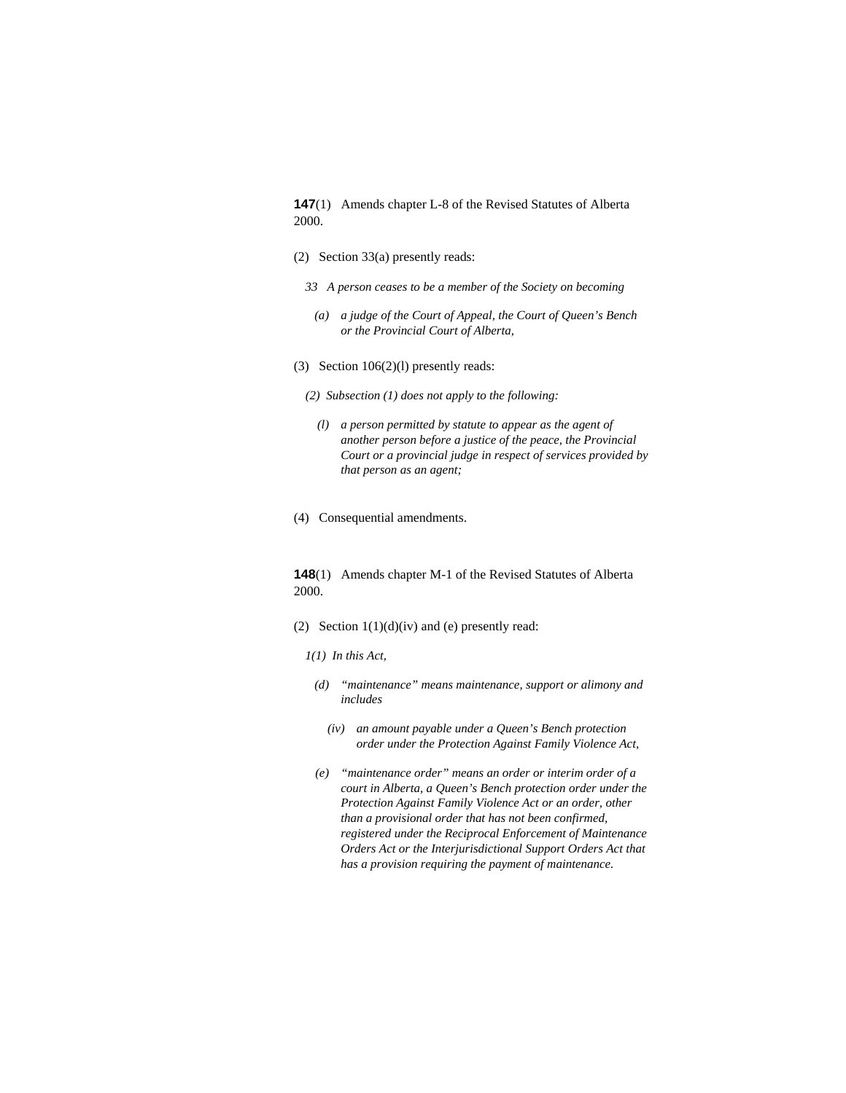**147**(1) Amends chapter L-8 of the Revised Statutes of Alberta 2000.

- (2) Section 33(a) presently reads:
	- *33 A person ceases to be a member of the Society on becoming*
	- *(a) a judge of the Court of Appeal, the Court of Queen's Bench or the Provincial Court of Alberta,*
- (3) Section 106(2)(l) presently reads:
	- *(2) Subsection (1) does not apply to the following:* 
		- *(l) a person permitted by statute to appear as the agent of another person before a justice of the peace, the Provincial Court or a provincial judge in respect of services provided by that person as an agent;*
- (4) Consequential amendments.

**148**(1) Amends chapter M-1 of the Revised Statutes of Alberta 2000.

- (2) Section  $1(1)(d)(iv)$  and (e) presently read:
	- *1(1) In this Act,*
	- *(d) "maintenance" means maintenance, support or alimony and includes* 
		- *(iv) an amount payable under a Queen's Bench protection order under the Protection Against Family Violence Act,*
	- *(e) "maintenance order" means an order or interim order of a court in Alberta, a Queen's Bench protection order under the Protection Against Family Violence Act or an order, other than a provisional order that has not been confirmed, registered under the Reciprocal Enforcement of Maintenance Orders Act or the Interjurisdictional Support Orders Act that has a provision requiring the payment of maintenance.*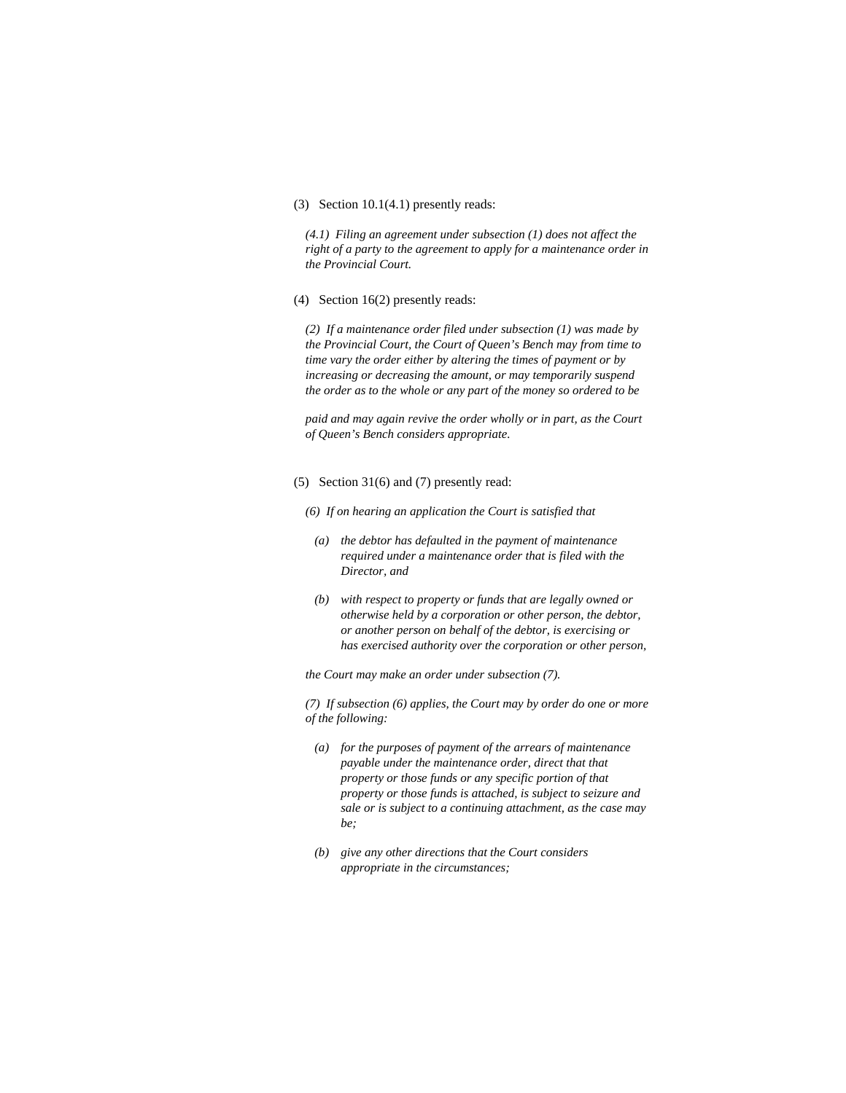## (3) Section 10.1(4.1) presently reads:

*(4.1) Filing an agreement under subsection (1) does not affect the right of a party to the agreement to apply for a maintenance order in the Provincial Court.* 

#### (4) Section 16(2) presently reads:

*(2) If a maintenance order filed under subsection (1) was made by the Provincial Court, the Court of Queen's Bench may from time to time vary the order either by altering the times of payment or by increasing or decreasing the amount, or may temporarily suspend the order as to the whole or any part of the money so ordered to be* 

*paid and may again revive the order wholly or in part, as the Court of Queen's Bench considers appropriate.* 

## (5) Section 31(6) and (7) presently read:

- *(6) If on hearing an application the Court is satisfied that* 
	- *(a) the debtor has defaulted in the payment of maintenance required under a maintenance order that is filed with the Director, and*
	- *(b) with respect to property or funds that are legally owned or otherwise held by a corporation or other person, the debtor, or another person on behalf of the debtor, is exercising or has exercised authority over the corporation or other person,*

*the Court may make an order under subsection (7).* 

*(7) If subsection (6) applies, the Court may by order do one or more of the following:* 

- *(a) for the purposes of payment of the arrears of maintenance payable under the maintenance order, direct that that property or those funds or any specific portion of that property or those funds is attached, is subject to seizure and sale or is subject to a continuing attachment, as the case may be;*
- *(b) give any other directions that the Court considers appropriate in the circumstances;*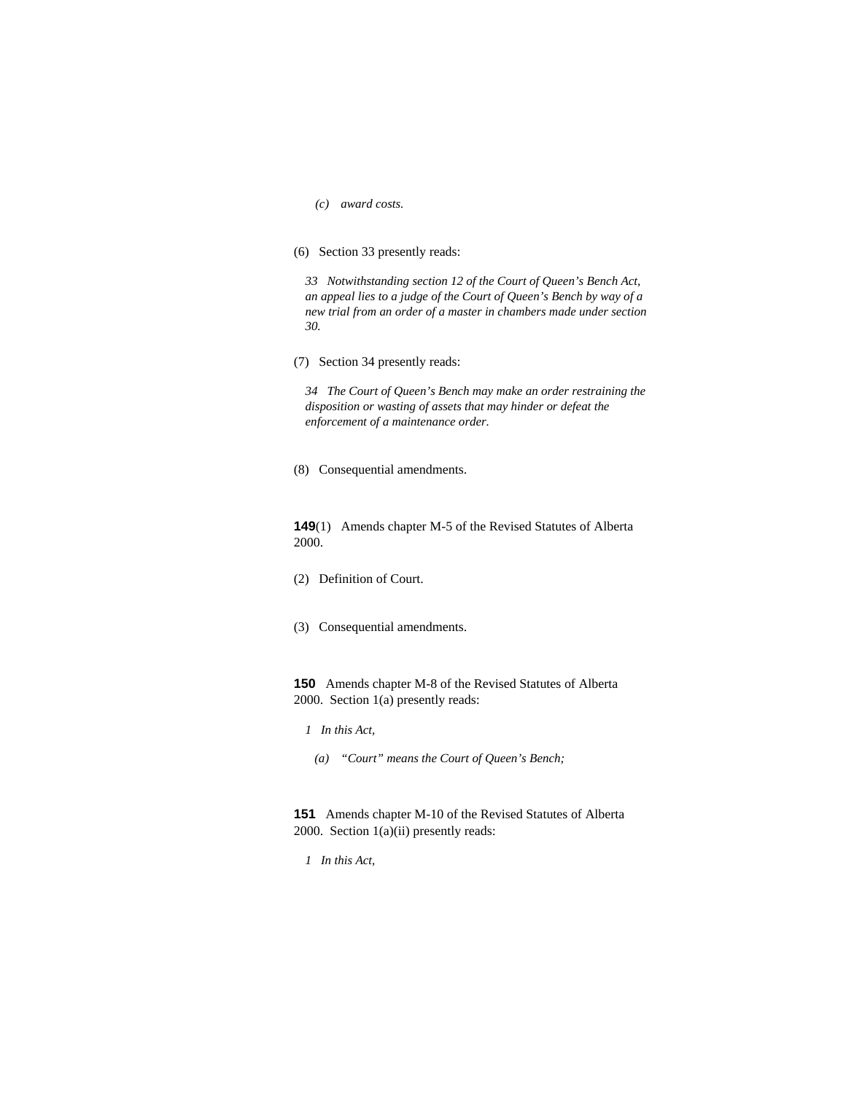*(c) award costs.* 

# (6) Section 33 presently reads:

*33 Notwithstanding section 12 of the Court of Queen's Bench Act, an appeal lies to a judge of the Court of Queen's Bench by way of a new trial from an order of a master in chambers made under section 30.* 

(7) Section 34 presently reads:

*34 The Court of Queen's Bench may make an order restraining the disposition or wasting of assets that may hinder or defeat the enforcement of a maintenance order.* 

(8) Consequential amendments.

**149**(1) Amends chapter M-5 of the Revised Statutes of Alberta 2000.

- (2) Definition of Court.
- (3) Consequential amendments.

**150** Amends chapter M-8 of the Revised Statutes of Alberta 2000. Section 1(a) presently reads:

*1 In this Act,* 

 *(a) "Court" means the Court of Queen's Bench;* 

**151** Amends chapter M-10 of the Revised Statutes of Alberta 2000. Section 1(a)(ii) presently reads:

*1 In this Act,*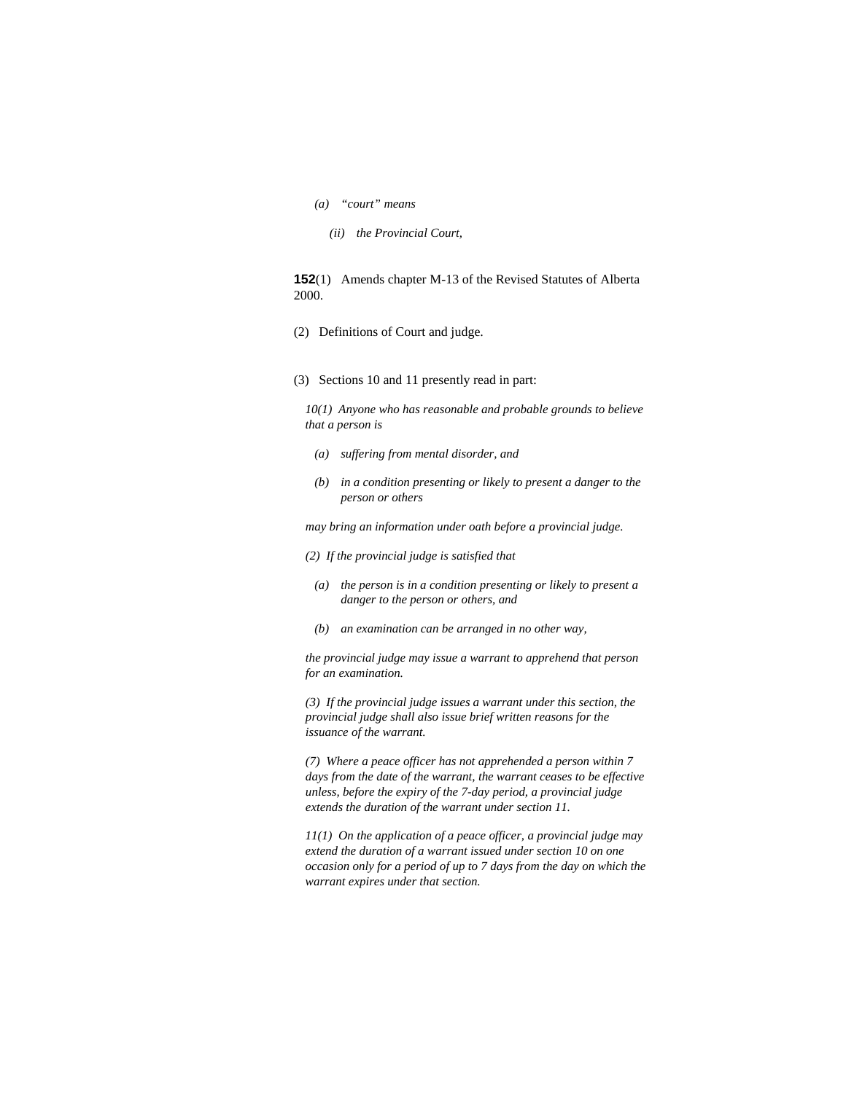- *(a) "court" means* 
	- *(ii) the Provincial Court,*

**152**(1) Amends chapter M-13 of the Revised Statutes of Alberta 2000.

- (2) Definitions of Court and judge.
- (3) Sections 10 and 11 presently read in part:

*10(1) Anyone who has reasonable and probable grounds to believe that a person is* 

- *(a) suffering from mental disorder, and*
- *(b) in a condition presenting or likely to present a danger to the person or others*

*may bring an information under oath before a provincial judge.* 

- *(2) If the provincial judge is satisfied that*
- *(a) the person is in a condition presenting or likely to present a danger to the person or others, and*
- *(b) an examination can be arranged in no other way,*

*the provincial judge may issue a warrant to apprehend that person for an examination.* 

*(3) If the provincial judge issues a warrant under this section, the provincial judge shall also issue brief written reasons for the issuance of the warrant.* 

*(7) Where a peace officer has not apprehended a person within 7 days from the date of the warrant, the warrant ceases to be effective unless, before the expiry of the 7-day period, a provincial judge extends the duration of the warrant under section 11.* 

*11(1) On the application of a peace officer, a provincial judge may extend the duration of a warrant issued under section 10 on one occasion only for a period of up to 7 days from the day on which the warrant expires under that section.*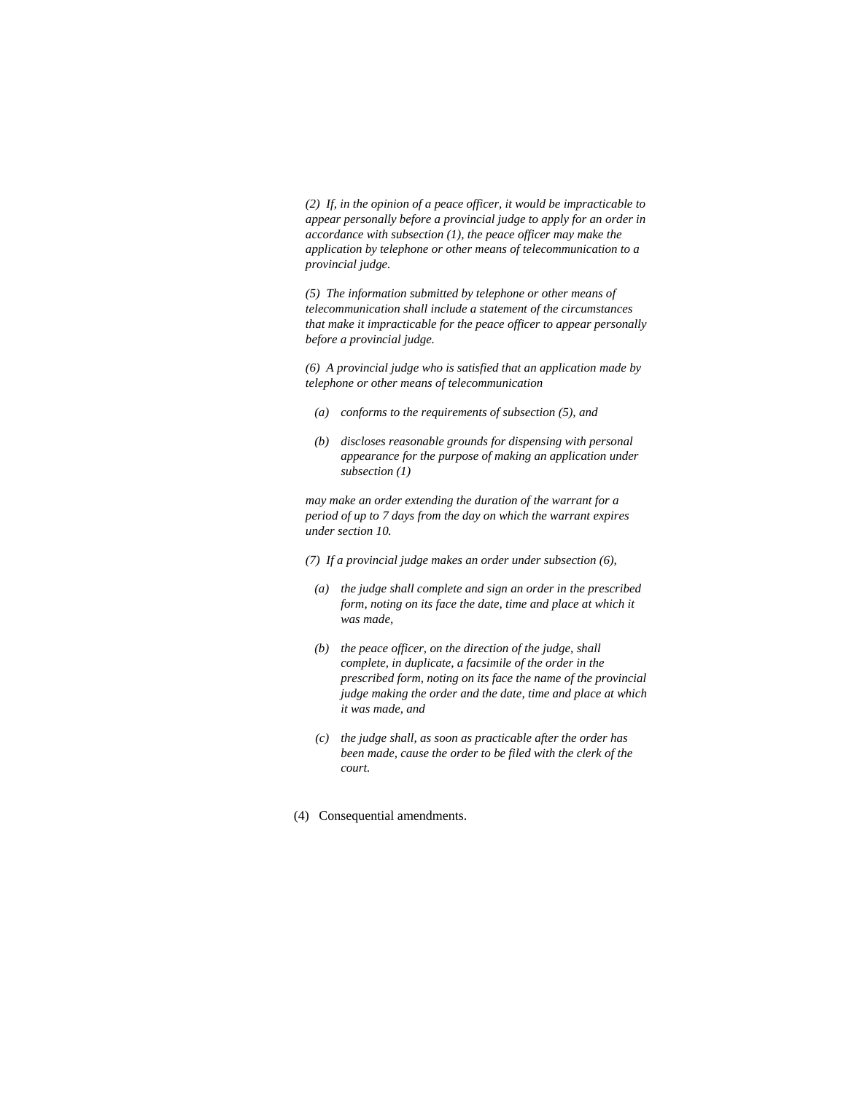*(2) If, in the opinion of a peace officer, it would be impracticable to appear personally before a provincial judge to apply for an order in accordance with subsection (1), the peace officer may make the application by telephone or other means of telecommunication to a provincial judge.* 

*(5) The information submitted by telephone or other means of telecommunication shall include a statement of the circumstances that make it impracticable for the peace officer to appear personally before a provincial judge.* 

*(6) A provincial judge who is satisfied that an application made by telephone or other means of telecommunication* 

- *(a) conforms to the requirements of subsection (5), and*
- *(b) discloses reasonable grounds for dispensing with personal appearance for the purpose of making an application under subsection (1)*

*may make an order extending the duration of the warrant for a period of up to 7 days from the day on which the warrant expires under section 10.* 

- *(7) If a provincial judge makes an order under subsection (6),* 
	- *(a) the judge shall complete and sign an order in the prescribed form, noting on its face the date, time and place at which it was made,*
	- *(b) the peace officer, on the direction of the judge, shall complete, in duplicate, a facsimile of the order in the prescribed form, noting on its face the name of the provincial judge making the order and the date, time and place at which it was made, and*
	- *(c) the judge shall, as soon as practicable after the order has been made, cause the order to be filed with the clerk of the court.*
- (4) Consequential amendments.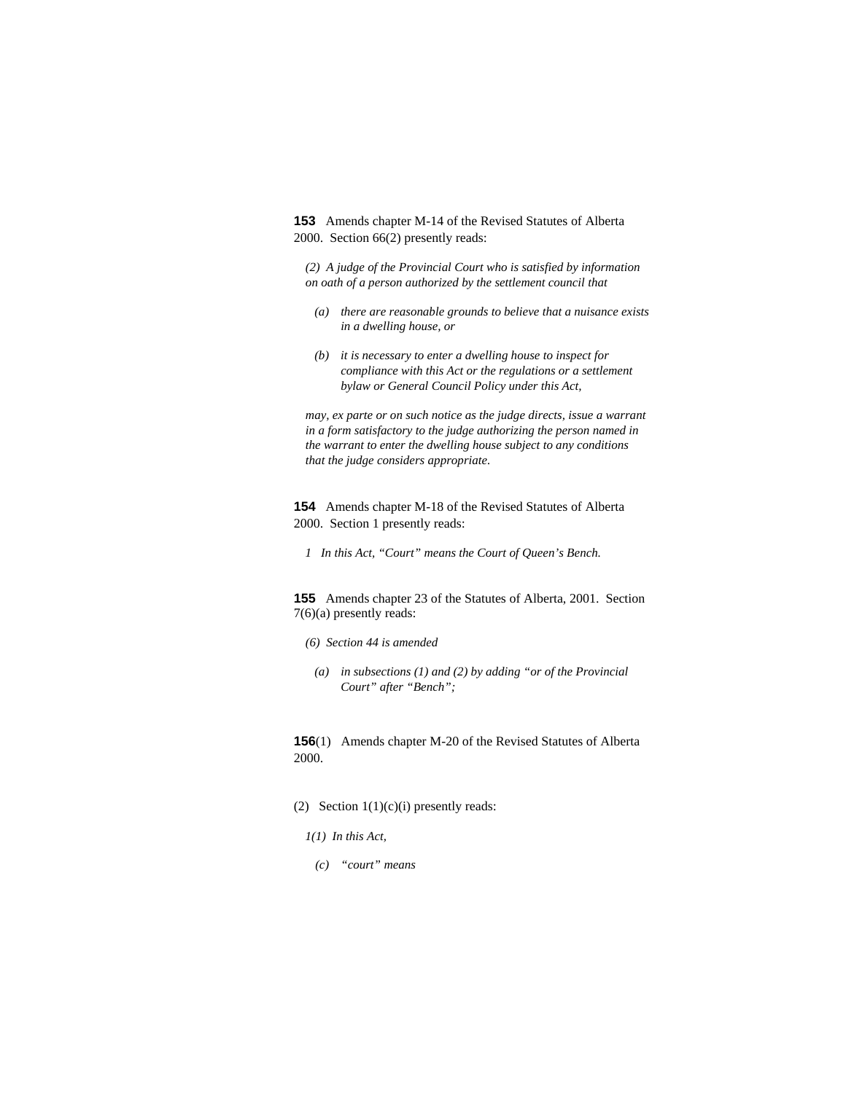**153** Amends chapter M-14 of the Revised Statutes of Alberta 2000. Section 66(2) presently reads:

*(2) A judge of the Provincial Court who is satisfied by information on oath of a person authorized by the settlement council that* 

- *(a) there are reasonable grounds to believe that a nuisance exists in a dwelling house, or*
- *(b) it is necessary to enter a dwelling house to inspect for compliance with this Act or the regulations or a settlement bylaw or General Council Policy under this Act,*

*may, ex parte or on such notice as the judge directs, issue a warrant in a form satisfactory to the judge authorizing the person named in the warrant to enter the dwelling house subject to any conditions that the judge considers appropriate.* 

**154** Amends chapter M-18 of the Revised Statutes of Alberta 2000. Section 1 presently reads:

*1 In this Act, "Court" means the Court of Queen's Bench.* 

**155** Amends chapter 23 of the Statutes of Alberta, 2001. Section 7(6)(a) presently reads:

- *(6) Section 44 is amended*
- *(a) in subsections (1) and (2) by adding "or of the Provincial Court" after "Bench";*

**156**(1) Amends chapter M-20 of the Revised Statutes of Alberta 2000.

- (2) Section  $1(1)(c)(i)$  presently reads:
	- *1(1) In this Act,*
	- *(c) "court" means*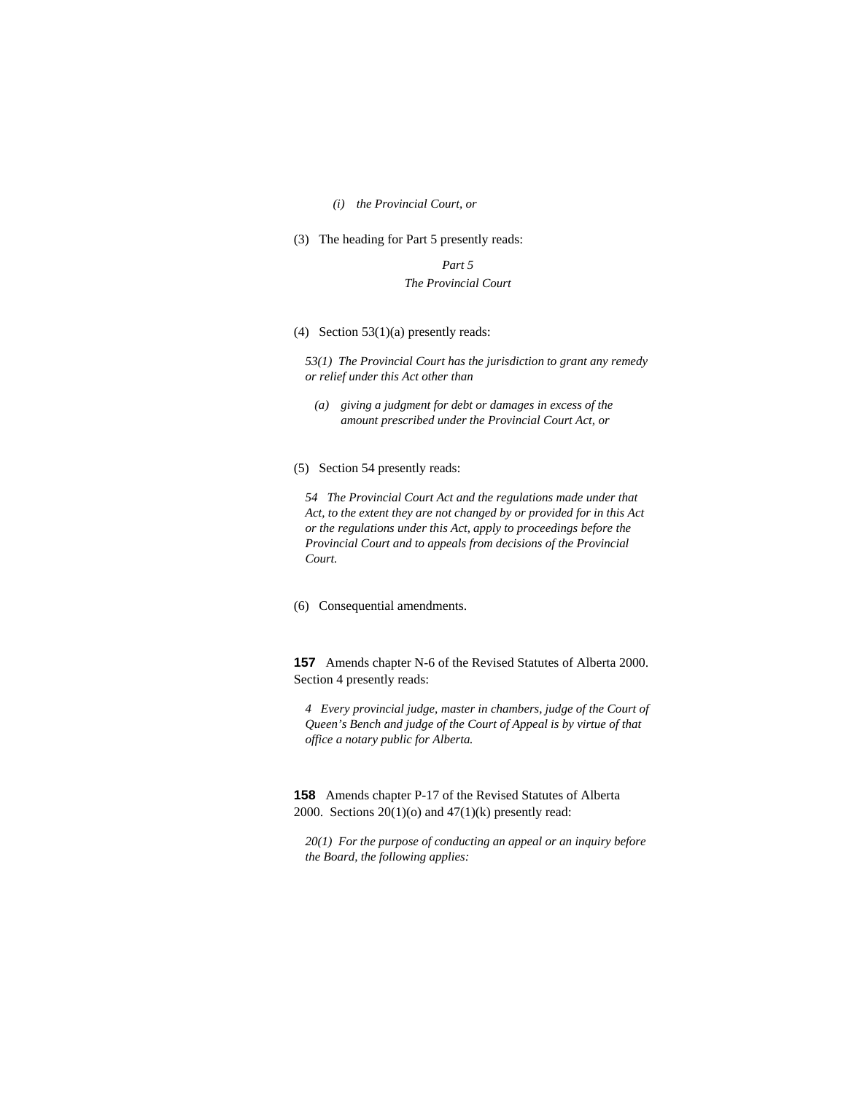#### *(i) the Provincial Court, or*

(3) The heading for Part 5 presently reads:

*Part 5 The Provincial Court* 

(4) Section 53(1)(a) presently reads:

*53(1) The Provincial Court has the jurisdiction to grant any remedy or relief under this Act other than* 

- *(a) giving a judgment for debt or damages in excess of the amount prescribed under the Provincial Court Act, or*
- (5) Section 54 presently reads:

*54 The Provincial Court Act and the regulations made under that Act, to the extent they are not changed by or provided for in this Act or the regulations under this Act, apply to proceedings before the Provincial Court and to appeals from decisions of the Provincial Court.* 

(6) Consequential amendments.

**157** Amends chapter N-6 of the Revised Statutes of Alberta 2000. Section 4 presently reads:

*4 Every provincial judge, master in chambers, judge of the Court of Queen's Bench and judge of the Court of Appeal is by virtue of that office a notary public for Alberta.* 

**158** Amends chapter P-17 of the Revised Statutes of Alberta 2000. Sections  $20(1)(o)$  and  $47(1)(k)$  presently read:

*20(1) For the purpose of conducting an appeal or an inquiry before the Board, the following applies:*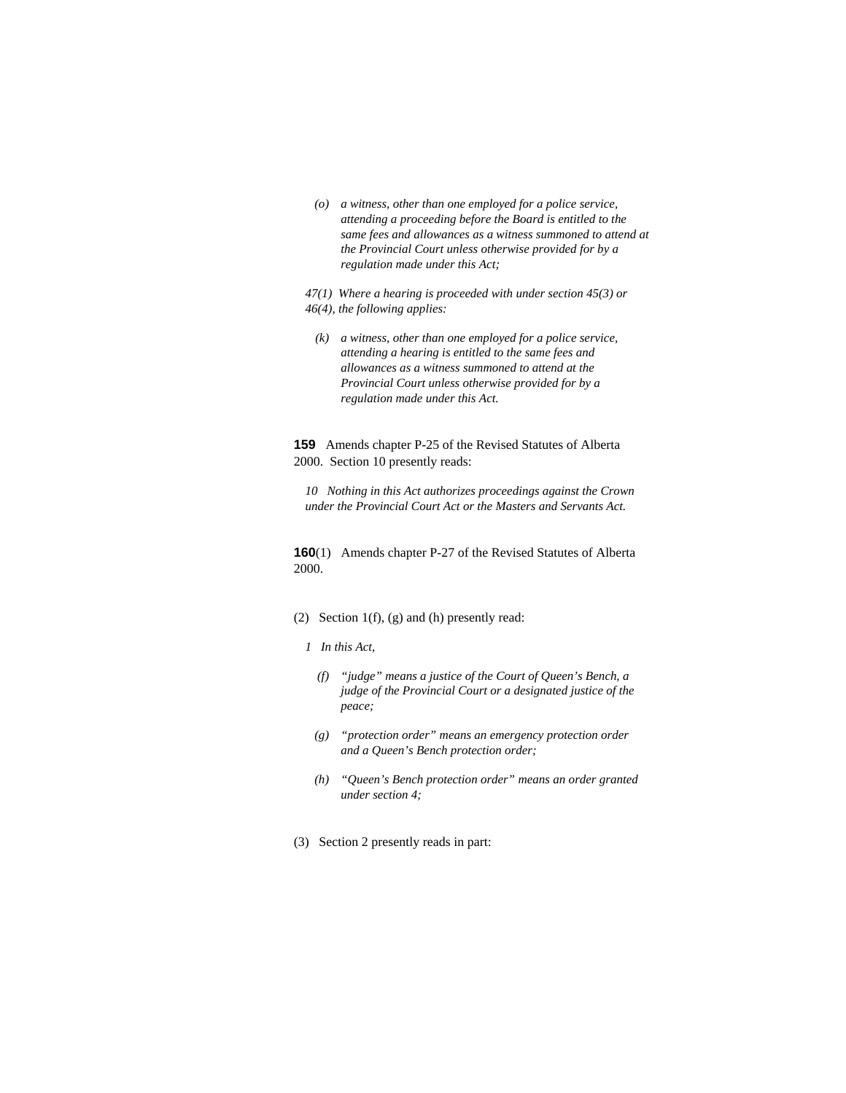*(o) a witness, other than one employed for a police service, attending a proceeding before the Board is entitled to the same fees and allowances as a witness summoned to attend at the Provincial Court unless otherwise provided for by a regulation made under this Act;* 

*47(1) Where a hearing is proceeded with under section 45(3) or 46(4), the following applies:* 

 *(k) a witness, other than one employed for a police service, attending a hearing is entitled to the same fees and allowances as a witness summoned to attend at the Provincial Court unless otherwise provided for by a regulation made under this Act.* 

**159** Amends chapter P-25 of the Revised Statutes of Alberta 2000. Section 10 presently reads:

*10 Nothing in this Act authorizes proceedings against the Crown under the Provincial Court Act or the Masters and Servants Act.* 

**160**(1) Amends chapter P-27 of the Revised Statutes of Alberta 2000.

- (2) Section 1(f), (g) and (h) presently read:
	- *1 In this Act,* 
		- *(f) "judge" means a justice of the Court of Queen's Bench, a judge of the Provincial Court or a designated justice of the peace;*
		- *(g) "protection order" means an emergency protection order and a Queen's Bench protection order;*
		- *(h) "Queen's Bench protection order" means an order granted under section 4;*
- (3) Section 2 presently reads in part: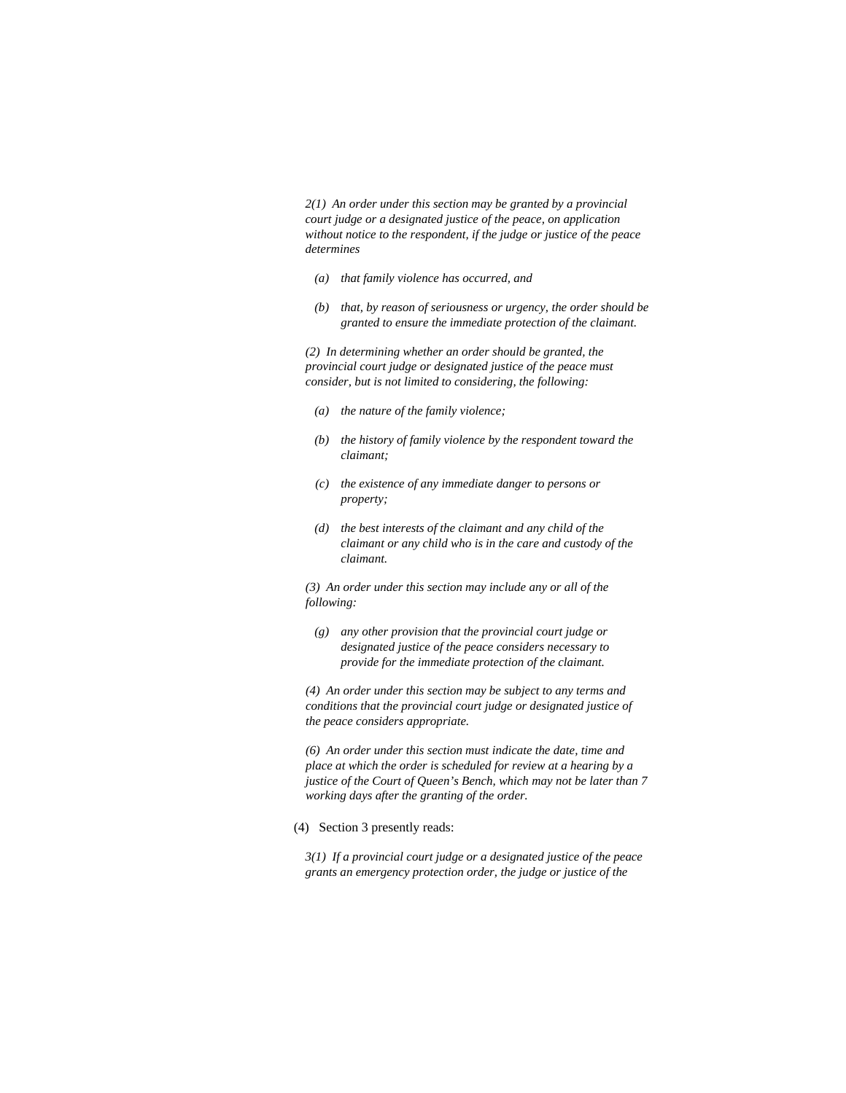*2(1) An order under this section may be granted by a provincial court judge or a designated justice of the peace, on application without notice to the respondent, if the judge or justice of the peace determines* 

- *(a) that family violence has occurred, and*
- *(b) that, by reason of seriousness or urgency, the order should be granted to ensure the immediate protection of the claimant.*

*(2) In determining whether an order should be granted, the provincial court judge or designated justice of the peace must consider, but is not limited to considering, the following:* 

- *(a) the nature of the family violence;*
- *(b) the history of family violence by the respondent toward the claimant;*
- *(c) the existence of any immediate danger to persons or property;*
- *(d) the best interests of the claimant and any child of the claimant or any child who is in the care and custody of the claimant.*

*(3) An order under this section may include any or all of the following:* 

 *(g) any other provision that the provincial court judge or designated justice of the peace considers necessary to provide for the immediate protection of the claimant.* 

*(4) An order under this section may be subject to any terms and conditions that the provincial court judge or designated justice of the peace considers appropriate.* 

*(6) An order under this section must indicate the date, time and place at which the order is scheduled for review at a hearing by a justice of the Court of Queen's Bench, which may not be later than 7 working days after the granting of the order.* 

(4) Section 3 presently reads:

*3(1) If a provincial court judge or a designated justice of the peace grants an emergency protection order, the judge or justice of the*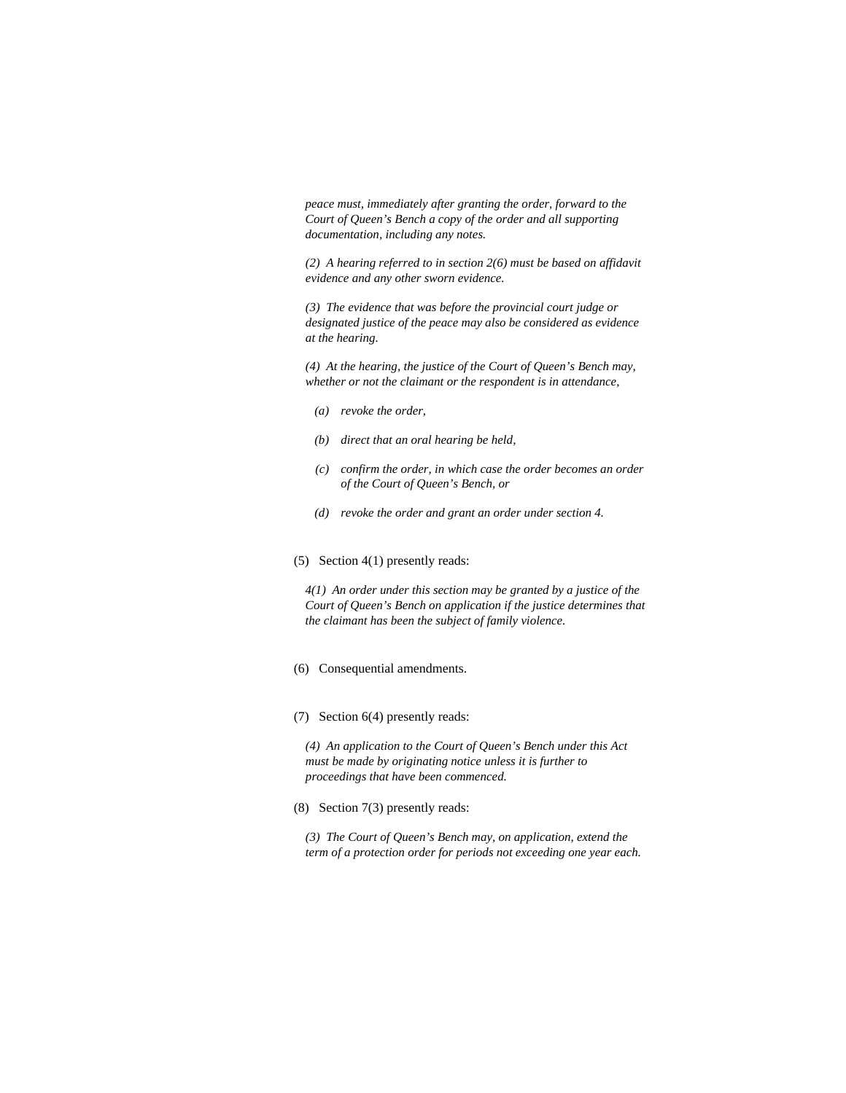*peace must, immediately after granting the order, forward to the Court of Queen's Bench a copy of the order and all supporting documentation, including any notes.* 

*(2) A hearing referred to in section 2(6) must be based on affidavit evidence and any other sworn evidence.* 

*(3) The evidence that was before the provincial court judge or designated justice of the peace may also be considered as evidence at the hearing.* 

*(4) At the hearing, the justice of the Court of Queen's Bench may, whether or not the claimant or the respondent is in attendance,* 

- *(a) revoke the order,*
- *(b) direct that an oral hearing be held,*
- *(c) confirm the order, in which case the order becomes an order of the Court of Queen's Bench, or*
- *(d) revoke the order and grant an order under section 4.*
- (5) Section 4(1) presently reads:

*4(1) An order under this section may be granted by a justice of the Court of Queen's Bench on application if the justice determines that the claimant has been the subject of family violence.* 

### (6) Consequential amendments.

(7) Section 6(4) presently reads:

*(4) An application to the Court of Queen's Bench under this Act must be made by originating notice unless it is further to proceedings that have been commenced.* 

(8) Section 7(3) presently reads:

*(3) The Court of Queen's Bench may, on application, extend the term of a protection order for periods not exceeding one year each.*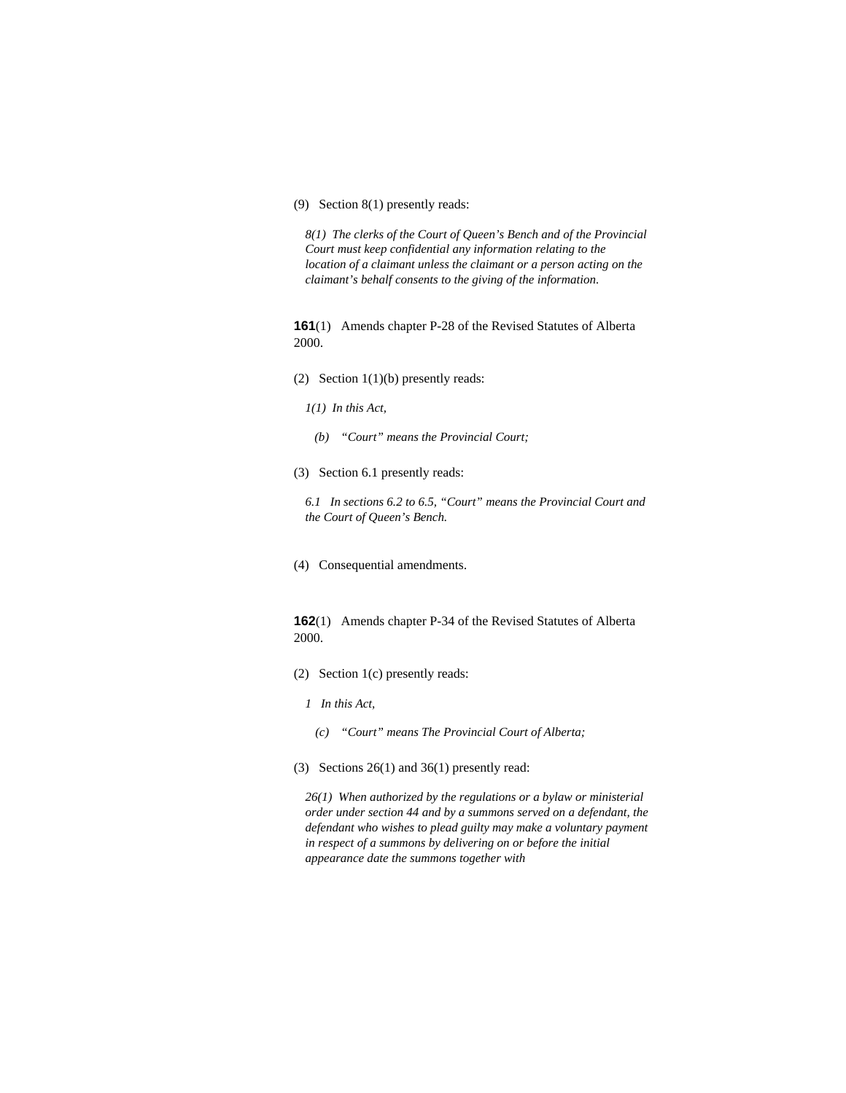# (9) Section 8(1) presently reads:

*8(1) The clerks of the Court of Queen's Bench and of the Provincial Court must keep confidential any information relating to the location of a claimant unless the claimant or a person acting on the claimant's behalf consents to the giving of the information.* 

**161**(1) Amends chapter P-28 of the Revised Statutes of Alberta 2000.

- (2) Section 1(1)(b) presently reads:
	- *1(1) In this Act,*
	- *(b) "Court" means the Provincial Court;*
- (3) Section 6.1 presently reads:

*6.1 In sections 6.2 to 6.5, "Court" means the Provincial Court and the Court of Queen's Bench.* 

(4) Consequential amendments.

# **162**(1) Amends chapter P-34 of the Revised Statutes of Alberta 2000.

- (2) Section 1(c) presently reads:
	- *1 In this Act,* 
		- *(c) "Court" means The Provincial Court of Alberta;*
- (3) Sections 26(1) and 36(1) presently read:

*26(1) When authorized by the regulations or a bylaw or ministerial order under section 44 and by a summons served on a defendant, the defendant who wishes to plead guilty may make a voluntary payment in respect of a summons by delivering on or before the initial appearance date the summons together with*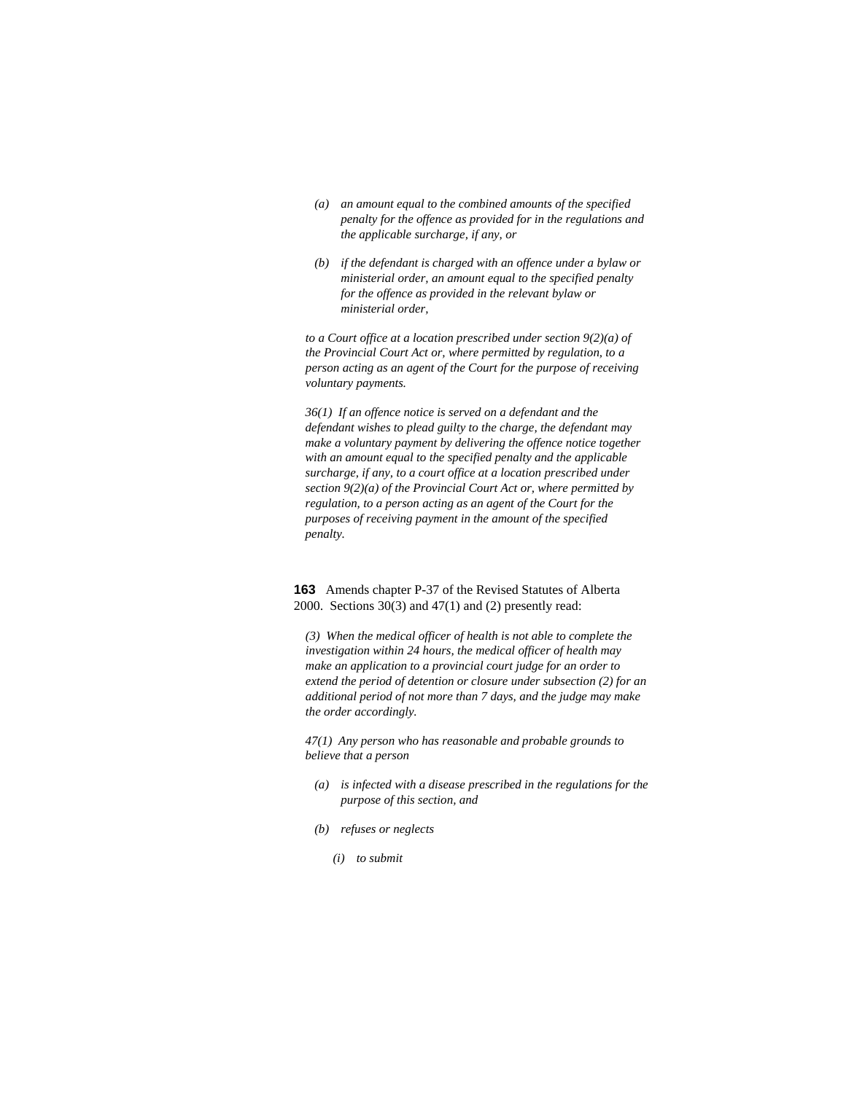- *(a) an amount equal to the combined amounts of the specified penalty for the offence as provided for in the regulations and the applicable surcharge, if any, or*
- *(b) if the defendant is charged with an offence under a bylaw or ministerial order, an amount equal to the specified penalty for the offence as provided in the relevant bylaw or ministerial order,*

*to a Court office at a location prescribed under section 9(2)(a) of the Provincial Court Act or, where permitted by regulation, to a person acting as an agent of the Court for the purpose of receiving voluntary payments.* 

*36(1) If an offence notice is served on a defendant and the defendant wishes to plead guilty to the charge, the defendant may make a voluntary payment by delivering the offence notice together with an amount equal to the specified penalty and the applicable surcharge, if any, to a court office at a location prescribed under section 9(2)(a) of the Provincial Court Act or, where permitted by regulation, to a person acting as an agent of the Court for the purposes of receiving payment in the amount of the specified penalty.* 

**163** Amends chapter P-37 of the Revised Statutes of Alberta 2000. Sections 30(3) and 47(1) and (2) presently read:

*(3) When the medical officer of health is not able to complete the investigation within 24 hours, the medical officer of health may make an application to a provincial court judge for an order to extend the period of detention or closure under subsection (2) for an additional period of not more than 7 days, and the judge may make the order accordingly.* 

*47(1) Any person who has reasonable and probable grounds to believe that a person* 

- *(a) is infected with a disease prescribed in the regulations for the purpose of this section, and*
- *(b) refuses or neglects* 
	- *(i) to submit*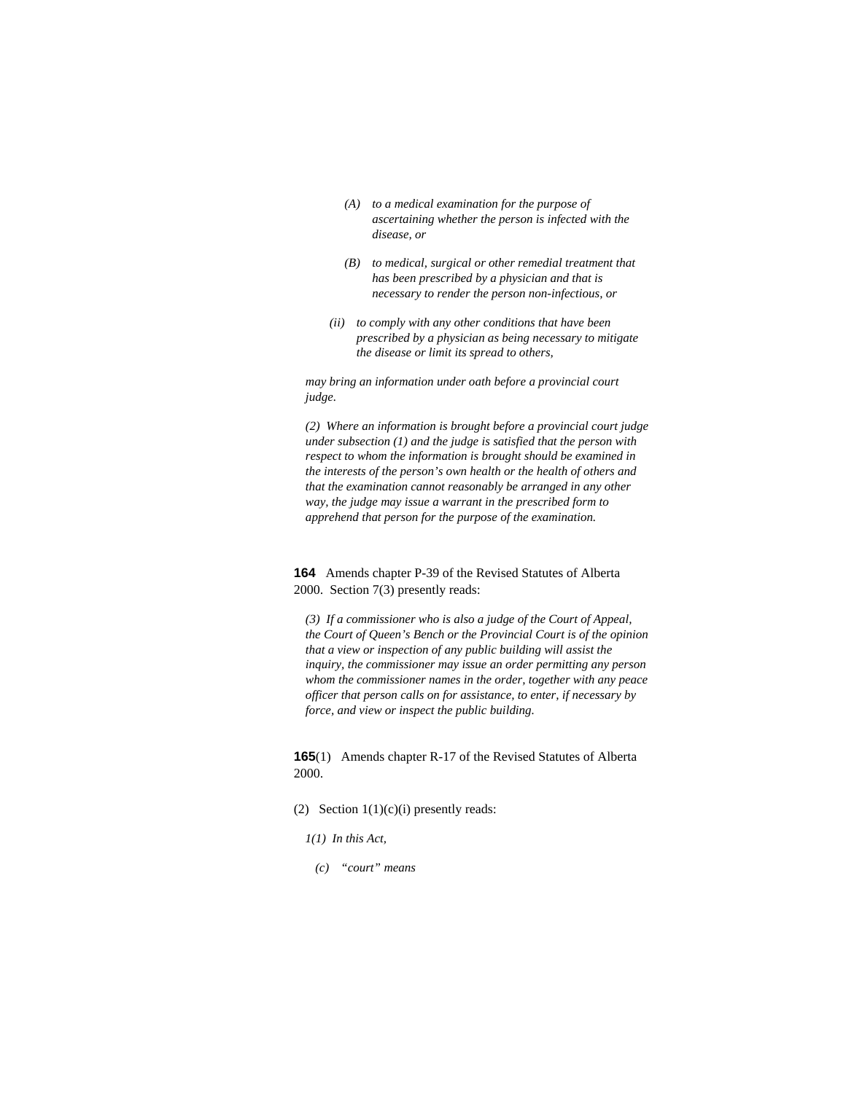- *(A) to a medical examination for the purpose of ascertaining whether the person is infected with the disease, or*
- *(B) to medical, surgical or other remedial treatment that has been prescribed by a physician and that is necessary to render the person non-infectious, or*
- *(ii) to comply with any other conditions that have been prescribed by a physician as being necessary to mitigate the disease or limit its spread to others,*

*may bring an information under oath before a provincial court judge.* 

*(2) Where an information is brought before a provincial court judge under subsection (1) and the judge is satisfied that the person with respect to whom the information is brought should be examined in the interests of the person's own health or the health of others and that the examination cannot reasonably be arranged in any other way, the judge may issue a warrant in the prescribed form to apprehend that person for the purpose of the examination.* 

**164** Amends chapter P-39 of the Revised Statutes of Alberta 2000. Section 7(3) presently reads:

*(3) If a commissioner who is also a judge of the Court of Appeal, the Court of Queen's Bench or the Provincial Court is of the opinion that a view or inspection of any public building will assist the inquiry, the commissioner may issue an order permitting any person whom the commissioner names in the order, together with any peace officer that person calls on for assistance, to enter, if necessary by force, and view or inspect the public building.* 

**165**(1) Amends chapter R-17 of the Revised Statutes of Alberta 2000.

### (2) Section  $1(1)(c)(i)$  presently reads:

*1(1) In this Act,* 

 *(c) "court" means*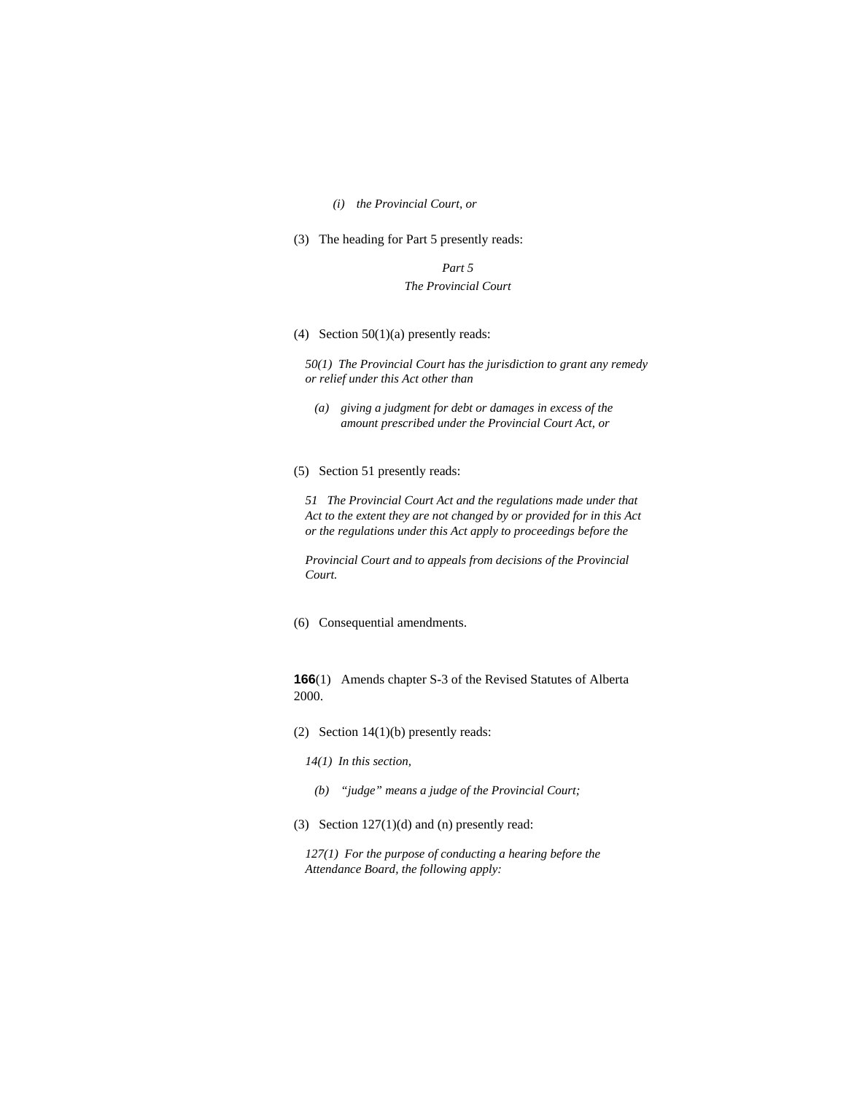### *(i) the Provincial Court, or*

(3) The heading for Part 5 presently reads:

*Part 5 The Provincial Court* 

(4) Section  $50(1)(a)$  presently reads:

*50(1) The Provincial Court has the jurisdiction to grant any remedy or relief under this Act other than* 

- *(a) giving a judgment for debt or damages in excess of the amount prescribed under the Provincial Court Act, or*
- (5) Section 51 presently reads:

*51 The Provincial Court Act and the regulations made under that Act to the extent they are not changed by or provided for in this Act or the regulations under this Act apply to proceedings before the* 

*Provincial Court and to appeals from decisions of the Provincial Court.* 

(6) Consequential amendments.

**166**(1) Amends chapter S-3 of the Revised Statutes of Alberta 2000.

- (2) Section 14(1)(b) presently reads:
	- *14(1) In this section,*
	- *(b) "judge" means a judge of the Provincial Court;*
- (3) Section 127(1)(d) and (n) presently read:

*127(1) For the purpose of conducting a hearing before the Attendance Board, the following apply:*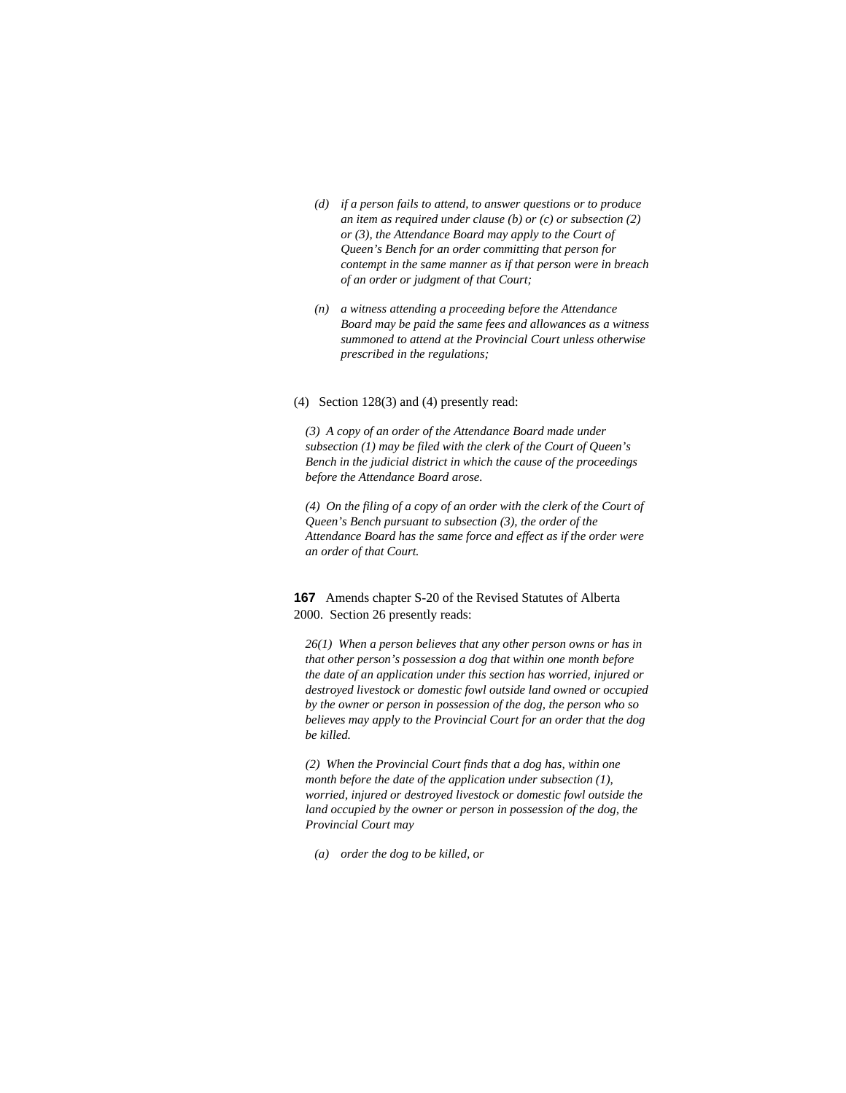- *(d) if a person fails to attend, to answer questions or to produce an item as required under clause (b) or (c) or subsection (2) or (3), the Attendance Board may apply to the Court of Queen's Bench for an order committing that person for contempt in the same manner as if that person were in breach of an order or judgment of that Court;*
- *(n) a witness attending a proceeding before the Attendance Board may be paid the same fees and allowances as a witness summoned to attend at the Provincial Court unless otherwise prescribed in the regulations;*
- (4) Section 128(3) and (4) presently read:

*(3) A copy of an order of the Attendance Board made under subsection (1) may be filed with the clerk of the Court of Queen's Bench in the judicial district in which the cause of the proceedings before the Attendance Board arose.* 

*(4) On the filing of a copy of an order with the clerk of the Court of Queen's Bench pursuant to subsection (3), the order of the Attendance Board has the same force and effect as if the order were an order of that Court.* 

**167** Amends chapter S-20 of the Revised Statutes of Alberta 2000. Section 26 presently reads:

*26(1) When a person believes that any other person owns or has in that other person's possession a dog that within one month before the date of an application under this section has worried, injured or destroyed livestock or domestic fowl outside land owned or occupied by the owner or person in possession of the dog, the person who so believes may apply to the Provincial Court for an order that the dog be killed.* 

*(2) When the Provincial Court finds that a dog has, within one month before the date of the application under subsection (1), worried, injured or destroyed livestock or domestic fowl outside the land occupied by the owner or person in possession of the dog, the Provincial Court may* 

 *(a) order the dog to be killed, or*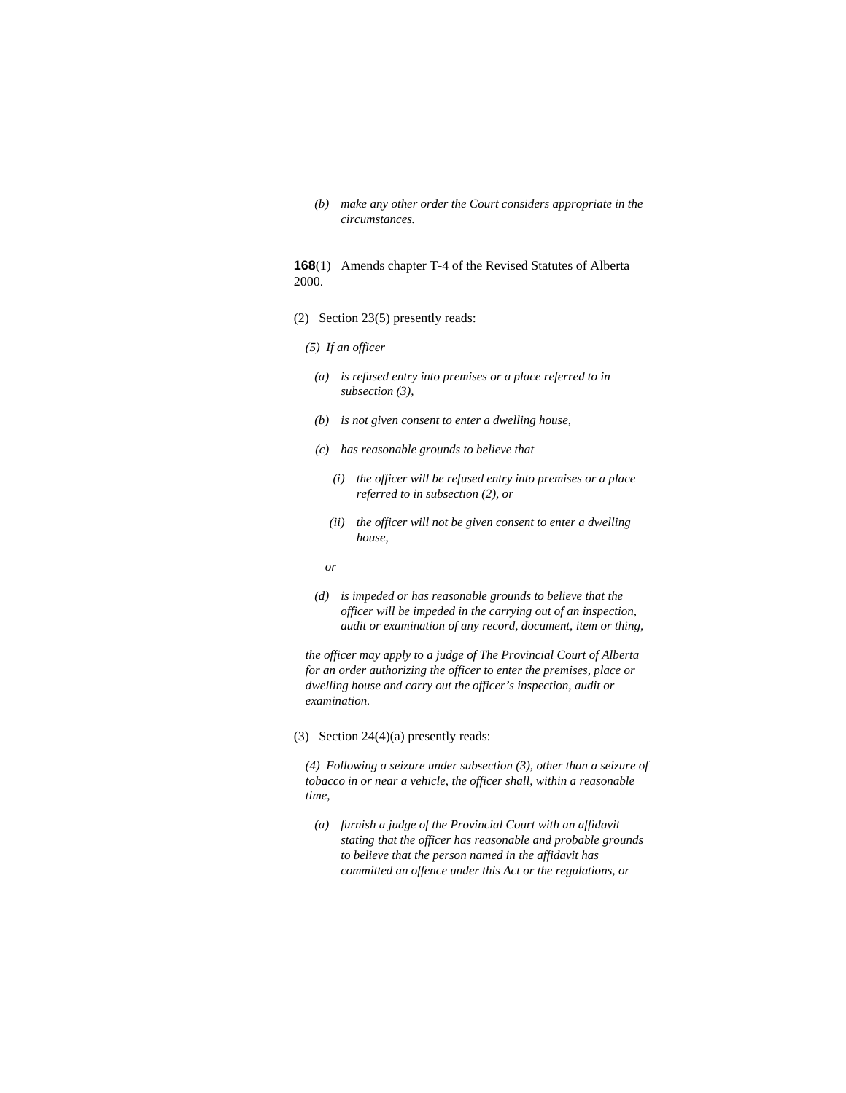*(b) make any other order the Court considers appropriate in the circumstances.* 

# **168**(1) Amends chapter T-4 of the Revised Statutes of Alberta 2000.

- (2) Section 23(5) presently reads:
	- *(5) If an officer*
	- *(a) is refused entry into premises or a place referred to in subsection (3),*
	- *(b) is not given consent to enter a dwelling house,*
	- *(c) has reasonable grounds to believe that* 
		- *(i) the officer will be refused entry into premises or a place referred to in subsection (2), or*
		- *(ii) the officer will not be given consent to enter a dwelling house,*
- *or* 
	- *(d) is impeded or has reasonable grounds to believe that the officer will be impeded in the carrying out of an inspection, audit or examination of any record, document, item or thing,*

*the officer may apply to a judge of The Provincial Court of Alberta for an order authorizing the officer to enter the premises, place or dwelling house and carry out the officer's inspection, audit or examination.* 

(3) Section 24(4)(a) presently reads:

*(4) Following a seizure under subsection (3), other than a seizure of tobacco in or near a vehicle, the officer shall, within a reasonable time,* 

 *(a) furnish a judge of the Provincial Court with an affidavit stating that the officer has reasonable and probable grounds to believe that the person named in the affidavit has committed an offence under this Act or the regulations, or*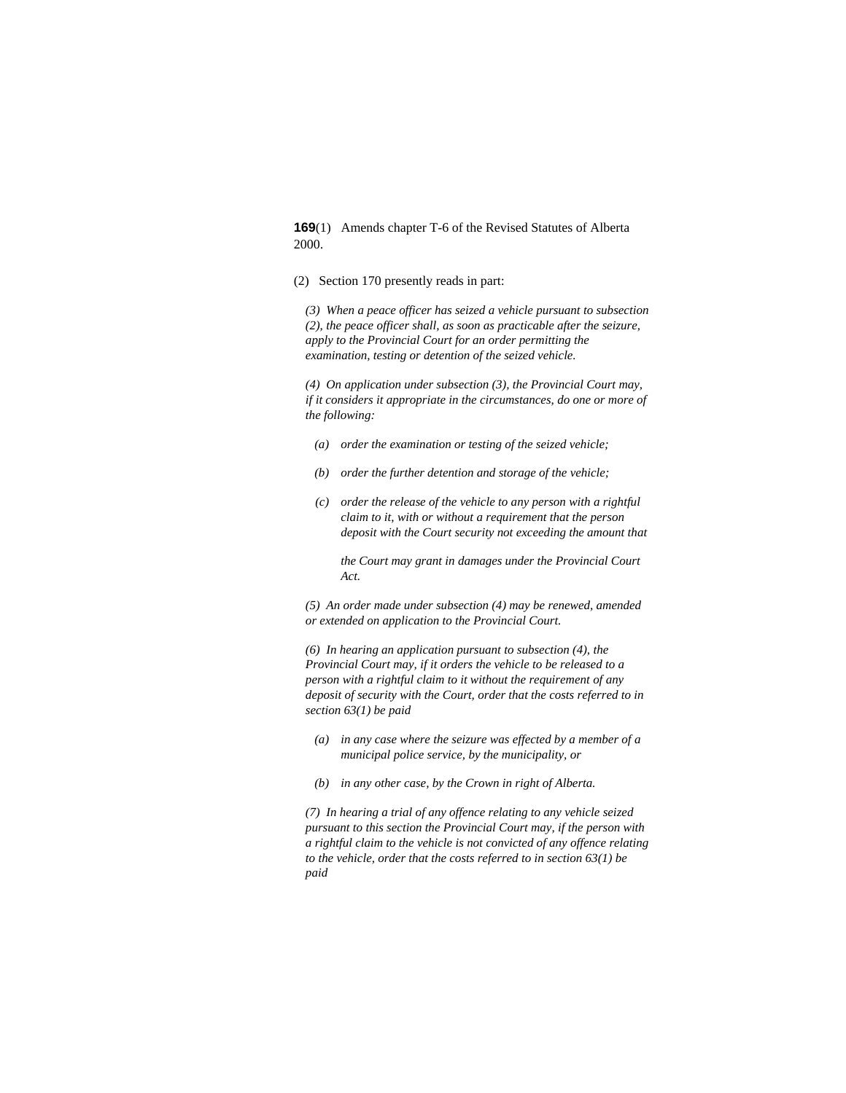**169**(1) Amends chapter T-6 of the Revised Statutes of Alberta 2000.

(2) Section 170 presently reads in part:

*(3) When a peace officer has seized a vehicle pursuant to subsection (2), the peace officer shall, as soon as practicable after the seizure, apply to the Provincial Court for an order permitting the examination, testing or detention of the seized vehicle.* 

*(4) On application under subsection (3), the Provincial Court may, if it considers it appropriate in the circumstances, do one or more of the following:* 

- *(a) order the examination or testing of the seized vehicle;*
- *(b) order the further detention and storage of the vehicle;*
- *(c) order the release of the vehicle to any person with a rightful claim to it, with or without a requirement that the person deposit with the Court security not exceeding the amount that*

 *the Court may grant in damages under the Provincial Court Act.* 

*(5) An order made under subsection (4) may be renewed, amended or extended on application to the Provincial Court.* 

*(6) In hearing an application pursuant to subsection (4), the Provincial Court may, if it orders the vehicle to be released to a person with a rightful claim to it without the requirement of any deposit of security with the Court, order that the costs referred to in section 63(1) be paid* 

- *(a) in any case where the seizure was effected by a member of a municipal police service, by the municipality, or*
- *(b) in any other case, by the Crown in right of Alberta.*

*(7) In hearing a trial of any offence relating to any vehicle seized pursuant to this section the Provincial Court may, if the person with a rightful claim to the vehicle is not convicted of any offence relating to the vehicle, order that the costs referred to in section 63(1) be paid*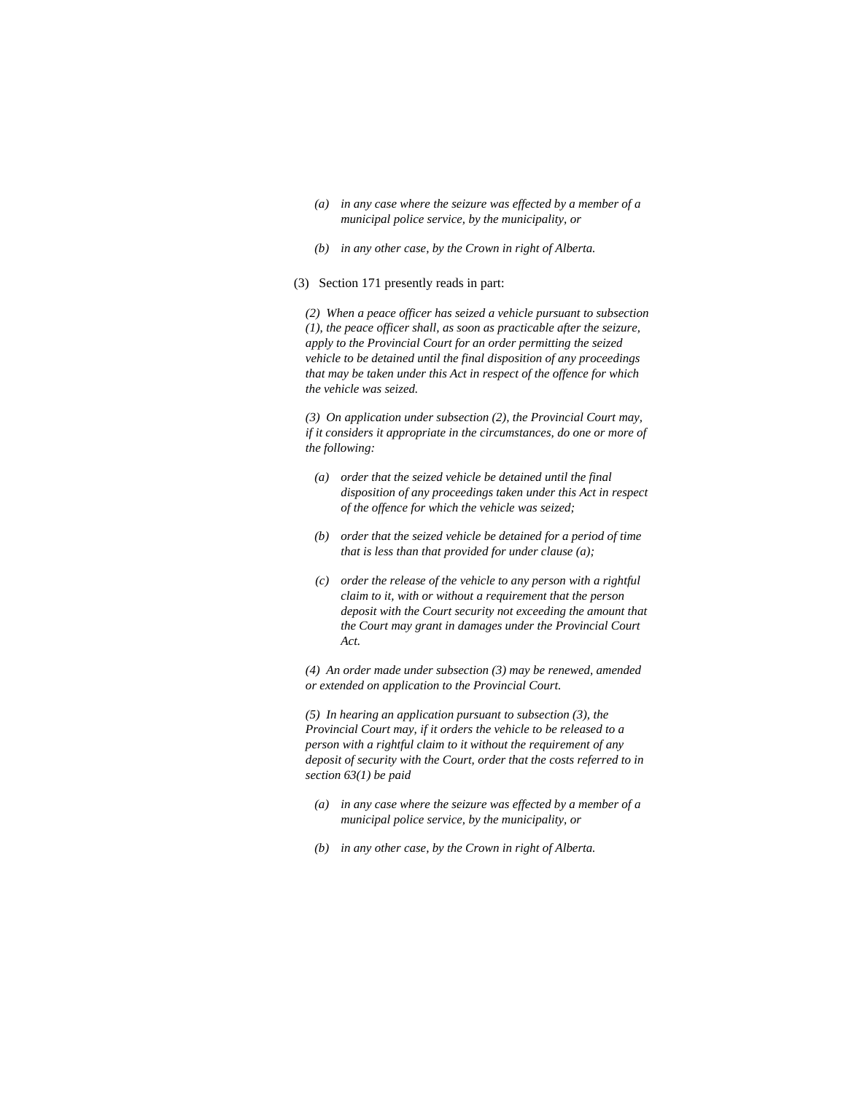- *(a) in any case where the seizure was effected by a member of a municipal police service, by the municipality, or*
- *(b) in any other case, by the Crown in right of Alberta.*
- (3) Section 171 presently reads in part:

*(2) When a peace officer has seized a vehicle pursuant to subsection (1), the peace officer shall, as soon as practicable after the seizure, apply to the Provincial Court for an order permitting the seized vehicle to be detained until the final disposition of any proceedings that may be taken under this Act in respect of the offence for which the vehicle was seized.* 

*(3) On application under subsection (2), the Provincial Court may, if it considers it appropriate in the circumstances, do one or more of the following:* 

- *(a) order that the seized vehicle be detained until the final disposition of any proceedings taken under this Act in respect of the offence for which the vehicle was seized;*
- *(b) order that the seized vehicle be detained for a period of time that is less than that provided for under clause (a);*
- *(c) order the release of the vehicle to any person with a rightful claim to it, with or without a requirement that the person deposit with the Court security not exceeding the amount that the Court may grant in damages under the Provincial Court Act.*

*(4) An order made under subsection (3) may be renewed, amended or extended on application to the Provincial Court.* 

*(5) In hearing an application pursuant to subsection (3), the Provincial Court may, if it orders the vehicle to be released to a person with a rightful claim to it without the requirement of any deposit of security with the Court, order that the costs referred to in section 63(1) be paid* 

- *(a) in any case where the seizure was effected by a member of a municipal police service, by the municipality, or*
- *(b) in any other case, by the Crown in right of Alberta.*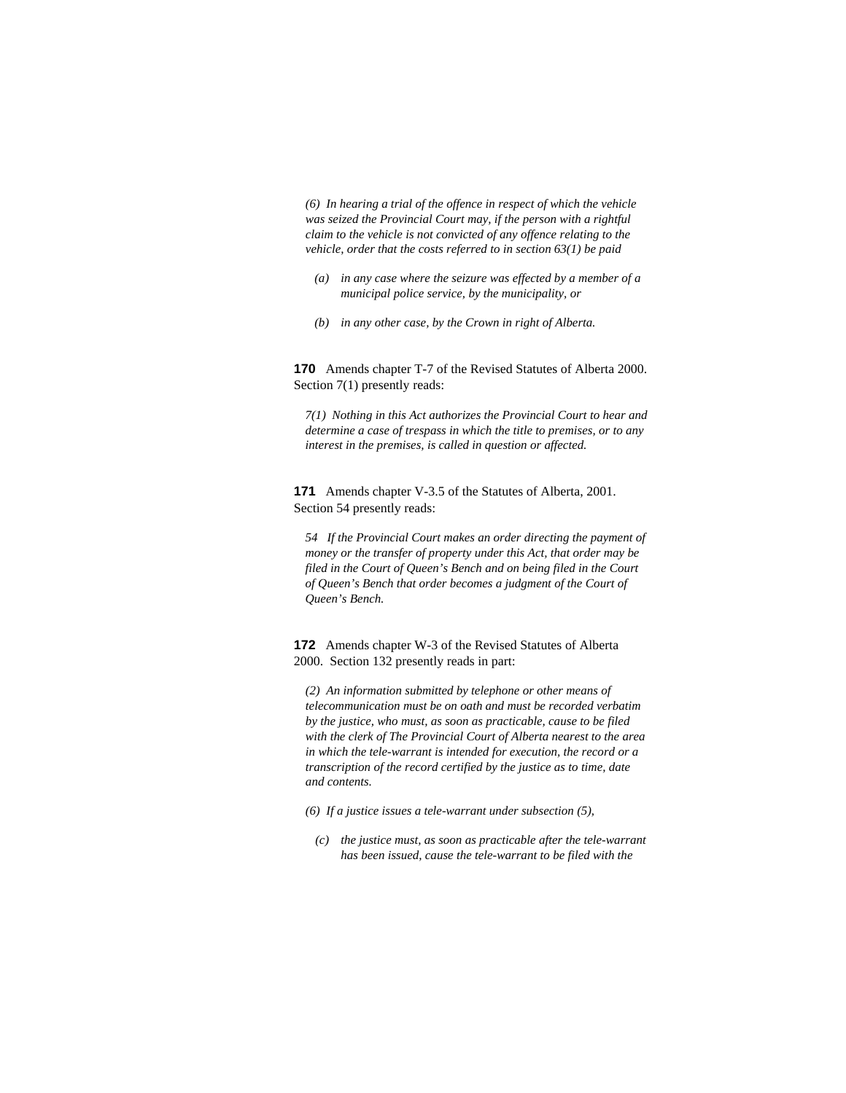*(6) In hearing a trial of the offence in respect of which the vehicle was seized the Provincial Court may, if the person with a rightful claim to the vehicle is not convicted of any offence relating to the vehicle, order that the costs referred to in section 63(1) be paid* 

- *(a) in any case where the seizure was effected by a member of a municipal police service, by the municipality, or*
- *(b) in any other case, by the Crown in right of Alberta.*

**170** Amends chapter T-7 of the Revised Statutes of Alberta 2000. Section 7(1) presently reads:

*7(1) Nothing in this Act authorizes the Provincial Court to hear and determine a case of trespass in which the title to premises, or to any interest in the premises, is called in question or affected.* 

**171** Amends chapter V-3.5 of the Statutes of Alberta, 2001. Section 54 presently reads:

*54 If the Provincial Court makes an order directing the payment of money or the transfer of property under this Act, that order may be filed in the Court of Queen's Bench and on being filed in the Court of Queen's Bench that order becomes a judgment of the Court of Queen's Bench.* 

**172** Amends chapter W-3 of the Revised Statutes of Alberta 2000. Section 132 presently reads in part:

*(2) An information submitted by telephone or other means of telecommunication must be on oath and must be recorded verbatim by the justice, who must, as soon as practicable, cause to be filed with the clerk of The Provincial Court of Alberta nearest to the area in which the tele-warrant is intended for execution, the record or a transcription of the record certified by the justice as to time, date and contents.* 

*(6) If a justice issues a tele-warrant under subsection (5),* 

 *(c) the justice must, as soon as practicable after the tele-warrant has been issued, cause the tele-warrant to be filed with the*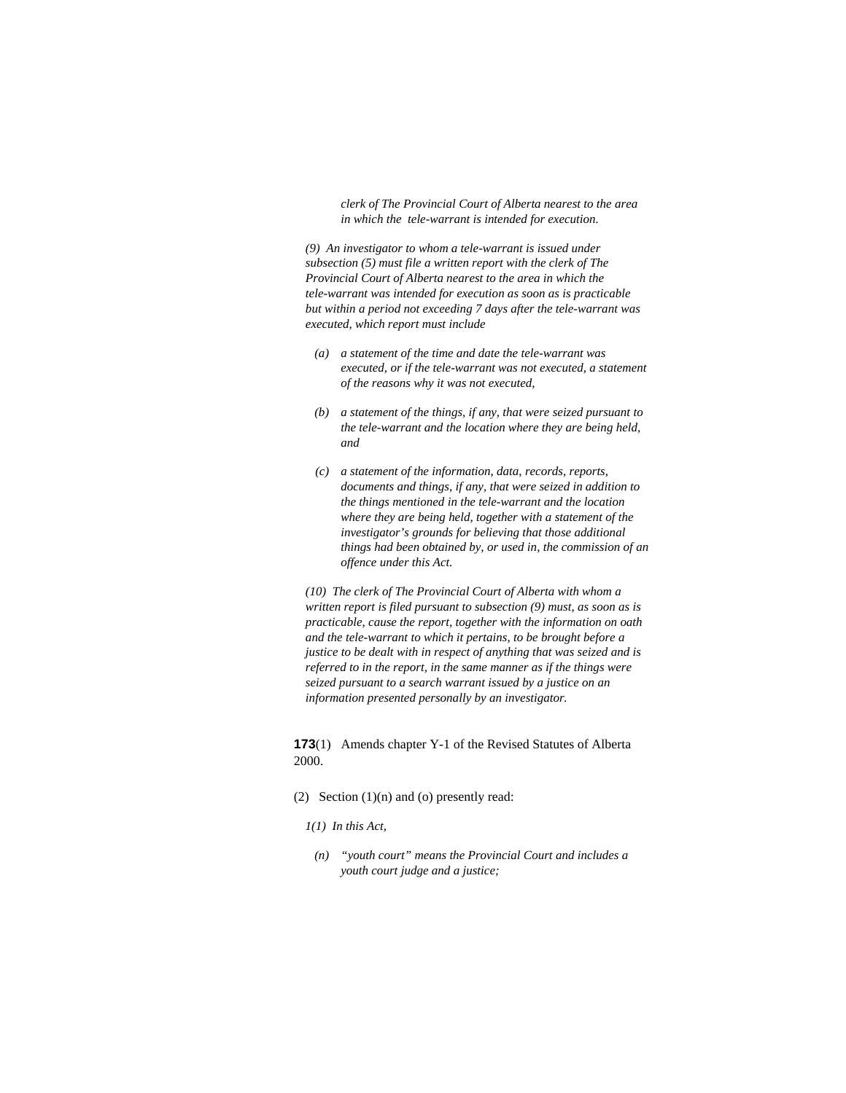*clerk of The Provincial Court of Alberta nearest to the area in which the tele-warrant is intended for execution.* 

*(9) An investigator to whom a tele-warrant is issued under subsection (5) must file a written report with the clerk of The Provincial Court of Alberta nearest to the area in which the tele-warrant was intended for execution as soon as is practicable but within a period not exceeding 7 days after the tele-warrant was executed, which report must include* 

- *(a) a statement of the time and date the tele-warrant was executed, or if the tele-warrant was not executed, a statement of the reasons why it was not executed,*
- *(b) a statement of the things, if any, that were seized pursuant to the tele-warrant and the location where they are being held, and*
- *(c) a statement of the information, data, records, reports, documents and things, if any, that were seized in addition to the things mentioned in the tele-warrant and the location where they are being held, together with a statement of the investigator's grounds for believing that those additional things had been obtained by, or used in, the commission of an offence under this Act.*

*(10) The clerk of The Provincial Court of Alberta with whom a written report is filed pursuant to subsection (9) must, as soon as is practicable, cause the report, together with the information on oath and the tele-warrant to which it pertains, to be brought before a justice to be dealt with in respect of anything that was seized and is referred to in the report, in the same manner as if the things were seized pursuant to a search warrant issued by a justice on an information presented personally by an investigator.* 

**173**(1) Amends chapter Y-1 of the Revised Statutes of Alberta 2000.

- (2) Section  $(1)(n)$  and  $(0)$  presently read:
	- *1(1) In this Act,*
	- *(n) "youth court" means the Provincial Court and includes a youth court judge and a justice;*